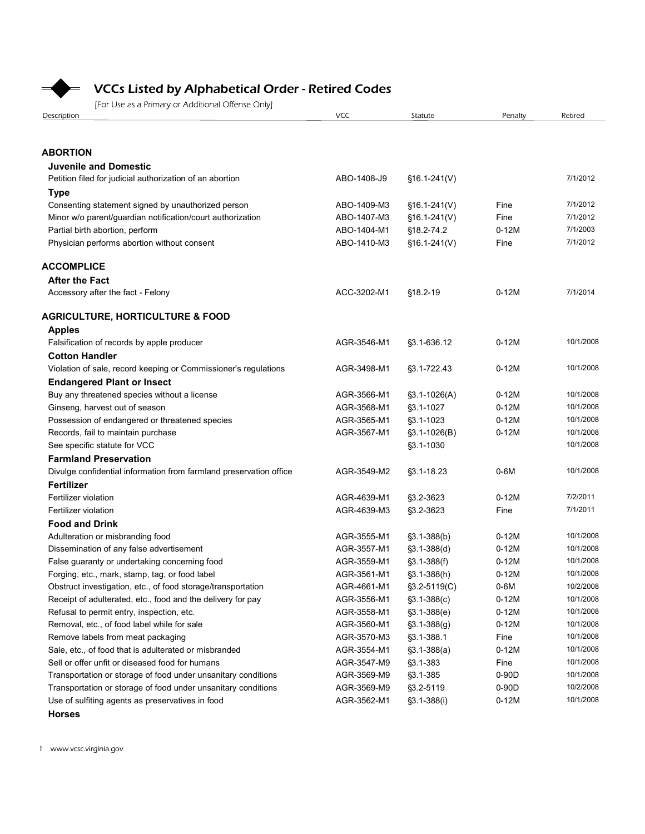

# VCCs Listed by Alphabetical Order - Retired Codes

| <b>VCCs Listed by Alphabetical Order - Retired Codes</b><br>[For Use as a Primary or Additional Offense Only] |                            |                                |                   |                        |
|---------------------------------------------------------------------------------------------------------------|----------------------------|--------------------------------|-------------------|------------------------|
|                                                                                                               |                            |                                |                   |                        |
|                                                                                                               |                            |                                |                   |                        |
|                                                                                                               |                            |                                |                   |                        |
|                                                                                                               |                            |                                |                   |                        |
|                                                                                                               |                            |                                |                   |                        |
| Description                                                                                                   | <b>VCC</b>                 | Statute                        | Penalty           | Retired                |
|                                                                                                               |                            |                                |                   |                        |
| <b>ABORTION</b>                                                                                               |                            |                                |                   |                        |
| <b>Juvenile and Domestic</b>                                                                                  |                            |                                |                   |                        |
| Petition filed for judicial authorization of an abortion                                                      | ABO-1408-J9                | $$16.1-241(V)$                 |                   | 7/1/2012               |
| Type                                                                                                          |                            |                                |                   |                        |
| Consenting statement signed by unauthorized person                                                            | ABO-1409-M3                | $$16.1-241(V)$                 | Fine              | 7/1/2012               |
| Minor w/o parent/guardian notification/court authorization                                                    | ABO-1407-M3                | $$16.1-241(V)$                 | Fine              | 7/1/2012               |
| Partial birth abortion, perform                                                                               | ABO-1404-M1                | §18.2-74.2                     | $0-12M$           | 7/1/2003               |
| Physician performs abortion without consent                                                                   | ABO-1410-M3                | $$16.1-241(V)$                 | Fine              | 7/1/2012               |
| <b>ACCOMPLICE</b>                                                                                             |                            |                                |                   |                        |
| <b>After the Fact</b>                                                                                         |                            |                                |                   |                        |
| Accessory after the fact - Felony                                                                             | ACC-3202-M1                | $§18.2-19$                     | $0-12M$           | 7/1/2014               |
|                                                                                                               |                            |                                |                   |                        |
| <b>AGRICULTURE, HORTICULTURE &amp; FOOD</b>                                                                   |                            |                                |                   |                        |
| <b>Apples</b>                                                                                                 |                            |                                |                   | 10/1/2008              |
| Falsification of records by apple producer                                                                    | AGR-3546-M1                | §3.1-636.12                    | $0-12M$           |                        |
| <b>Cotton Handler</b>                                                                                         | AGR-3498-M1                |                                | $0-12M$           | 10/1/2008              |
| Violation of sale, record keeping or Commissioner's regulations                                               |                            | §3.1-722.43                    |                   |                        |
| <b>Endangered Plant or Insect</b><br>Buy any threatened species without a license                             | AGR-3566-M1                | $\S3.1 - 1026(A)$              | $0-12M$           | 10/1/2008              |
| Ginseng, harvest out of season                                                                                | AGR-3568-M1                | §3.1-1027                      | $0-12M$           | 10/1/2008              |
| Possession of endangered or threatened species                                                                | AGR-3565-M1                | §3.1-1023                      | $0-12M$           | 10/1/2008              |
| Records, fail to maintain purchase                                                                            | AGR-3567-M1                | $\S3.1 - 1026(B)$              | $0-12M$           | 10/1/2008              |
| See specific statute for VCC                                                                                  |                            | §3.1-1030                      |                   | 10/1/2008              |
| <b>Farmland Preservation</b>                                                                                  |                            |                                |                   |                        |
| Divulge confidential information from farmland preservation office                                            | AGR-3549-M2                | §3.1-18.23                     | $0-6M$            | 10/1/2008              |
| Fertilizer                                                                                                    |                            |                                |                   |                        |
| Fertilizer violation                                                                                          | AGR-4639-M1                | §3.2-3623                      | $0-12M$           | 7/2/2011               |
| Fertilizer violation                                                                                          | AGR-4639-M3                | §3.2-3623                      | Fine              | 7/1/2011               |
| <b>Food and Drink</b>                                                                                         |                            |                                |                   |                        |
| Adulteration or misbranding food                                                                              | AGR-3555-M1                | $$3.1-388(b)$                  | $0-12M$           | 10/1/2008              |
| Dissemination of any false advertisement                                                                      | AGR-3557-M1                | $\S3.1 - 388(d)$               | $0-12M$           | 10/1/2008              |
| False guaranty or undertaking concerning food                                                                 | AGR-3559-M1                | $\S3.1 - 388(f)$               | $0-12M$           | 10/1/2008              |
| Forging, etc., mark, stamp, tag, or food label                                                                | AGR-3561-M1                | $$3.1-388(h)$                  | $0-12M$           | 10/1/2008              |
| Obstruct investigation, etc., of food storage/transportation                                                  | AGR-4661-M1<br>AGR-3556-M1 | $$3.2-5119(C)$                 | $0-6M$<br>$0-12M$ | 10/2/2008<br>10/1/2008 |
| Receipt of adulterated, etc., food and the delivery for pay<br>Refusal to permit entry, inspection, etc.      | AGR-3558-M1                | $$3.1-388(c)$<br>$$3.1-388(e)$ | $0-12M$           | 10/1/2008              |
| Removal, etc., of food label while for sale                                                                   | AGR-3560-M1                | $\S3.1 - 388(g)$               | $0-12M$           | 10/1/2008              |
| Remove labels from meat packaging                                                                             | AGR-3570-M3                | §3.1-388.1                     | Fine              | 10/1/2008              |
| Sale, etc., of food that is adulterated or misbranded                                                         | AGR-3554-M1                | $$3.1-388(a)$                  | $0-12M$           | 10/1/2008              |
| Sell or offer unfit or diseased food for humans                                                               | AGR-3547-M9                | $\S3.1 - 383$                  | Fine              | 10/1/2008              |
| Transportation or storage of food under unsanitary conditions                                                 | AGR-3569-M9                | $\S3.1 - 385$                  | 0-90D             | 10/1/2008              |
| Transportation or storage of food under unsanitary conditions                                                 | AGR-3569-M9                | §3.2-5119                      | 0-90D             | 10/2/2008              |
|                                                                                                               | AGR-3562-M1                | $\S3.1 - 388(i)$               | $0-12M$           | 10/1/2008              |
| Use of sulfiting agents as preservatives in food                                                              |                            |                                |                   |                        |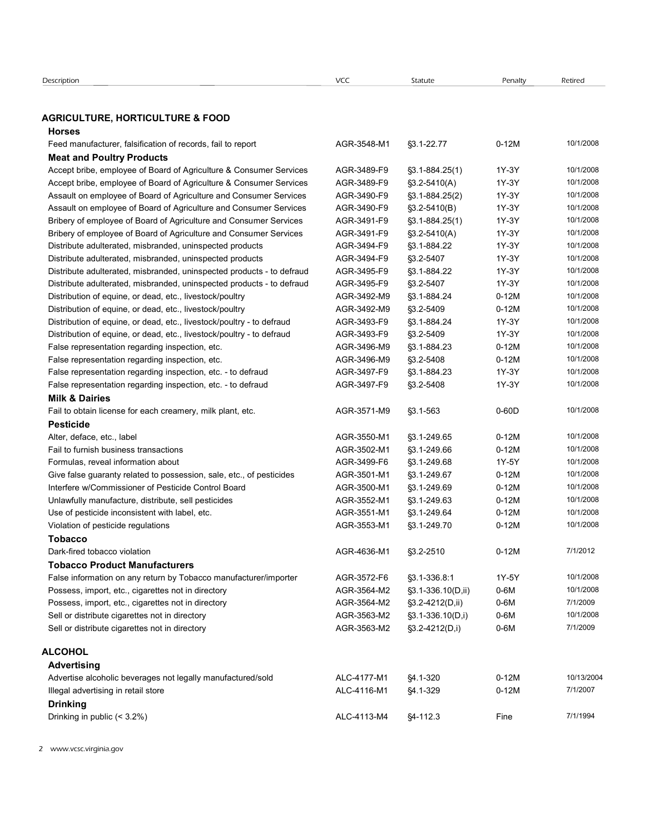| Description                                                                                                                 | VCC                        | Statute                                  | Penalty        | Retired                |
|-----------------------------------------------------------------------------------------------------------------------------|----------------------------|------------------------------------------|----------------|------------------------|
| <b>AGRICULTURE, HORTICULTURE &amp; FOOD</b><br><b>Horses</b>                                                                |                            |                                          |                |                        |
| Feed manufacturer, falsification of records, fail to report                                                                 | AGR-3548-M1                | §3.1-22.77                               | $0-12M$        | 10/1/2008              |
| <b>Meat and Poultry Products</b>                                                                                            |                            |                                          |                |                        |
| Accept bribe, employee of Board of Agriculture & Consumer Services                                                          | AGR-3489-F9                | $\S3.1 - 884.25(1)$                      | 1Y-3Y          | 10/1/2008              |
| Accept bribe, employee of Board of Agriculture & Consumer Services                                                          | AGR-3489-F9                | $\S3.2 - 5410(A)$                        | 1Y-3Y          | 10/1/2008<br>10/1/2008 |
| Assault on employee of Board of Agriculture and Consumer Services                                                           | AGR-3490-F9<br>AGR-3490-F9 | $\S3.1 - 884.25(2)$<br>$\S3.2 - 5410(B)$ | 1Y-3Y<br>1Y-3Y | 10/1/2008              |
| Assault on employee of Board of Agriculture and Consumer Services                                                           | AGR-3491-F9                |                                          | 1Y-3Y          | 10/1/2008              |
| Bribery of employee of Board of Agriculture and Consumer Services                                                           | AGR-3491-F9                | $\S3.1 - 884.25(1)$<br>§3.2-5410(A)      | 1Y-3Y          | 10/1/2008              |
| Bribery of employee of Board of Agriculture and Consumer Services                                                           | AGR-3494-F9                | §3.1-884.22                              | 1Y-3Y          | 10/1/2008              |
| Distribute adulterated, misbranded, uninspected products<br>Distribute adulterated, misbranded, uninspected products        | AGR-3494-F9                | §3.2-5407                                | 1Y-3Y          | 10/1/2008              |
| Distribute adulterated, misbranded, uninspected products - to defraud                                                       | AGR-3495-F9                | §3.1-884.22                              | 1Y-3Y          | 10/1/2008              |
| Distribute adulterated, misbranded, uninspected products - to defraud                                                       | AGR-3495-F9                | §3.2-5407                                | 1Y-3Y          | 10/1/2008              |
| Distribution of equine, or dead, etc., livestock/poultry                                                                    | AGR-3492-M9                | §3.1-884.24                              | $0-12M$        | 10/1/2008              |
| Distribution of equine, or dead, etc., livestock/poultry                                                                    | AGR-3492-M9                | §3.2-5409                                | $0-12M$        | 10/1/2008              |
| Distribution of equine, or dead, etc., livestock/poultry - to defraud                                                       | AGR-3493-F9                | §3.1-884.24                              | 1Y-3Y          | 10/1/2008              |
| Distribution of equine, or dead, etc., livestock/poultry - to defraud                                                       | AGR-3493-F9                | §3.2-5409                                | 1Y-3Y          | 10/1/2008              |
| False representation regarding inspection, etc.                                                                             | AGR-3496-M9                | §3.1-884.23                              | $0-12M$        | 10/1/2008              |
| False representation regarding inspection, etc.                                                                             | AGR-3496-M9                | §3.2-5408                                | $0-12M$        | 10/1/2008              |
| False representation regarding inspection, etc. - to defraud                                                                | AGR-3497-F9                | \$3.1-884.23                             | 1Y-3Y          | 10/1/2008              |
| False representation regarding inspection, etc. - to defraud                                                                | AGR-3497-F9                | §3.2-5408                                | 1Y-3Y          | 10/1/2008              |
| <b>Milk &amp; Dairies</b>                                                                                                   |                            |                                          |                |                        |
| Fail to obtain license for each creamery, milk plant, etc.                                                                  | AGR-3571-M9                | §3.1-563                                 | $0-60D$        | 10/1/2008              |
| <b>Pesticide</b>                                                                                                            |                            |                                          |                |                        |
| Alter, deface, etc., label                                                                                                  | AGR-3550-M1                |                                          | $0-12M$        | 10/1/2008              |
| Fail to furnish business transactions                                                                                       | AGR-3502-M1                | §3.1-249.65<br>§3.1-249.66               | $0-12M$        | 10/1/2008              |
| Formulas, reveal information about                                                                                          | AGR-3499-F6                | §3.1-249.68                              | 1Y-5Y          | 10/1/2008              |
|                                                                                                                             | AGR-3501-M1                | §3.1-249.67                              | $0-12M$        | 10/1/2008              |
| Give false guaranty related to possession, sale, etc., of pesticides<br>Interfere w/Commissioner of Pesticide Control Board |                            |                                          |                | 10/1/2008              |
|                                                                                                                             | AGR-3500-M1                | §3.1-249.69                              | $0-12M$        |                        |
| Unlawfully manufacture, distribute, sell pesticides                                                                         | AGR-3552-M1                | §3.1-249.63                              | $0-12M$        | 10/1/2008              |
| Use of pesticide inconsistent with label, etc.                                                                              | AGR-3551-M1                | §3.1-249.64                              | $0-12M$        | 10/1/2008              |
| Violation of pesticide regulations                                                                                          | AGR-3553-M1                | §3.1-249.70                              | $0-12M$        | 10/1/2008              |
| <b>Tobacco</b>                                                                                                              |                            |                                          |                |                        |
| Dark-fired tobacco violation                                                                                                | AGR-4636-M1                | §3.2-2510                                | $0-12M$        | 7/1/2012               |
| <b>Tobacco Product Manufacturers</b>                                                                                        |                            |                                          |                |                        |
| False information on any return by Tobacco manufacturer/importer                                                            | AGR-3572-F6                | §3.1-336.8:1                             | 1Y-5Y          | 10/1/2008              |
| Possess, import, etc., cigarettes not in directory                                                                          | AGR-3564-M2                | §3.1-336.10(D,ii)                        | $0-6M$         | 10/1/2008              |
| Possess, import, etc., cigarettes not in directory                                                                          | AGR-3564-M2                | $\S3.2 - 4212(D, ii)$                    | $0-6M$         | 7/1/2009               |
| Sell or distribute cigarettes not in directory                                                                              | AGR-3563-M2                | $\S3.1 - 336.10(D, i)$                   | 0-6M           | 10/1/2008              |

#### Milk & Dairies

#### Pesticide

Distribution of equine, or deal dec., hostcockpoultry - to defraud<br>
Distribution of equine, or deal dec., livetacok/poultry - to defraud<br>
Distribution of equine, or deal dec., livetacok/poultry - to defraud<br>
False represe Distribution of equinoming reducted to the methodology in distribution of equine, or deals etc., investors/poundry-to definand<br>
Failer regresementation regarding inspection, etc.<br>
Failer regresementation regarding inspect Distibution of example, or deal dec., hostets/positivy - to defract 4GR-3464-M2 32.4540<br>
False representation regarding inspection, etc.<br>
False representation regarding inspection, etc.<br>
False representation regarding ins Sell or distribute cigarettes not in directory AGR-3563-M2 3.1-336.10(D,i) 0-6M § 10/1/2008 False representation regarding impection, etc. - to defraud AGR-3463-463<br>
False representation regarding inspection, etc. - to defraud AGR-3463-F9 § 2.4-5482<br>
Fall o obtain license for each roteamy, milk plant, etc.<br> **Fall** Fall to obtain license for each creamery, milk plant, etc. <br>
Advertise alcoholic beverages and the material creamers of the creamers of the material of the state of the state of the state of the state of the state of the s **Pesticide**<br>
Many, define, etc., label<br>
Many, define, etc., label<br>
Fall to furnishmention and contrast ensembed by possession, sale, etc., of pesticides<br>
Information commission result of the contrast of the contrast of th Fall of furthin business tarnsactions<br>
Formulas, reveal information about<br>
Give falae guaranty related to possession, sale, etc., of pesticlose<br>
AGR-3403-Fe (SS-1404-86 PV-5Y 10/12003<br>
Cive falae guaranty related to posses

#### Tobacco

# Tobacco Product Manufacturers

#### **ALCOHOL**

# Advertising

| Advertise alcoholic beverages not legally manufactured/sold |
|-------------------------------------------------------------|
| Illegal advertising in retail store                         |
| <b>Drinking</b>                                             |
| Drinking in public $(< 3.2\%)$                              |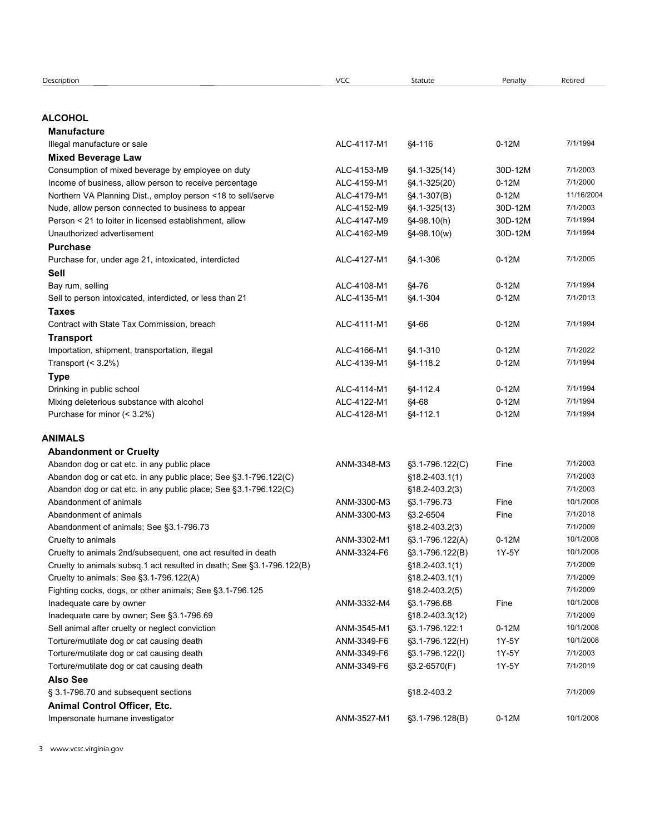| Description                                                                                                     | VCC         | Statute                                  | Penalty | Retired              |
|-----------------------------------------------------------------------------------------------------------------|-------------|------------------------------------------|---------|----------------------|
|                                                                                                                 |             |                                          |         |                      |
| <b>ALCOHOL</b>                                                                                                  |             |                                          |         |                      |
| <b>Manufacture</b>                                                                                              |             |                                          |         |                      |
| Illegal manufacture or sale                                                                                     | ALC-4117-M1 | §4-116                                   | $0-12M$ | 7/1/1994             |
| <b>Mixed Beverage Law</b>                                                                                       |             |                                          |         |                      |
| Consumption of mixed beverage by employee on duty                                                               | ALC-4153-M9 | $$4.1-325(14)$                           | 30D-12M | 7/1/2003             |
| Income of business, allow person to receive percentage                                                          | ALC-4159-M1 | §4.1-325(20)                             | $0-12M$ | 7/1/2000             |
| Northern VA Planning Dist., employ person <18 to sell/serve                                                     | ALC-4179-M1 | $§4.1-307(B)$                            | $0-12M$ | 11/16/2004           |
| Nude, allow person connected to business to appear                                                              | ALC-4152-M9 | $$4.1-325(13)$                           | 30D-12M | 7/1/2003             |
| Person < 21 to loiter in licensed establishment, allow                                                          | ALC-4147-M9 | §4-98.10(h)                              | 30D-12M | 7/1/1994             |
| Unauthorized advertisement                                                                                      | ALC-4162-M9 | $§4 - 98.10(w)$                          | 30D-12M | 7/1/1994             |
| <b>Purchase</b>                                                                                                 |             |                                          |         | 7/1/2005             |
| Purchase for, under age 21, intoxicated, interdicted                                                            | ALC-4127-M1 | \$4.1-306                                | $0-12M$ |                      |
| Sell<br>Bay rum, selling                                                                                        | ALC-4108-M1 | §4-76                                    | $0-12M$ | 7/1/1994             |
| Sell to person intoxicated, interdicted, or less than 21                                                        | ALC-4135-M1 | §4.1-304                                 | $0-12M$ | 7/1/2013             |
| <b>Taxes</b>                                                                                                    |             |                                          |         |                      |
| Contract with State Tax Commission, breach                                                                      | ALC-4111-M1 | §4-66                                    | $0-12M$ | 7/1/1994             |
| Transport                                                                                                       |             |                                          |         |                      |
| Importation, shipment, transportation, illegal                                                                  | ALC-4166-M1 | §4.1-310                                 | $0-12M$ | 7/1/2022             |
| Transport $(3.2\%)$                                                                                             | ALC-4139-M1 | §4-118.2                                 | $0-12M$ | 7/1/1994             |
| <b>Type</b>                                                                                                     |             |                                          |         |                      |
| Drinking in public school                                                                                       | ALC-4114-M1 | §4-112.4                                 | $0-12M$ | 7/1/1994             |
| Mixing deleterious substance with alcohol                                                                       | ALC-4122-M1 | $$4-68$                                  | $0-12M$ | 7/1/1994             |
| Purchase for minor (< 3.2%)                                                                                     | ALC-4128-M1 | §4-112.1                                 | $0-12M$ | 7/1/1994             |
|                                                                                                                 |             |                                          |         |                      |
| <b>ANIMALS</b>                                                                                                  |             |                                          |         |                      |
| <b>Abandonment or Cruelty</b>                                                                                   |             |                                          |         |                      |
| Abandon dog or cat etc. in any public place<br>Abandon dog or cat etc. in any public place; See §3.1-796.122(C) | ANM-3348-M3 | $$3.1-796.122(C)$                        | Fine    | 7/1/2003<br>7/1/2003 |
| Abandon dog or cat etc. in any public place; See §3.1-796.122(C)                                                |             | $$18.2 - 403.1(1)$<br>$$18.2 - 403.2(3)$ |         | 7/1/2003             |
| Abandonment of animals                                                                                          | ANM-3300-M3 | §3.1-796.73                              | Fine    | 10/1/2008            |
| Abandonment of animals                                                                                          | ANM-3300-M3 | §3.2-6504                                | Fine    | 7/1/2018             |
| Abandonment of animals; See §3.1-796.73                                                                         |             | $$18.2 - 403.2(3)$                       |         | 7/1/2009             |
| Cruelty to animals                                                                                              | ANM-3302-M1 | §3.1-796.122(A)                          | $0-12M$ | 10/1/2008            |
| Cruelty to animals 2nd/subsequent, one act resulted in death                                                    | ANM-3324-F6 | §3.1-796.122(B)                          | 1Y-5Y   | 10/1/2008            |
| Cruelty to animals subsq.1 act resulted in death; See §3.1-796.122(B)                                           |             | $$18.2 - 403.1(1)$                       |         | 7/1/2009             |
| Cruelty to animals; See §3.1-796.122(A)                                                                         |             | $$18.2 - 403.1(1)$                       |         | 7/1/2009             |
| Fighting cocks, dogs, or other animals; See §3.1-796.125                                                        |             | $$18.2 - 403.2(5)$                       |         | 7/1/2009             |
| Inadequate care by owner                                                                                        | ANM-3332-M4 | §3.1-796.68                              | Fine    | 10/1/2008            |
| Inadequate care by owner; See §3.1-796.69                                                                       |             | $$18.2 - 403.3(12)$                      |         | 7/1/2009             |
| Sell animal after cruelty or neglect conviction                                                                 | ANM-3545-M1 | §3.1-796.122:1                           | $0-12M$ | 10/1/2008            |
| Torture/mutilate dog or cat causing death                                                                       | ANM-3349-F6 | §3.1-796.122(H)                          | 1Y-5Y   | 10/1/2008            |
| Torture/mutilate dog or cat causing death                                                                       | ANM-3349-F6 | $\S3.1 - 796.122(1)$                     | 1Y-5Y   | 7/1/2003             |
| Torture/mutilate dog or cat causing death                                                                       | ANM-3349-F6 | §3.2-6570(F)                             | 1Y-5Y   | 7/1/2019             |
| <b>Also See</b>                                                                                                 |             |                                          |         |                      |
| § 3.1-796.70 and subsequent sections                                                                            |             | §18.2-403.2                              |         | 7/1/2009             |
| Animal Control Officer, Etc.                                                                                    |             |                                          |         |                      |
| Impersonate humane investigator                                                                                 | ANM-3527-M1 | §3.1-796.128(B)                          | $0-12M$ | 10/1/2008            |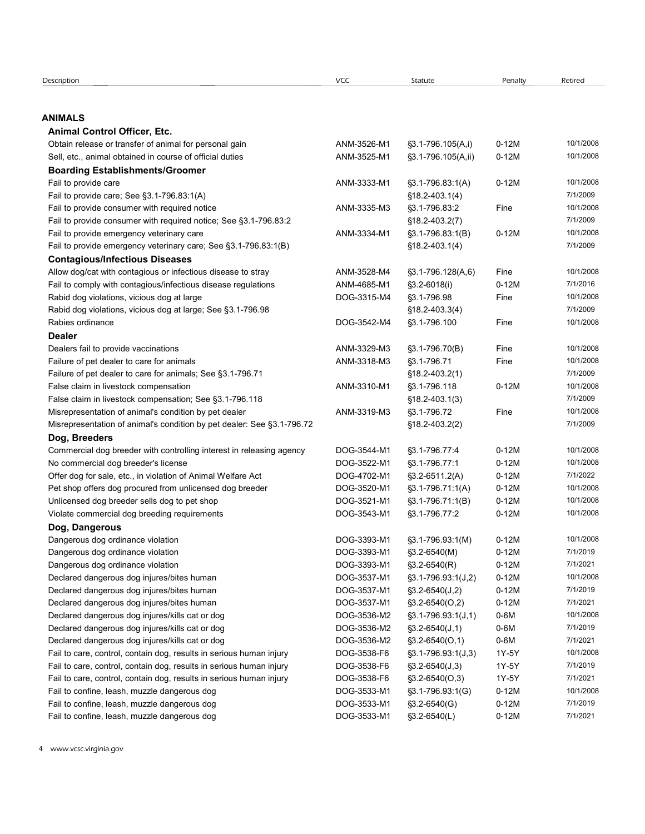| Description                                                            | VCC         | Statute                     | Penalty | Retired   |
|------------------------------------------------------------------------|-------------|-----------------------------|---------|-----------|
|                                                                        |             |                             |         |           |
|                                                                        |             |                             |         |           |
| <b>ANIMALS</b>                                                         |             |                             |         |           |
| <b>Animal Control Officer, Etc.</b>                                    |             |                             |         |           |
| Obtain release or transfer of animal for personal gain                 | ANM-3526-M1 | §3.1-796.105(A,i)           | $0-12M$ | 10/1/2008 |
| Sell, etc., animal obtained in course of official duties               | ANM-3525-M1 | $\S3.1 - 796.105(A, ii)$    | $0-12M$ | 10/1/2008 |
|                                                                        |             |                             |         |           |
| <b>Boarding Establishments/Groomer</b>                                 |             |                             |         |           |
| Fail to provide care                                                   | ANM-3333-M1 | $\S3.1 - 796.83:1(A)$       | $0-12M$ | 10/1/2008 |
| Fail to provide care; See §3.1-796.83.1(A)                             |             | $$18.2 - 403.1(4)$          |         | 7/1/2009  |
| Fail to provide consumer with required notice                          | ANM-3335-M3 | §3.1-796.83:2               | Fine    | 10/1/2008 |
| Fail to provide consumer with required notice; See §3.1-796.83:2       |             | §18.2-403.2(7)              |         | 7/1/2009  |
| Fail to provide emergency veterinary care                              | ANM-3334-M1 | $\S3.1 - 796.83:1(B)$       | $0-12M$ | 10/1/2008 |
| Fail to provide emergency veterinary care; See §3.1-796.83:1(B)        |             | $$18.2 - 403.1(4)$          |         | 7/1/2009  |
| <b>Contagious/Infectious Diseases</b>                                  |             |                             |         |           |
| Allow dog/cat with contagious or infectious disease to stray           | ANM-3528-M4 | $\S3.1 - 796.128(A, 6)$     | Fine    | 10/1/2008 |
| Fail to comply with contagious/infectious disease regulations          | ANM-4685-M1 | $\S3.2 - 6018(i)$           | $0-12M$ | 7/1/2016  |
| Rabid dog violations, vicious dog at large                             | DOG-3315-M4 | S3.1-796.98                 | Fine    | 10/1/2008 |
| Rabid dog violations, vicious dog at large; See §3.1-796.98            |             | §18.2-403.3(4)              |         | 7/1/2009  |
| Rabies ordinance                                                       | DOG-3542-M4 | \$3.1-796.100               | Fine    | 10/1/2008 |
| <b>Dealer</b>                                                          |             |                             |         |           |
| Dealers fail to provide vaccinations                                   | ANM-3329-M3 | §3.1-796.70(B)              | Fine    | 10/1/2008 |
| Failure of pet dealer to care for animals                              | ANM-3318-M3 | §3.1-796.71                 | Fine    | 10/1/2008 |
| Failure of pet dealer to care for animals; See §3.1-796.71             |             | $$18.2 - 403.2(1)$          |         | 7/1/2009  |
| False claim in livestock compensation                                  | ANM-3310-M1 | §3.1-796.118                | $0-12M$ | 10/1/2008 |
| False claim in livestock compensation; See §3.1-796.118                |             | $$18.2 - 403.1(3)$          |         | 7/1/2009  |
| Misrepresentation of animal's condition by pet dealer                  | ANM-3319-M3 | §3.1-796.72                 | Fine    | 10/1/2008 |
| Misrepresentation of animal's condition by pet dealer: See §3.1-796.72 |             | §18.2-403.2(2)              |         | 7/1/2009  |
| Dog, Breeders                                                          |             |                             |         |           |
| Commercial dog breeder with controlling interest in releasing agency   | DOG-3544-M1 | §3.1-796.77:4               | $0-12M$ | 10/1/2008 |
| No commercial dog breeder's license                                    | DOG-3522-M1 | §3.1-796.77:1               | $0-12M$ | 10/1/2008 |
| Offer dog for sale, etc., in violation of Animal Welfare Act           | DOG-4702-M1 | $\S3.2 - 6511.2(A)$         | $0-12M$ | 7/1/2022  |
| Pet shop offers dog procured from unlicensed dog breeder               | DOG-3520-M1 | $\S3.1 - 796.71:1(A)$       | $0-12M$ | 10/1/2008 |
|                                                                        |             |                             |         | 10/1/2008 |
| Unlicensed dog breeder sells dog to pet shop                           | DOG-3521-M1 | §3.1-796.71:1(B)            | $0-12M$ | 10/1/2008 |
| Violate commercial dog breeding requirements                           | DOG-3543-M1 | §3.1-796.77:2               | $0-12M$ |           |
| Dog, Dangerous                                                         |             |                             |         |           |
| Dangerous dog ordinance violation                                      | DOG-3393-M1 | §3.1-796.93.1(M)            | $0-12M$ | 10/1/2008 |
| Dangerous dog ordinance violation                                      | DOG-3393-M1 | §3.2-6540(M)                | $0-12M$ | 7/1/2019  |
| Dangerous dog ordinance violation                                      | DOG-3393-M1 | $$3.2-6540(R)$              | $0-12M$ | 7/1/2021  |
| Declared dangerous dog injures/bites human                             | DOG-3537-M1 | $\S3.1 - 796.93.1($ J,2)    | $0-12M$ | 10/1/2008 |
| Declared dangerous dog injures/bites human                             | DOG-3537-M1 | $\S3.2 - 6540(J,2)$         | $0-12M$ | 7/1/2019  |
| Declared dangerous dog injures/bites human                             | DOG-3537-M1 | $\S3.2 - 6540(0,2)$         | $0-12M$ | 7/1/2021  |
| Declared dangerous dog injures/kills cat or dog                        | DOG-3536-M2 | $\S3.1 - 796.93.1(J,1)$     | $0-6M$  | 10/1/2008 |
| Declared dangerous dog injures/kills cat or dog                        | DOG-3536-M2 | $\S3.2 - 6540(J, 1)$        | $0-6M$  | 7/1/2019  |
| Declared dangerous dog injures/kills cat or dog                        | DOG-3536-M2 | $\S3.2 - 6540(0, 1)$        | $0-6M$  | 7/1/2021  |
| Fail to care, control, contain dog, results in serious human injury    | DOG-3538-F6 | $\S3.1 - 796.93.1($ J $,3)$ | 1Y-5Y   | 10/1/2008 |
| Fail to care, control, contain dog, results in serious human injury    | DOG-3538-F6 | $\S3.2 - 6540(J,3)$         | 1Y-5Y   | 7/1/2019  |
| Fail to care, control, contain dog, results in serious human injury    | DOG-3538-F6 | $\S3.2 - 6540(0,3)$         | 1Y-5Y   | 7/1/2021  |
| Fail to confine, leash, muzzle dangerous dog                           | DOG-3533-M1 | §3.1-796.93.1(G)            | $0-12M$ | 10/1/2008 |
| Fail to confine, leash, muzzle dangerous dog                           | DOG-3533-M1 | $$3.2-6540(G)$              | $0-12M$ | 7/1/2019  |
|                                                                        | DOG-3533-M1 |                             |         |           |
| Fail to confine, leash, muzzle dangerous dog                           |             | §3.2-6540(L)                | $0-12M$ | 7/1/2021  |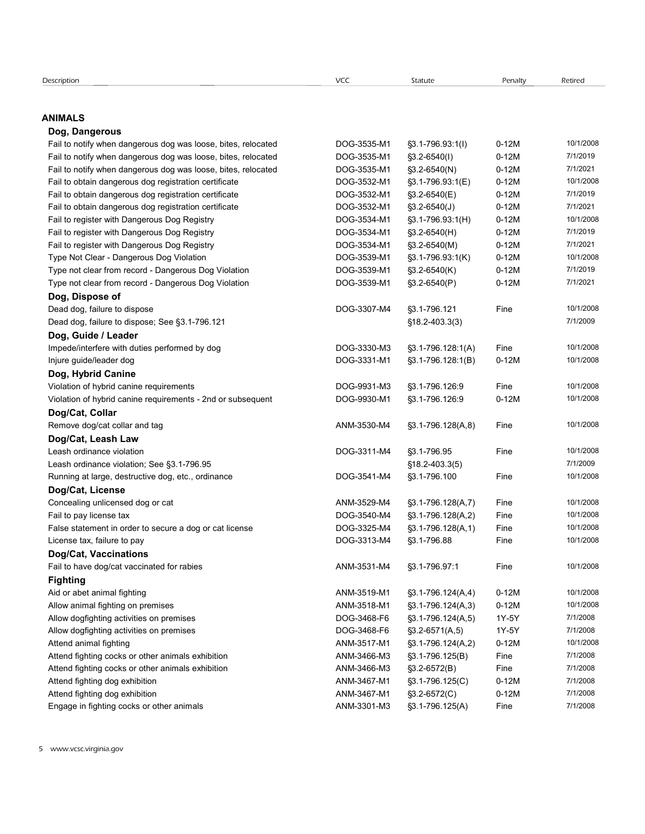| Description |  |
|-------------|--|
|             |  |

# ANIMALS

# Dog, Dangerous

| escription                                                                                                             | VCC                        | Statute                            | Penalty            | Retired               |
|------------------------------------------------------------------------------------------------------------------------|----------------------------|------------------------------------|--------------------|-----------------------|
|                                                                                                                        |                            |                                    |                    |                       |
| <b>NIMALS</b>                                                                                                          |                            |                                    |                    |                       |
| Dog, Dangerous                                                                                                         |                            |                                    |                    |                       |
| Fail to notify when dangerous dog was loose, bites, relocated                                                          | DOG-3535-M1                | $\S3.1 - 796.93:1(1)$              | $0-12M$            | 10/1/2008             |
| Fail to notify when dangerous dog was loose, bites, relocated                                                          | DOG-3535-M1                | $$3.2-6540(l)$                     | $0-12M$            | 7/1/2019<br>7/1/2021  |
| Fail to notify when dangerous dog was loose, bites, relocated<br>Fail to obtain dangerous dog registration certificate | DOG-3535-M1<br>DOG-3532-M1 | $$3.2-6540(N)$<br>§3.1-796.93:1(E) | $0-12M$<br>$0-12M$ | 10/1/2008             |
| Fail to obtain dangerous dog registration certificate                                                                  | DOG-3532-M1                | §3.2-6540(E)                       | $0-12M$            | 7/1/2019              |
| Fail to obtain dangerous dog registration certificate                                                                  | DOG-3532-M1                | $$3.2-6540(J)$                     | $0-12M$            | 7/1/2021              |
| Fail to register with Dangerous Dog Registry                                                                           | DOG-3534-M1                | §3.1-796.93.1(H)                   | $0-12M$            | 10/1/2008             |
| Fail to register with Dangerous Dog Registry                                                                           | DOG-3534-M1                | §3.2-6540(H)                       | $0-12M$            | 7/1/2019              |
| Fail to register with Dangerous Dog Registry                                                                           | DOG-3534-M1                | §3.2-6540(M)                       | $0-12M$            | 7/1/2021              |
| Type Not Clear - Dangerous Dog Violation                                                                               | DOG-3539-M1                | §3.1-796.93.1(K)                   | $0-12M$            | 10/1/2008             |
| Type not clear from record - Dangerous Dog Violation                                                                   | DOG-3539-M1                | §3.2-6540(K)                       | $0-12M$            | 7/1/2019              |
| Type not clear from record - Dangerous Dog Violation                                                                   | DOG-3539-M1                | $$3.2-6540(P)$                     | $0-12M$            | 7/1/2021              |
| Dog, Dispose of                                                                                                        |                            |                                    |                    |                       |
| Dead dog, failure to dispose                                                                                           | DOG-3307-M4                | §3.1-796.121                       | Fine               | 10/1/2008             |
| Dead dog, failure to dispose; See §3.1-796.121                                                                         |                            | $$18.2 - 403.3(3)$                 |                    | 7/1/2009              |
| Dog, Guide / Leader                                                                                                    |                            |                                    |                    |                       |
| Impede/interfere with duties performed by dog                                                                          | DOG-3330-M3                | §3.1-796.128:1(A)                  | Fine               | 10/1/2008             |
| Injure guide/leader dog                                                                                                | DOG-3331-M1                | §3.1-796.128:1(B)                  | $0-12M$            | 10/1/2008             |
| Dog, Hybrid Canine                                                                                                     |                            |                                    |                    |                       |
| Violation of hybrid canine requirements                                                                                | DOG-9931-M3                | §3.1-796.126.9                     | Fine               | 10/1/2008             |
| Violation of hybrid canine requirements - 2nd or subsequent                                                            | DOG-9930-M1                | §3.1-796.126.9                     | $0-12M$            | 10/1/2008             |
| Dog/Cat, Collar                                                                                                        |                            |                                    |                    |                       |
| Remove dog/cat collar and tag                                                                                          | ANM-3530-M4                | $\S3.1 - 796.128(A, 8)$            | Fine               | 10/1/2008             |
| Dog/Cat, Leash Law                                                                                                     |                            |                                    |                    |                       |
| Leash ordinance violation                                                                                              | DOG-3311-M4                | §3.1-796.95                        | Fine               | 10/1/2008<br>7/1/2009 |
| Leash ordinance violation; See §3.1-796.95                                                                             | DOG-3541-M4                | $$18.2 - 403.3(5)$<br>§3.1-796.100 | Fine               | 10/1/2008             |
| Running at large, destructive dog, etc., ordinance<br>Dog/Cat, License                                                 |                            |                                    |                    |                       |
| Concealing unlicensed dog or cat                                                                                       | ANM-3529-M4                | $\S3.1 - 796.128(A,7)$             | Fine               | 10/1/2008             |
| Fail to pay license tax                                                                                                | DOG-3540-M4                | $\S3.1 - 796.128(A,2)$             | Fine               | 10/1/2008             |
| False statement in order to secure a dog or cat license                                                                | DOG-3325-M4                | §3.1-796.128(A,1)                  | Fine               | 10/1/2008             |
| License tax, failure to pay                                                                                            | DOG-3313-M4                | §3.1-796.88                        | Fine               | 10/1/2008             |
| Dog/Cat, Vaccinations                                                                                                  |                            |                                    |                    |                       |
| Fail to have dog/cat vaccinated for rabies                                                                             | ANM-3531-M4                | §3.1-796.97:1                      | Fine               | 10/1/2008             |
| <b>Fighting</b>                                                                                                        |                            |                                    |                    |                       |
| Aid or abet animal fighting                                                                                            | ANM-3519-M1                | $\S3.1 - 796.124(A, 4)$            | $0-12M$            | 10/1/2008             |
| Allow animal fighting on premises                                                                                      | ANM-3518-M1                | $\S3.1 - 796.124(A,3)$             | $0-12M$            | 10/1/2008             |
| Allow dogfighting activities on premises                                                                               | DOG-3468-F6                | $\S3.1 - 796.124(A, 5)$            | 1Y-5Y              | 7/1/2008              |
| Allow dogfighting activities on premises                                                                               | DOG-3468-F6                | $$3.2-6571(A,5)$                   | 1Y-5Y              | 7/1/2008              |
| Attend animal fighting                                                                                                 | ANM-3517-M1                | $\S3.1 - 796.124(A,2)$             | $0-12M$            | 10/1/2008             |
| Attend fighting cocks or other animals exhibition                                                                      | ANM-3466-M3                | §3.1-796.125(B)                    | Fine               | 7/1/2008              |
| Attend fighting cocks or other animals exhibition                                                                      | ANM-3466-M3                | $$3.2-6572(B)$                     | Fine               | 7/1/2008              |
| Attend fighting dog exhibition                                                                                         | ANM-3467-M1                | $\S3.1 - 796.125(C)$               | $0-12M$            | 7/1/2008              |
|                                                                                                                        |                            | $$3.2-6572(C)$                     | $0-12M$            | 7/1/2008              |
| Attend fighting dog exhibition                                                                                         | ANM-3467-M1                |                                    |                    |                       |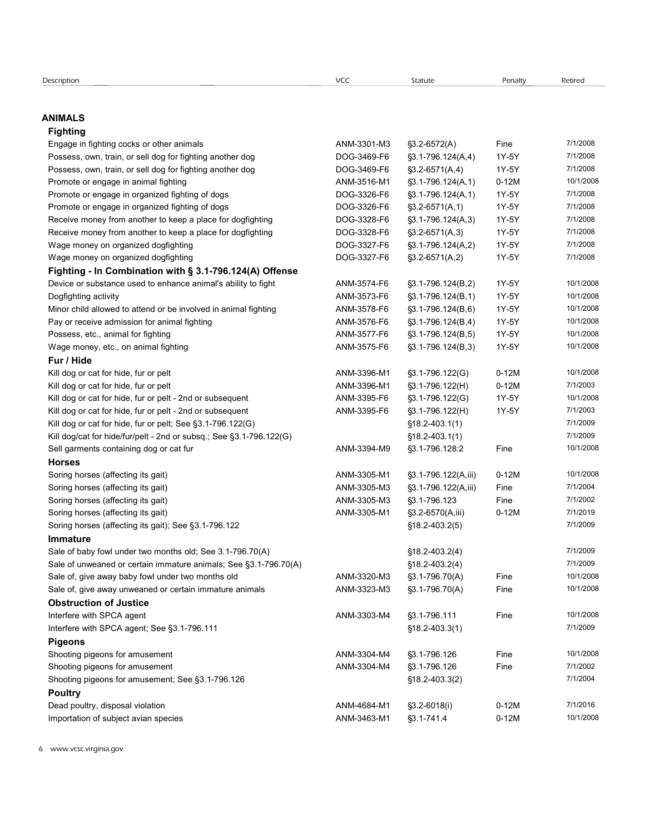#### ANIMALS

# Fighting Engage in fighting<br> **Engage in fighting**<br>
Engage in fighting cocks or other animals<br>
Engage in fighting cocks or other animals<br>
Possess, own, train, or sell dog for fighting another dog<br>
Possess, own, train, or sell dog fo Excription<br> **NIMALS**<br> **Fighting**<br> **Engage in fighting cocks or other animals**<br> **Possess, own, train, or sell dog for fighting another dog DOG-3469-F6**  $$3.1-796.124(A,4)$ **<br>
<b>Possess, own, train, or sell dog for fighting anoth** ecription<br> **NIMALS**<br> **Fighting**<br>
Engene in fighting cocks or other animals<br>
Engene in fighting cocks or other animals<br>
Possess, own, train, or sell dog for fighting another dog<br>
Possess, own, train, or sell dog for fightin escription<br> **NIMALS**<br> **Engiting**<br> **Engage in fighting crocks or other animals**<br>
Promote or engage in animal fighting another dog<br>
Promote or engage in animal fighting another dog<br>
Promote or engage in animal fighting<br>
Prom Promote or engage in organized dioptiphing<br> **Righting**<br>
Promote or engage in fighting cooks or other animals<br>
Prosesses, own, train, or sell dog for fighting another dog<br>
Possess, own, train, or sell dog for fighting anoth eccipition<br> **Engage in fighting cocks or other animals**<br> **Engage in fighting cocks or other animals**<br>
Possess, own, train, or sell dog for fighting another dog<br>
Possess, own, train, or sell dog for fighting another dog<br>
P Excription<br> **Regiage in fighting** cocks or other animals<br> **Engage in fighting** cocks or other animals<br> **Prosesses, own, train, or sell dog for fighting another dog<br>
Possess, own, train, or sell dog for fighting another dog** Scription<br> **Rightting**<br> **Reprise money for the received money of the center of the center of the center of the center of dog for fighting another dog<br>
Engeles in fighting cocks or other animals applies and the center of do** Corrigion<br> **Elghting**<br>
Engage in fighting cocks or other animals<br>
Engage in fighting cocks or other animals<br>
Processes, own, train, or sell dog for fighting another dog<br>
Possess, own, train, or sell dog for fighting anothe Scorpston<br> **HIMALS**<br> **Enghtting**<br> **Enghting** cooks or other animals<br>
Engene in fighting cooks or other animals<br>
Possess, own, train, or sell dog for fighting another dog<br>
Possess, own, train, or sell dog for fighting anoth Fighting - In Combination with § 3.1-796.124(A) Offense Comption<br> **NIMALS**<br> **Engage in fighting cooks or other animals**<br> **Peases, own, train, or sell dog for fighting another dog<br>
Possess, own, frain, or sell dog for fighting another dog<br>
Possess, own, frain, or sell dog for f** erxipsion<br> **NIMALS**<br> **Enginting**<br> **Engine in Fighting crocks or other animals**<br>
Engine in Fighting cross or other animals and<br>
Possess, own, train, or sell dog for fighting another dog<br>
Possess, own, frain, or sell dog f ecription<br> **NIMALS**<br> **Fighting**<br> **Fighting**<br> **Frogote Indiphene considered in animal fighting another dog<br>
Prosess, own. train, or sell dog for fighting another dog<br>
Prosess, own. train, or sell dog for fighting another d** Excitation<br> **Properting**<br> **Properting**<br> **Properting**<br>
Properties, content regime and animal fighting another dog<br>
Processe, com, train, or sell dog for fighting another dog<br>
Processe, com, train, or sell dog for fighting Exterior in Formula Control of The Control of Technical State of Control of Technical State of Possess, own, train, or sell day for fighting analytic day<br>Possess, own, train, or sell day for fighting analytic day<br>
Posses everipsion<br> **Elightling**<br> **Elightling** cocks or other animals<br>
Engels in fighting cocks or other animals<br>
Prosess, own, train, or sell dog for fighting another dog<br>
Prosess, own, train, or sell dog for fighting another d Fur / Hide **NIMALS**<br>
Engitsing (and or cat for the cat for the cat for the cat for the cat for the cat for the cat for the cat for the cat of the cat for the cat for the cat for the cat for the cat or cat for the cat for the cat or c **NIMALS**<br> **Fighting**<br>
Fragme in fighting noods or other animals<br>
Provides, only, thin or sell dog for fighting another dog<br>
Provides, only thin or sell dog for fighting another dog<br>
Provides or straights in dog and the pro **Figuring** pools or other animals<br> **Frogges and, mind, or sell dog for fighting another dog<br>
Poessa, com, train, or sell dog for fighting another dog<br>
Poessa, com, train, or sell dog for fighting another dog<br>
Promoto or e** Engrift of the properties of collect arising the pelt and or cat for hide, and the cat for higher or cat for higher and the pelt and or cat for higher and the pelt and or cat for the properties of the pelt and or cat for t Prosess, own, train, or sell dog for fighting another dog **DOG-3468-F6** 53.1-776.124(A) 1 Y-SY 771/32006<br>
Prosess, own, train, or sell dog for fighting another dog<br>
Prosess, and the magnitive of the prosess of the cat for Promote a mengage in animal fighting another dog to a 344-573-641 (4) 17-57 771/2009<br>
Promote or engage in animal fighting of dogs<br>
Promote or engage in animal fighting of dogs<br>
Promote or engage in organized fighting of Promine or encapse in animal fighting<br>
Promote are regage in organized fighting of dogs<br>
Promote are regage in organized fighting of dogs<br>
Promote are regage in organized fighting of dogs<br>
Records contained to keep a place Horses Promato promps in organized forthology and the response (affecting its gait of the matter of the matter of the matter of the matter of the matter of the matter of the matter of the matter of the matter of the matter of the Receive mense (manufar to keep a place for degligating and the consideration in the consideration mense (affecting its gait of the consideration of the consideration of the consideration of the consideration of the conside Reverien merely from ancher to keep a place for deglighting<br>
Wage money on organized deglighting<br>
Wage money on organized deglighting<br>
Wage money on organized deglighting<br>
DOG-3327-F6 \$3.7-95.124(B,2)<br>
Dog fine and the bur Wage money on cognizied decisioning<br>
Wage money on cognizied decisioning<br> **Fighting - In Combination with § 3.1-796.124(A) Offense**<br>
Doc-3327-Fe \$2.4-5671(A2) 1Y-5Y 771/32006<br>
Document and the monetary of the monetary and Wage monoy on organized decisioning its gait)<br>
Significance and the minimum of the minimum of the same of the same of the same of the same of the same of the same of the same of the same of the same of the same of the sam Immature Device of substance used to enhance animal's ability to fight<br>
Change that allows to a microsoft in a microsoft in a MM-3573-F6 \$3,1-796.124(B,1) 1Y-5Y 10/1/2008<br>
Many critics allows to a microsoft in a microsoft in a mic Doglighting ackivity acknowled or certain immature animals<br>
Minor certain scheme animals of unitary and the minor of the minor of the sale of the unitary of the minor or certain in the minor of the minor of the minor of t Mine child allow to active of deciring the give and minimal fighting<br>
Miner child allow on the fighting and the fighting and the fighting and the fighting and the fighting and the fighting and the fighting and two minimal Pay procedure achiesing the fining (philing MM-3375-F6 \$31-7706.124(B,4) 1Y-5Y 10/1/2008<br>
What menter, etc., on animal fighting MM-3323-M3 ANM-3375-F6 \$31-7706.124(B,5) 1Y-5Y 10/1/2008<br>
Full of give ant kor hels, fur or pe Obstruction of Justice Way more protocol controlled the properties of the Company of the Conservation of the Conservation of NAM-3303-M4 351-796.124(B.3)<br>
Kill dog or can for historic profit 2nd or subsequent<br>
Kill dog or can for historic profit **Euric Hitle for the Europe Profile and Control Control Control Control Control Control Control Control Control Control Control Control Control Control Control Control Control Control Control Control Control Control Contr** Pigeons Kill dog or cat for histo, fur or pelt<br>
Kill dog or cat for histo, fur or pelt -2nd or subsequent<br>
Kill dog or cat for historic for amusement CMM-3304-M4 3384-Fig. 83.1-796.122(s)<br>
Kill dog or cat for historic for a for a Kill dog or cat for histo, fur or pelt-2nd or subsequent MM-3304-M4 361-706.122(s) 11/-57 10/2000<br>
Kill dog or cat for histo, fur or pelt, See § 3.1-796.12(s) MM-3304-F6 § 7.1-706.122(s) 818-2-403.1(1) 71/-57 10/2000<br>
Sel Kill dog or ast for histo, tur or pelt -2nd or subsequent)<br>
Kill dog or ast for histo, turn pelt See §3.1-796.122(c)<br>
Shooting the historic historic historic historic historic historic historic historic historic historic **Poultry** Kill obgicat for histological excelses (affecting the qualitative) and the contents of the contents of the contents of the contents of the contents of the contents (affecting the gast)<br>
NAM-3585-M1  $$3,1-796,1226,100$ <br>
Sor Sell ammends containing dog or cat furting the avian and ANM-3384-M9 \$3.1-796.128-2 Fine 10/1/2008<br>
Soring horses (affecting its gait) ANM-3453-M3 \$3.1-796.122/(mi) 0.1-12M [0.1/2009]<br>
Soring horses (affecting its gait) a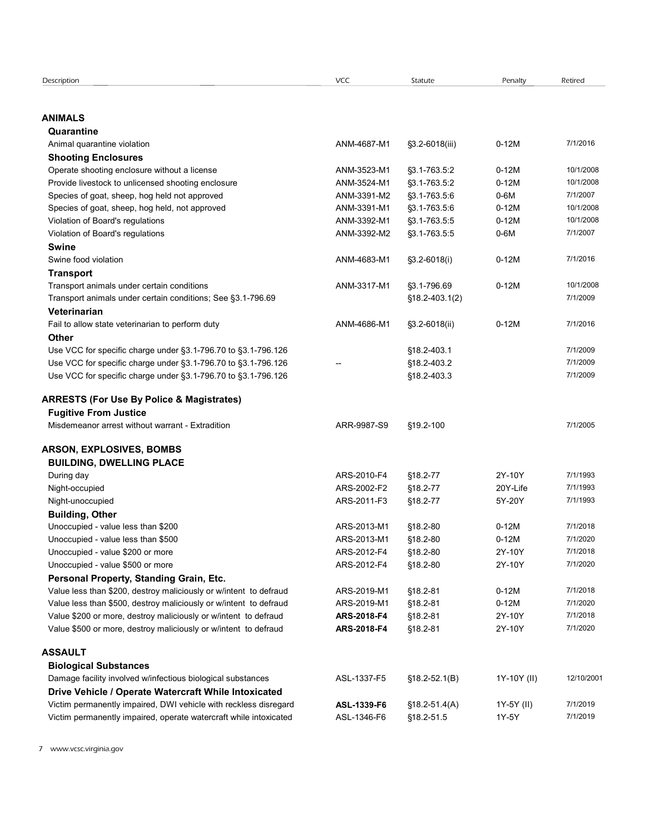| Description                                                                                                                           | VCC                        | Statute                         | Penalty             | Retired               |
|---------------------------------------------------------------------------------------------------------------------------------------|----------------------------|---------------------------------|---------------------|-----------------------|
|                                                                                                                                       |                            |                                 |                     |                       |
| ANIMALS                                                                                                                               |                            |                                 |                     |                       |
| Quarantine<br>Animal quarantine violation                                                                                             | ANM-4687-M1                | §3.2-6018(iii)                  | $0-12M$             | 7/1/2016              |
| <b>Shooting Enclosures</b>                                                                                                            |                            |                                 |                     |                       |
| Operate shooting enclosure without a license                                                                                          | ANM-3523-M1                | §3.1-763.5:2                    | $0-12M$             | 10/1/2008             |
| Provide livestock to unlicensed shooting enclosure                                                                                    | ANM-3524-M1                | §3.1-763.5:2                    | $0-12M$             | 10/1/2008             |
| Species of goat, sheep, hog held not approved                                                                                         | ANM-3391-M2                | §3.1-763.5:6                    | $0-6M$              | 7/1/2007              |
| Species of goat, sheep, hog held, not approved                                                                                        | ANM-3391-M1                | §3.1-763.5:6                    | $0-12M$             | 10/1/2008             |
| Violation of Board's regulations                                                                                                      | ANM-3392-M1<br>ANM-3392-M2 | §3.1-763.5:5<br>§3.1-763.5:5    | $0-12M$<br>$0-6M$   | 10/1/2008<br>7/1/2007 |
| Violation of Board's regulations<br><b>Swine</b>                                                                                      |                            |                                 |                     |                       |
| Swine food violation                                                                                                                  | ANM-4683-M1                | $\S3.2 - 6018(i)$               | $0-12M$             | 7/1/2016              |
| <b>Transport</b>                                                                                                                      |                            |                                 |                     |                       |
| Transport animals under certain conditions                                                                                            | ANM-3317-M1                | §3.1-796.69                     | $0-12M$             | 10/1/2008             |
| Transport animals under certain conditions; See §3.1-796.69                                                                           |                            | $$18.2 - 403.1(2)$              |                     | 7/1/2009              |
| Veterinarian                                                                                                                          |                            |                                 |                     |                       |
| Fail to allow state veterinarian to perform duty                                                                                      | ANM-4686-M1                | $\S3.2 - 6018$ (ii)             | $0-12M$             | 7/1/2016              |
| Other                                                                                                                                 |                            |                                 |                     | 7/1/2009              |
| Use VCC for specific charge under §3.1-796.70 to §3.1-796.126<br>Use VCC for specific charge under §3.1-796.70 to §3.1-796.126        |                            | §18.2-403.1<br>§18.2-403.2      |                     | 7/1/2009              |
| Use VCC for specific charge under §3.1-796.70 to §3.1-796.126                                                                         |                            | §18.2-403.3                     |                     | 7/1/2009              |
|                                                                                                                                       |                            |                                 |                     |                       |
| <b>ARRESTS (For Use By Police &amp; Magistrates)</b>                                                                                  |                            |                                 |                     |                       |
| <b>Fugitive From Justice</b>                                                                                                          |                            |                                 |                     |                       |
| Misdemeanor arrest without warrant - Extradition                                                                                      | ARR-9987-S9                | §19.2-100                       |                     | 7/1/2005              |
| <b>ARSON, EXPLOSIVES, BOMBS</b>                                                                                                       |                            |                                 |                     |                       |
| <b>BUILDING, DWELLING PLACE</b>                                                                                                       |                            |                                 |                     |                       |
| During day                                                                                                                            | ARS-2010-F4                | §18.2-77                        | 2Y-10Y              | 7/1/1993              |
| Night-occupied                                                                                                                        | ARS-2002-F2                | §18.2-77                        | 20Y-Life            | 7/1/1993              |
| Night-unoccupied                                                                                                                      | ARS-2011-F3                | §18.2-77                        | 5Y-20Y              | 7/1/1993              |
| <b>Building, Other</b>                                                                                                                |                            |                                 |                     |                       |
| Unoccupied - value less than \$200                                                                                                    | ARS-2013-M1                | §18.2-80                        | $0-12M$             | 7/1/2018<br>7/1/2020  |
| Unoccupied - value less than \$500<br>Unoccupied - value \$200 or more                                                                | ARS-2013-M1<br>ARS-2012-F4 | §18.2-80<br>§18.2-80            | $0-12M$<br>2Y-10Y   | 7/1/2018              |
| Unoccupied - value \$500 or more                                                                                                      | ARS-2012-F4                | §18.2-80                        | 2Y-10Y              | 7/1/2020              |
| Personal Property, Standing Grain, Etc.                                                                                               |                            |                                 |                     |                       |
| Value less than \$200, destroy maliciously or w/intent to defraud                                                                     | ARS-2019-M1                | §18.2-81                        | $0-12M$             | 7/1/2018              |
| Value less than \$500, destroy maliciously or w/intent to defraud                                                                     | ARS-2019-M1                | §18.2-81                        | $0-12M$             | 7/1/2020              |
| Value \$200 or more, destroy maliciously or w/intent to defraud                                                                       | ARS-2018-F4                | §18.2-81                        | 2Y-10Y              | 7/1/2018              |
| Value \$500 or more, destroy maliciously or w/intent to defraud                                                                       | ARS-2018-F4                | §18.2-81                        | 2Y-10Y              | 7/1/2020              |
| ASSAULT                                                                                                                               |                            |                                 |                     |                       |
| <b>Biological Substances</b>                                                                                                          |                            |                                 |                     |                       |
| Damage facility involved w/infectious biological substances                                                                           | ASL-1337-F5                | $$18.2 - 52.1(B)$               | 1Y-10Y (II)         | 12/10/2001            |
| Drive Vehicle / Operate Watercraft While Intoxicated                                                                                  |                            |                                 |                     | 7/1/2019              |
| Victim permanently impaired, DWI vehicle with reckless disregard<br>Victim permanently impaired, operate watercraft while intoxicated | ASL-1339-F6<br>ASL-1346-F6 | $$18.2 - 51.4(A)$<br>§18.2-51.5 | 1Y-5Y (II)<br>1Y-5Y | 7/1/2019              |
|                                                                                                                                       |                            |                                 |                     |                       |
|                                                                                                                                       |                            |                                 |                     |                       |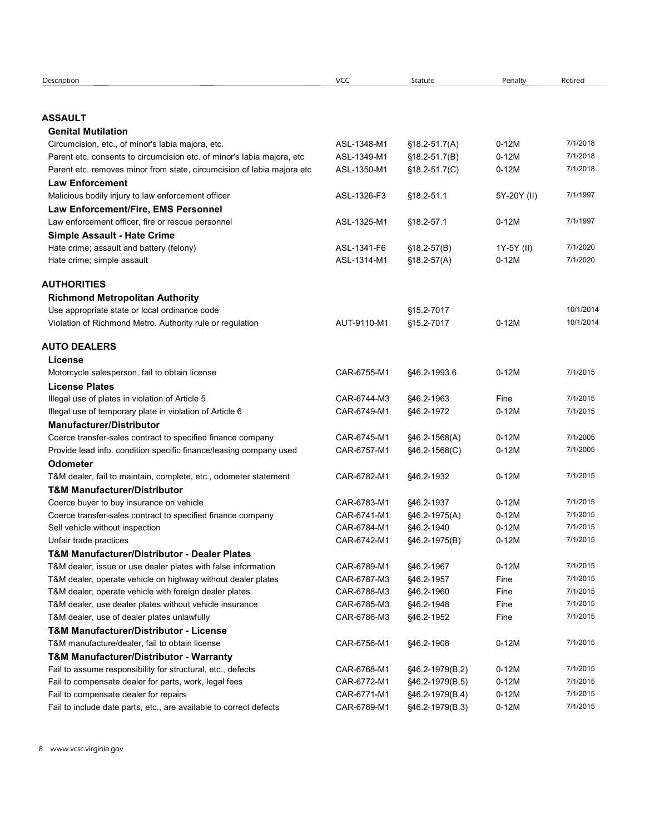| Description                                                                                                 | <b>VCC</b>                 | Statute                            | Penalty            | Retired              |
|-------------------------------------------------------------------------------------------------------------|----------------------------|------------------------------------|--------------------|----------------------|
| <b>ASSAULT</b>                                                                                              |                            |                                    |                    |                      |
| <b>Genital Mutilation</b>                                                                                   |                            |                                    |                    |                      |
| Circumcision, etc., of minor's labia majora, etc.                                                           | ASL-1348-M1                | $$18.2 - 51.7(A)$                  | $0-12M$            | 7/1/2018             |
| Parent etc. consents to circumcision etc. of minor's labia majora, etc                                      | ASL-1349-M1                | $$18.2 - 51.7(B)$                  | $0-12M$            | 7/1/2018             |
| Parent etc. removes minor from state, circumcision of labia majora etc                                      | ASL-1350-M1                | $$18.2 - 51.7(C)$                  | $0-12M$            | 7/1/2018             |
| <b>Law Enforcement</b>                                                                                      |                            |                                    |                    |                      |
| Malicious bodily injury to law enforcement officer                                                          | ASL-1326-F3                | §18.2-51.1                         | 5Y-20Y (II)        | 7/1/1997             |
| Law Enforcement/Fire, EMS Personnel                                                                         |                            |                                    |                    |                      |
| Law enforcement officer, fire or rescue personnel                                                           | ASL-1325-M1                | §18.2-57.1                         | $0-12M$            | 7/1/1997             |
| Simple Assault - Hate Crime                                                                                 |                            |                                    |                    |                      |
| Hate crime; assault and battery (felony)                                                                    | ASL-1341-F6                | $$18.2-57(B)$                      | 1Y-5Y (II)         | 7/1/2020             |
| Hate crime; simple assault                                                                                  | ASL-1314-M1                | $$18.2-57(A)$                      | $0-12M$            | 7/1/2020             |
| <b>AUTHORITIES</b>                                                                                          |                            |                                    |                    |                      |
| <b>Richmond Metropolitan Authority</b>                                                                      |                            |                                    |                    |                      |
| Use appropriate state or local ordinance code                                                               |                            | §15.2-7017                         |                    | 10/1/2014            |
| Violation of Richmond Metro. Authority rule or regulation                                                   | AUT-9110-M1                | §15.2-7017                         | $0-12M$            | 10/1/2014            |
| <b>AUTO DEALERS</b>                                                                                         |                            |                                    |                    |                      |
| License                                                                                                     |                            |                                    |                    |                      |
| Motorcycle salesperson, fail to obtain license                                                              | CAR-6755-M1                | §46.2-1993.6                       | $0-12M$            | 7/1/2015             |
| <b>License Plates</b>                                                                                       |                            |                                    |                    |                      |
| Illegal use of plates in violation of Article 5                                                             | CAR-6744-M3                | §46.2-1963                         | Fine               | 7/1/2015             |
| Illegal use of temporary plate in violation of Article 6                                                    | CAR-6749-M1                | §46.2-1972                         | $0-12M$            | 7/1/2015             |
| <b>Manufacturer/Distributor</b>                                                                             |                            |                                    |                    |                      |
| Coerce transfer-sales contract to specified finance company                                                 | CAR-6745-M1                | §46.2-1568(A)                      | $0-12M$            | 7/1/2005             |
| Provide lead info. condition specific finance/leasing company used                                          | CAR-6757-M1                | §46.2-1568(C)                      | $0-12M$            | 7/1/2005             |
| <b>Odometer</b>                                                                                             |                            |                                    |                    |                      |
| T&M dealer, fail to maintain, complete, etc., odometer statement                                            | CAR-6782-M1                | §46.2-1932                         | $0-12M$            | 7/1/2015             |
| <b>T&amp;M Manufacturer/Distributor</b>                                                                     |                            |                                    |                    |                      |
| Coerce buyer to buy insurance on vehicle                                                                    | CAR-6783-M1<br>CAR-6741-M1 | §46.2-1937                         | $0-12M$<br>$0-12M$ | 7/1/2015<br>7/1/2015 |
| Coerce transfer-sales contract to specified finance company<br>Sell vehicle without inspection              | CAR-6784-M1                | §46.2-1975(A)<br>§46.2-1940        | $0-12M$            | 7/1/2015             |
| Unfair trade practices                                                                                      | CAR-6742-M1                | §46.2-1975(B)                      | $0-12M$            | 7/1/2015             |
| <b>T&amp;M Manufacturer/Distributor - Dealer Plates</b>                                                     |                            |                                    |                    |                      |
| T&M dealer, issue or use dealer plates with false information                                               | CAR-6789-M1                | §46.2-1967                         | $0-12M$            | 7/1/2015             |
| T&M dealer, operate vehicle on highway without dealer plates                                                | CAR-6787-M3                | §46.2-1957                         | Fine               | 7/1/2015             |
| T&M dealer, operate vehicle with foreign dealer plates                                                      | CAR-6788-M3                | §46.2-1960                         | Fine               | 7/1/2015             |
| T&M dealer, use dealer plates without vehicle insurance                                                     | CAR-6785-M3                | §46.2-1948                         | Fine               | 7/1/2015             |
| T&M dealer, use of dealer plates unlawfully                                                                 | CAR-6786-M3                | §46.2-1952                         | Fine               | 7/1/2015             |
| <b>T&amp;M Manufacturer/Distributor - License</b>                                                           |                            |                                    |                    |                      |
| T&M manufacture/dealer, fail to obtain license                                                              | CAR-6756-M1                | \$46.2-1908                        | $0-12M$            | 7/1/2015             |
| <b>T&amp;M Manufacturer/Distributor - Warranty</b>                                                          |                            |                                    |                    |                      |
|                                                                                                             | CAR-6768-M1                | §46.2-1979(B,2)                    | $0-12M$            | 7/1/2015             |
| Fail to assume responsibility for structural, etc., defects                                                 |                            | §46.2-1979(B,5)                    | $0-12M$            | 7/1/2015             |
| Fail to compensate dealer for parts, work, legal fees                                                       | CAR-6772-M1                |                                    |                    |                      |
| Fail to compensate dealer for repairs<br>Fail to include date parts, etc., are available to correct defects | CAR-6771-M1<br>CAR-6769-M1 | §46.2-1979(B,4)<br>§46.2-1979(B,3) | $0-12M$<br>$0-12M$ | 7/1/2015<br>7/1/2015 |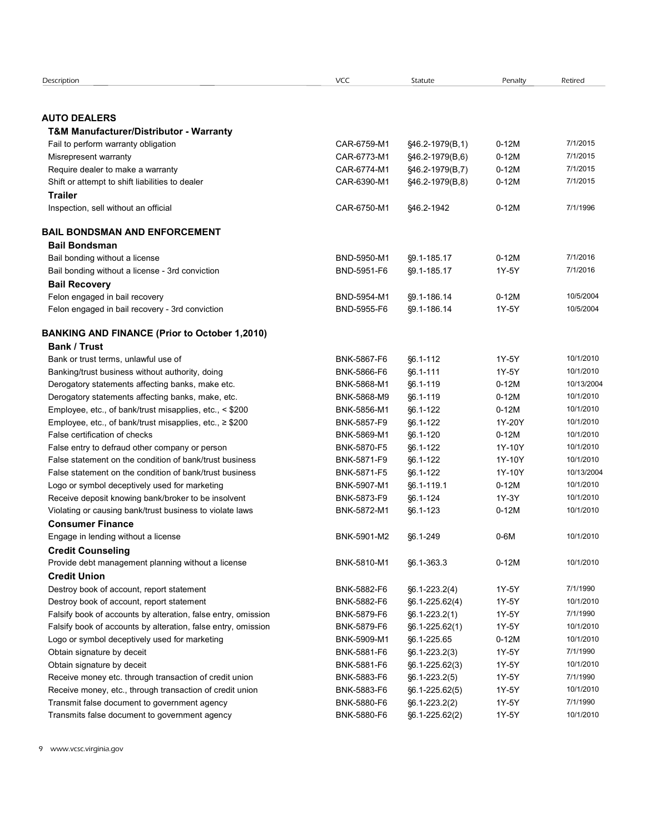| Description<br><b>VCC</b><br>Statute<br>Penalty<br>Retired<br><b>AUTO DEALERS</b><br><b>T&amp;M Manufacturer/Distributor - Warranty</b><br>CAR-6759-M1<br>7/1/2015<br>§46.2-1979(B,1)<br>$0-12M$<br>Fail to perform warranty obligation<br>CAR-6773-M1<br>7/1/2015<br>Misrepresent warranty<br>§46.2-1979(B,6)<br>$0-12M$<br>7/1/2015<br>Require dealer to make a warranty<br>CAR-6774-M1<br>§46.2-1979(B,7)<br>$0-12M$<br>$0-12M$<br>7/1/2015<br>Shift or attempt to shift liabilities to dealer<br>CAR-6390-M1<br>§46.2-1979(B,8)<br><b>Trailer</b><br>7/1/1996<br>CAR-6750-M1<br>§46.2-1942<br>$0-12M$<br>Inspection, sell without an official<br><b>BAIL BONDSMAN AND ENFORCEMENT</b><br><b>Bail Bondsman</b><br>7/1/2016<br>BND-5950-M1<br>§9.1-185.17<br>$0-12M$<br>Bail bonding without a license<br>7/1/2016<br>Bail bonding without a license - 3rd conviction<br>BND-5951-F6<br>§9.1-185.17<br>1Y-5Y<br><b>Bail Recovery</b><br>10/5/2004<br>Felon engaged in bail recovery<br>BND-5954-M1<br>§9.1-186.14<br>$0-12M$<br>Felon engaged in bail recovery - 3rd conviction<br>BND-5955-F6<br>1Y-5Y<br>10/5/2004<br>§9.1-186.14<br><b>BANKING AND FINANCE (Prior to October 1,2010)</b><br><b>Bank / Trust</b><br>1Y-5Y<br>10/1/2010<br>Bank or trust terms, unlawful use of<br>BNK-5867-F6<br>§6.1-112<br>1Y-5Y<br>10/1/2010<br>Banking/trust business without authority, doing<br>BNK-5866-F6<br>§6.1-111<br>10/13/2004<br>Derogatory statements affecting banks, make etc.<br>BNK-5868-M1<br>§6.1-119<br>$0-12M$<br>$0-12M$<br>10/1/2010<br>Derogatory statements affecting banks, make, etc.<br>BNK-5868-M9<br>§6.1-119<br>$0-12M$<br>10/1/2010<br>Employee, etc., of bank/trust misapplies, etc., < \$200<br>BNK-5856-M1<br>§6.1-122<br>10/1/2010<br>Employee, etc., of bank/trust misapplies, etc., ≥ \$200<br>BNK-5857-F9<br>§6.1-122<br>1Y-20Y<br>10/1/2010<br>False certification of checks<br>BNK-5869-M1<br>§6.1-120<br>$0-12M$<br>10/1/2010<br>False entry to defraud other company or person<br>BNK-5870-F5<br>§6.1-122<br>1Y-10Y<br>10/1/2010<br>False statement on the condition of bank/trust business<br>BNK-5871-F9<br>§6.1-122<br>1Y-10Y<br>§6.1-122<br>10/13/2004<br>False statement on the condition of bank/trust business<br>BNK-5871-F5<br>1Y-10Y<br>10/1/2010<br>Logo or symbol deceptively used for marketing<br>BNK-5907-M1<br>§6.1-119.1<br>$0-12M$<br>10/1/2010<br>Receive deposit knowing bank/broker to be insolvent<br>BNK-5873-F9<br>§6.1-124<br>1Y-3Y<br>10/1/2010<br>Violating or causing bank/trust business to violate laws<br>BNK-5872-M1<br>§6.1-123<br>$0-12M$<br><b>Consumer Finance</b><br>$0-6M$<br>10/1/2010<br>Engage in lending without a license<br>BNK-5901-M2<br>§6.1-249<br><b>Credit Counseling</b><br>$0-12M$<br>10/1/2010<br>Provide debt management planning without a license<br>BNK-5810-M1<br>§6.1-363.3<br><b>Credit Union</b><br>7/1/1990<br>1Y-5Y<br>Destroy book of account, report statement<br>BNK-5882-F6<br>$§6.1 - 223.2(4)$<br>10/1/2010<br>BNK-5882-F6<br>1Y-5Y<br>Destroy book of account, report statement<br>§6.1-225.62(4)<br>7/1/1990<br>1Y-5Y<br>Falsify book of accounts by alteration, false entry, omission<br>BNK-5879-F6<br>$§6.1 - 223.2(1)$<br>10/1/2010<br>Falsify book of accounts by alteration, false entry, omission<br>BNK-5879-F6<br>§6.1-225.62(1)<br>1Y-5Y<br>10/1/2010<br>Logo or symbol deceptively used for marketing<br>BNK-5909-M1<br>§6.1-225.65<br>$0-12M$<br>7/1/1990<br>Obtain signature by deceit<br>BNK-5881-F6<br>$§6.1 - 223.2(3)$<br>1Y-5Y<br>10/1/2010<br>Obtain signature by deceit<br>BNK-5881-F6<br>§6.1-225.62(3)<br>1Y-5Y<br>7/1/1990<br>Receive money etc. through transaction of credit union<br>BNK-5883-F6<br>$§6.1 - 223.2(5)$<br>1Y-5Y<br>10/1/2010<br>Receive money, etc., through transaction of credit union<br>BNK-5883-F6<br>§6.1-225.62(5)<br>1Y-5Y<br>1Y-5Y<br>7/1/1990<br>Transmit false document to government agency<br>BNK-5880-F6<br>$§6.1 - 223.2(2)$<br>10/1/2010 | 1Y-5Y<br>Transmits false document to government agency<br>BNK-5880-F6<br>§6.1-225.62(2) |  |  |  |
|-----------------------------------------------------------------------------------------------------------------------------------------------------------------------------------------------------------------------------------------------------------------------------------------------------------------------------------------------------------------------------------------------------------------------------------------------------------------------------------------------------------------------------------------------------------------------------------------------------------------------------------------------------------------------------------------------------------------------------------------------------------------------------------------------------------------------------------------------------------------------------------------------------------------------------------------------------------------------------------------------------------------------------------------------------------------------------------------------------------------------------------------------------------------------------------------------------------------------------------------------------------------------------------------------------------------------------------------------------------------------------------------------------------------------------------------------------------------------------------------------------------------------------------------------------------------------------------------------------------------------------------------------------------------------------------------------------------------------------------------------------------------------------------------------------------------------------------------------------------------------------------------------------------------------------------------------------------------------------------------------------------------------------------------------------------------------------------------------------------------------------------------------------------------------------------------------------------------------------------------------------------------------------------------------------------------------------------------------------------------------------------------------------------------------------------------------------------------------------------------------------------------------------------------------------------------------------------------------------------------------------------------------------------------------------------------------------------------------------------------------------------------------------------------------------------------------------------------------------------------------------------------------------------------------------------------------------------------------------------------------------------------------------------------------------------------------------------------------------------------------------------------------------------------------------------------------------------------------------------------------------------------------------------------------------------------------------------------------------------------------------------------------------------------------------------------------------------------------------------------------------------------------------------------------------------------------------------------------------------------------------------------------------------------------------------------------------------------------------------------------------------------------------------------------------------------------------------------------------------------------------------------------------------------------------------------------------------------------------------------------------------|-----------------------------------------------------------------------------------------|--|--|--|
|                                                                                                                                                                                                                                                                                                                                                                                                                                                                                                                                                                                                                                                                                                                                                                                                                                                                                                                                                                                                                                                                                                                                                                                                                                                                                                                                                                                                                                                                                                                                                                                                                                                                                                                                                                                                                                                                                                                                                                                                                                                                                                                                                                                                                                                                                                                                                                                                                                                                                                                                                                                                                                                                                                                                                                                                                                                                                                                                                                                                                                                                                                                                                                                                                                                                                                                                                                                                                                                                                                                                                                                                                                                                                                                                                                                                                                                                                                                                                                                                           |                                                                                         |  |  |  |
|                                                                                                                                                                                                                                                                                                                                                                                                                                                                                                                                                                                                                                                                                                                                                                                                                                                                                                                                                                                                                                                                                                                                                                                                                                                                                                                                                                                                                                                                                                                                                                                                                                                                                                                                                                                                                                                                                                                                                                                                                                                                                                                                                                                                                                                                                                                                                                                                                                                                                                                                                                                                                                                                                                                                                                                                                                                                                                                                                                                                                                                                                                                                                                                                                                                                                                                                                                                                                                                                                                                                                                                                                                                                                                                                                                                                                                                                                                                                                                                                           |                                                                                         |  |  |  |
|                                                                                                                                                                                                                                                                                                                                                                                                                                                                                                                                                                                                                                                                                                                                                                                                                                                                                                                                                                                                                                                                                                                                                                                                                                                                                                                                                                                                                                                                                                                                                                                                                                                                                                                                                                                                                                                                                                                                                                                                                                                                                                                                                                                                                                                                                                                                                                                                                                                                                                                                                                                                                                                                                                                                                                                                                                                                                                                                                                                                                                                                                                                                                                                                                                                                                                                                                                                                                                                                                                                                                                                                                                                                                                                                                                                                                                                                                                                                                                                                           |                                                                                         |  |  |  |
|                                                                                                                                                                                                                                                                                                                                                                                                                                                                                                                                                                                                                                                                                                                                                                                                                                                                                                                                                                                                                                                                                                                                                                                                                                                                                                                                                                                                                                                                                                                                                                                                                                                                                                                                                                                                                                                                                                                                                                                                                                                                                                                                                                                                                                                                                                                                                                                                                                                                                                                                                                                                                                                                                                                                                                                                                                                                                                                                                                                                                                                                                                                                                                                                                                                                                                                                                                                                                                                                                                                                                                                                                                                                                                                                                                                                                                                                                                                                                                                                           |                                                                                         |  |  |  |
|                                                                                                                                                                                                                                                                                                                                                                                                                                                                                                                                                                                                                                                                                                                                                                                                                                                                                                                                                                                                                                                                                                                                                                                                                                                                                                                                                                                                                                                                                                                                                                                                                                                                                                                                                                                                                                                                                                                                                                                                                                                                                                                                                                                                                                                                                                                                                                                                                                                                                                                                                                                                                                                                                                                                                                                                                                                                                                                                                                                                                                                                                                                                                                                                                                                                                                                                                                                                                                                                                                                                                                                                                                                                                                                                                                                                                                                                                                                                                                                                           |                                                                                         |  |  |  |
|                                                                                                                                                                                                                                                                                                                                                                                                                                                                                                                                                                                                                                                                                                                                                                                                                                                                                                                                                                                                                                                                                                                                                                                                                                                                                                                                                                                                                                                                                                                                                                                                                                                                                                                                                                                                                                                                                                                                                                                                                                                                                                                                                                                                                                                                                                                                                                                                                                                                                                                                                                                                                                                                                                                                                                                                                                                                                                                                                                                                                                                                                                                                                                                                                                                                                                                                                                                                                                                                                                                                                                                                                                                                                                                                                                                                                                                                                                                                                                                                           |                                                                                         |  |  |  |
|                                                                                                                                                                                                                                                                                                                                                                                                                                                                                                                                                                                                                                                                                                                                                                                                                                                                                                                                                                                                                                                                                                                                                                                                                                                                                                                                                                                                                                                                                                                                                                                                                                                                                                                                                                                                                                                                                                                                                                                                                                                                                                                                                                                                                                                                                                                                                                                                                                                                                                                                                                                                                                                                                                                                                                                                                                                                                                                                                                                                                                                                                                                                                                                                                                                                                                                                                                                                                                                                                                                                                                                                                                                                                                                                                                                                                                                                                                                                                                                                           |                                                                                         |  |  |  |
|                                                                                                                                                                                                                                                                                                                                                                                                                                                                                                                                                                                                                                                                                                                                                                                                                                                                                                                                                                                                                                                                                                                                                                                                                                                                                                                                                                                                                                                                                                                                                                                                                                                                                                                                                                                                                                                                                                                                                                                                                                                                                                                                                                                                                                                                                                                                                                                                                                                                                                                                                                                                                                                                                                                                                                                                                                                                                                                                                                                                                                                                                                                                                                                                                                                                                                                                                                                                                                                                                                                                                                                                                                                                                                                                                                                                                                                                                                                                                                                                           |                                                                                         |  |  |  |
|                                                                                                                                                                                                                                                                                                                                                                                                                                                                                                                                                                                                                                                                                                                                                                                                                                                                                                                                                                                                                                                                                                                                                                                                                                                                                                                                                                                                                                                                                                                                                                                                                                                                                                                                                                                                                                                                                                                                                                                                                                                                                                                                                                                                                                                                                                                                                                                                                                                                                                                                                                                                                                                                                                                                                                                                                                                                                                                                                                                                                                                                                                                                                                                                                                                                                                                                                                                                                                                                                                                                                                                                                                                                                                                                                                                                                                                                                                                                                                                                           |                                                                                         |  |  |  |
|                                                                                                                                                                                                                                                                                                                                                                                                                                                                                                                                                                                                                                                                                                                                                                                                                                                                                                                                                                                                                                                                                                                                                                                                                                                                                                                                                                                                                                                                                                                                                                                                                                                                                                                                                                                                                                                                                                                                                                                                                                                                                                                                                                                                                                                                                                                                                                                                                                                                                                                                                                                                                                                                                                                                                                                                                                                                                                                                                                                                                                                                                                                                                                                                                                                                                                                                                                                                                                                                                                                                                                                                                                                                                                                                                                                                                                                                                                                                                                                                           |                                                                                         |  |  |  |
|                                                                                                                                                                                                                                                                                                                                                                                                                                                                                                                                                                                                                                                                                                                                                                                                                                                                                                                                                                                                                                                                                                                                                                                                                                                                                                                                                                                                                                                                                                                                                                                                                                                                                                                                                                                                                                                                                                                                                                                                                                                                                                                                                                                                                                                                                                                                                                                                                                                                                                                                                                                                                                                                                                                                                                                                                                                                                                                                                                                                                                                                                                                                                                                                                                                                                                                                                                                                                                                                                                                                                                                                                                                                                                                                                                                                                                                                                                                                                                                                           |                                                                                         |  |  |  |
|                                                                                                                                                                                                                                                                                                                                                                                                                                                                                                                                                                                                                                                                                                                                                                                                                                                                                                                                                                                                                                                                                                                                                                                                                                                                                                                                                                                                                                                                                                                                                                                                                                                                                                                                                                                                                                                                                                                                                                                                                                                                                                                                                                                                                                                                                                                                                                                                                                                                                                                                                                                                                                                                                                                                                                                                                                                                                                                                                                                                                                                                                                                                                                                                                                                                                                                                                                                                                                                                                                                                                                                                                                                                                                                                                                                                                                                                                                                                                                                                           |                                                                                         |  |  |  |
|                                                                                                                                                                                                                                                                                                                                                                                                                                                                                                                                                                                                                                                                                                                                                                                                                                                                                                                                                                                                                                                                                                                                                                                                                                                                                                                                                                                                                                                                                                                                                                                                                                                                                                                                                                                                                                                                                                                                                                                                                                                                                                                                                                                                                                                                                                                                                                                                                                                                                                                                                                                                                                                                                                                                                                                                                                                                                                                                                                                                                                                                                                                                                                                                                                                                                                                                                                                                                                                                                                                                                                                                                                                                                                                                                                                                                                                                                                                                                                                                           |                                                                                         |  |  |  |
|                                                                                                                                                                                                                                                                                                                                                                                                                                                                                                                                                                                                                                                                                                                                                                                                                                                                                                                                                                                                                                                                                                                                                                                                                                                                                                                                                                                                                                                                                                                                                                                                                                                                                                                                                                                                                                                                                                                                                                                                                                                                                                                                                                                                                                                                                                                                                                                                                                                                                                                                                                                                                                                                                                                                                                                                                                                                                                                                                                                                                                                                                                                                                                                                                                                                                                                                                                                                                                                                                                                                                                                                                                                                                                                                                                                                                                                                                                                                                                                                           |                                                                                         |  |  |  |
|                                                                                                                                                                                                                                                                                                                                                                                                                                                                                                                                                                                                                                                                                                                                                                                                                                                                                                                                                                                                                                                                                                                                                                                                                                                                                                                                                                                                                                                                                                                                                                                                                                                                                                                                                                                                                                                                                                                                                                                                                                                                                                                                                                                                                                                                                                                                                                                                                                                                                                                                                                                                                                                                                                                                                                                                                                                                                                                                                                                                                                                                                                                                                                                                                                                                                                                                                                                                                                                                                                                                                                                                                                                                                                                                                                                                                                                                                                                                                                                                           |                                                                                         |  |  |  |
|                                                                                                                                                                                                                                                                                                                                                                                                                                                                                                                                                                                                                                                                                                                                                                                                                                                                                                                                                                                                                                                                                                                                                                                                                                                                                                                                                                                                                                                                                                                                                                                                                                                                                                                                                                                                                                                                                                                                                                                                                                                                                                                                                                                                                                                                                                                                                                                                                                                                                                                                                                                                                                                                                                                                                                                                                                                                                                                                                                                                                                                                                                                                                                                                                                                                                                                                                                                                                                                                                                                                                                                                                                                                                                                                                                                                                                                                                                                                                                                                           |                                                                                         |  |  |  |
|                                                                                                                                                                                                                                                                                                                                                                                                                                                                                                                                                                                                                                                                                                                                                                                                                                                                                                                                                                                                                                                                                                                                                                                                                                                                                                                                                                                                                                                                                                                                                                                                                                                                                                                                                                                                                                                                                                                                                                                                                                                                                                                                                                                                                                                                                                                                                                                                                                                                                                                                                                                                                                                                                                                                                                                                                                                                                                                                                                                                                                                                                                                                                                                                                                                                                                                                                                                                                                                                                                                                                                                                                                                                                                                                                                                                                                                                                                                                                                                                           |                                                                                         |  |  |  |
|                                                                                                                                                                                                                                                                                                                                                                                                                                                                                                                                                                                                                                                                                                                                                                                                                                                                                                                                                                                                                                                                                                                                                                                                                                                                                                                                                                                                                                                                                                                                                                                                                                                                                                                                                                                                                                                                                                                                                                                                                                                                                                                                                                                                                                                                                                                                                                                                                                                                                                                                                                                                                                                                                                                                                                                                                                                                                                                                                                                                                                                                                                                                                                                                                                                                                                                                                                                                                                                                                                                                                                                                                                                                                                                                                                                                                                                                                                                                                                                                           |                                                                                         |  |  |  |
|                                                                                                                                                                                                                                                                                                                                                                                                                                                                                                                                                                                                                                                                                                                                                                                                                                                                                                                                                                                                                                                                                                                                                                                                                                                                                                                                                                                                                                                                                                                                                                                                                                                                                                                                                                                                                                                                                                                                                                                                                                                                                                                                                                                                                                                                                                                                                                                                                                                                                                                                                                                                                                                                                                                                                                                                                                                                                                                                                                                                                                                                                                                                                                                                                                                                                                                                                                                                                                                                                                                                                                                                                                                                                                                                                                                                                                                                                                                                                                                                           |                                                                                         |  |  |  |
|                                                                                                                                                                                                                                                                                                                                                                                                                                                                                                                                                                                                                                                                                                                                                                                                                                                                                                                                                                                                                                                                                                                                                                                                                                                                                                                                                                                                                                                                                                                                                                                                                                                                                                                                                                                                                                                                                                                                                                                                                                                                                                                                                                                                                                                                                                                                                                                                                                                                                                                                                                                                                                                                                                                                                                                                                                                                                                                                                                                                                                                                                                                                                                                                                                                                                                                                                                                                                                                                                                                                                                                                                                                                                                                                                                                                                                                                                                                                                                                                           |                                                                                         |  |  |  |
|                                                                                                                                                                                                                                                                                                                                                                                                                                                                                                                                                                                                                                                                                                                                                                                                                                                                                                                                                                                                                                                                                                                                                                                                                                                                                                                                                                                                                                                                                                                                                                                                                                                                                                                                                                                                                                                                                                                                                                                                                                                                                                                                                                                                                                                                                                                                                                                                                                                                                                                                                                                                                                                                                                                                                                                                                                                                                                                                                                                                                                                                                                                                                                                                                                                                                                                                                                                                                                                                                                                                                                                                                                                                                                                                                                                                                                                                                                                                                                                                           |                                                                                         |  |  |  |
|                                                                                                                                                                                                                                                                                                                                                                                                                                                                                                                                                                                                                                                                                                                                                                                                                                                                                                                                                                                                                                                                                                                                                                                                                                                                                                                                                                                                                                                                                                                                                                                                                                                                                                                                                                                                                                                                                                                                                                                                                                                                                                                                                                                                                                                                                                                                                                                                                                                                                                                                                                                                                                                                                                                                                                                                                                                                                                                                                                                                                                                                                                                                                                                                                                                                                                                                                                                                                                                                                                                                                                                                                                                                                                                                                                                                                                                                                                                                                                                                           |                                                                                         |  |  |  |
|                                                                                                                                                                                                                                                                                                                                                                                                                                                                                                                                                                                                                                                                                                                                                                                                                                                                                                                                                                                                                                                                                                                                                                                                                                                                                                                                                                                                                                                                                                                                                                                                                                                                                                                                                                                                                                                                                                                                                                                                                                                                                                                                                                                                                                                                                                                                                                                                                                                                                                                                                                                                                                                                                                                                                                                                                                                                                                                                                                                                                                                                                                                                                                                                                                                                                                                                                                                                                                                                                                                                                                                                                                                                                                                                                                                                                                                                                                                                                                                                           |                                                                                         |  |  |  |
|                                                                                                                                                                                                                                                                                                                                                                                                                                                                                                                                                                                                                                                                                                                                                                                                                                                                                                                                                                                                                                                                                                                                                                                                                                                                                                                                                                                                                                                                                                                                                                                                                                                                                                                                                                                                                                                                                                                                                                                                                                                                                                                                                                                                                                                                                                                                                                                                                                                                                                                                                                                                                                                                                                                                                                                                                                                                                                                                                                                                                                                                                                                                                                                                                                                                                                                                                                                                                                                                                                                                                                                                                                                                                                                                                                                                                                                                                                                                                                                                           |                                                                                         |  |  |  |
|                                                                                                                                                                                                                                                                                                                                                                                                                                                                                                                                                                                                                                                                                                                                                                                                                                                                                                                                                                                                                                                                                                                                                                                                                                                                                                                                                                                                                                                                                                                                                                                                                                                                                                                                                                                                                                                                                                                                                                                                                                                                                                                                                                                                                                                                                                                                                                                                                                                                                                                                                                                                                                                                                                                                                                                                                                                                                                                                                                                                                                                                                                                                                                                                                                                                                                                                                                                                                                                                                                                                                                                                                                                                                                                                                                                                                                                                                                                                                                                                           |                                                                                         |  |  |  |
|                                                                                                                                                                                                                                                                                                                                                                                                                                                                                                                                                                                                                                                                                                                                                                                                                                                                                                                                                                                                                                                                                                                                                                                                                                                                                                                                                                                                                                                                                                                                                                                                                                                                                                                                                                                                                                                                                                                                                                                                                                                                                                                                                                                                                                                                                                                                                                                                                                                                                                                                                                                                                                                                                                                                                                                                                                                                                                                                                                                                                                                                                                                                                                                                                                                                                                                                                                                                                                                                                                                                                                                                                                                                                                                                                                                                                                                                                                                                                                                                           |                                                                                         |  |  |  |
|                                                                                                                                                                                                                                                                                                                                                                                                                                                                                                                                                                                                                                                                                                                                                                                                                                                                                                                                                                                                                                                                                                                                                                                                                                                                                                                                                                                                                                                                                                                                                                                                                                                                                                                                                                                                                                                                                                                                                                                                                                                                                                                                                                                                                                                                                                                                                                                                                                                                                                                                                                                                                                                                                                                                                                                                                                                                                                                                                                                                                                                                                                                                                                                                                                                                                                                                                                                                                                                                                                                                                                                                                                                                                                                                                                                                                                                                                                                                                                                                           |                                                                                         |  |  |  |
|                                                                                                                                                                                                                                                                                                                                                                                                                                                                                                                                                                                                                                                                                                                                                                                                                                                                                                                                                                                                                                                                                                                                                                                                                                                                                                                                                                                                                                                                                                                                                                                                                                                                                                                                                                                                                                                                                                                                                                                                                                                                                                                                                                                                                                                                                                                                                                                                                                                                                                                                                                                                                                                                                                                                                                                                                                                                                                                                                                                                                                                                                                                                                                                                                                                                                                                                                                                                                                                                                                                                                                                                                                                                                                                                                                                                                                                                                                                                                                                                           |                                                                                         |  |  |  |
|                                                                                                                                                                                                                                                                                                                                                                                                                                                                                                                                                                                                                                                                                                                                                                                                                                                                                                                                                                                                                                                                                                                                                                                                                                                                                                                                                                                                                                                                                                                                                                                                                                                                                                                                                                                                                                                                                                                                                                                                                                                                                                                                                                                                                                                                                                                                                                                                                                                                                                                                                                                                                                                                                                                                                                                                                                                                                                                                                                                                                                                                                                                                                                                                                                                                                                                                                                                                                                                                                                                                                                                                                                                                                                                                                                                                                                                                                                                                                                                                           |                                                                                         |  |  |  |
|                                                                                                                                                                                                                                                                                                                                                                                                                                                                                                                                                                                                                                                                                                                                                                                                                                                                                                                                                                                                                                                                                                                                                                                                                                                                                                                                                                                                                                                                                                                                                                                                                                                                                                                                                                                                                                                                                                                                                                                                                                                                                                                                                                                                                                                                                                                                                                                                                                                                                                                                                                                                                                                                                                                                                                                                                                                                                                                                                                                                                                                                                                                                                                                                                                                                                                                                                                                                                                                                                                                                                                                                                                                                                                                                                                                                                                                                                                                                                                                                           |                                                                                         |  |  |  |
|                                                                                                                                                                                                                                                                                                                                                                                                                                                                                                                                                                                                                                                                                                                                                                                                                                                                                                                                                                                                                                                                                                                                                                                                                                                                                                                                                                                                                                                                                                                                                                                                                                                                                                                                                                                                                                                                                                                                                                                                                                                                                                                                                                                                                                                                                                                                                                                                                                                                                                                                                                                                                                                                                                                                                                                                                                                                                                                                                                                                                                                                                                                                                                                                                                                                                                                                                                                                                                                                                                                                                                                                                                                                                                                                                                                                                                                                                                                                                                                                           |                                                                                         |  |  |  |
|                                                                                                                                                                                                                                                                                                                                                                                                                                                                                                                                                                                                                                                                                                                                                                                                                                                                                                                                                                                                                                                                                                                                                                                                                                                                                                                                                                                                                                                                                                                                                                                                                                                                                                                                                                                                                                                                                                                                                                                                                                                                                                                                                                                                                                                                                                                                                                                                                                                                                                                                                                                                                                                                                                                                                                                                                                                                                                                                                                                                                                                                                                                                                                                                                                                                                                                                                                                                                                                                                                                                                                                                                                                                                                                                                                                                                                                                                                                                                                                                           |                                                                                         |  |  |  |
|                                                                                                                                                                                                                                                                                                                                                                                                                                                                                                                                                                                                                                                                                                                                                                                                                                                                                                                                                                                                                                                                                                                                                                                                                                                                                                                                                                                                                                                                                                                                                                                                                                                                                                                                                                                                                                                                                                                                                                                                                                                                                                                                                                                                                                                                                                                                                                                                                                                                                                                                                                                                                                                                                                                                                                                                                                                                                                                                                                                                                                                                                                                                                                                                                                                                                                                                                                                                                                                                                                                                                                                                                                                                                                                                                                                                                                                                                                                                                                                                           |                                                                                         |  |  |  |
|                                                                                                                                                                                                                                                                                                                                                                                                                                                                                                                                                                                                                                                                                                                                                                                                                                                                                                                                                                                                                                                                                                                                                                                                                                                                                                                                                                                                                                                                                                                                                                                                                                                                                                                                                                                                                                                                                                                                                                                                                                                                                                                                                                                                                                                                                                                                                                                                                                                                                                                                                                                                                                                                                                                                                                                                                                                                                                                                                                                                                                                                                                                                                                                                                                                                                                                                                                                                                                                                                                                                                                                                                                                                                                                                                                                                                                                                                                                                                                                                           |                                                                                         |  |  |  |
|                                                                                                                                                                                                                                                                                                                                                                                                                                                                                                                                                                                                                                                                                                                                                                                                                                                                                                                                                                                                                                                                                                                                                                                                                                                                                                                                                                                                                                                                                                                                                                                                                                                                                                                                                                                                                                                                                                                                                                                                                                                                                                                                                                                                                                                                                                                                                                                                                                                                                                                                                                                                                                                                                                                                                                                                                                                                                                                                                                                                                                                                                                                                                                                                                                                                                                                                                                                                                                                                                                                                                                                                                                                                                                                                                                                                                                                                                                                                                                                                           |                                                                                         |  |  |  |
|                                                                                                                                                                                                                                                                                                                                                                                                                                                                                                                                                                                                                                                                                                                                                                                                                                                                                                                                                                                                                                                                                                                                                                                                                                                                                                                                                                                                                                                                                                                                                                                                                                                                                                                                                                                                                                                                                                                                                                                                                                                                                                                                                                                                                                                                                                                                                                                                                                                                                                                                                                                                                                                                                                                                                                                                                                                                                                                                                                                                                                                                                                                                                                                                                                                                                                                                                                                                                                                                                                                                                                                                                                                                                                                                                                                                                                                                                                                                                                                                           |                                                                                         |  |  |  |
|                                                                                                                                                                                                                                                                                                                                                                                                                                                                                                                                                                                                                                                                                                                                                                                                                                                                                                                                                                                                                                                                                                                                                                                                                                                                                                                                                                                                                                                                                                                                                                                                                                                                                                                                                                                                                                                                                                                                                                                                                                                                                                                                                                                                                                                                                                                                                                                                                                                                                                                                                                                                                                                                                                                                                                                                                                                                                                                                                                                                                                                                                                                                                                                                                                                                                                                                                                                                                                                                                                                                                                                                                                                                                                                                                                                                                                                                                                                                                                                                           |                                                                                         |  |  |  |
|                                                                                                                                                                                                                                                                                                                                                                                                                                                                                                                                                                                                                                                                                                                                                                                                                                                                                                                                                                                                                                                                                                                                                                                                                                                                                                                                                                                                                                                                                                                                                                                                                                                                                                                                                                                                                                                                                                                                                                                                                                                                                                                                                                                                                                                                                                                                                                                                                                                                                                                                                                                                                                                                                                                                                                                                                                                                                                                                                                                                                                                                                                                                                                                                                                                                                                                                                                                                                                                                                                                                                                                                                                                                                                                                                                                                                                                                                                                                                                                                           |                                                                                         |  |  |  |
|                                                                                                                                                                                                                                                                                                                                                                                                                                                                                                                                                                                                                                                                                                                                                                                                                                                                                                                                                                                                                                                                                                                                                                                                                                                                                                                                                                                                                                                                                                                                                                                                                                                                                                                                                                                                                                                                                                                                                                                                                                                                                                                                                                                                                                                                                                                                                                                                                                                                                                                                                                                                                                                                                                                                                                                                                                                                                                                                                                                                                                                                                                                                                                                                                                                                                                                                                                                                                                                                                                                                                                                                                                                                                                                                                                                                                                                                                                                                                                                                           |                                                                                         |  |  |  |
|                                                                                                                                                                                                                                                                                                                                                                                                                                                                                                                                                                                                                                                                                                                                                                                                                                                                                                                                                                                                                                                                                                                                                                                                                                                                                                                                                                                                                                                                                                                                                                                                                                                                                                                                                                                                                                                                                                                                                                                                                                                                                                                                                                                                                                                                                                                                                                                                                                                                                                                                                                                                                                                                                                                                                                                                                                                                                                                                                                                                                                                                                                                                                                                                                                                                                                                                                                                                                                                                                                                                                                                                                                                                                                                                                                                                                                                                                                                                                                                                           |                                                                                         |  |  |  |
|                                                                                                                                                                                                                                                                                                                                                                                                                                                                                                                                                                                                                                                                                                                                                                                                                                                                                                                                                                                                                                                                                                                                                                                                                                                                                                                                                                                                                                                                                                                                                                                                                                                                                                                                                                                                                                                                                                                                                                                                                                                                                                                                                                                                                                                                                                                                                                                                                                                                                                                                                                                                                                                                                                                                                                                                                                                                                                                                                                                                                                                                                                                                                                                                                                                                                                                                                                                                                                                                                                                                                                                                                                                                                                                                                                                                                                                                                                                                                                                                           |                                                                                         |  |  |  |
|                                                                                                                                                                                                                                                                                                                                                                                                                                                                                                                                                                                                                                                                                                                                                                                                                                                                                                                                                                                                                                                                                                                                                                                                                                                                                                                                                                                                                                                                                                                                                                                                                                                                                                                                                                                                                                                                                                                                                                                                                                                                                                                                                                                                                                                                                                                                                                                                                                                                                                                                                                                                                                                                                                                                                                                                                                                                                                                                                                                                                                                                                                                                                                                                                                                                                                                                                                                                                                                                                                                                                                                                                                                                                                                                                                                                                                                                                                                                                                                                           |                                                                                         |  |  |  |
|                                                                                                                                                                                                                                                                                                                                                                                                                                                                                                                                                                                                                                                                                                                                                                                                                                                                                                                                                                                                                                                                                                                                                                                                                                                                                                                                                                                                                                                                                                                                                                                                                                                                                                                                                                                                                                                                                                                                                                                                                                                                                                                                                                                                                                                                                                                                                                                                                                                                                                                                                                                                                                                                                                                                                                                                                                                                                                                                                                                                                                                                                                                                                                                                                                                                                                                                                                                                                                                                                                                                                                                                                                                                                                                                                                                                                                                                                                                                                                                                           |                                                                                         |  |  |  |
|                                                                                                                                                                                                                                                                                                                                                                                                                                                                                                                                                                                                                                                                                                                                                                                                                                                                                                                                                                                                                                                                                                                                                                                                                                                                                                                                                                                                                                                                                                                                                                                                                                                                                                                                                                                                                                                                                                                                                                                                                                                                                                                                                                                                                                                                                                                                                                                                                                                                                                                                                                                                                                                                                                                                                                                                                                                                                                                                                                                                                                                                                                                                                                                                                                                                                                                                                                                                                                                                                                                                                                                                                                                                                                                                                                                                                                                                                                                                                                                                           |                                                                                         |  |  |  |
|                                                                                                                                                                                                                                                                                                                                                                                                                                                                                                                                                                                                                                                                                                                                                                                                                                                                                                                                                                                                                                                                                                                                                                                                                                                                                                                                                                                                                                                                                                                                                                                                                                                                                                                                                                                                                                                                                                                                                                                                                                                                                                                                                                                                                                                                                                                                                                                                                                                                                                                                                                                                                                                                                                                                                                                                                                                                                                                                                                                                                                                                                                                                                                                                                                                                                                                                                                                                                                                                                                                                                                                                                                                                                                                                                                                                                                                                                                                                                                                                           |                                                                                         |  |  |  |
|                                                                                                                                                                                                                                                                                                                                                                                                                                                                                                                                                                                                                                                                                                                                                                                                                                                                                                                                                                                                                                                                                                                                                                                                                                                                                                                                                                                                                                                                                                                                                                                                                                                                                                                                                                                                                                                                                                                                                                                                                                                                                                                                                                                                                                                                                                                                                                                                                                                                                                                                                                                                                                                                                                                                                                                                                                                                                                                                                                                                                                                                                                                                                                                                                                                                                                                                                                                                                                                                                                                                                                                                                                                                                                                                                                                                                                                                                                                                                                                                           |                                                                                         |  |  |  |
|                                                                                                                                                                                                                                                                                                                                                                                                                                                                                                                                                                                                                                                                                                                                                                                                                                                                                                                                                                                                                                                                                                                                                                                                                                                                                                                                                                                                                                                                                                                                                                                                                                                                                                                                                                                                                                                                                                                                                                                                                                                                                                                                                                                                                                                                                                                                                                                                                                                                                                                                                                                                                                                                                                                                                                                                                                                                                                                                                                                                                                                                                                                                                                                                                                                                                                                                                                                                                                                                                                                                                                                                                                                                                                                                                                                                                                                                                                                                                                                                           |                                                                                         |  |  |  |
|                                                                                                                                                                                                                                                                                                                                                                                                                                                                                                                                                                                                                                                                                                                                                                                                                                                                                                                                                                                                                                                                                                                                                                                                                                                                                                                                                                                                                                                                                                                                                                                                                                                                                                                                                                                                                                                                                                                                                                                                                                                                                                                                                                                                                                                                                                                                                                                                                                                                                                                                                                                                                                                                                                                                                                                                                                                                                                                                                                                                                                                                                                                                                                                                                                                                                                                                                                                                                                                                                                                                                                                                                                                                                                                                                                                                                                                                                                                                                                                                           |                                                                                         |  |  |  |
|                                                                                                                                                                                                                                                                                                                                                                                                                                                                                                                                                                                                                                                                                                                                                                                                                                                                                                                                                                                                                                                                                                                                                                                                                                                                                                                                                                                                                                                                                                                                                                                                                                                                                                                                                                                                                                                                                                                                                                                                                                                                                                                                                                                                                                                                                                                                                                                                                                                                                                                                                                                                                                                                                                                                                                                                                                                                                                                                                                                                                                                                                                                                                                                                                                                                                                                                                                                                                                                                                                                                                                                                                                                                                                                                                                                                                                                                                                                                                                                                           |                                                                                         |  |  |  |
|                                                                                                                                                                                                                                                                                                                                                                                                                                                                                                                                                                                                                                                                                                                                                                                                                                                                                                                                                                                                                                                                                                                                                                                                                                                                                                                                                                                                                                                                                                                                                                                                                                                                                                                                                                                                                                                                                                                                                                                                                                                                                                                                                                                                                                                                                                                                                                                                                                                                                                                                                                                                                                                                                                                                                                                                                                                                                                                                                                                                                                                                                                                                                                                                                                                                                                                                                                                                                                                                                                                                                                                                                                                                                                                                                                                                                                                                                                                                                                                                           |                                                                                         |  |  |  |
|                                                                                                                                                                                                                                                                                                                                                                                                                                                                                                                                                                                                                                                                                                                                                                                                                                                                                                                                                                                                                                                                                                                                                                                                                                                                                                                                                                                                                                                                                                                                                                                                                                                                                                                                                                                                                                                                                                                                                                                                                                                                                                                                                                                                                                                                                                                                                                                                                                                                                                                                                                                                                                                                                                                                                                                                                                                                                                                                                                                                                                                                                                                                                                                                                                                                                                                                                                                                                                                                                                                                                                                                                                                                                                                                                                                                                                                                                                                                                                                                           |                                                                                         |  |  |  |
|                                                                                                                                                                                                                                                                                                                                                                                                                                                                                                                                                                                                                                                                                                                                                                                                                                                                                                                                                                                                                                                                                                                                                                                                                                                                                                                                                                                                                                                                                                                                                                                                                                                                                                                                                                                                                                                                                                                                                                                                                                                                                                                                                                                                                                                                                                                                                                                                                                                                                                                                                                                                                                                                                                                                                                                                                                                                                                                                                                                                                                                                                                                                                                                                                                                                                                                                                                                                                                                                                                                                                                                                                                                                                                                                                                                                                                                                                                                                                                                                           |                                                                                         |  |  |  |
|                                                                                                                                                                                                                                                                                                                                                                                                                                                                                                                                                                                                                                                                                                                                                                                                                                                                                                                                                                                                                                                                                                                                                                                                                                                                                                                                                                                                                                                                                                                                                                                                                                                                                                                                                                                                                                                                                                                                                                                                                                                                                                                                                                                                                                                                                                                                                                                                                                                                                                                                                                                                                                                                                                                                                                                                                                                                                                                                                                                                                                                                                                                                                                                                                                                                                                                                                                                                                                                                                                                                                                                                                                                                                                                                                                                                                                                                                                                                                                                                           |                                                                                         |  |  |  |
|                                                                                                                                                                                                                                                                                                                                                                                                                                                                                                                                                                                                                                                                                                                                                                                                                                                                                                                                                                                                                                                                                                                                                                                                                                                                                                                                                                                                                                                                                                                                                                                                                                                                                                                                                                                                                                                                                                                                                                                                                                                                                                                                                                                                                                                                                                                                                                                                                                                                                                                                                                                                                                                                                                                                                                                                                                                                                                                                                                                                                                                                                                                                                                                                                                                                                                                                                                                                                                                                                                                                                                                                                                                                                                                                                                                                                                                                                                                                                                                                           |                                                                                         |  |  |  |
|                                                                                                                                                                                                                                                                                                                                                                                                                                                                                                                                                                                                                                                                                                                                                                                                                                                                                                                                                                                                                                                                                                                                                                                                                                                                                                                                                                                                                                                                                                                                                                                                                                                                                                                                                                                                                                                                                                                                                                                                                                                                                                                                                                                                                                                                                                                                                                                                                                                                                                                                                                                                                                                                                                                                                                                                                                                                                                                                                                                                                                                                                                                                                                                                                                                                                                                                                                                                                                                                                                                                                                                                                                                                                                                                                                                                                                                                                                                                                                                                           |                                                                                         |  |  |  |
|                                                                                                                                                                                                                                                                                                                                                                                                                                                                                                                                                                                                                                                                                                                                                                                                                                                                                                                                                                                                                                                                                                                                                                                                                                                                                                                                                                                                                                                                                                                                                                                                                                                                                                                                                                                                                                                                                                                                                                                                                                                                                                                                                                                                                                                                                                                                                                                                                                                                                                                                                                                                                                                                                                                                                                                                                                                                                                                                                                                                                                                                                                                                                                                                                                                                                                                                                                                                                                                                                                                                                                                                                                                                                                                                                                                                                                                                                                                                                                                                           |                                                                                         |  |  |  |
|                                                                                                                                                                                                                                                                                                                                                                                                                                                                                                                                                                                                                                                                                                                                                                                                                                                                                                                                                                                                                                                                                                                                                                                                                                                                                                                                                                                                                                                                                                                                                                                                                                                                                                                                                                                                                                                                                                                                                                                                                                                                                                                                                                                                                                                                                                                                                                                                                                                                                                                                                                                                                                                                                                                                                                                                                                                                                                                                                                                                                                                                                                                                                                                                                                                                                                                                                                                                                                                                                                                                                                                                                                                                                                                                                                                                                                                                                                                                                                                                           |                                                                                         |  |  |  |
|                                                                                                                                                                                                                                                                                                                                                                                                                                                                                                                                                                                                                                                                                                                                                                                                                                                                                                                                                                                                                                                                                                                                                                                                                                                                                                                                                                                                                                                                                                                                                                                                                                                                                                                                                                                                                                                                                                                                                                                                                                                                                                                                                                                                                                                                                                                                                                                                                                                                                                                                                                                                                                                                                                                                                                                                                                                                                                                                                                                                                                                                                                                                                                                                                                                                                                                                                                                                                                                                                                                                                                                                                                                                                                                                                                                                                                                                                                                                                                                                           |                                                                                         |  |  |  |
|                                                                                                                                                                                                                                                                                                                                                                                                                                                                                                                                                                                                                                                                                                                                                                                                                                                                                                                                                                                                                                                                                                                                                                                                                                                                                                                                                                                                                                                                                                                                                                                                                                                                                                                                                                                                                                                                                                                                                                                                                                                                                                                                                                                                                                                                                                                                                                                                                                                                                                                                                                                                                                                                                                                                                                                                                                                                                                                                                                                                                                                                                                                                                                                                                                                                                                                                                                                                                                                                                                                                                                                                                                                                                                                                                                                                                                                                                                                                                                                                           |                                                                                         |  |  |  |
|                                                                                                                                                                                                                                                                                                                                                                                                                                                                                                                                                                                                                                                                                                                                                                                                                                                                                                                                                                                                                                                                                                                                                                                                                                                                                                                                                                                                                                                                                                                                                                                                                                                                                                                                                                                                                                                                                                                                                                                                                                                                                                                                                                                                                                                                                                                                                                                                                                                                                                                                                                                                                                                                                                                                                                                                                                                                                                                                                                                                                                                                                                                                                                                                                                                                                                                                                                                                                                                                                                                                                                                                                                                                                                                                                                                                                                                                                                                                                                                                           |                                                                                         |  |  |  |
|                                                                                                                                                                                                                                                                                                                                                                                                                                                                                                                                                                                                                                                                                                                                                                                                                                                                                                                                                                                                                                                                                                                                                                                                                                                                                                                                                                                                                                                                                                                                                                                                                                                                                                                                                                                                                                                                                                                                                                                                                                                                                                                                                                                                                                                                                                                                                                                                                                                                                                                                                                                                                                                                                                                                                                                                                                                                                                                                                                                                                                                                                                                                                                                                                                                                                                                                                                                                                                                                                                                                                                                                                                                                                                                                                                                                                                                                                                                                                                                                           |                                                                                         |  |  |  |
|                                                                                                                                                                                                                                                                                                                                                                                                                                                                                                                                                                                                                                                                                                                                                                                                                                                                                                                                                                                                                                                                                                                                                                                                                                                                                                                                                                                                                                                                                                                                                                                                                                                                                                                                                                                                                                                                                                                                                                                                                                                                                                                                                                                                                                                                                                                                                                                                                                                                                                                                                                                                                                                                                                                                                                                                                                                                                                                                                                                                                                                                                                                                                                                                                                                                                                                                                                                                                                                                                                                                                                                                                                                                                                                                                                                                                                                                                                                                                                                                           |                                                                                         |  |  |  |
|                                                                                                                                                                                                                                                                                                                                                                                                                                                                                                                                                                                                                                                                                                                                                                                                                                                                                                                                                                                                                                                                                                                                                                                                                                                                                                                                                                                                                                                                                                                                                                                                                                                                                                                                                                                                                                                                                                                                                                                                                                                                                                                                                                                                                                                                                                                                                                                                                                                                                                                                                                                                                                                                                                                                                                                                                                                                                                                                                                                                                                                                                                                                                                                                                                                                                                                                                                                                                                                                                                                                                                                                                                                                                                                                                                                                                                                                                                                                                                                                           |                                                                                         |  |  |  |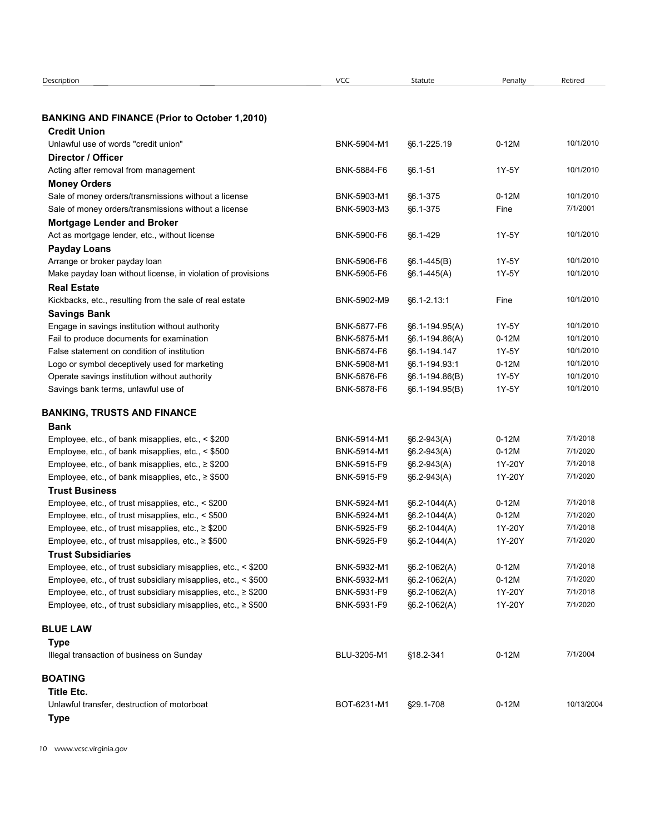| Description                                                                                                                    | VCC                        | Statute                          | Penalty           | Retired              |
|--------------------------------------------------------------------------------------------------------------------------------|----------------------------|----------------------------------|-------------------|----------------------|
|                                                                                                                                |                            |                                  |                   |                      |
| <b>BANKING AND FINANCE (Prior to October 1,2010)</b><br><b>Credit Union</b>                                                    |                            |                                  |                   |                      |
| Unlawful use of words "credit union"                                                                                           | BNK-5904-M1                | §6.1-225.19                      | $0-12M$           | 10/1/2010            |
| Director / Officer                                                                                                             |                            |                                  |                   |                      |
| Acting after removal from management                                                                                           | BNK-5884-F6                | §6.1-51                          | 1Y-5Y             | 10/1/2010            |
| <b>Money Orders</b>                                                                                                            |                            |                                  |                   |                      |
| Sale of money orders/transmissions without a license                                                                           | BNK-5903-M1                | §6.1-375                         | $0-12M$           | 10/1/2010            |
| Sale of money orders/transmissions without a license                                                                           | BNK-5903-M3                | §6.1-375                         | Fine              | 7/1/2001             |
| <b>Mortgage Lender and Broker</b>                                                                                              |                            |                                  |                   |                      |
| Act as mortgage lender, etc., without license                                                                                  | BNK-5900-F6                | §6.1-429                         | 1Y-5Y             | 10/1/2010            |
| <b>Payday Loans</b>                                                                                                            |                            |                                  |                   |                      |
| Arrange or broker payday loan                                                                                                  | BNK-5906-F6                | $§6.1-445(B)$                    | 1Y-5Y             | 10/1/2010            |
| Make payday loan without license, in violation of provisions                                                                   | BNK-5905-F6                | $§6.1-445(A)$                    | 1Y-5Y             | 10/1/2010            |
| <b>Real Estate</b><br>Kickbacks, etc., resulting from the sale of real estate                                                  | BNK-5902-M9                | §6.1-2.13:1                      | Fine              | 10/1/2010            |
| <b>Savings Bank</b>                                                                                                            |                            |                                  |                   |                      |
| Engage in savings institution without authority                                                                                | BNK-5877-F6                | $§6.1 - 194.95(A)$               | 1Y-5Y             | 10/1/2010            |
| Fail to produce documents for examination                                                                                      | BNK-5875-M1                | §6.1-194.86(A)                   | $0-12M$           | 10/1/2010            |
| False statement on condition of institution                                                                                    | BNK-5874-F6                | §6.1-194.147                     | 1Y-5Y             | 10/1/2010            |
| Logo or symbol deceptively used for marketing                                                                                  | BNK-5908-M1                | §6.1-194.93:1                    | $0-12M$           | 10/1/2010            |
| Operate savings institution without authority                                                                                  | BNK-5876-F6                | §6.1-194.86(B)                   | 1Y-5Y             | 10/1/2010            |
| Savings bank terms, unlawful use of                                                                                            | BNK-5878-F6                | §6.1-194.95(B)                   | 1Y-5Y             | 10/1/2010            |
| <b>BANKING, TRUSTS AND FINANCE</b>                                                                                             |                            |                                  |                   |                      |
| Bank                                                                                                                           |                            |                                  |                   |                      |
| Employee, etc., of bank misapplies, etc., < \$200                                                                              | BNK-5914-M1                | §6.2-943(A)                      | $0-12M$           | 7/1/2018             |
| Employee, etc., of bank misapplies, etc., < \$500                                                                              | BNK-5914-M1                | §6.2-943(A)                      | $0-12M$           | 7/1/2020             |
| Employee, etc., of bank misapplies, etc., ≥ \$200                                                                              | BNK-5915-F9                | §6.2-943(A)                      | 1Y-20Y            | 7/1/2018             |
| Employee, etc., of bank misapplies, etc., ≥ \$500                                                                              | BNK-5915-F9                | §6.2-943(A)                      | 1Y-20Y            | 7/1/2020             |
| <b>Trust Business</b>                                                                                                          |                            |                                  |                   |                      |
| Employee, etc., of trust misapplies, etc., < \$200                                                                             | BNK-5924-M1                | §6.2-1044(A)                     | $0-12M$           | 7/1/2018             |
| Employee, etc., of trust misapplies, etc., < \$500                                                                             | BNK-5924-M1                | §6.2-1044(A)                     | $0-12M$           | 7/1/2020             |
| Employee, etc., of trust misapplies, etc., ≥ \$200                                                                             | BNK-5925-F9                | §6.2-1044(A)                     | 1Y-20Y            | 7/1/2018             |
| Employee, etc., of trust misapplies, etc., ≥ \$500                                                                             | BNK-5925-F9                | §6.2-1044(A)                     | 1Y-20Y            | 7/1/2020             |
| <b>Trust Subsidiaries</b>                                                                                                      |                            |                                  |                   |                      |
| Employee, etc., of trust subsidiary misapplies, etc., < \$200                                                                  | BNK-5932-M1                | §6.2-1062(A)                     | $0-12M$           | 7/1/2018<br>7/1/2020 |
| Employee, etc., of trust subsidiary misapplies, etc., < \$500<br>Employee, etc., of trust subsidiary misapplies, etc., ≥ \$200 | BNK-5932-M1<br>BNK-5931-F9 | §6.2-1062(A)<br>$§6.2 - 1062(A)$ | $0-12M$<br>1Y-20Y | 7/1/2018             |
| Employee, etc., of trust subsidiary misapplies, etc., ≥ \$500                                                                  | BNK-5931-F9                | $§6.2 - 1062(A)$                 | 1Y-20Y            | 7/1/2020             |
|                                                                                                                                |                            |                                  |                   |                      |
| <b>BLUE LAW</b>                                                                                                                |                            |                                  |                   |                      |
| <b>Type</b><br>Illegal transaction of business on Sunday                                                                       | BLU-3205-M1                | §18.2-341                        | $0-12M$           | 7/1/2004             |
| <b>BOATING</b>                                                                                                                 |                            |                                  |                   |                      |
| <b>Title Etc.</b>                                                                                                              |                            |                                  |                   |                      |
| Unlawful transfer, destruction of motorboat                                                                                    | BOT-6231-M1                | §29.1-708                        | $0-12M$           | 10/13/2004           |
|                                                                                                                                |                            |                                  |                   |                      |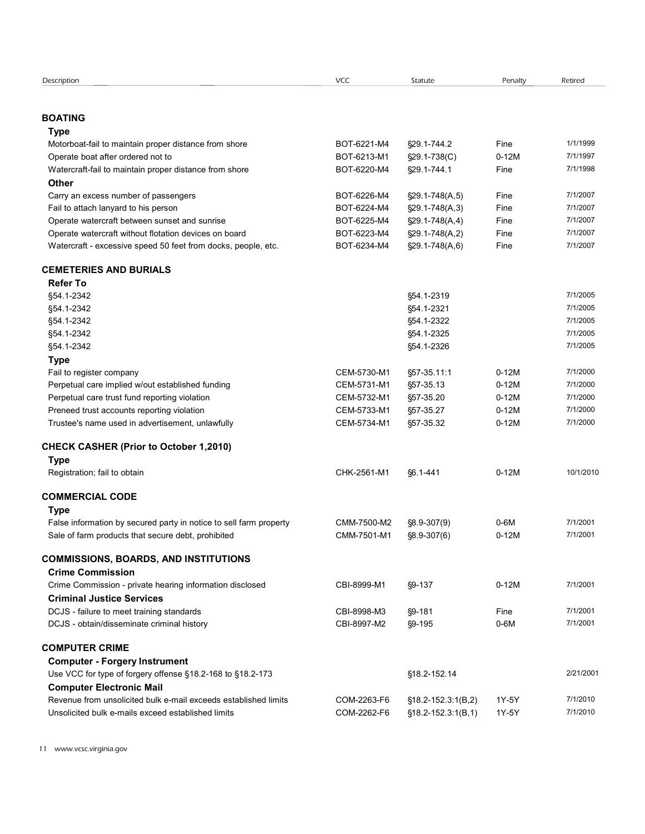| Description                                                                                                           | VCC                        | Statute                                          | Penalty        | Retired              |  |
|-----------------------------------------------------------------------------------------------------------------------|----------------------------|--------------------------------------------------|----------------|----------------------|--|
|                                                                                                                       |                            |                                                  |                |                      |  |
| <b>BOATING</b>                                                                                                        |                            |                                                  |                |                      |  |
| <b>Type</b>                                                                                                           |                            |                                                  |                |                      |  |
| Motorboat-fail to maintain proper distance from shore                                                                 | BOT-6221-M4                | §29.1-744.2                                      | Fine           | 1/1/1999             |  |
| Operate boat after ordered not to                                                                                     | BOT-6213-M1                | §29.1-738(C)                                     | $0-12M$        | 7/1/1997             |  |
| Watercraft-fail to maintain proper distance from shore                                                                | BOT-6220-M4                | §29.1-744.1                                      | Fine           | 7/1/1998             |  |
| <b>Other</b><br>Carry an excess number of passengers                                                                  | BOT-6226-M4                | $\S29.1 - 748(A, 5)$                             | Fine           | 7/1/2007             |  |
| Fail to attach lanyard to his person                                                                                  | BOT-6224-M4                | $\S29.1 - 748(A, 3)$                             | Fine           | 7/1/2007             |  |
| Operate watercraft between sunset and sunrise                                                                         | BOT-6225-M4                | §29.1-748(A,4)                                   | Fine           | 7/1/2007             |  |
| Operate watercraft without flotation devices on board                                                                 | BOT-6223-M4                | $\S29.1 - 748(A, 2)$                             | Fine           | 7/1/2007             |  |
| Watercraft - excessive speed 50 feet from docks, people, etc.                                                         | BOT-6234-M4                | $\S29.1 - 748(A, 6)$                             | Fine           | 7/1/2007             |  |
| <b>CEMETERIES AND BURIALS</b>                                                                                         |                            |                                                  |                |                      |  |
| <b>Refer To</b>                                                                                                       |                            |                                                  |                |                      |  |
| §54.1-2342                                                                                                            |                            | §54.1-2319                                       |                | 7/1/2005             |  |
| §54.1-2342                                                                                                            |                            | §54.1-2321                                       |                | 7/1/2005             |  |
| §54.1-2342                                                                                                            |                            | §54.1-2322                                       |                | 7/1/2005             |  |
| §54.1-2342<br>§54.1-2342                                                                                              |                            | §54.1-2325<br>§54.1-2326                         |                | 7/1/2005<br>7/1/2005 |  |
| <b>Type</b>                                                                                                           |                            |                                                  |                |                      |  |
| Fail to register company                                                                                              | CEM-5730-M1                | §57-35.11:1                                      | $0-12M$        | 7/1/2000             |  |
| Perpetual care implied w/out established funding                                                                      | CEM-5731-M1                | §57-35.13                                        | $0-12M$        | 7/1/2000             |  |
| Perpetual care trust fund reporting violation                                                                         | CEM-5732-M1                | §57-35.20                                        | $0-12M$        | 7/1/2000             |  |
| Preneed trust accounts reporting violation                                                                            | CEM-5733-M1                | §57-35.27                                        | $0-12M$        | 7/1/2000             |  |
| Trustee's name used in advertisement, unlawfully                                                                      | CEM-5734-M1                | §57-35.32                                        | $0-12M$        | 7/1/2000             |  |
| <b>CHECK CASHER (Prior to October 1,2010)</b>                                                                         |                            |                                                  |                |                      |  |
| <b>Type</b>                                                                                                           |                            |                                                  |                |                      |  |
| Registration; fail to obtain                                                                                          | CHK-2561-M1                | §6.1-441                                         | $0-12M$        | 10/1/2010            |  |
| <b>COMMERCIAL CODE</b>                                                                                                |                            |                                                  |                |                      |  |
| <b>Type</b>                                                                                                           |                            |                                                  |                |                      |  |
| False information by secured party in notice to sell farm property                                                    | CMM-7500-M2                | §8.9-307(9)                                      | $0-6M$         | 7/1/2001             |  |
| Sale of farm products that secure debt, prohibited                                                                    | CMM-7501-M1                | §8.9-307(6)                                      | $0-12M$        | 7/1/2001             |  |
| <b>COMMISSIONS, BOARDS, AND INSTITUTIONS</b>                                                                          |                            |                                                  |                |                      |  |
| <b>Crime Commission</b>                                                                                               |                            |                                                  |                |                      |  |
| Crime Commission - private hearing information disclosed                                                              | CBI-8999-M1                | §9-137                                           | $0-12M$        | 7/1/2001             |  |
| <b>Criminal Justice Services</b>                                                                                      |                            |                                                  | Fine           | 7/1/2001             |  |
| DCJS - failure to meet training standards<br>DCJS - obtain/disseminate criminal history                               | CBI-8998-M3<br>CBI-8997-M2 | §9-181<br>$§9 - 195$                             | $0-6M$         | 7/1/2001             |  |
|                                                                                                                       |                            |                                                  |                |                      |  |
| <b>COMPUTER CRIME</b>                                                                                                 |                            |                                                  |                |                      |  |
| <b>Computer - Forgery Instrument</b>                                                                                  |                            |                                                  |                |                      |  |
| Use VCC for type of forgery offense §18.2-168 to §18.2-173                                                            |                            | §18.2-152.14                                     |                | 2/21/2001            |  |
|                                                                                                                       |                            |                                                  |                |                      |  |
| <b>Computer Electronic Mail</b>                                                                                       |                            |                                                  |                |                      |  |
| Revenue from unsolicited bulk e-mail exceeds established limits<br>Unsolicited bulk e-mails exceed established limits | COM-2263-F6<br>COM-2262-F6 | $$18.2 - 152.3:1(B,2)$<br>$$18.2 - 152.3:1(B,1)$ | 1Y-5Y<br>1Y-5Y | 7/1/2010<br>7/1/2010 |  |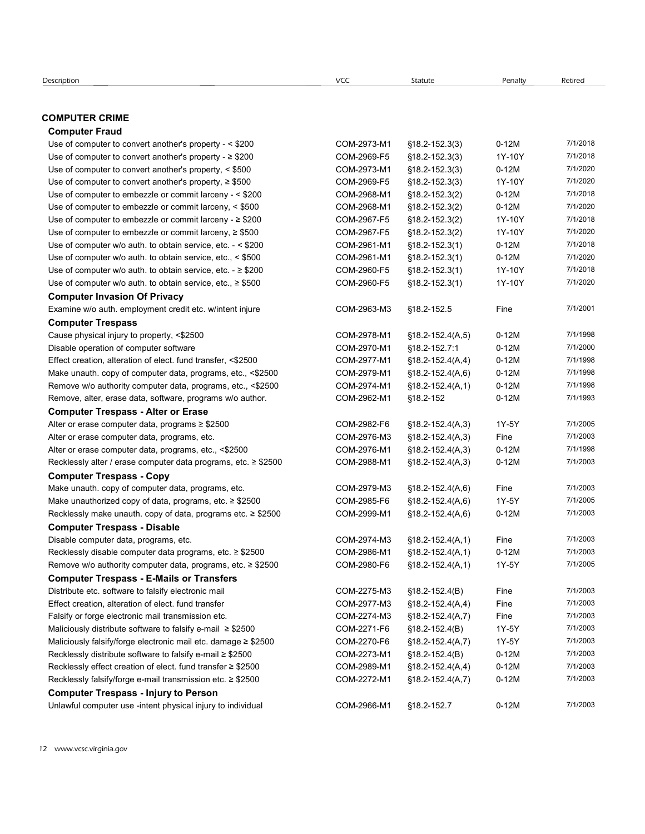# COMPUTER CRIME

#### Computer Fraud

| escription                                                                                                                   | <b>VCC</b>                 | Statute                                        | Penalty           | Retired              |  |
|------------------------------------------------------------------------------------------------------------------------------|----------------------------|------------------------------------------------|-------------------|----------------------|--|
| <b>OMPUTER CRIME</b>                                                                                                         |                            |                                                |                   |                      |  |
| <b>Computer Fraud</b>                                                                                                        |                            |                                                |                   |                      |  |
| Use of computer to convert another's property - < \$200                                                                      | COM-2973-M1                | $$18.2 - 152.3(3)$                             | $0-12M$           | 7/1/2018             |  |
| Use of computer to convert another's property - $\geq$ \$200                                                                 | COM-2969-F5                | §18.2-152.3(3)                                 | 1Y-10Y            | 7/1/2018             |  |
| Use of computer to convert another's property, < \$500                                                                       | COM-2973-M1                | §18.2-152.3(3)                                 | $0-12M$           | 7/1/2020             |  |
| Use of computer to convert another's property, $\geq$ \$500                                                                  | COM-2969-F5                | §18.2-152.3(3)                                 | 1Y-10Y            | 7/1/2020             |  |
| Use of computer to embezzle or commit larceny - < \$200                                                                      | COM-2968-M1                | §18.2-152.3(2)                                 | $0-12M$           | 7/1/2018             |  |
| Use of computer to embezzle or commit larceny, < \$500<br>Use of computer to embezzle or commit larceny - $\geq$ \$200       | COM-2968-M1<br>COM-2967-F5 | §18.2-152.3(2)<br>§18.2-152.3(2)               | $0-12M$<br>1Y-10Y | 7/1/2020<br>7/1/2018 |  |
| Use of computer to embezzle or commit larceny, $\geq$ \$500                                                                  | COM-2967-F5                | §18.2-152.3(2)                                 | 1Y-10Y            | 7/1/2020             |  |
| Use of computer w/o auth. to obtain service, etc. - < \$200                                                                  | COM-2961-M1                | §18.2-152.3(1)                                 | $0-12M$           | 7/1/2018             |  |
| Use of computer w/o auth. to obtain service, etc., < \$500                                                                   | COM-2961-M1                | §18.2-152.3(1)                                 | $0-12M$           | 7/1/2020             |  |
| Use of computer w/o auth. to obtain service, etc. $\ge$ \$200                                                                | COM-2960-F5                | $$18.2 - 152.3(1)$                             | 1Y-10Y            | 7/1/2018             |  |
| Use of computer $w/o$ auth. to obtain service, etc., $\geq$ \$500                                                            | COM-2960-F5                | $$18.2 - 152.3(1)$                             | 1Y-10Y            | 7/1/2020             |  |
| <b>Computer Invasion Of Privacy</b>                                                                                          |                            |                                                |                   |                      |  |
| Examine w/o auth. employment credit etc. w/intent injure                                                                     | COM-2963-M3                | §18.2-152.5                                    | Fine              | 7/1/2001             |  |
| <b>Computer Trespass</b>                                                                                                     |                            |                                                |                   |                      |  |
| Cause physical injury to property, <\$2500                                                                                   | COM-2978-M1                | $$18.2 - 152.4(A, 5)$                          | $0-12M$           | 7/1/1998             |  |
| Disable operation of computer software                                                                                       | COM-2970-M1                | §18.2-152.7:1                                  | $0-12M$           | 7/1/2000             |  |
| Effect creation, alteration of elect. fund transfer, <\$2500                                                                 | COM-2977-M1                | $$18.2 - 152.4(A, 4)$                          | $0-12M$           | 7/1/1998             |  |
| Make unauth. copy of computer data, programs, etc., <\$2500                                                                  | COM-2979-M1                | $$18.2 - 152.4(A, 6)$                          | $0-12M$           | 7/1/1998             |  |
| Remove w/o authority computer data, programs, etc., <\$2500                                                                  | COM-2974-M1                | $$18.2 - 152.4(A, 1)$                          | $0-12M$           | 7/1/1998             |  |
| Remove, alter, erase data, software, programs w/o author.                                                                    | COM-2962-M1                | §18.2-152                                      | $0-12M$           | 7/1/1993             |  |
| <b>Computer Trespass - Alter or Erase</b>                                                                                    |                            |                                                |                   |                      |  |
| Alter or erase computer data, programs ≥ \$2500                                                                              | COM-2982-F6                | $$18.2 - 152.4(A,3)$                           | 1Y-5Y             | 7/1/2005             |  |
| Alter or erase computer data, programs, etc.                                                                                 | COM-2976-M3                | $$18.2 - 152.4(A,3)$                           | Fine              | 7/1/2003             |  |
| Alter or erase computer data, programs, etc., <\$2500                                                                        | COM-2976-M1                | $$18.2 - 152.4(A,3)$                           | $0-12M$           | 7/1/1998             |  |
| Recklessly alter / erase computer data programs, etc. ≥ \$2500                                                               | COM-2988-M1                | $$18.2 - 152.4(A,3)$                           | $0-12M$           | 7/1/2003             |  |
| <b>Computer Trespass - Copy</b>                                                                                              |                            |                                                |                   |                      |  |
| Make unauth. copy of computer data, programs, etc.                                                                           | COM-2979-M3                | $$18.2 - 152.4(A, 6)$                          | Fine              | 7/1/2003             |  |
| Make unauthorized copy of data, programs, etc. ≥ \$2500                                                                      | COM-2985-F6                | $$18.2 - 152.4(A, 6)$                          | 1Y-5Y             | 7/1/2005             |  |
| Recklessly make unauth. copy of data, programs etc. ≥ \$2500                                                                 | COM-2999-M1                | $$18.2 - 152.4(A, 6)$                          | $0-12M$           | 7/1/2003             |  |
| <b>Computer Trespass - Disable</b>                                                                                           |                            |                                                |                   | 7/1/2003             |  |
| Disable computer data, programs, etc.                                                                                        | COM-2974-M3<br>COM-2986-M1 | $$18.2 - 152.4(A, 1)$                          | Fine<br>$0-12M$   | 7/1/2003             |  |
| Recklessly disable computer data programs, etc. ≥ \$2500<br>Remove w/o authority computer data, programs, etc. $\geq$ \$2500 | COM-2980-F6                | $$18.2 - 152.4(A, 1)$<br>$$18.2 - 152.4(A, 1)$ | 1Y-5Y             | 7/1/2005             |  |
|                                                                                                                              |                            |                                                |                   |                      |  |
| <b>Computer Trespass - E-Mails or Transfers</b><br>Distribute etc. software to falsify electronic mail                       | COM-2275-M3                | $$18.2 - 152.4(B)$                             | Fine              | 7/1/2003             |  |
| Effect creation, alteration of elect. fund transfer                                                                          | COM-2977-M3                | $$18.2 - 152.4(A, 4)$                          | Fine              | 7/1/2003             |  |
| Falsify or forge electronic mail transmission etc.                                                                           | COM-2274-M3                | $$18.2 - 152.4(A,7)$                           | Fine              | 7/1/2003             |  |
| Maliciously distribute software to falsify e-mail $\geq$ \$2500                                                              | COM-2271-F6                | $$18.2 - 152.4(B)$                             | 1Y-5Y             | 7/1/2003             |  |
| Maliciously falsify/forge electronic mail etc. damage ≥ \$2500                                                               | COM-2270-F6                | $$18.2 - 152.4(A,7)$                           | 1Y-5Y             | 7/1/2003             |  |
| Recklessly distribute software to falsify e-mail ≥ \$2500                                                                    | COM-2273-M1                | $$18.2 - 152.4(B)$                             | $0-12M$           | 7/1/2003             |  |
| Recklessly effect creation of elect. fund transfer ≥ \$2500                                                                  | COM-2989-M1                | $$18.2 - 152.4(A, 4)$                          | $0-12M$           | 7/1/2003             |  |
| Recklessly falsify/forge e-mail transmission etc. ≥ \$2500                                                                   | COM-2272-M1                | $$18.2 - 152.4(A,7)$                           | $0-12M$           | 7/1/2003             |  |
| <b>Computer Trespass - Injury to Person</b>                                                                                  |                            |                                                |                   |                      |  |
|                                                                                                                              |                            |                                                |                   |                      |  |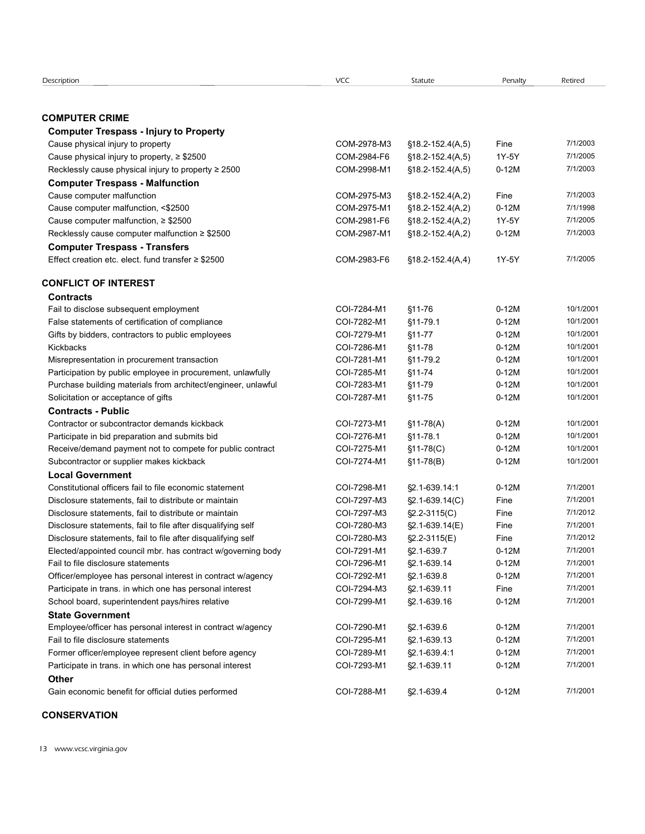| Description                                                                                          |             |                       |                    |           |  |
|------------------------------------------------------------------------------------------------------|-------------|-----------------------|--------------------|-----------|--|
|                                                                                                      |             |                       |                    |           |  |
|                                                                                                      |             |                       |                    |           |  |
|                                                                                                      |             |                       |                    |           |  |
|                                                                                                      |             |                       |                    |           |  |
|                                                                                                      |             |                       |                    |           |  |
|                                                                                                      |             |                       |                    |           |  |
|                                                                                                      |             |                       |                    |           |  |
|                                                                                                      |             |                       |                    |           |  |
|                                                                                                      | VCC         | Statute               | Penalty            | Retired   |  |
|                                                                                                      |             |                       |                    |           |  |
| <b>COMPUTER CRIME</b>                                                                                |             |                       |                    |           |  |
| <b>Computer Trespass - Injury to Property</b>                                                        |             |                       |                    |           |  |
| Cause physical injury to property                                                                    | COM-2978-M3 | $$18.2 - 152.4(A, 5)$ | Fine               | 7/1/2003  |  |
| Cause physical injury to property, $\geq$ \$2500                                                     | COM-2984-F6 | $$18.2 - 152.4(A, 5)$ | 1Y-5Y              | 7/1/2005  |  |
| Recklessly cause physical injury to property $\geq 2500$                                             | COM-2998-M1 | $$18.2 - 152.4(A, 5)$ | $0-12M$            | 7/1/2003  |  |
| <b>Computer Trespass - Malfunction</b>                                                               |             |                       |                    |           |  |
| Cause computer malfunction                                                                           | COM-2975-M3 | $$18.2 - 152.4(A,2)$  | Fine               | 7/1/2003  |  |
| Cause computer malfunction, <\$2500                                                                  | COM-2975-M1 | $$18.2 - 152.4(A,2)$  | $0-12M$            | 7/1/1998  |  |
| Cause computer malfunction, $\geq$ \$2500                                                            | COM-2981-F6 | $$18.2 - 152.4(A,2)$  | 1Y-5Y              | 7/1/2005  |  |
| Recklessly cause computer malfunction ≥ \$2500                                                       | COM-2987-M1 | $$18.2 - 152.4(A,2)$  | $0-12M$            | 7/1/2003  |  |
| <b>Computer Trespass - Transfers</b>                                                                 |             |                       |                    |           |  |
| Effect creation etc. elect. fund transfer $\geq$ \$2500                                              | COM-2983-F6 | $$18.2 - 152.4(A, 4)$ | 1Y-5Y              | 7/1/2005  |  |
| <b>CONFLICT OF INTEREST</b>                                                                          |             |                       |                    |           |  |
|                                                                                                      |             |                       |                    |           |  |
| <b>Contracts</b>                                                                                     | COI-7284-M1 |                       |                    | 10/1/2001 |  |
| Fail to disclose subsequent employment                                                               | COI-7282-M1 | $$11-76$<br>§11-79.1  | $0-12M$<br>$0-12M$ | 10/1/2001 |  |
| False statements of certification of compliance<br>Gifts by bidders, contractors to public employees | COI-7279-M1 | $$11-77$              | $0-12M$            | 10/1/2001 |  |
| Kickbacks                                                                                            | COI-7286-M1 | $$11-78$              | $0-12M$            | 10/1/2001 |  |
| Misrepresentation in procurement transaction                                                         | COI-7281-M1 | §11-79.2              | $0-12M$            | 10/1/2001 |  |
| Participation by public employee in procurement, unlawfully                                          | COI-7285-M1 | §11-74                | $0-12M$            | 10/1/2001 |  |
| Purchase building materials from architect/engineer, unlawful                                        | COI-7283-M1 | §11-79                | $0-12M$            | 10/1/2001 |  |
| Solicitation or acceptance of gifts                                                                  | COI-7287-M1 | $$11-75$              | $0-12M$            | 10/1/2001 |  |
| <b>Contracts - Public</b>                                                                            |             |                       |                    |           |  |
| Contractor or subcontractor demands kickback                                                         | COI-7273-M1 | $$11-78(A)$           | $0-12M$            | 10/1/2001 |  |
| Participate in bid preparation and submits bid                                                       | COI-7276-M1 | $$11-78.1$            | $0-12M$            | 10/1/2001 |  |
| Receive/demand payment not to compete for public contract                                            | COI-7275-M1 | $$11-78(C)$           | $0-12M$            | 10/1/2001 |  |
| Subcontractor or supplier makes kickback                                                             | COI-7274-M1 | $$11-78(B)$           | $0-12M$            | 10/1/2001 |  |
| <b>Local Government</b>                                                                              |             |                       |                    |           |  |
| Constitutional officers fail to file economic statement                                              | COI-7298-M1 | §2.1-639.14:1         | $0-12M$            | 7/1/2001  |  |
| Disclosure statements, fail to distribute or maintain                                                | COI-7297-M3 | $\S2.1 - 639.14(C)$   | Fine               | 7/1/2001  |  |
| Disclosure statements, fail to distribute or maintain                                                | COI-7297-M3 | $\S2.2 - 3115(C)$     | Fine               | 7/1/2012  |  |
| Disclosure statements, fail to file after disqualifying self                                         | COI-7280-M3 | §2.1-639.14(E)        | Fine               | 7/1/2001  |  |
| Disclosure statements, fail to file after disqualifying self                                         | COI-7280-M3 | §2.2-3115(E)          | Fine               | 7/1/2012  |  |
| Elected/appointed council mbr. has contract w/governing body                                         | COI-7291-M1 | §2.1-639.7            | $0-12M$            | 7/1/2001  |  |
| Fail to file disclosure statements                                                                   | COI-7296-M1 | §2.1-639.14           | $0-12M$            | 7/1/2001  |  |
| Officer/employee has personal interest in contract w/agency                                          | COI-7292-M1 | §2.1-639.8            | $0-12M$            | 7/1/2001  |  |
| Participate in trans. in which one has personal interest                                             | COI-7294-M3 | §2.1-639.11           | Fine               | 7/1/2001  |  |
| School board, superintendent pays/hires relative                                                     | COI-7299-M1 | §2.1-639.16           | $0-12M$            | 7/1/2001  |  |
| <b>State Government</b>                                                                              |             |                       |                    |           |  |
| Employee/officer has personal interest in contract w/agency                                          | COI-7290-M1 | §2.1-639.6            | $0-12M$            | 7/1/2001  |  |
| Fail to file disclosure statements                                                                   | COI-7295-M1 | §2.1-639.13           | $0-12M$            | 7/1/2001  |  |
| Former officer/employee represent client before agency                                               | COI-7289-M1 | §2.1-639.4:1          | $0-12M$            | 7/1/2001  |  |
| Participate in trans. in which one has personal interest                                             | COI-7293-M1 | §2.1-639.11           | $0-12M$            | 7/1/2001  |  |
| Other                                                                                                |             |                       |                    |           |  |
| Gain economic benefit for official duties performed                                                  | COI-7288-M1 | §2.1-639.4            | $0-12M$            | 7/1/2001  |  |
| <b>CONSERVATION</b>                                                                                  |             |                       |                    |           |  |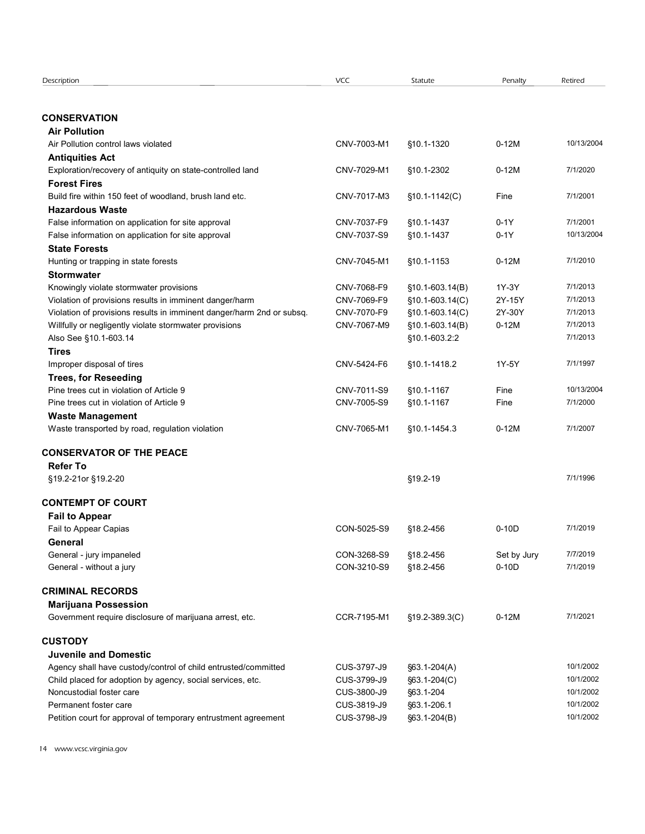| Description                                                                                        | VCC                        | Statute                            | Penalty         | Retired                |  |
|----------------------------------------------------------------------------------------------------|----------------------------|------------------------------------|-----------------|------------------------|--|
|                                                                                                    |                            |                                    |                 |                        |  |
| <b>CONSERVATION</b>                                                                                |                            |                                    |                 |                        |  |
| <b>Air Pollution</b>                                                                               |                            |                                    |                 |                        |  |
| Air Pollution control laws violated                                                                | CNV-7003-M1                | §10.1-1320                         | $0-12M$         | 10/13/2004             |  |
| <b>Antiquities Act</b>                                                                             |                            |                                    |                 | 7/1/2020               |  |
| Exploration/recovery of antiquity on state-controlled land<br><b>Forest Fires</b>                  | CNV-7029-M1                | §10.1-2302                         | $0-12M$         |                        |  |
| Build fire within 150 feet of woodland, brush land etc.                                            | CNV-7017-M3                | $$10.1-1142(C)$                    | Fine            | 7/1/2001               |  |
| <b>Hazardous Waste</b>                                                                             |                            |                                    |                 |                        |  |
| False information on application for site approval                                                 | CNV-7037-F9                | §10.1-1437                         | $0-1Y$          | 7/1/2001               |  |
| False information on application for site approval                                                 | CNV-7037-S9                | §10.1-1437                         | $0-1Y$          | 10/13/2004             |  |
| <b>State Forests</b>                                                                               |                            |                                    |                 |                        |  |
| Hunting or trapping in state forests                                                               | CNV-7045-M1                | §10.1-1153                         | $0-12M$         | 7/1/2010               |  |
| <b>Stormwater</b>                                                                                  |                            |                                    |                 |                        |  |
| Knowingly violate stormwater provisions<br>Violation of provisions results in imminent danger/harm | CNV-7068-F9<br>CNV-7069-F9 | §10.1-603.14(B)<br>§10.1-603.14(C) | 1Y-3Y<br>2Y-15Y | 7/1/2013<br>7/1/2013   |  |
| Violation of provisions results in imminent danger/harm 2nd or subsq.                              | CNV-7070-F9                | §10.1-603.14(C)                    | 2Y-30Y          | 7/1/2013               |  |
| Willfully or negligently violate stormwater provisions                                             | CNV-7067-M9                | §10.1-603.14(B)                    | $0-12M$         | 7/1/2013               |  |
| Also See §10.1-603.14                                                                              |                            | §10.1-603.2:2                      |                 | 7/1/2013               |  |
| <b>Tires</b>                                                                                       |                            |                                    |                 |                        |  |
| Improper disposal of tires                                                                         | CNV-5424-F6                | §10.1-1418.2                       | 1Y-5Y           | 7/1/1997               |  |
| <b>Trees, for Reseeding</b>                                                                        |                            |                                    |                 |                        |  |
| Pine trees cut in violation of Article 9                                                           | CNV-7011-S9                | §10.1-1167                         | Fine            | 10/13/2004             |  |
| Pine trees cut in violation of Article 9                                                           | CNV-7005-S9                | §10.1-1167                         | Fine            | 7/1/2000               |  |
| <b>Waste Management</b><br>Waste transported by road, regulation violation                         | CNV-7065-M1                | §10.1-1454.3                       | $0-12M$         | 7/1/2007               |  |
|                                                                                                    |                            |                                    |                 |                        |  |
| <b>CONSERVATOR OF THE PEACE</b>                                                                    |                            |                                    |                 |                        |  |
| <b>Refer To</b>                                                                                    |                            |                                    |                 |                        |  |
| §19.2-21or §19.2-20                                                                                |                            | §19.2-19                           |                 | 7/1/1996               |  |
| <b>CONTEMPT OF COURT</b>                                                                           |                            |                                    |                 |                        |  |
| <b>Fail to Appear</b>                                                                              |                            |                                    |                 |                        |  |
| Fail to Appear Capias                                                                              | CON-5025-S9                | §18.2-456                          | $0-10D$         | 7/1/2019               |  |
| General                                                                                            |                            |                                    |                 |                        |  |
| General - jury impaneled                                                                           | CON-3268-S9                | §18.2-456                          | Set by Jury     | 7/7/2019               |  |
| General - without a jury                                                                           | CON-3210-S9                | §18.2-456                          | $0-10D$         | 7/1/2019               |  |
|                                                                                                    |                            |                                    |                 |                        |  |
| <b>CRIMINAL RECORDS</b><br><b>Marijuana Possession</b>                                             |                            |                                    |                 |                        |  |
| Government require disclosure of marijuana arrest, etc.                                            | CCR-7195-M1                | $$19.2 - 389.3(C)$                 | $0-12M$         | 7/1/2021               |  |
|                                                                                                    |                            |                                    |                 |                        |  |
| <b>CUSTODY</b>                                                                                     |                            |                                    |                 |                        |  |
| <b>Juvenile and Domestic</b>                                                                       |                            |                                    |                 |                        |  |
| Agency shall have custody/control of child entrusted/committed                                     | CUS-3797-J9                | $§63.1-204(A)$                     |                 | 10/1/2002              |  |
| Child placed for adoption by agency, social services, etc.                                         | CUS-3799-J9                | $§63.1-204(C)$                     |                 | 10/1/2002              |  |
| Noncustodial foster care<br>Permanent foster care                                                  | CUS-3800-J9<br>CUS-3819-J9 | §63.1-204<br>§63.1-206.1           |                 | 10/1/2002<br>10/1/2002 |  |
|                                                                                                    |                            |                                    |                 |                        |  |
|                                                                                                    |                            |                                    |                 |                        |  |
| Petition court for approval of temporary entrustment agreement                                     | CUS-3798-J9                | $§63.1-204(B)$                     |                 | 10/1/2002              |  |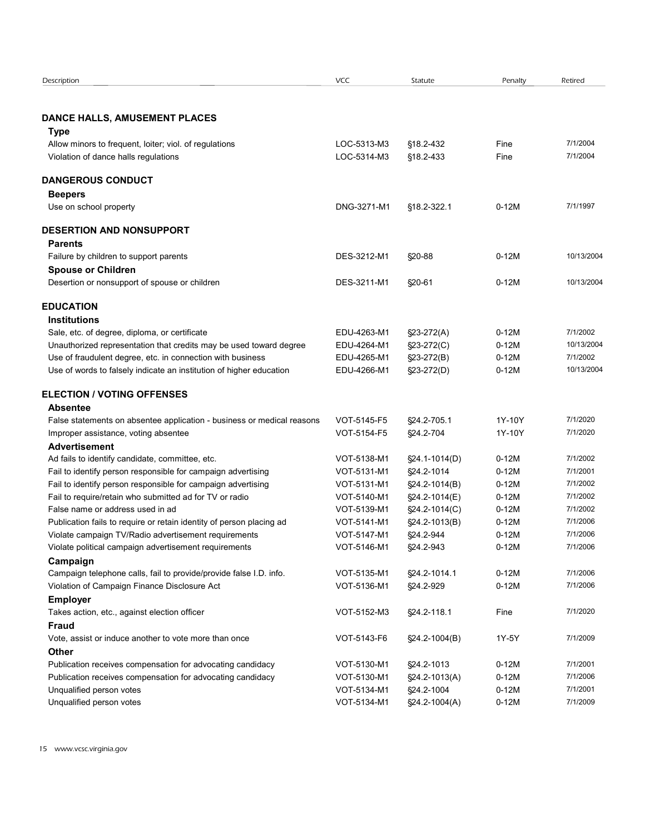| Description                                                                                                                  | <b>VCC</b>                 | Statute                    | Penalty            | Retired              |
|------------------------------------------------------------------------------------------------------------------------------|----------------------------|----------------------------|--------------------|----------------------|
| DANCE HALLS, AMUSEMENT PLACES                                                                                                |                            |                            |                    |                      |
| <b>Type</b>                                                                                                                  |                            |                            |                    |                      |
| Allow minors to frequent, loiter; viol. of regulations                                                                       | LOC-5313-M3                | §18.2-432                  | Fine               | 7/1/2004             |
| Violation of dance halls regulations                                                                                         | LOC-5314-M3                | §18.2-433                  | Fine               | 7/1/2004             |
| <b>DANGEROUS CONDUCT</b>                                                                                                     |                            |                            |                    |                      |
| <b>Beepers</b>                                                                                                               |                            |                            |                    |                      |
| Use on school property                                                                                                       | DNG-3271-M1                | §18.2-322.1                | $0-12M$            | 7/1/1997             |
| <b>DESERTION AND NONSUPPORT</b>                                                                                              |                            |                            |                    |                      |
| <b>Parents</b>                                                                                                               |                            |                            |                    |                      |
| Failure by children to support parents                                                                                       | DES-3212-M1                | $$20-88$                   | $0-12M$            | 10/13/2004           |
| <b>Spouse or Children</b>                                                                                                    |                            |                            |                    |                      |
| Desertion or nonsupport of spouse or children                                                                                | DES-3211-M1                | §20-61                     | $0-12M$            | 10/13/2004           |
| <b>EDUCATION</b>                                                                                                             |                            |                            |                    |                      |
| <b>Institutions</b>                                                                                                          |                            |                            |                    |                      |
| Sale, etc. of degree, diploma, or certificate                                                                                | EDU-4263-M1                | $$23-272(A)$               | $0-12M$            | 7/1/2002             |
| Unauthorized representation that credits may be used toward degree                                                           | EDU-4264-M1                | §23-272(C)                 | $0-12M$            | 10/13/2004           |
| Use of fraudulent degree, etc. in connection with business                                                                   | EDU-4265-M1                | $$23-272(B)$               | $0-12M$            | 7/1/2002             |
| Use of words to falsely indicate an institution of higher education                                                          | EDU-4266-M1                | §23-272(D)                 | $0-12M$            | 10/13/2004           |
| <b>ELECTION / VOTING OFFENSES</b>                                                                                            |                            |                            |                    |                      |
| <b>Absentee</b>                                                                                                              |                            |                            |                    |                      |
| False statements on absentee application - business or medical reasons                                                       | VOT-5145-F5                | §24.2-705.1                | 1Y-10Y             | 7/1/2020             |
| Improper assistance, voting absentee                                                                                         | VOT-5154-F5                | §24.2-704                  | 1Y-10Y             | 7/1/2020             |
| <b>Advertisement</b>                                                                                                         |                            |                            |                    |                      |
| Ad fails to identify candidate, committee, etc.                                                                              | VOT-5138-M1                | §24.1-1014(D)              | $0-12M$            | 7/1/2002             |
| Fail to identify person responsible for campaign advertising                                                                 | VOT-5131-M1                | §24.2-1014                 | $0-12M$            | 7/1/2001             |
| Fail to identify person responsible for campaign advertising                                                                 | VOT-5131-M1                | §24.2-1014(B)              | $0-12M$            | 7/1/2002             |
| Fail to require/retain who submitted ad for TV or radio<br>False name or address used in ad                                  | VOT-5140-M1                | §24.2-1014(E)              | $0-12M$            | 7/1/2002<br>7/1/2002 |
|                                                                                                                              | VOT-5139-M1                | §24.2-1014(C)              | $0-12M$            | 7/1/2006             |
| Publication fails to require or retain identity of person placing ad<br>Violate campaign TV/Radio advertisement requirements | VOT-5141-M1<br>VOT-5147-M1 | §24.2-1013(B)<br>§24.2-944 | $0-12M$<br>$0-12M$ | 7/1/2006             |
| Violate political campaign advertisement requirements                                                                        | VOT-5146-M1                | §24.2-943                  | $0-12M$            | 7/1/2006             |
| Campaign                                                                                                                     |                            |                            |                    |                      |
| Campaign telephone calls, fail to provide/provide false I.D. info.                                                           | VOT-5135-M1                | §24.2-1014.1               | $0-12M$            | 7/1/2006             |
| Violation of Campaign Finance Disclosure Act                                                                                 | VOT-5136-M1                | §24.2-929                  | $0-12M$            | 7/1/2006             |
| <b>Employer</b>                                                                                                              |                            |                            |                    |                      |
| Takes action, etc., against election officer                                                                                 | VOT-5152-M3                | §24.2-118.1                | Fine               | 7/1/2020             |
| <b>Fraud</b>                                                                                                                 |                            |                            |                    |                      |
| Vote, assist or induce another to vote more than once                                                                        | VOT-5143-F6                | §24.2-1004(B)              | 1Y-5Y              | 7/1/2009             |
| <b>Other</b>                                                                                                                 |                            |                            |                    |                      |
| Publication receives compensation for advocating candidacy                                                                   | VOT-5130-M1                | §24.2-1013                 | $0-12M$            | 7/1/2001             |
|                                                                                                                              | VOT-5130-M1                | §24.2-1013(A)              | $0-12M$            | 7/1/2006             |
| Publication receives compensation for advocating candidacy                                                                   |                            |                            |                    |                      |
| Unqualified person votes                                                                                                     | VOT-5134-M1                | §24.2-1004                 | $0-12M$            | 7/1/2001             |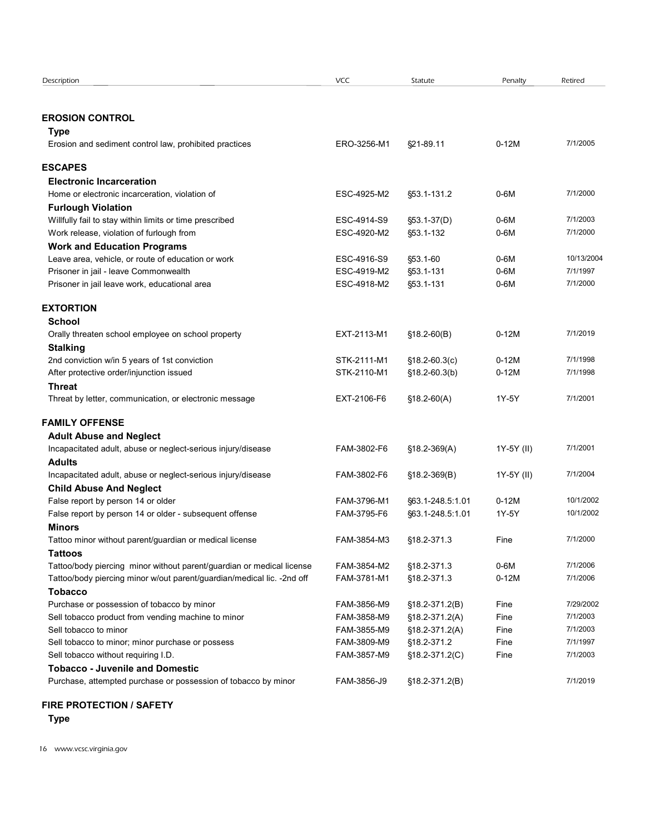| Description                                                             | <b>VCC</b>  | Statute          | Penalty    | Retired    |  |  |
|-------------------------------------------------------------------------|-------------|------------------|------------|------------|--|--|
|                                                                         |             |                  |            |            |  |  |
|                                                                         |             |                  |            |            |  |  |
| <b>EROSION CONTROL</b>                                                  |             |                  |            |            |  |  |
| Type                                                                    |             |                  |            |            |  |  |
| Erosion and sediment control law, prohibited practices                  | ERO-3256-M1 | §21-89.11        | $0-12M$    | 7/1/2005   |  |  |
| <b>ESCAPES</b>                                                          |             |                  |            |            |  |  |
| <b>Electronic Incarceration</b>                                         |             |                  |            |            |  |  |
| Home or electronic incarceration, violation of                          | ESC-4925-M2 | §53.1-131.2      | 0-6M       | 7/1/2000   |  |  |
| <b>Furlough Violation</b>                                               |             |                  |            |            |  |  |
| Willfully fail to stay within limits or time prescribed                 | ESC-4914-S9 | §53.1-37(D)      | 0-6M       | 7/1/2003   |  |  |
| Work release, violation of furlough from                                | ESC-4920-M2 | §53.1-132        | 0-6M       | 7/1/2000   |  |  |
| <b>Work and Education Programs</b>                                      |             |                  |            |            |  |  |
| Leave area, vehicle, or route of education or work                      | ESC-4916-S9 | §53.1-60         | $0-6M$     | 10/13/2004 |  |  |
| Prisoner in jail - leave Commonwealth                                   | ESC-4919-M2 | §53.1-131        | $0-6M$     | 7/1/1997   |  |  |
| Prisoner in jail leave work, educational area                           | ESC-4918-M2 | §53.1-131        | 0-6M       | 7/1/2000   |  |  |
|                                                                         |             |                  |            |            |  |  |
| <b>EXTORTION</b><br>School                                              |             |                  |            |            |  |  |
| Orally threaten school employee on school property                      | EXT-2113-M1 | $$18.2-60(B)$    | $0-12M$    | 7/1/2019   |  |  |
| <b>Stalking</b>                                                         |             |                  |            |            |  |  |
| 2nd conviction w/in 5 years of 1st conviction                           | STK-2111-M1 | $$18.2-60.3(c)$  | $0-12M$    | 7/1/1998   |  |  |
| After protective order/injunction issued                                | STK-2110-M1 | $$18.2-60.3(b)$  | $0-12M$    | 7/1/1998   |  |  |
| <b>Threat</b>                                                           |             |                  |            |            |  |  |
| Threat by letter, communication, or electronic message                  | EXT-2106-F6 | $$18.2-60(A)$    | 1Y-5Y      | 7/1/2001   |  |  |
|                                                                         |             |                  |            |            |  |  |
| <b>FAMILY OFFENSE</b>                                                   |             |                  |            |            |  |  |
| <b>Adult Abuse and Neglect</b>                                          |             |                  |            |            |  |  |
| Incapacitated adult, abuse or neglect-serious injury/disease            | FAM-3802-F6 | $$18.2-369(A)$   | 1Y-5Y (II) | 7/1/2001   |  |  |
| <b>Adults</b>                                                           |             |                  |            |            |  |  |
| Incapacitated adult, abuse or neglect-serious injury/disease            | FAM-3802-F6 | $$18.2-369(B)$   | 1Y-5Y (II) | 7/1/2004   |  |  |
| <b>Child Abuse And Neglect</b><br>False report by person 14 or older    | FAM-3796-M1 | §63.1-248.5:1.01 | $0-12M$    | 10/1/2002  |  |  |
| False report by person 14 or older - subsequent offense                 | FAM-3795-F6 | §63.1-248.5:1.01 | 1Y-5Y      | 10/1/2002  |  |  |
| <b>Minors</b>                                                           |             |                  |            |            |  |  |
| Tattoo minor without parent/guardian or medical license                 | FAM-3854-M3 | §18.2-371.3      | Fine       | 7/1/2000   |  |  |
| <b>Tattoos</b>                                                          |             |                  |            |            |  |  |
| Tattoo/body piercing minor without parent/guardian or medical license   | FAM-3854-M2 | §18.2-371.3      | 0-6M       | 7/1/2006   |  |  |
| Tattoo/body piercing minor w/out parent/guardian/medical lic. - 2nd off | FAM-3781-M1 | §18.2-371.3      | $0-12M$    | 7/1/2006   |  |  |
| <b>Tobacco</b>                                                          |             |                  |            |            |  |  |
| Purchase or possession of tobacco by minor                              | FAM-3856-M9 | §18.2-371.2(B)   | Fine       | 7/29/2002  |  |  |
| Sell tobacco product from vending machine to minor                      | FAM-3858-M9 | §18.2-371.2(A)   | Fine       | 7/1/2003   |  |  |
| Sell tobacco to minor                                                   | FAM-3855-M9 | §18.2-371.2(A)   | Fine       | 7/1/2003   |  |  |
| Sell tobacco to minor; minor purchase or possess                        | FAM-3809-M9 | §18.2-371.2      | Fine       | 7/1/1997   |  |  |
| Sell tobacco without requiring I.D.                                     | FAM-3857-M9 | §18.2-371.2(C)   | Fine       | 7/1/2003   |  |  |
| <b>Tobacco - Juvenile and Domestic</b>                                  |             |                  |            |            |  |  |
| Purchase, attempted purchase or possession of tobacco by minor          | FAM-3856-J9 | §18.2-371.2(B)   |            | 7/1/2019   |  |  |
|                                                                         |             |                  |            |            |  |  |
| <b>FIRE PROTECTION / SAFETY</b>                                         |             |                  |            |            |  |  |

# FIRE PROTECTION / SAFETY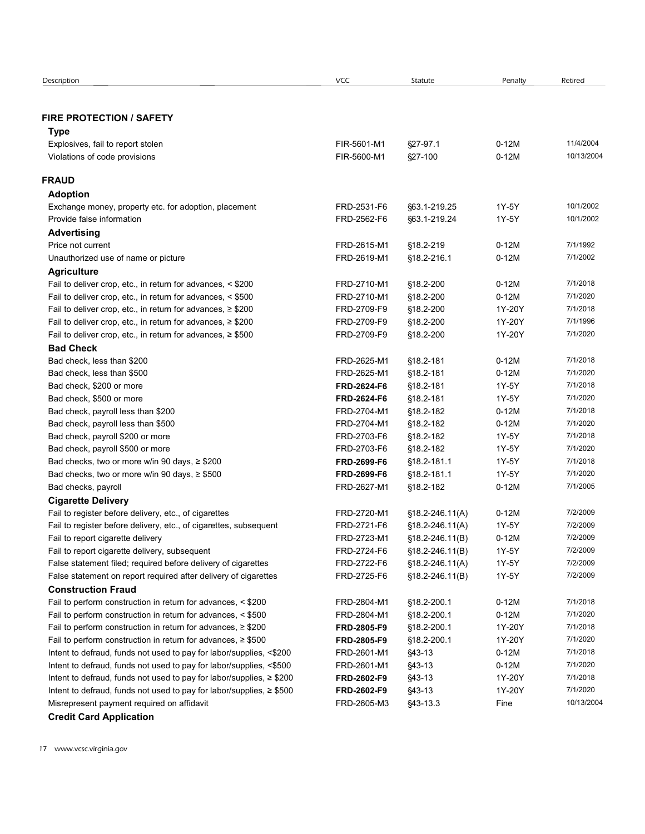| Description                                                                                                                          | <b>VCC</b>                 | Statute                    | Penalty            | Retired              |  |
|--------------------------------------------------------------------------------------------------------------------------------------|----------------------------|----------------------------|--------------------|----------------------|--|
|                                                                                                                                      |                            |                            |                    |                      |  |
| <b>FIRE PROTECTION / SAFETY</b>                                                                                                      |                            |                            |                    |                      |  |
| Type                                                                                                                                 |                            |                            |                    |                      |  |
| Explosives, fail to report stolen                                                                                                    | FIR-5601-M1                | §27-97.1                   | $0-12M$            | 11/4/2004            |  |
| Violations of code provisions                                                                                                        | FIR-5600-M1                | §27-100                    | $0-12M$            | 10/13/2004           |  |
|                                                                                                                                      |                            |                            |                    |                      |  |
| <b>FRAUD</b>                                                                                                                         |                            |                            |                    |                      |  |
| <b>Adoption</b><br>Exchange money, property etc. for adoption, placement                                                             | FRD-2531-F6                | §63.1-219.25               | 1Y-5Y              | 10/1/2002            |  |
| Provide false information                                                                                                            | FRD-2562-F6                | §63.1-219.24               | 1Y-5Y              | 10/1/2002            |  |
| <b>Advertising</b>                                                                                                                   |                            |                            |                    |                      |  |
| Price not current                                                                                                                    | FRD-2615-M1                | §18.2-219                  | $0-12M$            | 7/1/1992             |  |
| Unauthorized use of name or picture                                                                                                  | FRD-2619-M1                | §18.2-216.1                | $0-12M$            | 7/1/2002             |  |
| <b>Agriculture</b>                                                                                                                   |                            |                            |                    |                      |  |
| Fail to deliver crop, etc., in return for advances, < \$200                                                                          | FRD-2710-M1                | §18.2-200                  | $0-12M$            | 7/1/2018             |  |
| Fail to deliver crop, etc., in return for advances, < \$500                                                                          | FRD-2710-M1                | §18.2-200                  | $0-12M$            | 7/1/2020             |  |
| Fail to deliver crop, etc., in return for advances, $\geq$ \$200                                                                     | FRD-2709-F9                | §18.2-200                  | 1Y-20Y             | 7/1/2018             |  |
| Fail to deliver crop, etc., in return for advances, $\geq$ \$200<br>Fail to deliver crop, etc., in return for advances, $\geq$ \$500 | FRD-2709-F9<br>FRD-2709-F9 | §18.2-200<br>§18.2-200     | 1Y-20Y<br>1Y-20Y   | 7/1/1996<br>7/1/2020 |  |
| <b>Bad Check</b>                                                                                                                     |                            |                            |                    |                      |  |
| Bad check, less than \$200                                                                                                           | FRD-2625-M1                | §18.2-181                  | $0-12M$            | 7/1/2018             |  |
| Bad check, less than \$500                                                                                                           | FRD-2625-M1                | §18.2-181                  | $0-12M$            | 7/1/2020             |  |
| Bad check, \$200 or more                                                                                                             | FRD-2624-F6                | §18.2-181                  | 1Y-5Y              | 7/1/2018             |  |
| Bad check, \$500 or more                                                                                                             | FRD-2624-F6                | §18.2-181                  | 1Y-5Y              | 7/1/2020             |  |
| Bad check, payroll less than \$200                                                                                                   | FRD-2704-M1                | §18.2-182                  | $0-12M$            | 7/1/2018             |  |
| Bad check, payroll less than \$500                                                                                                   | FRD-2704-M1                | §18.2-182                  | $0-12M$            | 7/1/2020             |  |
| Bad check, payroll \$200 or more                                                                                                     | FRD-2703-F6                | §18.2-182                  | 1Y-5Y              | 7/1/2018             |  |
| Bad check, payroll \$500 or more<br>Bad checks, two or more w/in 90 days, ≥ \$200                                                    | FRD-2703-F6<br>FRD-2699-F6 | §18.2-182<br>§18.2-181.1   | 1Y-5Y<br>1Y-5Y     | 7/1/2020<br>7/1/2018 |  |
| Bad checks, two or more w/in 90 days, ≥ \$500                                                                                        | FRD-2699-F6                | §18.2-181.1                | 1Y-5Y              | 7/1/2020             |  |
| Bad checks, payroll                                                                                                                  | FRD-2627-M1                | §18.2-182                  | $0-12M$            | 7/1/2005             |  |
| <b>Cigarette Delivery</b>                                                                                                            |                            |                            |                    |                      |  |
| Fail to register before delivery, etc., of cigarettes                                                                                | FRD-2720-M1                | $$18.2 - 246.11(A)$        | $0-12M$            | 7/2/2009             |  |
| Fail to register before delivery, etc., of cigarettes, subsequent                                                                    | FRD-2721-F6                | $$18.2 - 246.11(A)$        | 1Y-5Y              | 7/2/2009             |  |
| Fail to report cigarette delivery                                                                                                    | FRD-2723-M1                | §18.2-246.11(B)            | $0-12M$            | 7/2/2009             |  |
| Fail to report cigarette delivery, subsequent                                                                                        | FRD-2724-F6                | §18.2-246.11(B)            | 1Y-5Y              | 7/2/2009             |  |
| False statement filed; required before delivery of cigarettes                                                                        | FRD-2722-F6                | $$18.2 - 246.11(A)$        | 1Y-5Y              | 7/2/2009             |  |
| False statement on report required after delivery of cigarettes                                                                      | FRD-2725-F6                | §18.2-246.11(B)            | 1Y-5Y              | 7/2/2009             |  |
| <b>Construction Fraud</b>                                                                                                            |                            |                            |                    |                      |  |
| Fail to perform construction in return for advances, < \$200<br>Fail to perform construction in return for advances, < \$500         | FRD-2804-M1<br>FRD-2804-M1 | §18.2-200.1<br>§18.2-200.1 | $0-12M$<br>$0-12M$ | 7/1/2018<br>7/1/2020 |  |
| Fail to perform construction in return for advances, $\geq$ \$200                                                                    | FRD-2805-F9                | §18.2-200.1                | 1Y-20Y             | 7/1/2018             |  |
| Fail to perform construction in return for advances, $\geq$ \$500                                                                    | FRD-2805-F9                | §18.2-200.1                | 1Y-20Y             | 7/1/2020             |  |
| Intent to defraud, funds not used to pay for labor/supplies, <\$200                                                                  | FRD-2601-M1                | §43-13                     | $0-12M$            | 7/1/2018             |  |
| Intent to defraud, funds not used to pay for labor/supplies, <\$500                                                                  | FRD-2601-M1                | §43-13                     | $0-12M$            | 7/1/2020             |  |
| Intent to defraud, funds not used to pay for labor/supplies, ≥ \$200                                                                 | FRD-2602-F9                | §43-13                     | 1Y-20Y             | 7/1/2018             |  |
| Intent to defraud, funds not used to pay for labor/supplies, ≥ \$500                                                                 | FRD-2602-F9                | §43-13                     | 1Y-20Y             | 7/1/2020             |  |
| Misrepresent payment required on affidavit                                                                                           | FRD-2605-M3                | §43-13.3                   | Fine               | 10/13/2004           |  |
| <b>Credit Card Application</b>                                                                                                       |                            |                            |                    |                      |  |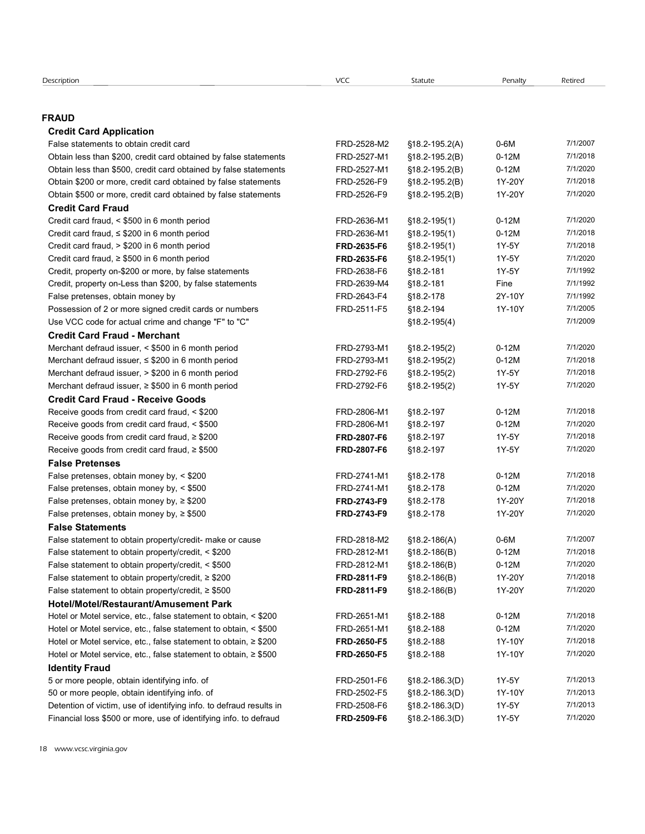# Description VCC Statute Penalty Retired FRAUD Credit Card Application Facingtion<br> **False statements to obtain credit card**<br> **False statements to obtain credit card**<br> **FAD-2528-M2** § 18.2-195.2(A) 0-6M 71/1/2007<br> **Obtain less than \$500**, credit card obtained by false statements<br> **Chain S200** escription<br> **Credit Card Application**<br> **Credit Card Application**<br>
False statements to obtain credit card obtained by false statements<br>
Obtain less than \$200, credit card obtained by false statements<br>
Obtain less than \$200, Ecciplion<br> **Credit Card Application**<br>
Cred**it Card Application**<br>
Obtain less than \$500, credit card obtained by false statements<br>
Obtain less than \$500, credit card obtained by false statements<br>
Obtain \$500 or more, credi escription<br> **Condit Card Application**<br>
Cristic Card **Condition**<br>
Chain less than \$200, credit card obtained by false statements<br>
Obtain less than \$200, credit card obtained by false statements<br>
Obtain 5200 or more, credit Colpision<br>
Credit Card Application<br>
Credit Card Application<br>
False statements to obtain restit card<br>
Obtain less than \$500, credit card obtained by false statements<br>
Obtain \$500 or more, credit card obtained by false stat Credit Card Fraud Comption<br>
Credit Card Application<br>
Credit Card Application<br>
Credit Card Application<br>
Obtain less than \$200, credit card obtained by false statements<br>
Obtain less than \$300, credit card obtained by false statements<br>
Obtain Crightion<br>
Credit Card Application<br>
Credit Card Application<br>
False statements to obtain cost card obtained by false statements<br>
Chian less than \$500, credit card obtained by false statements<br>
Chian less than \$500, credit Credit Card Application<br>
False statements to obtain credit card<br>
False statements to obtain credit card<br>
Obtain less than 8200, credit card obtained by false statements<br>
Obtain is 300 or more, credit card obtained by false Credit Card Application<br>
Credit Card Application<br>
Credit Card Application<br>
Colsinies statements to chian credit card dotained by false statements<br>
Chian less than 8200, credit card dotained by false statements<br>
Chian less Credit Card Application<br>
Credit Card Application<br>
Credit Card Application<br>
Cliste statements to column order and<br>
Cliste statements of the change of the statements<br>
Cliste statements FRD-2628-M2 (\$12-182-208)<br>
Cliste stat Credit Credit Credit Credit Credit Credit Credit Credit Credit Credit Credit Credit Credit Credit Credit Credit Credit Credit Credit Credit Credit Credit Credit Credit Credit Credit Credit Credit Credit Credit Credit Credi Factipation<br> **FALUD**<br> **Credit Card Application**<br>
False takennelis to botain rediction of the contained by false statements<br>
Colbain less than 5200, cnedit card othsined by false statements<br>
Chemine Shots, cnedit card oth ecription **Prospect Condition of 2 or more signed credit card Application of 2 or more signed Creat Application or more signed credit card application or more signed credit card or more signed credit card or numbers FRD-2** Scription<br>
Credit Card Application<br>
Credit Card Application<br>
Channelss attachements to column orientary of actual crime and change the statements<br>
Column less than \$200, credit card obtained by false statements<br>
Channelss Credit Card Fraud - Merchant excitized Credit Card Application<br>
Credit Card Application<br>
Merchant defraud issues to the control of the control of the control of the control of the control of the control of the control of the control of the control of **RAUD**<br> **Credit Card Application**<br>
Fisite statements to obtain ered to and their defraud is the statements<br>
Obtain less than 5000, credit card obtained by false statements<br>
Obtain 4500 or more, credit card obtained by fal **RAUD**<br>
Creat Card Application<br>
Crisis statements to other need that detailed by false statements<br>
Crisis man the S500, creat card obtained by false statements<br>
Chemi less than the S500 in 6 month period FRD-2792-F6 18.2-**ROLO Credit Card Application**<br> **Credit Card Application**<br>
Colstan states obtain credit card obtained by faile statements<br>
Obtain less than 5500, credit card obtained by faile statements<br>
Obtain 1820 or more, credit card Credit Card Fraud - Receive Goods First estatements to chain credit card rata card absolute contract the credit of the credit card fraud, and the control of the credit card obtained by faise statements<br>
Obtain less than S500, cnedit card obtained by faise Obtain less than 8500, credit card obtained by faise statements<br>
Colbain less than 8500, credit card cobtained by faise statements<br>
Chemic SOO or more, credit card cobtained by faise statements<br>
Chemic SOO or more, credit Obtain less than 8500, codit card obtained by fase statements<br>
Coltain s 200 or more, pradic and obtained by false statements<br>
Check that 500 or more, pradic and obtained by false statements<br>
Check that 500 or more, predi Obtain \$200 or more, credit card obtained by false statements<br>
Chesin \$300 or more, credit card obtained by false attenuate<br>
Chesit card Fraud,  $\frac{1}{2}$  FRD-2807-F6 §18.2-1982(1)<br>
Condit card Fraud,  $\frac{1}{2}$  FRD-2807-MH False Pretenses Credit Card Francia (Sample of the month period<br>Credit card franck 4.5300 in 6 month period<br>Credit card franck 4.5300 in 6 month period<br>Credit card franck 4.5300 in 6 month period<br>Credit card franck 4.5300 in 6 month perio Credit can final, 4,5800 in 6 month period FRD-2783-M1 (1912-1987) 0-12M 71/3220<br>Credit can final, 4,5800 in 6 month period FRD-2835-M1 (1912-1981) 11/3-1/18.2-178<br>Credit can final, 4,200 in 6 month period FRD-2835-F6 (19 Credit can finud, 5 4 S200 In 6 month period FRD-283-F9 §18.2-178 (12-178 / 12-128<br>Credit can finud, 8 4 S00 In 6 month period FRD-283-F9 §18.2-178 (12-1881)<br>Credit can finud, 8 4 S00 In 6 month period FRD-283-F9 §18.2-17 Credit can fraud, 5 4, 200 in 6 month period FRD-283-F9 §18.2-178 (17.4-3Y 7/1/2020<br>
Credit, property on-2500 or none, by false statements<br>
Credit, property on-250 or none, by false statements<br>
FRD-283-F9 §18.2-181 1Y-5Y False Statements Credit property on-5200 or more, by laise statements<br>
FRD-2818-False preference, obtain money by  $\approx$  5000<br>
False preference, obtain money by  $\approx$  5000<br>
Credit- and credit cause or cause FRD-2818-F4<br>
Method Credit- make or Credit property on-Les than S200, by false statements<br>
False presense, obtain money by<br>
Property. The Credit Card Fraud - Members of numbers<br>
Use VCC coef for actual crime and change of Turb Credit FRD-2793-M1 818-2-186(4) False predoness, colain money by existed to obtain  $\sqrt{6}$  FRD-2843-F4<br>
Uses to conce for actual crime and drame "F" to "C"<br>
Uses Credit Card Fraud. Metchant to obtain the main drame "F" to "C"<br>
Credit Card Fraud. Metchant Possession of 2 cm mossigned credit card are muniblent to obtain, etc. 2614-186<br>
Cheel Card Francia John Chemical Card Franch protocome of the statement of the statement of the statement of the statement of the statement Use of Cocole of actual crime and change "F" to "C"<br> **Credit Card Fraud - Mecchant** to obtain the product of the method of the credit of the credit of the credit of the credit of the credit of the credit of the credit of Membran derival assume, < \$300 in 6 month pendo<br>
Membran derival assume, < \$300 in 6 month pendo<br>
Membran derival assume, > \$200 in 6 month pendo<br>
Membran derival assume, > \$200 in 6 month pendo<br>
Membran derival assume, > Merchart defraud issuer, etc., 6200 in Finorito (FRD-2761-M1 18.2-1982) 0 -12M 71/2021<br>
Merchart defraud issuer, etc., 800 in Finorito (FRD-2762-FB 18.2-1982) 17/-5Y 71/2020<br>
Credit Card Fraud - Receive Goods FRD-27792-FB Memberit defraud issuer, > \$200 in Empha period of FRD-2792-F6 §18.2-1982<br>
Check Card Francis Reading conditions (= Service Conditions (= Service 200 FRD-2806-M1 §18.2-197 0-12M 7/1/2018<br>
Reading goods from credit card fr Merchant defauld issues. + SEOD in Emotic and most control or Motel carbotted in the control or Motel carbotted flame of the control carbotted flame or Motel carbotted flame or Motel carbotted flame or Motel carbotted fla Receive goods from ceelit card fraud, < 8,500 = FRD-2606-M1 = 818.2-187 0-12M = 7/1/2018<br>
Receive goods from credit card fraud, × 8,500 = FRD-2606-M1 = 818.2-187 0-12M = 7/1/5/2018<br>
Receive goods from credit card fraud, × Receive goods from ceelit card fraud, < 5500<br>
Receive goods from ceelit card fraud, < 5500<br>
Receive goods from ceelit card fraud, ≥ 5500<br>
FRD-2807-F6 918.2-187 1Y-5Y 711/2020<br>
False Predentes, obtain money by. < 5500<br>
FRD-

| Receive goods from credit card fraud, $\geq$ \$200                    | FRD-2807-F6        | §18.2-197          | 1Y-5Y   | 7/1/2018 |
|-----------------------------------------------------------------------|--------------------|--------------------|---------|----------|
| Receive goods from credit card fraud, $\geq$ \$500                    | <b>FRD-2807-F6</b> | §18.2-197          | 1Y-5Y   | 7/1/2020 |
| <b>False Pretenses</b>                                                |                    |                    |         |          |
| False pretenses, obtain money by, < \$200                             | FRD-2741-M1        | §18.2-178          | $0-12M$ | 7/1/2018 |
| False pretenses, obtain money by, < \$500                             | FRD-2741-M1        | §18.2-178          | $0-12M$ | 7/1/2020 |
| False pretenses, obtain money by, $\geq$ \$200                        | FRD-2743-F9        | §18.2-178          | 1Y-20Y  | 7/1/2018 |
| False pretenses, obtain money by, $\geq$ \$500                        | FRD-2743-F9        | §18.2-178          | 1Y-20Y  | 7/1/2020 |
| <b>False Statements</b>                                               |                    |                    |         |          |
| False statement to obtain property/credit- make or cause              | FRD-2818-M2        | $$18.2 - 186(A)$   | $0-6M$  | 7/1/2007 |
| False statement to obtain property/credit, < \$200                    | FRD-2812-M1        | $$18.2 - 186(B)$   | $0-12M$ | 7/1/2018 |
| False statement to obtain property/credit, < \$500                    | FRD-2812-M1        | $$18.2 - 186(B)$   | $0-12M$ | 7/1/2020 |
| False statement to obtain property/credit, $\geq$ \$200               | FRD-2811-F9        | $$18.2 - 186(B)$   | 1Y-20Y  | 7/1/2018 |
| False statement to obtain property/credit, $\geq$ \$500               | FRD-2811-F9        | $$18.2 - 186(B)$   | 1Y-20Y  | 7/1/2020 |
| Hotel/Motel/Restaurant/Amusement Park                                 |                    |                    |         |          |
| Hotel or Motel service, etc., false statement to obtain, < \$200      | FRD-2651-M1        | §18.2-188          | $0-12M$ | 7/1/2018 |
| Hotel or Motel service, etc., false statement to obtain, < \$500      | FRD-2651-M1        | §18.2-188          | $0-12M$ | 7/1/2020 |
| Hotel or Motel service, etc., false statement to obtain, ≥ \$200      | FRD-2650-F5        | §18.2-188          | 1Y-10Y  | 7/1/2018 |
| Hotel or Motel service, etc., false statement to obtain, $\geq$ \$500 | <b>FRD-2650-F5</b> | §18.2-188          | 1Y-10Y  | 7/1/2020 |
| <b>Identity Fraud</b>                                                 |                    |                    |         |          |
| 5 or more people, obtain identifying info. of                         | FRD-2501-F6        | $$18.2 - 186.3(D)$ | 1Y-5Y   | 7/1/2013 |
| 50 or more people, obtain identifying info. of                        | FRD-2502-F5        | $$18.2 - 186.3(D)$ | 1Y-10Y  | 7/1/2013 |
| Detention of victim, use of identifying info. to defraud results in   | FRD-2508-F6        | $$18.2 - 186.3(D)$ | 1Y-5Y   | 7/1/2013 |
| Financial loss \$500 or more, use of identifying info. to defraud     | FRD-2509-F6        | $$18.2 - 186.3(D)$ | 1Y-5Y   | 7/1/2020 |
|                                                                       |                    |                    |         |          |
| www.vcsc.virginia.gov                                                 |                    |                    |         |          |
|                                                                       |                    |                    |         |          |
|                                                                       |                    |                    |         |          |
|                                                                       |                    |                    |         |          |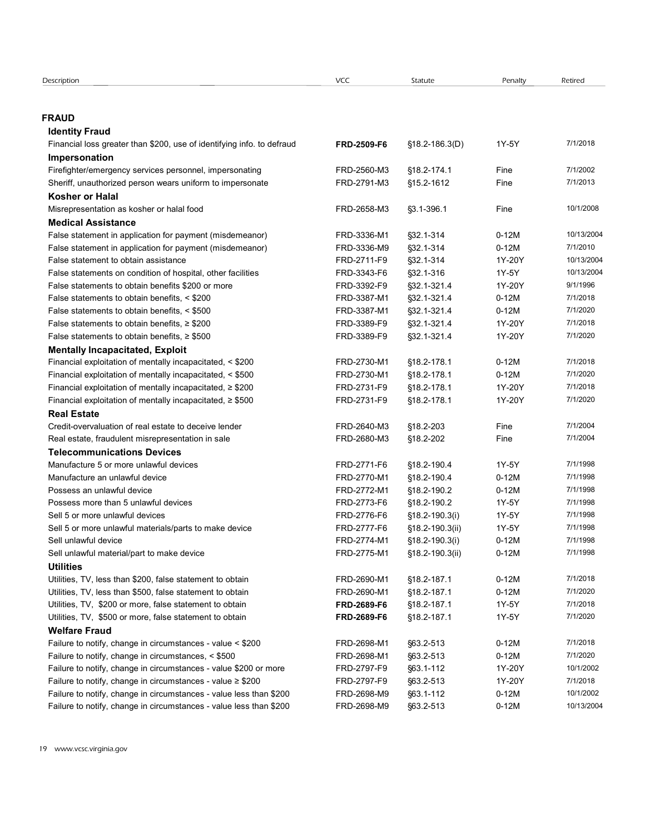| Description                                                                 | <b>VCC</b>  | Statute                | Penalty            | Retired                 |
|-----------------------------------------------------------------------------|-------------|------------------------|--------------------|-------------------------|
|                                                                             |             |                        |                    |                         |
|                                                                             |             |                        |                    |                         |
| <b>FRAUD</b>                                                                |             |                        |                    |                         |
| <b>Identity Fraud</b>                                                       |             |                        |                    |                         |
| Financial loss greater than \$200, use of identifying info. to defraud      | FRD-2509-F6 | $$18.2 - 186.3(D)$     | 1Y-5Y              | 7/1/2018                |
| Impersonation                                                               |             |                        |                    |                         |
| Firefighter/emergency services personnel, impersonating                     | FRD-2560-M3 | §18.2-174.1            | Fine               | 7/1/2002                |
| Sheriff, unauthorized person wears uniform to impersonate                   | FRD-2791-M3 | §15.2-1612             | Fine               | 7/1/2013                |
| <b>Kosher or Halal</b>                                                      |             |                        |                    | 10/1/2008               |
| Misrepresentation as kosher or halal food<br><b>Medical Assistance</b>      | FRD-2658-M3 | $\S3.1 - 396.1$        | Fine               |                         |
| False statement in application for payment (misdemeanor)                    | FRD-3336-M1 | §32.1-314              | $0-12M$            | 10/13/2004              |
| False statement in application for payment (misdemeanor)                    | FRD-3336-M9 | §32.1-314              | $0-12M$            | 7/1/2010                |
| False statement to obtain assistance                                        | FRD-2711-F9 | §32.1-314              | 1Y-20Y             | 10/13/2004              |
| False statements on condition of hospital, other facilities                 | FRD-3343-F6 | §32.1-316              | 1Y-5Y              | 10/13/2004              |
| False statements to obtain benefits \$200 or more                           | FRD-3392-F9 | §32.1-321.4            | 1Y-20Y             | 9/1/1996                |
| False statements to obtain benefits, < \$200                                | FRD-3387-M1 | §32.1-321.4            | $0-12M$            | 7/1/2018                |
| False statements to obtain benefits, < \$500                                | FRD-3387-M1 | §32.1-321.4            | $0-12M$            | 7/1/2020                |
| False statements to obtain benefits, $\geq$ \$200                           | FRD-3389-F9 | §32.1-321.4            | 1Y-20Y             | 7/1/2018                |
| False statements to obtain benefits, $\geq$ \$500                           | FRD-3389-F9 | §32.1-321.4            | 1Y-20Y             | 7/1/2020                |
| <b>Mentally Incapacitated, Exploit</b>                                      |             |                        |                    |                         |
| Financial exploitation of mentally incapacitated, < \$200                   | FRD-2730-M1 | §18.2-178.1            | $0-12M$            | 7/1/2018                |
| Financial exploitation of mentally incapacitated, < \$500                   | FRD-2730-M1 | §18.2-178.1            | $0-12M$            | 7/1/2020                |
| Financial exploitation of mentally incapacitated, $\geq$ \$200              | FRD-2731-F9 | §18.2-178.1            | 1Y-20Y             | 7/1/2018                |
| Financial exploitation of mentally incapacitated, $\geq$ \$500              | FRD-2731-F9 | §18.2-178.1            | 1Y-20Y             | 7/1/2020                |
| <b>Real Estate</b><br>Credit-overvaluation of real estate to deceive lender | FRD-2640-M3 | §18.2-203              | Fine               | 7/1/2004                |
| Real estate, fraudulent misrepresentation in sale                           | FRD-2680-M3 | §18.2-202              | Fine               | 7/1/2004                |
| <b>Telecommunications Devices</b>                                           |             |                        |                    |                         |
| Manufacture 5 or more unlawful devices                                      | FRD-2771-F6 | §18.2-190.4            | 1Y-5Y              | 7/1/1998                |
| Manufacture an unlawful device                                              | FRD-2770-M1 | §18.2-190.4            | $0-12M$            | 7/1/1998                |
| Possess an unlawful device                                                  | FRD-2772-M1 | §18.2-190.2            | $0-12M$            | 7/1/1998                |
| Possess more than 5 unlawful devices                                        | FRD-2773-F6 | §18.2-190.2            | 1Y-5Y              | 7/1/1998                |
| Sell 5 or more unlawful devices                                             | FRD-2776-F6 | §18.2-190.3(i)         | 1Y-5Y              | 7/1/1998                |
| Sell 5 or more unlawful materials/parts to make device                      | FRD-2777-F6 | §18.2-190.3(ii)        | 1Y-5Y              | 7/1/1998                |
| Sell unlawful device                                                        | FRD-2774-M1 | §18.2-190.3(i)         | $0-12M$            | 7/1/1998                |
| Sell unlawful material/part to make device                                  | FRD-2775-M1 | §18.2-190.3(ii)        | $0-12M$            | 7/1/1998                |
| <b>Utilities</b>                                                            |             |                        |                    |                         |
| Utilities, TV, less than \$200, false statement to obtain                   | FRD-2690-M1 | §18.2-187.1            | $0-12M$            | 7/1/2018                |
| Utilities, TV, less than \$500, false statement to obtain                   | FRD-2690-M1 | §18.2-187.1            | $0-12M$            | 7/1/2020                |
| Utilities, TV, \$200 or more, false statement to obtain                     | FRD-2689-F6 | §18.2-187.1            | 1Y-5Y              | 7/1/2018                |
| Utilities, TV, \$500 or more, false statement to obtain                     | FRD-2689-F6 | §18.2-187.1            | 1Y-5Y              | 7/1/2020                |
| <b>Welfare Fraud</b>                                                        |             |                        |                    |                         |
| Failure to notify, change in circumstances - value < \$200                  | FRD-2698-M1 | §63.2-513              | $0-12M$            | 7/1/2018                |
| Failure to notify, change in circumstances, < \$500                         | FRD-2698-M1 | §63.2-513              | $0-12M$            | 7/1/2020                |
| Failure to notify, change in circumstances - value \$200 or more            | FRD-2797-F9 | §63.1-112              | 1Y-20Y             | 10/1/2002               |
| Failure to notify, change in circumstances - value ≥ \$200                  | FRD-2797-F9 | §63.2-513              | 1Y-20Y             | 7/1/2018                |
| Failure to notify, change in circumstances - value less than \$200          | FRD-2698-M9 | §63.1-112<br>§63.2-513 | $0-12M$<br>$0-12M$ | 10/1/2002<br>10/13/2004 |
| Failure to notify, change in circumstances - value less than \$200          | FRD-2698-M9 |                        |                    |                         |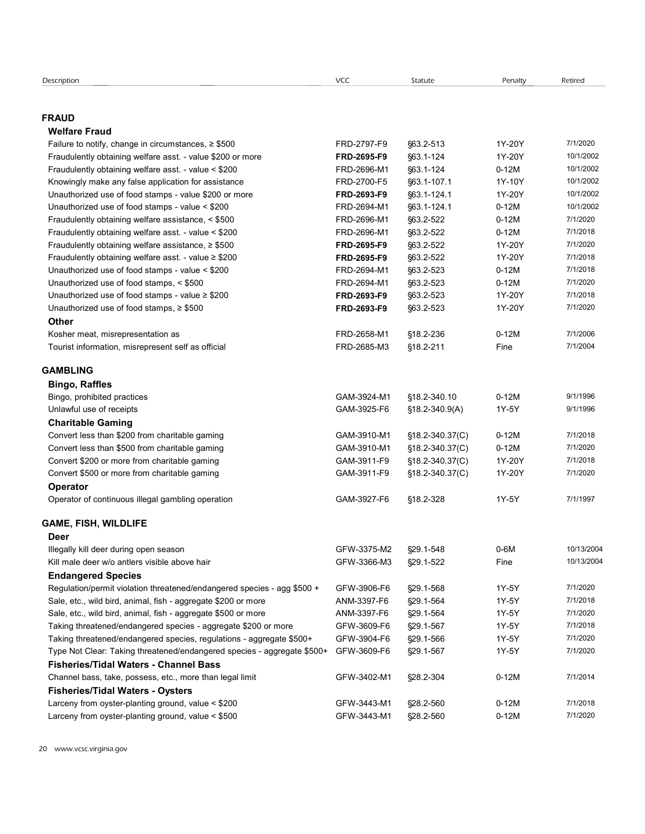| Description                                                             | <b>VCC</b>  | Statute         | Penalty | Retired    |  |
|-------------------------------------------------------------------------|-------------|-----------------|---------|------------|--|
|                                                                         |             |                 |         |            |  |
|                                                                         |             |                 |         |            |  |
| <b>FRAUD</b>                                                            |             |                 |         |            |  |
| <b>Welfare Fraud</b>                                                    |             |                 |         |            |  |
| Failure to notify, change in circumstances, $\geq$ \$500                | FRD-2797-F9 | §63.2-513       | 1Y-20Y  | 7/1/2020   |  |
| Fraudulently obtaining welfare asst. - value \$200 or more              | FRD-2695-F9 | §63.1-124       | 1Y-20Y  | 10/1/2002  |  |
| Fraudulently obtaining welfare asst. - value < \$200                    | FRD-2696-M1 | §63.1-124       | $0-12M$ | 10/1/2002  |  |
| Knowingly make any false application for assistance                     | FRD-2700-F5 | §63.1-107.1     | 1Y-10Y  | 10/1/2002  |  |
| Unauthorized use of food stamps - value \$200 or more                   | FRD-2693-F9 | §63.1-124.1     | 1Y-20Y  | 10/1/2002  |  |
| Unauthorized use of food stamps - value < \$200                         | FRD-2694-M1 | §63.1-124.1     | $0-12M$ | 10/1/2002  |  |
| Fraudulently obtaining welfare assistance, < \$500                      | FRD-2696-M1 | §63.2-522       | $0-12M$ | 7/1/2020   |  |
| Fraudulently obtaining welfare asst. - value < \$200                    | FRD-2696-M1 | §63.2-522       | $0-12M$ | 7/1/2018   |  |
| Fraudulently obtaining welfare assistance, $\geq$ \$500                 | FRD-2695-F9 | §63.2-522       | 1Y-20Y  | 7/1/2020   |  |
| Fraudulently obtaining welfare asst. - value $\geq$ \$200               | FRD-2695-F9 | §63.2-522       | 1Y-20Y  | 7/1/2018   |  |
| Unauthorized use of food stamps - value < \$200                         | FRD-2694-M1 | §63.2-523       | $0-12M$ | 7/1/2018   |  |
| Unauthorized use of food stamps, < \$500                                | FRD-2694-M1 | §63.2-523       | $0-12M$ | 7/1/2020   |  |
| Unauthorized use of food stamps - value $\geq$ \$200                    | FRD-2693-F9 | §63.2-523       | 1Y-20Y  | 7/1/2018   |  |
| Unauthorized use of food stamps, $\ge$ \$500                            | FRD-2693-F9 | §63.2-523       | 1Y-20Y  | 7/1/2020   |  |
| Other                                                                   |             |                 |         |            |  |
| Kosher meat, misrepresentation as                                       | FRD-2658-M1 | §18.2-236       | $0-12M$ | 7/1/2006   |  |
| Tourist information, misrepresent self as official                      | FRD-2685-M3 | §18.2-211       | Fine    | 7/1/2004   |  |
|                                                                         |             |                 |         |            |  |
| <b>GAMBLING</b>                                                         |             |                 |         |            |  |
| <b>Bingo, Raffles</b>                                                   |             |                 |         |            |  |
| Bingo, prohibited practices                                             | GAM-3924-M1 | §18.2-340.10    | $0-12M$ | 9/1/1996   |  |
| Unlawful use of receipts                                                | GAM-3925-F6 | §18.2-340.9(A)  | 1Y-5Y   | 9/1/1996   |  |
| <b>Charitable Gaming</b>                                                |             |                 |         |            |  |
| Convert less than \$200 from charitable gaming                          | GAM-3910-M1 | §18.2-340.37(C) | $0-12M$ | 7/1/2018   |  |
| Convert less than \$500 from charitable gaming                          | GAM-3910-M1 | §18.2-340.37(C) | $0-12M$ | 7/1/2020   |  |
| Convert \$200 or more from charitable gaming                            | GAM-3911-F9 | §18.2-340.37(C) | 1Y-20Y  | 7/1/2018   |  |
| Convert \$500 or more from charitable gaming                            | GAM-3911-F9 | §18.2-340.37(C) | 1Y-20Y  | 7/1/2020   |  |
| Operator                                                                |             |                 |         |            |  |
| Operator of continuous illegal gambling operation                       | GAM-3927-F6 | §18.2-328       | 1Y-5Y   | 7/1/1997   |  |
|                                                                         |             |                 |         |            |  |
| GAME, FISH, WILDLIFE                                                    |             |                 |         |            |  |
| Deer                                                                    |             |                 |         |            |  |
| Illegally kill deer during open season                                  | GFW-3375-M2 | §29.1-548       | $0-6M$  | 10/13/2004 |  |
| Kill male deer w/o antlers visible above hair                           | GFW-3366-M3 | §29.1-522       | Fine    | 10/13/2004 |  |
| <b>Endangered Species</b>                                               |             |                 |         |            |  |
| Regulation/permit violation threatened/endangered species - agg \$500 + | GFW-3906-F6 | §29.1-568       | 1Y-5Y   | 7/1/2020   |  |
| Sale, etc., wild bird, animal, fish - aggregate \$200 or more           | ANM-3397-F6 | §29.1-564       | 1Y-5Y   | 7/1/2018   |  |
| Sale, etc., wild bird, animal, fish - aggregate \$500 or more           | ANM-3397-F6 | §29.1-564       | 1Y-5Y   | 7/1/2020   |  |
| Taking threatened/endangered species - aggregate \$200 or more          | GFW-3609-F6 | §29.1-567       | 1Y-5Y   | 7/1/2018   |  |
| Taking threatened/endangered species, regulations - aggregate \$500+    | GFW-3904-F6 | §29.1-566       | 1Y-5Y   | 7/1/2020   |  |
| Type Not Clear: Taking threatened/endangered species - aggregate \$500+ | GFW-3609-F6 | §29.1-567       | 1Y-5Y   | 7/1/2020   |  |
| <b>Fisheries/Tidal Waters - Channel Bass</b>                            |             |                 |         |            |  |
| Channel bass, take, possess, etc., more than legal limit                | GFW-3402-M1 | §28.2-304       | $0-12M$ | 7/1/2014   |  |
| <b>Fisheries/Tidal Waters - Oysters</b>                                 |             |                 |         |            |  |
| Larceny from oyster-planting ground, value < \$200                      | GFW-3443-M1 | §28.2-560       | $0-12M$ | 7/1/2018   |  |
|                                                                         |             |                 |         |            |  |
| Larceny from oyster-planting ground, value < \$500                      | GFW-3443-M1 | §28.2-560       | $0-12M$ | 7/1/2020   |  |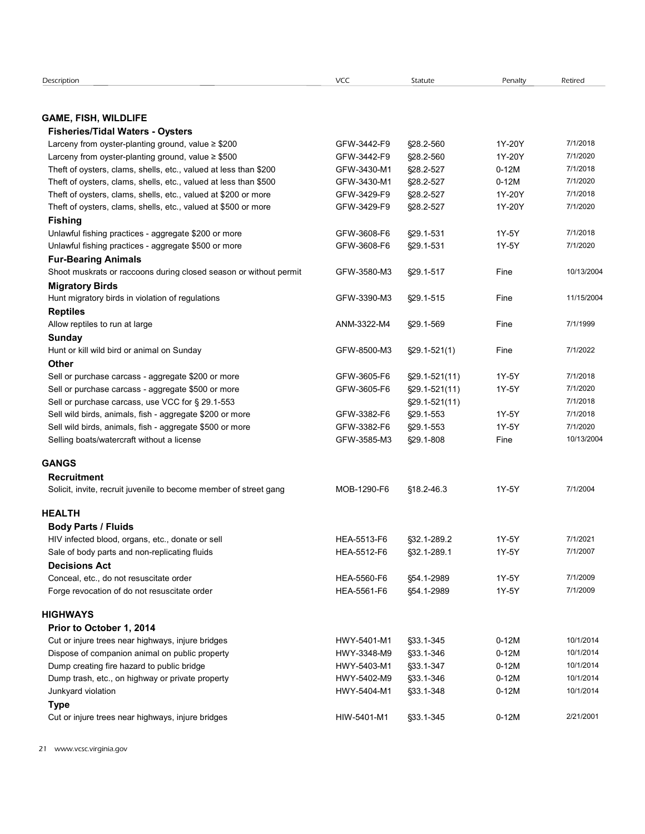| Description                                                                                         | VCC                        | Statute                | Penalty            | Retired    |  |
|-----------------------------------------------------------------------------------------------------|----------------------------|------------------------|--------------------|------------|--|
|                                                                                                     |                            |                        |                    |            |  |
|                                                                                                     |                            |                        |                    |            |  |
| <b>GAME, FISH, WILDLIFE</b><br><b>Fisheries/Tidal Waters - Oysters</b>                              |                            |                        |                    |            |  |
| Larceny from oyster-planting ground, value $\geq$ \$200                                             | GFW-3442-F9                | §28.2-560              | 1Y-20Y             | 7/1/2018   |  |
| Larceny from oyster-planting ground, value $\geq$ \$500                                             | GFW-3442-F9                | §28.2-560              | 1Y-20Y             | 7/1/2020   |  |
| Theft of oysters, clams, shells, etc., valued at less than \$200                                    | GFW-3430-M1                | §28.2-527              | $0-12M$            | 7/1/2018   |  |
| Theft of oysters, clams, shells, etc., valued at less than \$500                                    | GFW-3430-M1                | §28.2-527              | $0-12M$            | 7/1/2020   |  |
| Theft of oysters, clams, shells, etc., valued at \$200 or more                                      | GFW-3429-F9                | §28.2-527              | 1Y-20Y             | 7/1/2018   |  |
| Theft of oysters, clams, shells, etc., valued at \$500 or more                                      | GFW-3429-F9                | §28.2-527              | 1Y-20Y             | 7/1/2020   |  |
| <b>Fishing</b>                                                                                      |                            |                        |                    |            |  |
| Unlawful fishing practices - aggregate \$200 or more                                                | GFW-3608-F6                | §29.1-531              | 1Y-5Y              | 7/1/2018   |  |
| Unlawful fishing practices - aggregate \$500 or more                                                | GFW-3608-F6                | §29.1-531              | 1Y-5Y              | 7/1/2020   |  |
| <b>Fur-Bearing Animals</b>                                                                          |                            |                        |                    |            |  |
| Shoot muskrats or raccoons during closed season or without permit                                   | GFW-3580-M3                | §29.1-517              | Fine               | 10/13/2004 |  |
| <b>Migratory Birds</b>                                                                              |                            |                        |                    |            |  |
| Hunt migratory birds in violation of regulations                                                    | GFW-3390-M3                | §29.1-515              | Fine               | 11/15/2004 |  |
| <b>Reptiles</b>                                                                                     |                            |                        | Fine               | 7/1/1999   |  |
| Allow reptiles to run at large<br>Sunday                                                            | ANM-3322-M4                | §29.1-569              |                    |            |  |
| Hunt or kill wild bird or animal on Sunday                                                          | GFW-8500-M3                | $\S29.1 - 521(1)$      | Fine               | 7/1/2022   |  |
| Other                                                                                               |                            |                        |                    |            |  |
| Sell or purchase carcass - aggregate \$200 or more                                                  | GFW-3605-F6                | $\S29.1 - 521(11)$     | 1Y-5Y              | 7/1/2018   |  |
| Sell or purchase carcass - aggregate \$500 or more                                                  | GFW-3605-F6                | §29.1-521(11)          | 1Y-5Y              | 7/1/2020   |  |
| Sell or purchase carcass, use VCC for § 29.1-553                                                    |                            | $\S29.1 - 521(11)$     |                    | 7/1/2018   |  |
| Sell wild birds, animals, fish - aggregate \$200 or more                                            | GFW-3382-F6                | §29.1-553              | 1Y-5Y              | 7/1/2018   |  |
| Sell wild birds, animals, fish - aggregate \$500 or more                                            | GFW-3382-F6                | §29.1-553              | 1Y-5Y              | 7/1/2020   |  |
| Selling boats/watercraft without a license                                                          | GFW-3585-M3                | §29.1-808              | Fine               | 10/13/2004 |  |
|                                                                                                     |                            |                        |                    |            |  |
| <b>GANGS</b>                                                                                        |                            |                        |                    |            |  |
| <b>Recruitment</b>                                                                                  |                            |                        |                    |            |  |
| Solicit, invite, recruit juvenile to become member of street gang                                   | MOB-1290-F6                | §18.2-46.3             | 1Y-5Y              | 7/1/2004   |  |
| <b>HEALTH</b>                                                                                       |                            |                        |                    |            |  |
| <b>Body Parts / Fluids</b>                                                                          |                            |                        |                    |            |  |
| HIV infected blood, organs, etc., donate or sell                                                    | HEA-5513-F6                | §32.1-289.2            | 1Y-5Y              | 7/1/2021   |  |
| Sale of body parts and non-replicating fluids                                                       | HEA-5512-F6                | §32.1-289.1            | 1Y-5Y              | 7/1/2007   |  |
| <b>Decisions Act</b>                                                                                |                            |                        |                    |            |  |
| Conceal, etc., do not resuscitate order                                                             | HEA-5560-F6                | §54.1-2989             | 1Y-5Y              | 7/1/2009   |  |
| Forge revocation of do not resuscitate order                                                        | HEA-5561-F6                | §54.1-2989             | 1Y-5Y              | 7/1/2009   |  |
|                                                                                                     |                            |                        |                    |            |  |
| HIGHWAYS                                                                                            |                            |                        |                    |            |  |
| Prior to October 1, 2014                                                                            |                            |                        |                    | 10/1/2014  |  |
| Cut or injure trees near highways, injure bridges<br>Dispose of companion animal on public property | HWY-5401-M1<br>HWY-3348-M9 | §33.1-345<br>§33.1-346 | $0-12M$<br>$0-12M$ | 10/1/2014  |  |
| Dump creating fire hazard to public bridge                                                          | HWY-5403-M1                | §33.1-347              | $0-12M$            | 10/1/2014  |  |
| Dump trash, etc., on highway or private property                                                    | HWY-5402-M9                | §33.1-346              | $0-12M$            | 10/1/2014  |  |
| Junkyard violation                                                                                  | HWY-5404-M1                | §33.1-348              | $0-12M$            | 10/1/2014  |  |
| <b>Type</b>                                                                                         |                            |                        |                    |            |  |
|                                                                                                     |                            |                        |                    |            |  |
| Cut or injure trees near highways, injure bridges                                                   | HIW-5401-M1                | §33.1-345              | $0-12M$            | 2/21/2001  |  |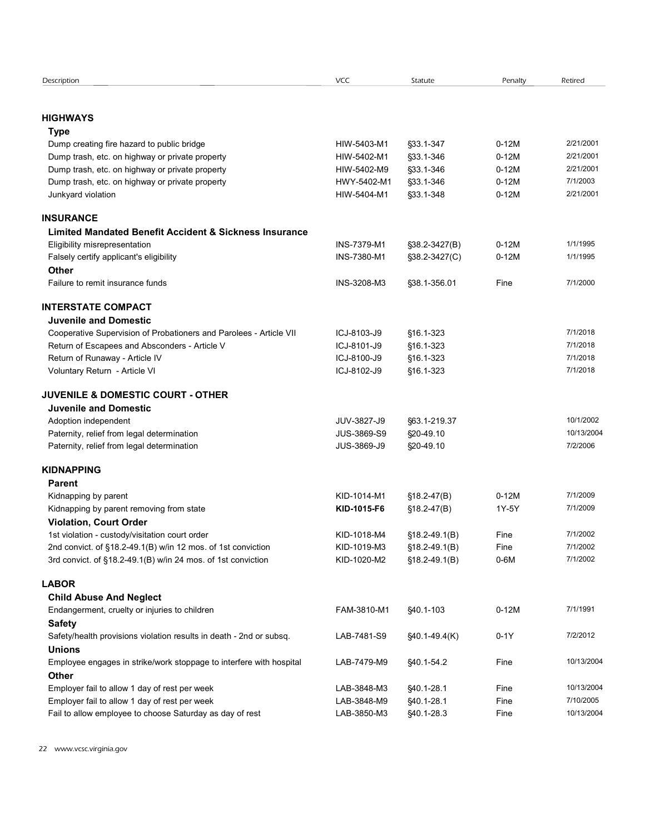| Description<br><b>HIGHWAYS</b>                                                                                      | VCC                        |                                      |                    |                         |
|---------------------------------------------------------------------------------------------------------------------|----------------------------|--------------------------------------|--------------------|-------------------------|
|                                                                                                                     |                            | Statute                              | Penalty            | Retired                 |
|                                                                                                                     |                            |                                      |                    |                         |
|                                                                                                                     |                            |                                      |                    |                         |
| Type                                                                                                                |                            |                                      |                    | 2/21/2001               |
| Dump creating fire hazard to public bridge<br>Dump trash, etc. on highway or private property                       | HIW-5403-M1<br>HIW-5402-M1 | §33.1-347<br>§33.1-346               | $0-12M$<br>$0-12M$ | 2/21/2001               |
| Dump trash, etc. on highway or private property                                                                     | HIW-5402-M9                | §33.1-346                            | $0-12M$            | 2/21/2001               |
| Dump trash, etc. on highway or private property                                                                     | HWY-5402-M1                | §33.1-346                            | $0-12M$            | 7/1/2003                |
| Junkyard violation                                                                                                  | HIW-5404-M1                | §33.1-348                            | $0-12M$            | 2/21/2001               |
| <b>INSURANCE</b>                                                                                                    |                            |                                      |                    |                         |
| Limited Mandated Benefit Accident & Sickness Insurance                                                              |                            |                                      |                    |                         |
| Eligibility misrepresentation                                                                                       | INS-7379-M1                | §38.2-3427(B)                        | $0-12M$            | 1/1/1995                |
| Falsely certify applicant's eligibility                                                                             | INS-7380-M1                | §38.2-3427(C)                        | $0-12M$            | 1/1/1995                |
| Other<br>Failure to remit insurance funds                                                                           | INS-3208-M3                | §38.1-356.01                         | Fine               | 7/1/2000                |
|                                                                                                                     |                            |                                      |                    |                         |
| <b>INTERSTATE COMPACT</b>                                                                                           |                            |                                      |                    |                         |
| <b>Juvenile and Domestic</b>                                                                                        | ICJ-8103-J9                |                                      |                    | 7/1/2018                |
| Cooperative Supervision of Probationers and Parolees - Article VII<br>Return of Escapees and Absconders - Article V | ICJ-8101-J9                | §16.1-323<br>§16.1-323               |                    | 7/1/2018                |
| Return of Runaway - Article IV                                                                                      | ICJ-8100-J9                | §16.1-323                            |                    | 7/1/2018                |
| Voluntary Return - Article VI                                                                                       | ICJ-8102-J9                | §16.1-323                            |                    | 7/1/2018                |
| <b>JUVENILE &amp; DOMESTIC COURT - OTHER</b>                                                                        |                            |                                      |                    |                         |
| <b>Juvenile and Domestic</b>                                                                                        |                            |                                      |                    |                         |
| Adoption independent                                                                                                | JUV-3827-J9                | §63.1-219.37                         |                    | 10/1/2002               |
| Paternity, relief from legal determination                                                                          | JUS-3869-S9                | §20-49.10                            |                    | 10/13/2004              |
| Paternity, relief from legal determination                                                                          | JUS-3869-J9                | §20-49.10                            |                    | 7/2/2006                |
| <b>KIDNAPPING</b>                                                                                                   |                            |                                      |                    |                         |
| <b>Parent</b>                                                                                                       |                            |                                      |                    |                         |
| Kidnapping by parent                                                                                                | KID-1014-M1                | $$18.2-47(B)$                        | $0-12M$            | 7/1/2009                |
| Kidnapping by parent removing from state                                                                            | KID-1015-F6                | $$18.2-47(B)$                        | 1Y-5Y              | 7/1/2009                |
| <b>Violation, Court Order</b>                                                                                       |                            |                                      |                    | 7/1/2002                |
| 1st violation - custody/visitation court order<br>2nd convict. of §18.2-49.1(B) w/in 12 mos. of 1st conviction      | KID-1018-M4<br>KID-1019-M3 | $$18.2 - 49.1(B)$<br>$$18.2-49.1(B)$ | Fine<br>Fine       | 7/1/2002                |
| 3rd convict. of §18.2-49.1(B) w/in 24 mos. of 1st conviction                                                        | KID-1020-M2                | $$18.2-49.1(B)$                      | $0-6M$             | 7/1/2002                |
| <b>LABOR</b>                                                                                                        |                            |                                      |                    |                         |
| <b>Child Abuse And Neglect</b>                                                                                      |                            |                                      |                    |                         |
| Endangerment, cruelty or injuries to children                                                                       | FAM-3810-M1                | \$40.1-103                           | $0-12M$            | 7/1/1991                |
| <b>Safety</b>                                                                                                       |                            |                                      |                    |                         |
| Safety/health provisions violation results in death - 2nd or subsq.                                                 | LAB-7481-S9                | $$40.1-49.4(K)$                      | $0-1Y$             | 7/2/2012                |
| <b>Unions</b>                                                                                                       |                            |                                      |                    |                         |
| Employee engages in strike/work stoppage to interfere with hospital                                                 | LAB-7479-M9                | §40.1-54.2                           | Fine               | 10/13/2004              |
| Other                                                                                                               |                            |                                      |                    |                         |
| Employer fail to allow 1 day of rest per week<br>Employer fail to allow 1 day of rest per week                      | LAB-3848-M3                | §40.1-28.1                           | Fine               | 10/13/2004<br>7/10/2005 |
| Fail to allow employee to choose Saturday as day of rest                                                            | LAB-3848-M9<br>LAB-3850-M3 | §40.1-28.1<br>§40.1-28.3             | Fine<br>Fine       | 10/13/2004              |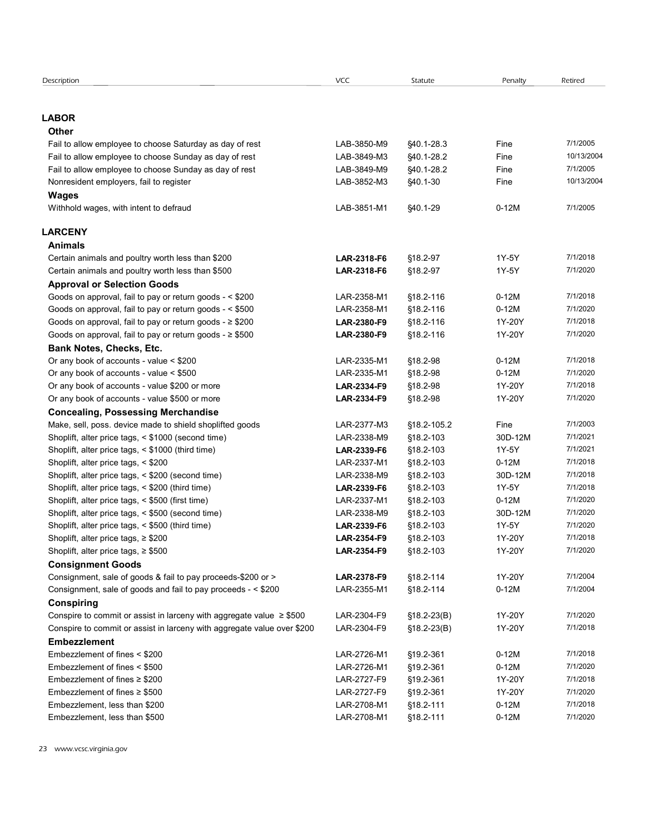| Description                                                               | VCC         | Statute       | Penalty | Retired    |
|---------------------------------------------------------------------------|-------------|---------------|---------|------------|
|                                                                           |             |               |         |            |
|                                                                           |             |               |         |            |
| <b>LABOR</b>                                                              |             |               |         |            |
| Other                                                                     |             |               |         |            |
| Fail to allow employee to choose Saturday as day of rest                  | LAB-3850-M9 | \$40.1-28.3   | Fine    | 7/1/2005   |
| Fail to allow employee to choose Sunday as day of rest                    | LAB-3849-M3 | §40.1-28.2    | Fine    | 10/13/2004 |
| Fail to allow employee to choose Sunday as day of rest                    | LAB-3849-M9 | §40.1-28.2    | Fine    | 7/1/2005   |
| Nonresident employers, fail to register                                   | LAB-3852-M3 | §40.1-30      | Fine    | 10/13/2004 |
| <b>Wages</b>                                                              |             |               |         |            |
| Withhold wages, with intent to defraud                                    | LAB-3851-M1 | §40.1-29      | $0-12M$ | 7/1/2005   |
|                                                                           |             |               |         |            |
| <b>LARCENY</b>                                                            |             |               |         |            |
| <b>Animals</b>                                                            |             |               |         |            |
| Certain animals and poultry worth less than \$200                         | LAR-2318-F6 | §18.2-97      | 1Y-5Y   | 7/1/2018   |
| Certain animals and poultry worth less than \$500                         | LAR-2318-F6 | §18.2-97      | 1Y-5Y   | 7/1/2020   |
| <b>Approval or Selection Goods</b>                                        |             |               |         |            |
|                                                                           |             |               |         | 7/1/2018   |
| Goods on approval, fail to pay or return goods - < \$200                  | LAR-2358-M1 | §18.2-116     | $0-12M$ |            |
| Goods on approval, fail to pay or return goods - < \$500                  | LAR-2358-M1 | §18.2-116     | $0-12M$ | 7/1/2020   |
| Goods on approval, fail to pay or return goods - ≥ \$200                  | LAR-2380-F9 | §18.2-116     | 1Y-20Y  | 7/1/2018   |
| Goods on approval, fail to pay or return goods - ≥ \$500                  | LAR-2380-F9 | §18.2-116     | 1Y-20Y  | 7/1/2020   |
| <b>Bank Notes, Checks, Etc.</b>                                           |             |               |         |            |
| Or any book of accounts - value < \$200                                   | LAR-2335-M1 | §18.2-98      | $0-12M$ | 7/1/2018   |
| Or any book of accounts - value < \$500                                   | LAR-2335-M1 | §18.2-98      | $0-12M$ | 7/1/2020   |
| Or any book of accounts - value \$200 or more                             | LAR-2334-F9 | §18.2-98      | 1Y-20Y  | 7/1/2018   |
| Or any book of accounts - value \$500 or more                             | LAR-2334-F9 | §18.2-98      | 1Y-20Y  | 7/1/2020   |
| <b>Concealing, Possessing Merchandise</b>                                 |             |               |         |            |
| Make, sell, poss. device made to shield shoplifted goods                  | LAR-2377-M3 | §18.2-105.2   | Fine    | 7/1/2003   |
| Shoplift, alter price tags, < \$1000 (second time)                        | LAR-2338-M9 | §18.2-103     | 30D-12M | 7/1/2021   |
| Shoplift, alter price tags, < \$1000 (third time)                         | LAR-2339-F6 | §18.2-103     | 1Y-5Y   | 7/1/2021   |
| Shoplift, alter price tags, < \$200                                       | LAR-2337-M1 | §18.2-103     | $0-12M$ | 7/1/2018   |
| Shoplift, alter price tags, < \$200 (second time)                         | LAR-2338-M9 | §18.2-103     | 30D-12M | 7/1/2018   |
|                                                                           |             |               |         |            |
| Shoplift, alter price tags, < \$200 (third time)                          | LAR-2339-F6 | §18.2-103     | 1Y-5Y   | 7/1/2018   |
| Shoplift, alter price tags, < \$500 (first time)                          | LAR-2337-M1 | §18.2-103     | $0-12M$ | 7/1/2020   |
| Shoplift, alter price tags, < \$500 (second time)                         | LAR-2338-M9 | §18.2-103     | 30D-12M | 7/1/2020   |
| Shoplift, alter price tags, < \$500 (third time)                          | LAR-2339-F6 | §18.2-103     | 1Y-5Y   | 7/1/2020   |
| Shoplift, alter price tags, ≥ \$200                                       | LAR-2354-F9 | §18.2-103     | 1Y-20Y  | 7/1/2018   |
| Shoplift, alter price tags, ≥ \$500                                       | LAR-2354-F9 | §18.2-103     | 1Y-20Y  | 7/1/2020   |
| <b>Consignment Goods</b>                                                  |             |               |         |            |
| Consignment, sale of goods & fail to pay proceeds-\$200 or >              | LAR-2378-F9 | §18.2-114     | 1Y-20Y  | 7/1/2004   |
| Consignment, sale of goods and fail to pay proceeds - < \$200             | LAR-2355-M1 | §18.2-114     | $0-12M$ | 7/1/2004   |
| <b>Conspiring</b>                                                         |             |               |         |            |
| Conspire to commit or assist in larceny with aggregate value $\geq$ \$500 | LAR-2304-F9 | $$18.2-23(B)$ | 1Y-20Y  | 7/1/2020   |
| Conspire to commit or assist in larceny with aggregate value over \$200   | LAR-2304-F9 | $$18.2-23(B)$ | 1Y-20Y  | 7/1/2018   |
| <b>Embezzlement</b>                                                       |             |               |         |            |
| Embezzlement of fines < \$200                                             | LAR-2726-M1 | §19.2-361     | $0-12M$ | 7/1/2018   |
| Embezzlement of fines < \$500                                             | LAR-2726-M1 | §19.2-361     | $0-12M$ | 7/1/2020   |
| Embezzlement of fines $\geq$ \$200                                        | LAR-2727-F9 |               | 1Y-20Y  | 7/1/2018   |
|                                                                           |             | §19.2-361     |         |            |
| Embezzlement of fines $\geq$ \$500                                        | LAR-2727-F9 | §19.2-361     | 1Y-20Y  | 7/1/2020   |
| Embezzlement, less than \$200                                             | LAR-2708-M1 | §18.2-111     | $0-12M$ | 7/1/2018   |
| Embezzlement, less than \$500                                             | LAR-2708-M1 | §18.2-111     | $0-12M$ | 7/1/2020   |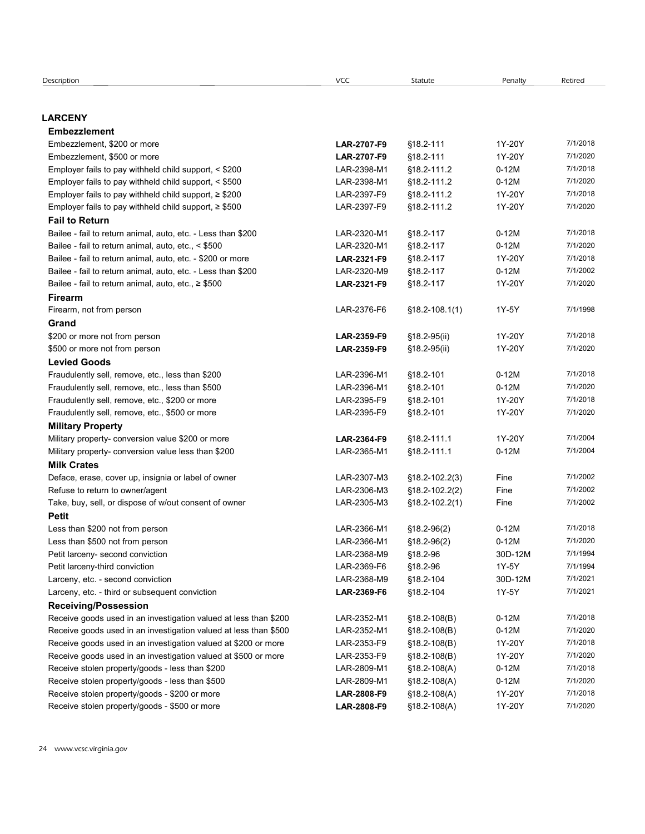# LARCENY

| <b>Description</b>                                                                                   | <b>VCC</b>                 | Statute                | Penalty          | Retired              |
|------------------------------------------------------------------------------------------------------|----------------------------|------------------------|------------------|----------------------|
|                                                                                                      |                            |                        |                  |                      |
|                                                                                                      |                            |                        |                  |                      |
| <b>_ARCENY</b>                                                                                       |                            |                        |                  |                      |
| <b>Embezzlement</b><br>Embezzlement, \$200 or more                                                   | LAR-2707-F9                | §18.2-111              | 1Y-20Y           | 7/1/2018             |
| Embezzlement, \$500 or more                                                                          | LAR-2707-F9                | §18.2-111              | 1Y-20Y           | 7/1/2020             |
| Employer fails to pay withheld child support, < \$200                                                | LAR-2398-M1                | §18.2-111.2            | $0-12M$          | 7/1/2018             |
| Employer fails to pay withheld child support, < \$500                                                | LAR-2398-M1                | §18.2-111.2            | $0-12M$          | 7/1/2020             |
| Employer fails to pay withheld child support, $\geq$ \$200                                           | LAR-2397-F9                | §18.2-111.2            | 1Y-20Y           | 7/1/2018             |
| Employer fails to pay withheld child support, $\geq$ \$500                                           | LAR-2397-F9                | §18.2-111.2            | 1Y-20Y           | 7/1/2020             |
| <b>Fail to Return</b>                                                                                |                            |                        |                  |                      |
| Bailee - fail to return animal, auto, etc. - Less than \$200                                         | LAR-2320-M1                | §18.2-117              | $0-12M$          | 7/1/2018             |
| Bailee - fail to return animal, auto, etc., < \$500                                                  | LAR-2320-M1                | §18.2-117              | $0-12M$          | 7/1/2020             |
| Bailee - fail to return animal, auto, etc. - \$200 or more                                           | LAR-2321-F9                | §18.2-117              | 1Y-20Y           | 7/1/2018             |
| Bailee - fail to return animal, auto, etc. - Less than \$200                                         | LAR-2320-M9                | §18.2-117              | $0-12M$          | 7/1/2002             |
| Bailee - fail to return animal, auto, etc., $\geq$ \$500                                             | LAR-2321-F9                | $§18.2 - 117$          | 1Y-20Y           | 7/1/2020             |
| <b>Firearm</b>                                                                                       |                            |                        |                  |                      |
| Firearm, not from person                                                                             | LAR-2376-F6                | $$18.2 - 108.1(1)$     | 1Y-5Y            | 7/1/1998             |
| Grand                                                                                                |                            |                        |                  |                      |
| \$200 or more not from person                                                                        | LAR-2359-F9                | $$18.2-95(ii)$         | 1Y-20Y           | 7/1/2018             |
| \$500 or more not from person                                                                        | LAR-2359-F9                | §18.2-95(ii)           | 1Y-20Y           | 7/1/2020             |
| <b>Levied Goods</b>                                                                                  | LAR-2396-M1                |                        | $0-12M$          | 7/1/2018             |
| Fraudulently sell, remove, etc., less than \$200<br>Fraudulently sell, remove, etc., less than \$500 | LAR-2396-M1                | §18.2-101<br>§18.2-101 | $0-12M$          | 7/1/2020             |
| Fraudulently sell, remove, etc., \$200 or more                                                       | LAR-2395-F9                | §18.2-101              | 1Y-20Y           | 7/1/2018             |
| Fraudulently sell, remove, etc., \$500 or more                                                       | LAR-2395-F9                | §18.2-101              | 1Y-20Y           | 7/1/2020             |
| <b>Military Property</b>                                                                             |                            |                        |                  |                      |
| Military property- conversion value \$200 or more                                                    | LAR-2364-F9                | §18.2-111.1            | 1Y-20Y           | 7/1/2004             |
| Military property- conversion value less than \$200                                                  | LAR-2365-M1                | §18.2-111.1            | $0-12M$          | 7/1/2004             |
| <b>Milk Crates</b>                                                                                   |                            |                        |                  |                      |
| Deface, erase, cover up, insignia or label of owner                                                  | LAR-2307-M3                | $$18.2 - 102.2(3)$     | Fine             | 7/1/2002             |
| Refuse to return to owner/agent                                                                      | LAR-2306-M3                | $$18.2 - 102.2(2)$     | Fine             | 7/1/2002             |
| Take, buy, sell, or dispose of w/out consent of owner                                                | LAR-2305-M3                | $$18.2 - 102.2(1)$     | Fine             | 7/1/2002             |
| <b>Petit</b>                                                                                         |                            |                        |                  |                      |
| Less than \$200 not from person                                                                      | LAR-2366-M1                | $$18.2-96(2)$          | $0-12M$          | 7/1/2018             |
| Less than \$500 not from person                                                                      | LAR-2366-M1                | $$18.2-96(2)$          | $0-12M$          | 7/1/2020             |
| Petit larceny- second conviction                                                                     | LAR-2368-M9                | §18.2-96               | 30D-12M          | 7/1/1994             |
| Petit larceny-third conviction                                                                       | LAR-2369-F6                | §18.2-96               | 1Y-5Y            | 7/1/1994<br>7/1/2021 |
| Larceny, etc. - second conviction<br>Larceny, etc. - third or subsequent conviction                  | LAR-2368-M9<br>LAR-2369-F6 | §18.2-104<br>§18.2-104 | 30D-12M<br>1Y-5Y | 7/1/2021             |
| <b>Receiving/Possession</b>                                                                          |                            |                        |                  |                      |
| Receive goods used in an investigation valued at less than \$200                                     | LAR-2352-M1                | $$18.2 - 108(B)$       | $0-12M$          | 7/1/2018             |
| Receive goods used in an investigation valued at less than \$500                                     | LAR-2352-M1                | $$18.2 - 108(B)$       | $0-12M$          | 7/1/2020             |
| Receive goods used in an investigation valued at \$200 or more                                       | LAR-2353-F9                | $$18.2 - 108(B)$       | 1Y-20Y           | 7/1/2018             |
| Receive goods used in an investigation valued at \$500 or more                                       | LAR-2353-F9                | $$18.2 - 108(B)$       | 1Y-20Y           | 7/1/2020             |
| Receive stolen property/goods - less than \$200                                                      | LAR-2809-M1                | $$18.2 - 108(A)$       | $0-12M$          | 7/1/2018             |
| Receive stolen property/goods - less than \$500                                                      | LAR-2809-M1                | $$18.2 - 108(A)$       | $0-12M$          | 7/1/2020             |
|                                                                                                      |                            |                        |                  |                      |
| Receive stolen property/goods - \$200 or more                                                        | LAR-2808-F9                | $$18.2 - 108(A)$       | 1Y-20Y           | 7/1/2018             |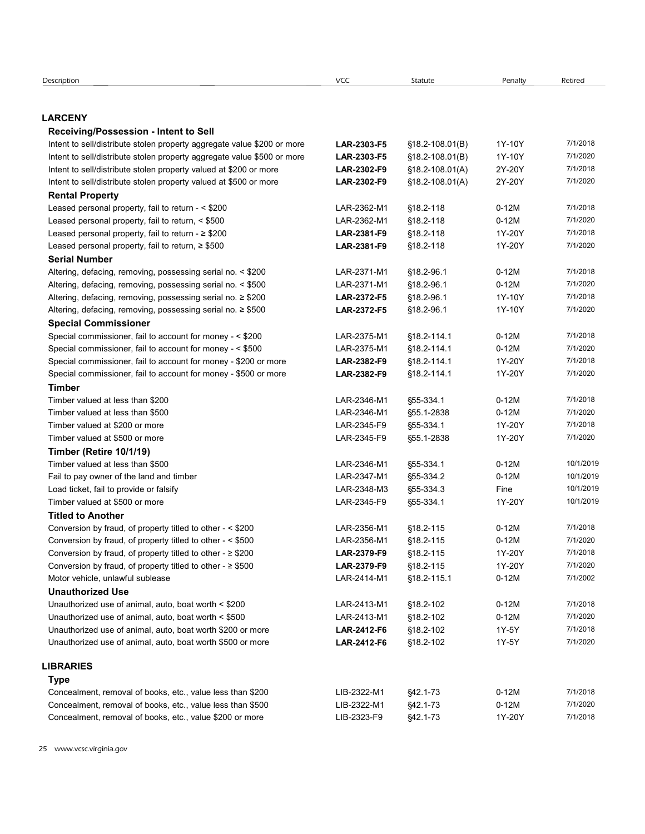| Description                                                                  | VCC                        | Statute                 | Penalty            | Retired              |
|------------------------------------------------------------------------------|----------------------------|-------------------------|--------------------|----------------------|
|                                                                              |                            |                         |                    |                      |
|                                                                              |                            |                         |                    |                      |
| <b>LARCENY</b>                                                               |                            |                         |                    |                      |
| Receiving/Possession - Intent to Sell                                        |                            |                         |                    |                      |
| Intent to sell/distribute stolen property aggregate value \$200 or more      | LAR-2303-F5                | §18.2-108.01(B)         | 1Y-10Y             | 7/1/2018             |
| Intent to sell/distribute stolen property aggregate value \$500 or more      | LAR-2303-F5                | §18.2-108.01(B)         | 1Y-10Y             | 7/1/2020             |
| Intent to sell/distribute stolen property valued at \$200 or more            | LAR-2302-F9                | $$18.2 - 108.01(A)$     | 2Y-20Y<br>2Y-20Y   | 7/1/2018<br>7/1/2020 |
| Intent to sell/distribute stolen property valued at \$500 or more            | LAR-2302-F9                | $$18.2 - 108.01(A)$     |                    |                      |
| <b>Rental Property</b><br>Leased personal property, fail to return - < \$200 | LAR-2362-M1                | §18.2-118               | $0-12M$            | 7/1/2018             |
| Leased personal property, fail to return, < \$500                            | LAR-2362-M1                | §18.2-118               | $0-12M$            | 7/1/2020             |
| Leased personal property, fail to return - $\geq$ \$200                      | LAR-2381-F9                | §18.2-118               | 1Y-20Y             | 7/1/2018             |
| Leased personal property, fail to return, ≥ \$500                            | LAR-2381-F9                | §18.2-118               | 1Y-20Y             | 7/1/2020             |
| <b>Serial Number</b>                                                         |                            |                         |                    |                      |
| Altering, defacing, removing, possessing serial no. < \$200                  | LAR-2371-M1                | §18.2-96.1              | $0-12M$            | 7/1/2018             |
| Altering, defacing, removing, possessing serial no. < \$500                  | LAR-2371-M1                | §18.2-96.1              | $0-12M$            | 7/1/2020             |
| Altering, defacing, removing, possessing serial no. ≥ \$200                  | <b>LAR-2372-F5</b>         | §18.2-96.1              | 1Y-10Y             | 7/1/2018             |
| Altering, defacing, removing, possessing serial no. ≥ \$500                  | <b>LAR-2372-F5</b>         | \$18.2-96.1             | 1Y-10Y             | 7/1/2020             |
| <b>Special Commissioner</b>                                                  |                            |                         |                    |                      |
| Special commissioner, fail to account for money - < \$200                    | LAR-2375-M1                | §18.2-114.1             | $0-12M$            | 7/1/2018             |
| Special commissioner, fail to account for money - < \$500                    | LAR-2375-M1                | §18.2-114.1             | $0-12M$            | 7/1/2020             |
| Special commissioner, fail to account for money - \$200 or more              | LAR-2382-F9                | §18.2-114.1             | 1Y-20Y             | 7/1/2018             |
| Special commissioner, fail to account for money - \$500 or more              | LAR-2382-F9                | §18.2-114.1             | 1Y-20Y             | 7/1/2020             |
| <b>Timber</b>                                                                |                            |                         |                    |                      |
| Timber valued at less than \$200                                             | LAR-2346-M1<br>LAR-2346-M1 | §55-334.1<br>§55.1-2838 | $0-12M$<br>$0-12M$ | 7/1/2018<br>7/1/2020 |
| Timber valued at less than \$500<br>Timber valued at \$200 or more           | LAR-2345-F9                | §55-334.1               | 1Y-20Y             | 7/1/2018             |
| Timber valued at \$500 or more                                               | LAR-2345-F9                | §55.1-2838              | 1Y-20Y             | 7/1/2020             |
| Timber (Retire 10/1/19)                                                      |                            |                         |                    |                      |
| Timber valued at less than \$500                                             | LAR-2346-M1                | §55-334.1               | $0-12M$            | 10/1/2019            |
| Fail to pay owner of the land and timber                                     | LAR-2347-M1                | §55-334.2               | $0-12M$            | 10/1/2019            |
| Load ticket, fail to provide or falsify                                      | LAR-2348-M3                | §55-334.3               | Fine               | 10/1/2019            |
| Timber valued at \$500 or more                                               | LAR-2345-F9                | §55-334.1               | 1Y-20Y             | 10/1/2019            |
| <b>Titled to Another</b>                                                     |                            |                         |                    |                      |
| Conversion by fraud, of property titled to other - < \$200                   | LAR-2356-M1                | §18.2-115               | $0-12M$            | 7/1/2018             |
| Conversion by fraud, of property titled to other - < \$500                   | LAR-2356-M1                | §18.2-115               | $0-12M$            | 7/1/2020             |
| Conversion by fraud, of property titled to other - $\geq$ \$200              | LAR-2379-F9                | §18.2-115               | 1Y-20Y             | 7/1/2018             |
| Conversion by fraud, of property titled to other - $\geq$ \$500              | LAR-2379-F9                | §18.2-115               | 1Y-20Y             | 7/1/2020             |
| Motor vehicle, unlawful sublease                                             | LAR-2414-M1                | §18.2-115.1             | $0-12M$            | 7/1/2002             |
| <b>Unauthorized Use</b>                                                      |                            |                         |                    |                      |
| Unauthorized use of animal, auto, boat worth < \$200                         | LAR-2413-M1                | §18.2-102               | $0-12M$            | 7/1/2018             |
| Unauthorized use of animal, auto, boat worth < \$500                         | LAR-2413-M1                | §18.2-102               | $0-12M$            | 7/1/2020             |
| Unauthorized use of animal, auto, boat worth \$200 or more                   | LAR-2412-F6                | §18.2-102               | 1Y-5Y              | 7/1/2018<br>7/1/2020 |
| Unauthorized use of animal, auto, boat worth \$500 or more                   | LAR-2412-F6                | §18.2-102               | 1Y-5Y              |                      |
| <b>LIBRARIES</b>                                                             |                            |                         |                    |                      |
| <b>Type</b>                                                                  |                            |                         |                    |                      |
| Concealment, removal of books, etc., value less than \$200                   | LIB-2322-M1                | \$42.1-73               | $0-12M$            | 7/1/2018             |
| Concealment, removal of books, etc., value less than \$500                   | LIB-2322-M1                | §42.1-73                | $0-12M$            | 7/1/2020             |
| Concealment, removal of books, etc., value \$200 or more                     | LIB-2323-F9                | §42.1-73                |                    |                      |
|                                                                              |                            |                         | 1Y-20Y             | 7/1/2018             |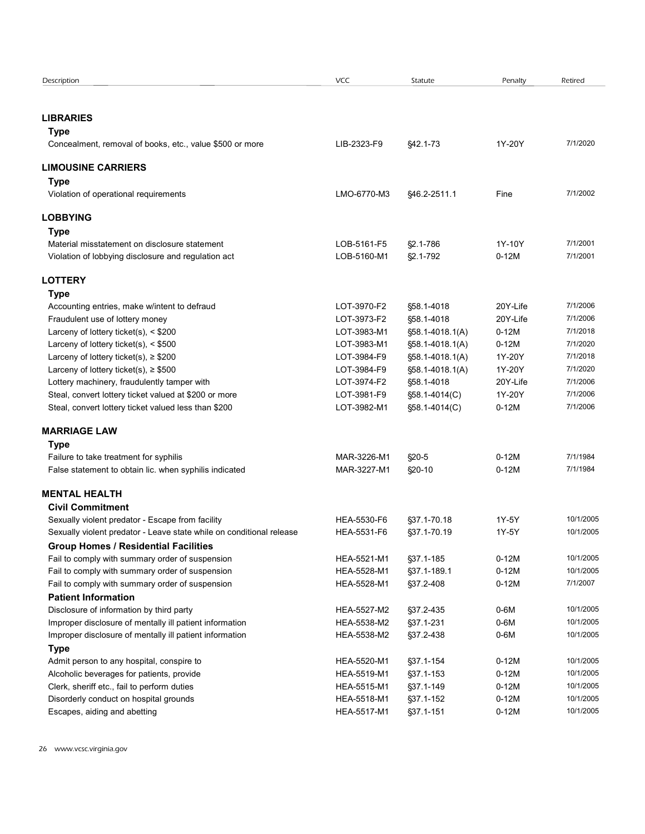| Description<br><b>VCC</b><br>Statute<br>Penalty<br>Retired<br><b>LIBRARIES</b><br><b>Type</b><br>LIB-2323-F9<br>§42.1-73<br>1Y-20Y<br>7/1/2020<br>Concealment, removal of books, etc., value \$500 or more<br><b>LIMOUSINE CARRIERS</b><br>Type<br>LMO-6770-M3<br>7/1/2002<br>Violation of operational requirements<br>§46.2-2511.1<br>Fine<br><b>LOBBYING</b><br><b>Type</b><br>7/1/2001<br>LOB-5161-F5<br>§2.1-786<br>1Y-10Y<br>Material misstatement on disclosure statement<br>7/1/2001<br>LOB-5160-M1<br>§2.1-792<br>$0-12M$<br>Violation of lobbying disclosure and regulation act<br><b>LOTTERY</b><br><b>Type</b><br>LOT-3970-F2<br>20Y-Life<br>7/1/2006<br>§58.1-4018<br>Accounting entries, make w/intent to defraud<br>7/1/2006<br>LOT-3973-F2<br>20Y-Life<br>Fraudulent use of lottery money<br>§58.1-4018<br>7/1/2018<br>Larceny of lottery ticket(s), $<$ \$200<br>LOT-3983-M1<br>§58.1-4018.1(A)<br>$0-12M$<br>Larceny of lottery ticket(s), < \$500<br>LOT-3983-M1<br>§58.1-4018.1(A)<br>$0-12M$<br>7/1/2020<br>1Y-20Y<br>7/1/2018<br>Larceny of lottery ticket(s), $\ge$ \$200<br>LOT-3984-F9<br>§58.1-4018.1(A)<br>LOT-3984-F9<br>1Y-20Y<br>7/1/2020<br>Larceny of lottery ticket(s), $\ge$ \$500<br>§58.1-4018.1(A)<br>Lottery machinery, fraudulently tamper with<br>LOT-3974-F2<br>7/1/2006<br>§58.1-4018<br>20Y-Life<br>Steal, convert lottery ticket valued at \$200 or more<br>LOT-3981-F9<br>1Y-20Y<br>7/1/2006<br>§58.1-4014(C)<br>Steal, convert lottery ticket valued less than \$200<br>LOT-3982-M1<br>$0-12M$<br>7/1/2006<br>§58.1-4014(C)<br><b>MARRIAGE LAW</b><br><b>Type</b><br>7/1/1984<br>Failure to take treatment for syphilis<br>MAR-3226-M1<br>$$20-5$<br>$0-12M$<br>$0-12M$<br>7/1/1984<br>False statement to obtain lic. when syphilis indicated<br>MAR-3227-M1<br>§20-10<br><b>MENTAL HEALTH</b><br><b>Civil Commitment</b><br>HEA-5530-F6<br>§37.1-70.18<br>1Y-5Y<br>10/1/2005<br>Sexually violent predator - Escape from facility<br>HEA-5531-F6<br>1Y-5Y<br>10/1/2005<br>Sexually violent predator - Leave state while on conditional release<br>§37.1-70.19<br><b>Group Homes / Residential Facilities</b><br>$0-12M$<br>10/1/2005<br>Fail to comply with summary order of suspension<br>HEA-5521-M1<br>§37.1-185<br>$0-12M$<br>10/1/2005<br>Fail to comply with summary order of suspension<br>HEA-5528-M1<br>§37.1-189.1<br>$0-12M$<br>Fail to comply with summary order of suspension<br>HEA-5528-M1<br>§37.2-408<br>7/1/2007<br><b>Patient Information</b><br>HEA-5527-M2<br>$0-6M$<br>10/1/2005<br>Disclosure of information by third party<br>§37.2-435<br>Improper disclosure of mentally ill patient information<br>HEA-5538-M2<br>§37.1-231<br>$0-6M$<br>10/1/2005<br>Improper disclosure of mentally ill patient information<br>HEA-5538-M2<br>$0-6M$<br>10/1/2005<br>§37.2-438<br><b>Type</b><br>Admit person to any hospital, conspire to<br>$0-12M$<br>10/1/2005<br>HEA-5520-M1<br>§37.1-154<br>Alcoholic beverages for patients, provide<br>HEA-5519-M1<br>§37.1-153<br>$0-12M$<br>10/1/2005<br>Clerk, sheriff etc., fail to perform duties<br>HEA-5515-M1<br>§37.1-149<br>$0-12M$<br>10/1/2005<br>Disorderly conduct on hospital grounds<br>HEA-5518-M1<br>$0-12M$<br>10/1/2005<br>§37.1-152<br>HEA-5517-M1<br>$0-12M$<br>10/1/2005<br>Escapes, aiding and abetting<br>§37.1-151 |  |  |  |
|------------------------------------------------------------------------------------------------------------------------------------------------------------------------------------------------------------------------------------------------------------------------------------------------------------------------------------------------------------------------------------------------------------------------------------------------------------------------------------------------------------------------------------------------------------------------------------------------------------------------------------------------------------------------------------------------------------------------------------------------------------------------------------------------------------------------------------------------------------------------------------------------------------------------------------------------------------------------------------------------------------------------------------------------------------------------------------------------------------------------------------------------------------------------------------------------------------------------------------------------------------------------------------------------------------------------------------------------------------------------------------------------------------------------------------------------------------------------------------------------------------------------------------------------------------------------------------------------------------------------------------------------------------------------------------------------------------------------------------------------------------------------------------------------------------------------------------------------------------------------------------------------------------------------------------------------------------------------------------------------------------------------------------------------------------------------------------------------------------------------------------------------------------------------------------------------------------------------------------------------------------------------------------------------------------------------------------------------------------------------------------------------------------------------------------------------------------------------------------------------------------------------------------------------------------------------------------------------------------------------------------------------------------------------------------------------------------------------------------------------------------------------------------------------------------------------------------------------------------------------------------------------------------------------------------------------------------------------------------------------------------------------------------------------------------------------------------------------------------------------------------------------------------------------------------------------------------------------------------------------------------------------------------------------------------------------------------------------|--|--|--|
|                                                                                                                                                                                                                                                                                                                                                                                                                                                                                                                                                                                                                                                                                                                                                                                                                                                                                                                                                                                                                                                                                                                                                                                                                                                                                                                                                                                                                                                                                                                                                                                                                                                                                                                                                                                                                                                                                                                                                                                                                                                                                                                                                                                                                                                                                                                                                                                                                                                                                                                                                                                                                                                                                                                                                                                                                                                                                                                                                                                                                                                                                                                                                                                                                                                                                                                                                |  |  |  |
|                                                                                                                                                                                                                                                                                                                                                                                                                                                                                                                                                                                                                                                                                                                                                                                                                                                                                                                                                                                                                                                                                                                                                                                                                                                                                                                                                                                                                                                                                                                                                                                                                                                                                                                                                                                                                                                                                                                                                                                                                                                                                                                                                                                                                                                                                                                                                                                                                                                                                                                                                                                                                                                                                                                                                                                                                                                                                                                                                                                                                                                                                                                                                                                                                                                                                                                                                |  |  |  |
|                                                                                                                                                                                                                                                                                                                                                                                                                                                                                                                                                                                                                                                                                                                                                                                                                                                                                                                                                                                                                                                                                                                                                                                                                                                                                                                                                                                                                                                                                                                                                                                                                                                                                                                                                                                                                                                                                                                                                                                                                                                                                                                                                                                                                                                                                                                                                                                                                                                                                                                                                                                                                                                                                                                                                                                                                                                                                                                                                                                                                                                                                                                                                                                                                                                                                                                                                |  |  |  |
|                                                                                                                                                                                                                                                                                                                                                                                                                                                                                                                                                                                                                                                                                                                                                                                                                                                                                                                                                                                                                                                                                                                                                                                                                                                                                                                                                                                                                                                                                                                                                                                                                                                                                                                                                                                                                                                                                                                                                                                                                                                                                                                                                                                                                                                                                                                                                                                                                                                                                                                                                                                                                                                                                                                                                                                                                                                                                                                                                                                                                                                                                                                                                                                                                                                                                                                                                |  |  |  |
|                                                                                                                                                                                                                                                                                                                                                                                                                                                                                                                                                                                                                                                                                                                                                                                                                                                                                                                                                                                                                                                                                                                                                                                                                                                                                                                                                                                                                                                                                                                                                                                                                                                                                                                                                                                                                                                                                                                                                                                                                                                                                                                                                                                                                                                                                                                                                                                                                                                                                                                                                                                                                                                                                                                                                                                                                                                                                                                                                                                                                                                                                                                                                                                                                                                                                                                                                |  |  |  |
|                                                                                                                                                                                                                                                                                                                                                                                                                                                                                                                                                                                                                                                                                                                                                                                                                                                                                                                                                                                                                                                                                                                                                                                                                                                                                                                                                                                                                                                                                                                                                                                                                                                                                                                                                                                                                                                                                                                                                                                                                                                                                                                                                                                                                                                                                                                                                                                                                                                                                                                                                                                                                                                                                                                                                                                                                                                                                                                                                                                                                                                                                                                                                                                                                                                                                                                                                |  |  |  |
|                                                                                                                                                                                                                                                                                                                                                                                                                                                                                                                                                                                                                                                                                                                                                                                                                                                                                                                                                                                                                                                                                                                                                                                                                                                                                                                                                                                                                                                                                                                                                                                                                                                                                                                                                                                                                                                                                                                                                                                                                                                                                                                                                                                                                                                                                                                                                                                                                                                                                                                                                                                                                                                                                                                                                                                                                                                                                                                                                                                                                                                                                                                                                                                                                                                                                                                                                |  |  |  |
|                                                                                                                                                                                                                                                                                                                                                                                                                                                                                                                                                                                                                                                                                                                                                                                                                                                                                                                                                                                                                                                                                                                                                                                                                                                                                                                                                                                                                                                                                                                                                                                                                                                                                                                                                                                                                                                                                                                                                                                                                                                                                                                                                                                                                                                                                                                                                                                                                                                                                                                                                                                                                                                                                                                                                                                                                                                                                                                                                                                                                                                                                                                                                                                                                                                                                                                                                |  |  |  |
|                                                                                                                                                                                                                                                                                                                                                                                                                                                                                                                                                                                                                                                                                                                                                                                                                                                                                                                                                                                                                                                                                                                                                                                                                                                                                                                                                                                                                                                                                                                                                                                                                                                                                                                                                                                                                                                                                                                                                                                                                                                                                                                                                                                                                                                                                                                                                                                                                                                                                                                                                                                                                                                                                                                                                                                                                                                                                                                                                                                                                                                                                                                                                                                                                                                                                                                                                |  |  |  |
|                                                                                                                                                                                                                                                                                                                                                                                                                                                                                                                                                                                                                                                                                                                                                                                                                                                                                                                                                                                                                                                                                                                                                                                                                                                                                                                                                                                                                                                                                                                                                                                                                                                                                                                                                                                                                                                                                                                                                                                                                                                                                                                                                                                                                                                                                                                                                                                                                                                                                                                                                                                                                                                                                                                                                                                                                                                                                                                                                                                                                                                                                                                                                                                                                                                                                                                                                |  |  |  |
|                                                                                                                                                                                                                                                                                                                                                                                                                                                                                                                                                                                                                                                                                                                                                                                                                                                                                                                                                                                                                                                                                                                                                                                                                                                                                                                                                                                                                                                                                                                                                                                                                                                                                                                                                                                                                                                                                                                                                                                                                                                                                                                                                                                                                                                                                                                                                                                                                                                                                                                                                                                                                                                                                                                                                                                                                                                                                                                                                                                                                                                                                                                                                                                                                                                                                                                                                |  |  |  |
|                                                                                                                                                                                                                                                                                                                                                                                                                                                                                                                                                                                                                                                                                                                                                                                                                                                                                                                                                                                                                                                                                                                                                                                                                                                                                                                                                                                                                                                                                                                                                                                                                                                                                                                                                                                                                                                                                                                                                                                                                                                                                                                                                                                                                                                                                                                                                                                                                                                                                                                                                                                                                                                                                                                                                                                                                                                                                                                                                                                                                                                                                                                                                                                                                                                                                                                                                |  |  |  |
|                                                                                                                                                                                                                                                                                                                                                                                                                                                                                                                                                                                                                                                                                                                                                                                                                                                                                                                                                                                                                                                                                                                                                                                                                                                                                                                                                                                                                                                                                                                                                                                                                                                                                                                                                                                                                                                                                                                                                                                                                                                                                                                                                                                                                                                                                                                                                                                                                                                                                                                                                                                                                                                                                                                                                                                                                                                                                                                                                                                                                                                                                                                                                                                                                                                                                                                                                |  |  |  |
|                                                                                                                                                                                                                                                                                                                                                                                                                                                                                                                                                                                                                                                                                                                                                                                                                                                                                                                                                                                                                                                                                                                                                                                                                                                                                                                                                                                                                                                                                                                                                                                                                                                                                                                                                                                                                                                                                                                                                                                                                                                                                                                                                                                                                                                                                                                                                                                                                                                                                                                                                                                                                                                                                                                                                                                                                                                                                                                                                                                                                                                                                                                                                                                                                                                                                                                                                |  |  |  |
|                                                                                                                                                                                                                                                                                                                                                                                                                                                                                                                                                                                                                                                                                                                                                                                                                                                                                                                                                                                                                                                                                                                                                                                                                                                                                                                                                                                                                                                                                                                                                                                                                                                                                                                                                                                                                                                                                                                                                                                                                                                                                                                                                                                                                                                                                                                                                                                                                                                                                                                                                                                                                                                                                                                                                                                                                                                                                                                                                                                                                                                                                                                                                                                                                                                                                                                                                |  |  |  |
|                                                                                                                                                                                                                                                                                                                                                                                                                                                                                                                                                                                                                                                                                                                                                                                                                                                                                                                                                                                                                                                                                                                                                                                                                                                                                                                                                                                                                                                                                                                                                                                                                                                                                                                                                                                                                                                                                                                                                                                                                                                                                                                                                                                                                                                                                                                                                                                                                                                                                                                                                                                                                                                                                                                                                                                                                                                                                                                                                                                                                                                                                                                                                                                                                                                                                                                                                |  |  |  |
|                                                                                                                                                                                                                                                                                                                                                                                                                                                                                                                                                                                                                                                                                                                                                                                                                                                                                                                                                                                                                                                                                                                                                                                                                                                                                                                                                                                                                                                                                                                                                                                                                                                                                                                                                                                                                                                                                                                                                                                                                                                                                                                                                                                                                                                                                                                                                                                                                                                                                                                                                                                                                                                                                                                                                                                                                                                                                                                                                                                                                                                                                                                                                                                                                                                                                                                                                |  |  |  |
|                                                                                                                                                                                                                                                                                                                                                                                                                                                                                                                                                                                                                                                                                                                                                                                                                                                                                                                                                                                                                                                                                                                                                                                                                                                                                                                                                                                                                                                                                                                                                                                                                                                                                                                                                                                                                                                                                                                                                                                                                                                                                                                                                                                                                                                                                                                                                                                                                                                                                                                                                                                                                                                                                                                                                                                                                                                                                                                                                                                                                                                                                                                                                                                                                                                                                                                                                |  |  |  |
|                                                                                                                                                                                                                                                                                                                                                                                                                                                                                                                                                                                                                                                                                                                                                                                                                                                                                                                                                                                                                                                                                                                                                                                                                                                                                                                                                                                                                                                                                                                                                                                                                                                                                                                                                                                                                                                                                                                                                                                                                                                                                                                                                                                                                                                                                                                                                                                                                                                                                                                                                                                                                                                                                                                                                                                                                                                                                                                                                                                                                                                                                                                                                                                                                                                                                                                                                |  |  |  |
|                                                                                                                                                                                                                                                                                                                                                                                                                                                                                                                                                                                                                                                                                                                                                                                                                                                                                                                                                                                                                                                                                                                                                                                                                                                                                                                                                                                                                                                                                                                                                                                                                                                                                                                                                                                                                                                                                                                                                                                                                                                                                                                                                                                                                                                                                                                                                                                                                                                                                                                                                                                                                                                                                                                                                                                                                                                                                                                                                                                                                                                                                                                                                                                                                                                                                                                                                |  |  |  |
|                                                                                                                                                                                                                                                                                                                                                                                                                                                                                                                                                                                                                                                                                                                                                                                                                                                                                                                                                                                                                                                                                                                                                                                                                                                                                                                                                                                                                                                                                                                                                                                                                                                                                                                                                                                                                                                                                                                                                                                                                                                                                                                                                                                                                                                                                                                                                                                                                                                                                                                                                                                                                                                                                                                                                                                                                                                                                                                                                                                                                                                                                                                                                                                                                                                                                                                                                |  |  |  |
|                                                                                                                                                                                                                                                                                                                                                                                                                                                                                                                                                                                                                                                                                                                                                                                                                                                                                                                                                                                                                                                                                                                                                                                                                                                                                                                                                                                                                                                                                                                                                                                                                                                                                                                                                                                                                                                                                                                                                                                                                                                                                                                                                                                                                                                                                                                                                                                                                                                                                                                                                                                                                                                                                                                                                                                                                                                                                                                                                                                                                                                                                                                                                                                                                                                                                                                                                |  |  |  |
|                                                                                                                                                                                                                                                                                                                                                                                                                                                                                                                                                                                                                                                                                                                                                                                                                                                                                                                                                                                                                                                                                                                                                                                                                                                                                                                                                                                                                                                                                                                                                                                                                                                                                                                                                                                                                                                                                                                                                                                                                                                                                                                                                                                                                                                                                                                                                                                                                                                                                                                                                                                                                                                                                                                                                                                                                                                                                                                                                                                                                                                                                                                                                                                                                                                                                                                                                |  |  |  |
|                                                                                                                                                                                                                                                                                                                                                                                                                                                                                                                                                                                                                                                                                                                                                                                                                                                                                                                                                                                                                                                                                                                                                                                                                                                                                                                                                                                                                                                                                                                                                                                                                                                                                                                                                                                                                                                                                                                                                                                                                                                                                                                                                                                                                                                                                                                                                                                                                                                                                                                                                                                                                                                                                                                                                                                                                                                                                                                                                                                                                                                                                                                                                                                                                                                                                                                                                |  |  |  |
|                                                                                                                                                                                                                                                                                                                                                                                                                                                                                                                                                                                                                                                                                                                                                                                                                                                                                                                                                                                                                                                                                                                                                                                                                                                                                                                                                                                                                                                                                                                                                                                                                                                                                                                                                                                                                                                                                                                                                                                                                                                                                                                                                                                                                                                                                                                                                                                                                                                                                                                                                                                                                                                                                                                                                                                                                                                                                                                                                                                                                                                                                                                                                                                                                                                                                                                                                |  |  |  |
|                                                                                                                                                                                                                                                                                                                                                                                                                                                                                                                                                                                                                                                                                                                                                                                                                                                                                                                                                                                                                                                                                                                                                                                                                                                                                                                                                                                                                                                                                                                                                                                                                                                                                                                                                                                                                                                                                                                                                                                                                                                                                                                                                                                                                                                                                                                                                                                                                                                                                                                                                                                                                                                                                                                                                                                                                                                                                                                                                                                                                                                                                                                                                                                                                                                                                                                                                |  |  |  |
|                                                                                                                                                                                                                                                                                                                                                                                                                                                                                                                                                                                                                                                                                                                                                                                                                                                                                                                                                                                                                                                                                                                                                                                                                                                                                                                                                                                                                                                                                                                                                                                                                                                                                                                                                                                                                                                                                                                                                                                                                                                                                                                                                                                                                                                                                                                                                                                                                                                                                                                                                                                                                                                                                                                                                                                                                                                                                                                                                                                                                                                                                                                                                                                                                                                                                                                                                |  |  |  |
|                                                                                                                                                                                                                                                                                                                                                                                                                                                                                                                                                                                                                                                                                                                                                                                                                                                                                                                                                                                                                                                                                                                                                                                                                                                                                                                                                                                                                                                                                                                                                                                                                                                                                                                                                                                                                                                                                                                                                                                                                                                                                                                                                                                                                                                                                                                                                                                                                                                                                                                                                                                                                                                                                                                                                                                                                                                                                                                                                                                                                                                                                                                                                                                                                                                                                                                                                |  |  |  |
|                                                                                                                                                                                                                                                                                                                                                                                                                                                                                                                                                                                                                                                                                                                                                                                                                                                                                                                                                                                                                                                                                                                                                                                                                                                                                                                                                                                                                                                                                                                                                                                                                                                                                                                                                                                                                                                                                                                                                                                                                                                                                                                                                                                                                                                                                                                                                                                                                                                                                                                                                                                                                                                                                                                                                                                                                                                                                                                                                                                                                                                                                                                                                                                                                                                                                                                                                |  |  |  |
|                                                                                                                                                                                                                                                                                                                                                                                                                                                                                                                                                                                                                                                                                                                                                                                                                                                                                                                                                                                                                                                                                                                                                                                                                                                                                                                                                                                                                                                                                                                                                                                                                                                                                                                                                                                                                                                                                                                                                                                                                                                                                                                                                                                                                                                                                                                                                                                                                                                                                                                                                                                                                                                                                                                                                                                                                                                                                                                                                                                                                                                                                                                                                                                                                                                                                                                                                |  |  |  |
|                                                                                                                                                                                                                                                                                                                                                                                                                                                                                                                                                                                                                                                                                                                                                                                                                                                                                                                                                                                                                                                                                                                                                                                                                                                                                                                                                                                                                                                                                                                                                                                                                                                                                                                                                                                                                                                                                                                                                                                                                                                                                                                                                                                                                                                                                                                                                                                                                                                                                                                                                                                                                                                                                                                                                                                                                                                                                                                                                                                                                                                                                                                                                                                                                                                                                                                                                |  |  |  |
|                                                                                                                                                                                                                                                                                                                                                                                                                                                                                                                                                                                                                                                                                                                                                                                                                                                                                                                                                                                                                                                                                                                                                                                                                                                                                                                                                                                                                                                                                                                                                                                                                                                                                                                                                                                                                                                                                                                                                                                                                                                                                                                                                                                                                                                                                                                                                                                                                                                                                                                                                                                                                                                                                                                                                                                                                                                                                                                                                                                                                                                                                                                                                                                                                                                                                                                                                |  |  |  |
|                                                                                                                                                                                                                                                                                                                                                                                                                                                                                                                                                                                                                                                                                                                                                                                                                                                                                                                                                                                                                                                                                                                                                                                                                                                                                                                                                                                                                                                                                                                                                                                                                                                                                                                                                                                                                                                                                                                                                                                                                                                                                                                                                                                                                                                                                                                                                                                                                                                                                                                                                                                                                                                                                                                                                                                                                                                                                                                                                                                                                                                                                                                                                                                                                                                                                                                                                |  |  |  |
|                                                                                                                                                                                                                                                                                                                                                                                                                                                                                                                                                                                                                                                                                                                                                                                                                                                                                                                                                                                                                                                                                                                                                                                                                                                                                                                                                                                                                                                                                                                                                                                                                                                                                                                                                                                                                                                                                                                                                                                                                                                                                                                                                                                                                                                                                                                                                                                                                                                                                                                                                                                                                                                                                                                                                                                                                                                                                                                                                                                                                                                                                                                                                                                                                                                                                                                                                |  |  |  |
|                                                                                                                                                                                                                                                                                                                                                                                                                                                                                                                                                                                                                                                                                                                                                                                                                                                                                                                                                                                                                                                                                                                                                                                                                                                                                                                                                                                                                                                                                                                                                                                                                                                                                                                                                                                                                                                                                                                                                                                                                                                                                                                                                                                                                                                                                                                                                                                                                                                                                                                                                                                                                                                                                                                                                                                                                                                                                                                                                                                                                                                                                                                                                                                                                                                                                                                                                |  |  |  |
|                                                                                                                                                                                                                                                                                                                                                                                                                                                                                                                                                                                                                                                                                                                                                                                                                                                                                                                                                                                                                                                                                                                                                                                                                                                                                                                                                                                                                                                                                                                                                                                                                                                                                                                                                                                                                                                                                                                                                                                                                                                                                                                                                                                                                                                                                                                                                                                                                                                                                                                                                                                                                                                                                                                                                                                                                                                                                                                                                                                                                                                                                                                                                                                                                                                                                                                                                |  |  |  |
|                                                                                                                                                                                                                                                                                                                                                                                                                                                                                                                                                                                                                                                                                                                                                                                                                                                                                                                                                                                                                                                                                                                                                                                                                                                                                                                                                                                                                                                                                                                                                                                                                                                                                                                                                                                                                                                                                                                                                                                                                                                                                                                                                                                                                                                                                                                                                                                                                                                                                                                                                                                                                                                                                                                                                                                                                                                                                                                                                                                                                                                                                                                                                                                                                                                                                                                                                |  |  |  |
|                                                                                                                                                                                                                                                                                                                                                                                                                                                                                                                                                                                                                                                                                                                                                                                                                                                                                                                                                                                                                                                                                                                                                                                                                                                                                                                                                                                                                                                                                                                                                                                                                                                                                                                                                                                                                                                                                                                                                                                                                                                                                                                                                                                                                                                                                                                                                                                                                                                                                                                                                                                                                                                                                                                                                                                                                                                                                                                                                                                                                                                                                                                                                                                                                                                                                                                                                |  |  |  |
|                                                                                                                                                                                                                                                                                                                                                                                                                                                                                                                                                                                                                                                                                                                                                                                                                                                                                                                                                                                                                                                                                                                                                                                                                                                                                                                                                                                                                                                                                                                                                                                                                                                                                                                                                                                                                                                                                                                                                                                                                                                                                                                                                                                                                                                                                                                                                                                                                                                                                                                                                                                                                                                                                                                                                                                                                                                                                                                                                                                                                                                                                                                                                                                                                                                                                                                                                |  |  |  |
|                                                                                                                                                                                                                                                                                                                                                                                                                                                                                                                                                                                                                                                                                                                                                                                                                                                                                                                                                                                                                                                                                                                                                                                                                                                                                                                                                                                                                                                                                                                                                                                                                                                                                                                                                                                                                                                                                                                                                                                                                                                                                                                                                                                                                                                                                                                                                                                                                                                                                                                                                                                                                                                                                                                                                                                                                                                                                                                                                                                                                                                                                                                                                                                                                                                                                                                                                |  |  |  |
|                                                                                                                                                                                                                                                                                                                                                                                                                                                                                                                                                                                                                                                                                                                                                                                                                                                                                                                                                                                                                                                                                                                                                                                                                                                                                                                                                                                                                                                                                                                                                                                                                                                                                                                                                                                                                                                                                                                                                                                                                                                                                                                                                                                                                                                                                                                                                                                                                                                                                                                                                                                                                                                                                                                                                                                                                                                                                                                                                                                                                                                                                                                                                                                                                                                                                                                                                |  |  |  |
|                                                                                                                                                                                                                                                                                                                                                                                                                                                                                                                                                                                                                                                                                                                                                                                                                                                                                                                                                                                                                                                                                                                                                                                                                                                                                                                                                                                                                                                                                                                                                                                                                                                                                                                                                                                                                                                                                                                                                                                                                                                                                                                                                                                                                                                                                                                                                                                                                                                                                                                                                                                                                                                                                                                                                                                                                                                                                                                                                                                                                                                                                                                                                                                                                                                                                                                                                |  |  |  |
|                                                                                                                                                                                                                                                                                                                                                                                                                                                                                                                                                                                                                                                                                                                                                                                                                                                                                                                                                                                                                                                                                                                                                                                                                                                                                                                                                                                                                                                                                                                                                                                                                                                                                                                                                                                                                                                                                                                                                                                                                                                                                                                                                                                                                                                                                                                                                                                                                                                                                                                                                                                                                                                                                                                                                                                                                                                                                                                                                                                                                                                                                                                                                                                                                                                                                                                                                |  |  |  |
|                                                                                                                                                                                                                                                                                                                                                                                                                                                                                                                                                                                                                                                                                                                                                                                                                                                                                                                                                                                                                                                                                                                                                                                                                                                                                                                                                                                                                                                                                                                                                                                                                                                                                                                                                                                                                                                                                                                                                                                                                                                                                                                                                                                                                                                                                                                                                                                                                                                                                                                                                                                                                                                                                                                                                                                                                                                                                                                                                                                                                                                                                                                                                                                                                                                                                                                                                |  |  |  |
|                                                                                                                                                                                                                                                                                                                                                                                                                                                                                                                                                                                                                                                                                                                                                                                                                                                                                                                                                                                                                                                                                                                                                                                                                                                                                                                                                                                                                                                                                                                                                                                                                                                                                                                                                                                                                                                                                                                                                                                                                                                                                                                                                                                                                                                                                                                                                                                                                                                                                                                                                                                                                                                                                                                                                                                                                                                                                                                                                                                                                                                                                                                                                                                                                                                                                                                                                |  |  |  |
|                                                                                                                                                                                                                                                                                                                                                                                                                                                                                                                                                                                                                                                                                                                                                                                                                                                                                                                                                                                                                                                                                                                                                                                                                                                                                                                                                                                                                                                                                                                                                                                                                                                                                                                                                                                                                                                                                                                                                                                                                                                                                                                                                                                                                                                                                                                                                                                                                                                                                                                                                                                                                                                                                                                                                                                                                                                                                                                                                                                                                                                                                                                                                                                                                                                                                                                                                |  |  |  |
|                                                                                                                                                                                                                                                                                                                                                                                                                                                                                                                                                                                                                                                                                                                                                                                                                                                                                                                                                                                                                                                                                                                                                                                                                                                                                                                                                                                                                                                                                                                                                                                                                                                                                                                                                                                                                                                                                                                                                                                                                                                                                                                                                                                                                                                                                                                                                                                                                                                                                                                                                                                                                                                                                                                                                                                                                                                                                                                                                                                                                                                                                                                                                                                                                                                                                                                                                |  |  |  |
|                                                                                                                                                                                                                                                                                                                                                                                                                                                                                                                                                                                                                                                                                                                                                                                                                                                                                                                                                                                                                                                                                                                                                                                                                                                                                                                                                                                                                                                                                                                                                                                                                                                                                                                                                                                                                                                                                                                                                                                                                                                                                                                                                                                                                                                                                                                                                                                                                                                                                                                                                                                                                                                                                                                                                                                                                                                                                                                                                                                                                                                                                                                                                                                                                                                                                                                                                |  |  |  |
|                                                                                                                                                                                                                                                                                                                                                                                                                                                                                                                                                                                                                                                                                                                                                                                                                                                                                                                                                                                                                                                                                                                                                                                                                                                                                                                                                                                                                                                                                                                                                                                                                                                                                                                                                                                                                                                                                                                                                                                                                                                                                                                                                                                                                                                                                                                                                                                                                                                                                                                                                                                                                                                                                                                                                                                                                                                                                                                                                                                                                                                                                                                                                                                                                                                                                                                                                |  |  |  |
|                                                                                                                                                                                                                                                                                                                                                                                                                                                                                                                                                                                                                                                                                                                                                                                                                                                                                                                                                                                                                                                                                                                                                                                                                                                                                                                                                                                                                                                                                                                                                                                                                                                                                                                                                                                                                                                                                                                                                                                                                                                                                                                                                                                                                                                                                                                                                                                                                                                                                                                                                                                                                                                                                                                                                                                                                                                                                                                                                                                                                                                                                                                                                                                                                                                                                                                                                |  |  |  |
|                                                                                                                                                                                                                                                                                                                                                                                                                                                                                                                                                                                                                                                                                                                                                                                                                                                                                                                                                                                                                                                                                                                                                                                                                                                                                                                                                                                                                                                                                                                                                                                                                                                                                                                                                                                                                                                                                                                                                                                                                                                                                                                                                                                                                                                                                                                                                                                                                                                                                                                                                                                                                                                                                                                                                                                                                                                                                                                                                                                                                                                                                                                                                                                                                                                                                                                                                |  |  |  |
|                                                                                                                                                                                                                                                                                                                                                                                                                                                                                                                                                                                                                                                                                                                                                                                                                                                                                                                                                                                                                                                                                                                                                                                                                                                                                                                                                                                                                                                                                                                                                                                                                                                                                                                                                                                                                                                                                                                                                                                                                                                                                                                                                                                                                                                                                                                                                                                                                                                                                                                                                                                                                                                                                                                                                                                                                                                                                                                                                                                                                                                                                                                                                                                                                                                                                                                                                |  |  |  |
|                                                                                                                                                                                                                                                                                                                                                                                                                                                                                                                                                                                                                                                                                                                                                                                                                                                                                                                                                                                                                                                                                                                                                                                                                                                                                                                                                                                                                                                                                                                                                                                                                                                                                                                                                                                                                                                                                                                                                                                                                                                                                                                                                                                                                                                                                                                                                                                                                                                                                                                                                                                                                                                                                                                                                                                                                                                                                                                                                                                                                                                                                                                                                                                                                                                                                                                                                |  |  |  |
|                                                                                                                                                                                                                                                                                                                                                                                                                                                                                                                                                                                                                                                                                                                                                                                                                                                                                                                                                                                                                                                                                                                                                                                                                                                                                                                                                                                                                                                                                                                                                                                                                                                                                                                                                                                                                                                                                                                                                                                                                                                                                                                                                                                                                                                                                                                                                                                                                                                                                                                                                                                                                                                                                                                                                                                                                                                                                                                                                                                                                                                                                                                                                                                                                                                                                                                                                |  |  |  |
|                                                                                                                                                                                                                                                                                                                                                                                                                                                                                                                                                                                                                                                                                                                                                                                                                                                                                                                                                                                                                                                                                                                                                                                                                                                                                                                                                                                                                                                                                                                                                                                                                                                                                                                                                                                                                                                                                                                                                                                                                                                                                                                                                                                                                                                                                                                                                                                                                                                                                                                                                                                                                                                                                                                                                                                                                                                                                                                                                                                                                                                                                                                                                                                                                                                                                                                                                |  |  |  |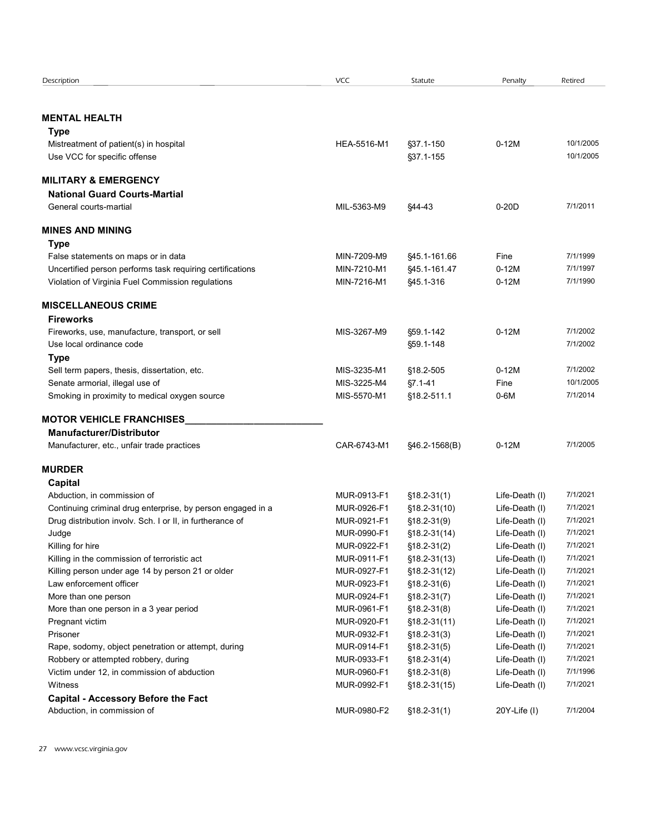| Description                                                                                      | <b>VCC</b>                 | Statute                           | Penalty                          | Retired                |
|--------------------------------------------------------------------------------------------------|----------------------------|-----------------------------------|----------------------------------|------------------------|
|                                                                                                  |                            |                                   |                                  |                        |
| <b>MENTAL HEALTH</b>                                                                             |                            |                                   |                                  |                        |
| Type                                                                                             |                            |                                   |                                  |                        |
| Mistreatment of patient(s) in hospital<br>Use VCC for specific offense                           | HEA-5516-M1                | §37.1-150<br>§37.1-155            | $0-12M$                          | 10/1/2005<br>10/1/2005 |
|                                                                                                  |                            |                                   |                                  |                        |
| <b>MILITARY &amp; EMERGENCY</b>                                                                  |                            |                                   |                                  |                        |
| <b>National Guard Courts-Martial</b>                                                             |                            |                                   |                                  |                        |
| General courts-martial                                                                           | MIL-5363-M9                | §44-43                            | $0-20D$                          | 7/1/2011               |
| <b>MINES AND MINING</b>                                                                          |                            |                                   |                                  |                        |
| <b>Type</b>                                                                                      |                            |                                   |                                  |                        |
| False statements on maps or in data<br>Uncertified person performs task requiring certifications | MIN-7209-M9<br>MIN-7210-M1 | \$45.1-161.66<br>§45.1-161.47     | Fine<br>$0-12M$                  | 7/1/1999<br>7/1/1997   |
| Violation of Virginia Fuel Commission regulations                                                | MIN-7216-M1                | \$45.1-316                        | $0-12M$                          | 7/1/1990               |
|                                                                                                  |                            |                                   |                                  |                        |
| <b>MISCELLANEOUS CRIME</b><br><b>Fireworks</b>                                                   |                            |                                   |                                  |                        |
| Fireworks, use, manufacture, transport, or sell                                                  | MIS-3267-M9                | §59.1-142                         | $0-12M$                          | 7/1/2002               |
| Use local ordinance code                                                                         |                            | §59.1-148                         |                                  | 7/1/2002               |
| <b>Type</b>                                                                                      |                            |                                   |                                  |                        |
| Sell term papers, thesis, dissertation, etc.                                                     | MIS-3235-M1                | §18.2-505                         | $0-12M$                          | 7/1/2002               |
| Senate armorial, illegal use of<br>Smoking in proximity to medical oxygen source                 | MIS-3225-M4<br>MIS-5570-M1 | $§7.1 - 41$<br>§18.2-511.1        | Fine<br>$0-6M$                   | 10/1/2005<br>7/1/2014  |
|                                                                                                  |                            |                                   |                                  |                        |
| <b>MOTOR VEHICLE FRANCHISES</b>                                                                  |                            |                                   |                                  |                        |
| <b>Manufacturer/Distributor</b><br>Manufacturer, etc., unfair trade practices                    | CAR-6743-M1                | §46.2-1568(B)                     | $0-12M$                          | 7/1/2005               |
|                                                                                                  |                            |                                   |                                  |                        |
| <b>MURDER</b>                                                                                    |                            |                                   |                                  |                        |
| Capital                                                                                          |                            |                                   |                                  |                        |
| Abduction, in commission of<br>Continuing criminal drug enterprise, by person engaged in a       | MUR-0913-F1<br>MUR-0926-F1 | $$18.2-31(1)$<br>$$18.2 - 31(10)$ | Life-Death (I)<br>Life-Death (I) | 7/1/2021<br>7/1/2021   |
| Drug distribution involv. Sch. I or II, in furtherance of                                        | MUR-0921-F1                | $$18.2-31(9)$                     | Life-Death (I)                   | 7/1/2021               |
| Judge                                                                                            | MUR-0990-F1                | $$18.2-31(14)$                    | Life-Death (I)                   | 7/1/2021               |
| Killing for hire                                                                                 | MUR-0922-F1                | $$18.2-31(2)$                     | Life-Death (I)                   | 7/1/2021               |
| Killing in the commission of terroristic act                                                     | MUR-0911-F1                | $$18.2 - 31(13)$                  | Life-Death (I)                   | 7/1/2021               |
| Killing person under age 14 by person 21 or older                                                | MUR-0927-F1                | $$18.2-31(12)$                    | Life-Death (I)                   | 7/1/2021               |
| Law enforcement officer                                                                          | MUR-0923-F1                | $$18.2-31(6)$                     | Life-Death (I)                   | 7/1/2021               |
| More than one person                                                                             | MUR-0924-F1                | $$18.2-31(7)$                     | Life-Death (I)                   | 7/1/2021               |
| More than one person in a 3 year period                                                          | MUR-0961-F1                | $$18.2-31(8)$                     | Life-Death (I)                   | 7/1/2021               |
| Pregnant victim                                                                                  | MUR-0920-F1                | $$18.2-31(11)$                    | Life-Death (I)                   | 7/1/2021               |
| Prisoner                                                                                         | MUR-0932-F1                | $$18.2-31(3)$                     | Life-Death (I)                   | 7/1/2021               |
| Rape, sodomy, object penetration or attempt, during                                              | MUR-0914-F1                | $$18.2-31(5)$                     | Life-Death (I)                   | 7/1/2021               |
| Robbery or attempted robbery, during                                                             | MUR-0933-F1                | $$18.2-31(4)$                     | Life-Death (I)                   | 7/1/2021               |
| Victim under 12, in commission of abduction<br>Witness                                           | MUR-0960-F1<br>MUR-0992-F1 | $$18.2-31(8)$<br>$$18.2-31(15)$   | Life-Death (I)<br>Life-Death (I) | 7/1/1996<br>7/1/2021   |
| <b>Capital - Accessory Before the Fact</b>                                                       |                            |                                   |                                  |                        |
|                                                                                                  | MUR-0980-F2                |                                   |                                  |                        |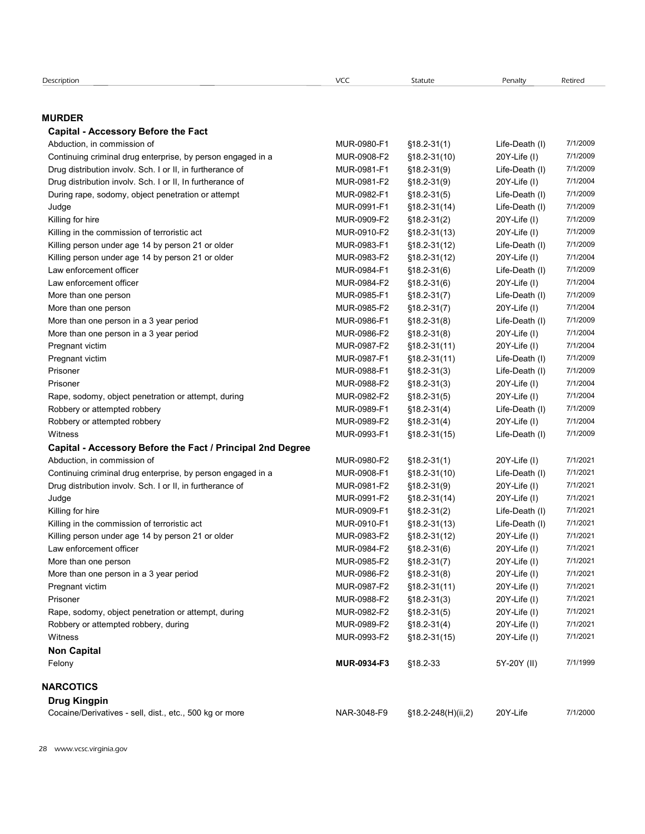| Description                                                 | VCC         | Statute          | Penalty           | Retired  |
|-------------------------------------------------------------|-------------|------------------|-------------------|----------|
|                                                             |             |                  |                   |          |
| <b>MURDER</b>                                               |             |                  |                   |          |
| <b>Capital - Accessory Before the Fact</b>                  |             |                  |                   |          |
| Abduction, in commission of                                 | MUR-0980-F1 | $$18.2 - 31(1)$  | Life-Death (I)    | 7/1/2009 |
| Continuing criminal drug enterprise, by person engaged in a | MUR-0908-F2 | §18.2-31(10)     | $20Y$ -Life $(1)$ | 7/1/2009 |
| Drug distribution involv. Sch. I or II, in furtherance of   | MUR-0981-F1 | $$18.2 - 31(9)$  | Life-Death (I)    | 7/1/2009 |
| Drug distribution involv. Sch. I or II, In furtherance of   | MUR-0981-F2 | $$18.2 - 31(9)$  | $20Y$ -Life $(1)$ | 7/1/2004 |
| During rape, sodomy, object penetration or attempt          | MUR-0982-F1 | $$18.2-31(5)$    | Life-Death (I)    | 7/1/2009 |
| Judge                                                       | MUR-0991-F1 | $$18.2 - 31(14)$ | Life-Death (I)    | 7/1/2009 |
| Killing for hire                                            | MUR-0909-F2 | $$18.2-31(2)$    | $20Y$ -Life $(1)$ | 7/1/2009 |
| Killing in the commission of terroristic act                | MUR-0910-F2 | $$18.2-31(13)$   | $20Y$ -Life $(1)$ | 7/1/2009 |
| Killing person under age 14 by person 21 or older           | MUR-0983-F1 | $$18.2-31(12)$   | Life-Death (I)    | 7/1/2009 |
| Killing person under age 14 by person 21 or older           | MUR-0983-F2 | $$18.2-31(12)$   | $20Y$ -Life $(1)$ | 7/1/2004 |
| Law enforcement officer                                     | MUR-0984-F1 | $$18.2-31(6)$    | Life-Death (I)    | 7/1/2009 |
|                                                             | MUR-0984-F2 | $$18.2-31(6)$    | $20Y$ -Life $(1)$ | 7/1/2004 |
| Law enforcement officer                                     |             |                  |                   |          |

Corigion<br> **Capital - Accessory Before the Fact**<br> **Capital - Accessory Before the Fact**<br>
Abduction, in commission of<br>
Dong distribution involus Sch. Ior II, in furtherance of<br>
Dong distribution involus Sch. Ior II, in furt Scorpsion<br> **Capital - Accessory Before the Fact**<br> **Capital - Accessory Before the Fact**<br>
Abduction, in commission of area expected by person engaged in a<br>
Dura Gottinuing criminal drug enterprise, by person engaged in a<br>
D encription<br> **LURDER**<br> **Capital - Accessory Before the Fact**<br> **Capital - Accessory Before the Fact**<br>
Abdullation, in commission of the Fact<br>
Continuing criminal diug-enferpies, by person engaged in a<br>
Dura Continuing crimi encriphent Version (Witch Case of MuR-0984-F2 18.2-31(1) Law Encriphent Capital Accessory Before the Fact<br>Abduction, in commission of<br>Abduction, in commission of the Fact<br>Abduction involves when the fact<br>Dung distribution ecripsian<br> **URDER Accessory Before the Fact**<br>
More than one person one person engaged in a<br>
More than one person one before the fact<br>
Continuing criminal drug onlargense. by person engaged in a<br>
Dural dramatical one of th skicklein<br>
Capital Accessory Before the Fact<br>
Capital Accessory Before the Fact<br>
Continuing criminal drug enterprise, by person engaged in a<br>
Moreovice of the Fact<br>
Continuing criminal drug enterprise, by person engaged i Scription<br>
Capital - Accessory Before the Fact<br>
Capital - Accessory Before the Fact<br>
Continuing criminal drug enterprise, by person engaged in a<br>
Douty distribution involv. Sch. I or il, in furtherance of<br>
Duray distribut erempton More than one person **Before the Fact**<br>
Capital - Accessory Before the Fact<br>
Cabital - Accessory Before the Fact<br>
Cabital - Accessory Before the Fact<br>
Cabital in iterations and the material one of MUR-0986-F2 18 encipian <br> **URDER**<br> **Capital - Accessory Before the Fact**<br> **Capital - Accessory Before the Fact**<br>
Abduction, in commission of the right in this<br>
Dominium graminal drug enterprise, by person engaged in a<br>
Dominium graminal **CONDER Accessory Before the Fact**<br>
Capital - Accessory Before the Fact<br>
Cabital - Accessory Before the Fact<br>
Cabital - Accessory Before the Fact<br>
During distribution involv. Sch. I or il, in furtherance of<br>
During distr **URDER**<br>
Capital Accossory Before the Fact<br>
Abduction, in commission of the Fact<br>
Continuing criminal drug orderisties, by person engaged in a<br>
Continuing criminal drug orderisties, by person engaged in a<br>
MUR-0069-F1  $\frac$ **URDER**<br>
Capital Accessory Before the Fact<br>
Continuing criminal drug enterprise, by person engaged in a<br>
Continuing criminal drug enterprise is the prior of the Continuing Criminal drug enterprise is the Continuing distri Countain, no commission of the Fact<br>Continuing criminal diag enterprise, by person engaged in a<br>Continuing criminal diag enterprise, by person engaged in a<br>continuing criminal diag enterprise, by person engaged in a<br>conti Vepture Thromassion of the Technology and Technology of The Death (I) 7/1/2006<br>
Continuing crimes dring enterprise, by person angaged in a<br>
Drug distribution involv. Sch. I or il, in furtherance of<br>
Drug distribution invo Association, in continuous or attemption by person engaged in a<br>
Domining criminal drug enterprise, by person engaged in a<br>
Domining criminal drug enterprise, by person engaged in a<br>
MUR-0986-F2 1812-31(14) 20Y-Life (I) 7 Content of the Cost of the Cost of the Cost of the Cost of the Cost of the Cost of the Cost of the Cost of the Cost of the Cost of the Cost of the Cost of the Cost of the Cost of the Cost of the Cost of the Cost of the Co Capital - Accessory Before the Fact / Principal 2nd Degree During rape, sodomy, object pendtrailon or altempt<br>
Abduction and the commission of Merofistic act<br>
MuR-0990-F1 318.2-31(1) Uni-Dealth (I) 7/1/2020<br>
MuR-0990-F2 318.2-31(1) 20Y-Life (I) 7/1/2020<br>
MuR-0990-F2 318.2-31(1) 2 Unige<br>
Colling (or hise<br>
Killing person under age 4 by person 21 or older<br>
Killing person under age 4 by person 21 or older<br>
Colling person under age 4 by person 21 or older<br>
LAW-0908-F1 202-31(12) Life-Death (I) 7/1/2020 Nilling for hire commission of terminic act MUR-0982-F2 18.2-31(1) 20Y-Life (I) 7/1/2020<br>
Nelling person under rap 14 by person 21 or older<br>
Kelling person under rap 14 by person 21 or older<br>
Kelling person under rap 14 b Judge MUR-0991-F2 18.2-31(14) 20Y-Life (I) § 7/1/2021 Killing for hire MUR-0909-F1 18.2-31(2) Life-Death (I) § 7/1/2021  $\begin{tabular}{lllll} \textbf{K} \texttt{K} \texttt{W} \texttt{p} \texttt{p} \texttt{c} \texttt{c} \texttt{M} \texttt{W} \texttt{r} \texttt{r} \texttt{r} \texttt{r} \texttt{r} \texttt{r} \texttt{r} \texttt{r} \texttt{r} \texttt{r} \texttt{r} \texttt{r} \texttt{r} \texttt{r} \texttt{r} \texttt{r} \texttt{r} \texttt{r} \texttt{r} \texttt{r} \texttt{r} \texttt{r} \texttt{r} \texttt{r} \texttt{r} \texttt{r}$ Lift in the person method in the person of the person of the main of the main of the main of the main of the main of the main of the main of the main of the main of the main of the main of the main of the main of the main Law enforcement officer **MUR-0984-F2** 18.2-31(5) 20Y-Life (I) 7/1/2024<br>
More than one person<br>
More than one person in a 3 year period MuR-0984-F2 1812-31(7) 20Y-Life (I) 7/1/2024<br>
More than one person in a 3 year period M More than one person many and many and many and many and many and many and many and many and many and many and many and many and many and many and many and many and many and many and many and many and many and many and ma More than one person in a 3 year period MUR-0985-F2 1812-31(7) 20Y-Life (I) 7/1/2021<br>More than one person in a 3 year period MUR-0986-F2 1812-31(8) 146-bash (I) 7/1/2024<br>
Pregnant vicine<br>
Pregnant vicine<br>
Pregnant Victine Note than one person in a 3 year period<br>
MuR-0986-F1 318.2-31(3) Life-Death () 7/1/2020<br>
Pregnant victim<br>
Pregnant victim<br>
Pregnant victim<br>
Pregnant victim<br>
Pregnant victim<br>
Pregnant victim<br>
Pregnant victim<br>
Pregnant vict Note the one person in a 3year period MUR-0988-F2 318.2-31(3) 20Y-Life (I) 7/1/2024<br>Pregnant video the person in a 3year period MUR-0987-F2 318.2-31(11) 20Y-Life (I) 7/1/2024<br>Prisoner Monomy.clipter perfection or attempt, Respectively.methronic or performed the methronic or attempt, during the sole of the sole of the sole of the sole of the sole of the sole of the sole of the sole of the sole of the sole of the sole of the sole of the sole Pregnant vice: The commission or attempt, during MUR-0985-F2 18.2-31(11) 20Y-Life (I) 71/2020<br>
Pregnant vice: Monotony, ebject penetration or attempt, during MUR-0988-F2 1812-31(3) 20Y-Life (I) 71/1/2020<br>
Robbery or attem Presener<br>
Presener Compy, object penetration or attempt, during<br>
Presener Compy, object penetration or attempt, during<br>
Roberty or attempted robbory<br>
Roberty attempted robbory<br>
Roberty attempted robbory<br>
With a Subsect of Rap. sedory, object pentration or attempt, during<br>
Robbery or attempted robbery<br>
Robbery or attempted robbery<br>
Robbery or attempted robbery<br>
Robbery or attempted robbery<br>
MUR-0985-F2 §18.2-31(4) 20Y-LIfe (i) 7/1/2020<br>
Cap Cocaine/The morminal of the Fact / Principal 2nd Degree<br>
Accessory Before the Fact / Principal 2nd Degree<br>
Continuing criminal diug enterprise, by peson engaged in a<br>
Continuing criminal diversifies, by peson engaged in a

# Non Capital

#### **NARCOTICS**

Drug Kingpin

| <b>Diug Kiligpill</b>                                   |             |                    |          |         |
|---------------------------------------------------------|-------------|--------------------|----------|---------|
| Cocaine/Derivatives - sell, dist., etc., 500 kg or more | NAR-3048-F9 | §18.2-248(H)(ii,2) | 20Y-Life | 7/1/200 |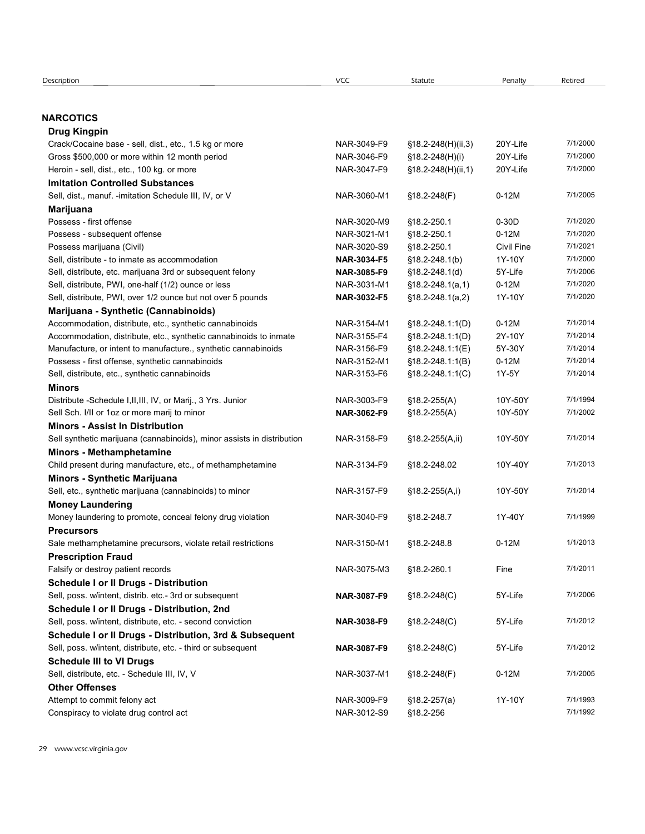| VCC<br>Description<br>Statute<br>Penalty<br>Retired<br><b>NARCOTICS</b><br>Drug Kingpin<br>7/1/2000<br>Crack/Cocaine base - sell, dist., etc., 1.5 kg or more<br>NAR-3049-F9<br>§18.2-248(H)(ii,3)<br>20Y-Life<br>Gross \$500,000 or more within 12 month period<br>20Y-Life<br>7/1/2000<br>NAR-3046-F9<br>§18.2-248(H)(i)<br>20Y-Life<br>7/1/2000<br>Heroin - sell, dist., etc., 100 kg. or more<br>NAR-3047-F9<br>§18.2-248(H)(ii,1)<br><b>Imitation Controlled Substances</b><br>$0-12M$<br>7/1/2005<br>Sell, dist., manuf. -imitation Schedule III, IV, or V<br>NAR-3060-M1<br>$$18.2 - 248(F)$<br>Marijuana<br>$0-30D$<br>7/1/2020<br>Possess - first offense<br>NAR-3020-M9<br>§18.2-250.1<br>$0-12M$<br>7/1/2020<br>Possess - subsequent offense<br>NAR-3021-M1<br>§18.2-250.1<br>7/1/2021<br>Possess marijuana (Civil)<br>NAR-3020-S9<br>§18.2-250.1<br>Civil Fine<br>7/1/2000<br>Sell, distribute - to inmate as accommodation<br>1Y-10Y<br>NAR-3034-F5<br>$$18.2 - 248.1(b)$<br>7/1/2006<br>Sell, distribute, etc. marijuana 3rd or subsequent felony<br>$$18.2 - 248.1(d)$<br>5Y-Life<br>NAR-3085-F9<br>7/1/2020<br>$$18.2 - 248.1(a, 1)$<br>$0-12M$<br>Sell, distribute, PWI, one-half (1/2) ounce or less<br>NAR-3031-M1<br>7/1/2020<br>Sell, distribute, PWI, over 1/2 ounce but not over 5 pounds<br>1Y-10Y<br><b>NAR-3032-F5</b><br>$$18.2 - 248.1(a,2)$<br>Marijuana - Synthetic (Cannabinoids)<br>7/1/2014<br>Accommodation, distribute, etc., synthetic cannabinoids<br>§18.2-248.1:1(D)<br>$0-12M$<br>NAR-3154-M1<br>NAR-3155-F4<br>2Y-10Y<br>7/1/2014<br>Accommodation, distribute, etc., synthetic cannabinoids to inmate<br>$$18.2 - 248.1:1(D)$<br>NAR-3156-F9<br>5Y-30Y<br>7/1/2014<br>Manufacture, or intent to manufacture., synthetic cannabinoids<br>§18.2-248.1:1(E)<br>7/1/2014<br>Possess - first offense, synthetic cannabinoids<br>§18.2-248.1:1(B)<br>$0-12M$<br>NAR-3152-M1<br>7/1/2014<br>Sell, distribute, etc., synthetic cannabinoids<br>1Y-5Y<br>NAR-3153-F6<br>$$18.2 - 248.1:1(C)$<br>Minors<br>7/1/1994<br>Distribute -Schedule I, II, III, IV, or Marij., 3 Yrs. Junior<br>NAR-3003-F9<br>$$18.2-255(A)$<br>10Y-50Y<br>NAR-3062-F9<br>10Y-50Y<br>7/1/2002<br>Sell Sch. I/II or 1oz or more marij to minor<br>$$18.2-255(A)$<br><b>Minors - Assist In Distribution</b><br>7/1/2014<br>Sell synthetic marijuana (cannabinoids), minor assists in distribution<br>NAR-3158-F9<br>§18.2-255(A,ii)<br>10Y-50Y<br>Minors - Methamphetamine<br>Child present during manufacture, etc., of methamphetamine<br>7/1/2013<br>NAR-3134-F9<br>§18.2-248.02<br>10Y-40Y<br>Minors - Synthetic Marijuana<br>Sell, etc., synthetic marijuana (cannabinoids) to minor<br>7/1/2014<br>NAR-3157-F9<br>$$18.2-255(A,i)$<br>10Y-50Y<br><b>Money Laundering</b><br>Money laundering to promote, conceal felony drug violation<br>7/1/1999<br>NAR-3040-F9<br>§18.2-248.7<br>1Y-40Y<br><b>Precursors</b><br>$0-12M$<br>1/1/2013<br>Sale methamphetamine precursors, violate retail restrictions<br>NAR-3150-M1<br>§18.2-248.8<br><b>Prescription Fraud</b><br>7/1/2011<br>Falsify or destroy patient records<br>NAR-3075-M3<br>§18.2-260.1<br>Fine<br><b>Schedule I or II Drugs - Distribution</b><br>Sell, poss. w/intent, distrib. etc.- 3rd or subsequent<br>7/1/2006<br>$$18.2 - 248(C)$<br>5Y-Life<br>NAR-3087-F9<br>Schedule I or II Drugs - Distribution, 2nd<br>7/1/2012<br>Sell, poss. w/intent, distribute, etc. - second conviction<br>NAR-3038-F9<br>$$18.2 - 248(C)$<br>5Y-Life<br>Schedule I or II Drugs - Distribution, 3rd & Subsequent<br>7/1/2012<br>Sell, poss. w/intent, distribute, etc. - third or subsequent<br>5Y-Life<br>NAR-3087-F9<br>$$18.2 - 248(C)$<br><b>Schedule III to VI Drugs</b><br>7/1/2005<br>Sell, distribute, etc. - Schedule III, IV, V<br>NAR-3037-M1<br>§18.2-248(F)<br>$0-12M$<br><b>Other Offenses</b><br>7/1/1993<br>Attempt to commit felony act<br>NAR-3009-F9<br>$$18.2-257(a)$<br>1Y-10Y<br>7/1/1992<br>Conspiracy to violate drug control act<br>§18.2-256 |             |  |  |
|-----------------------------------------------------------------------------------------------------------------------------------------------------------------------------------------------------------------------------------------------------------------------------------------------------------------------------------------------------------------------------------------------------------------------------------------------------------------------------------------------------------------------------------------------------------------------------------------------------------------------------------------------------------------------------------------------------------------------------------------------------------------------------------------------------------------------------------------------------------------------------------------------------------------------------------------------------------------------------------------------------------------------------------------------------------------------------------------------------------------------------------------------------------------------------------------------------------------------------------------------------------------------------------------------------------------------------------------------------------------------------------------------------------------------------------------------------------------------------------------------------------------------------------------------------------------------------------------------------------------------------------------------------------------------------------------------------------------------------------------------------------------------------------------------------------------------------------------------------------------------------------------------------------------------------------------------------------------------------------------------------------------------------------------------------------------------------------------------------------------------------------------------------------------------------------------------------------------------------------------------------------------------------------------------------------------------------------------------------------------------------------------------------------------------------------------------------------------------------------------------------------------------------------------------------------------------------------------------------------------------------------------------------------------------------------------------------------------------------------------------------------------------------------------------------------------------------------------------------------------------------------------------------------------------------------------------------------------------------------------------------------------------------------------------------------------------------------------------------------------------------------------------------------------------------------------------------------------------------------------------------------------------------------------------------------------------------------------------------------------------------------------------------------------------------------------------------------------------------------------------------------------------------------------------------------------------------------------------------------------------------------------------------------------------------------------------------------------------------------------------------------------------------------------------------------------------------------------------------------------------------------------------------------------------------------------------------------------------------------------------------------------------------------|-------------|--|--|
|                                                                                                                                                                                                                                                                                                                                                                                                                                                                                                                                                                                                                                                                                                                                                                                                                                                                                                                                                                                                                                                                                                                                                                                                                                                                                                                                                                                                                                                                                                                                                                                                                                                                                                                                                                                                                                                                                                                                                                                                                                                                                                                                                                                                                                                                                                                                                                                                                                                                                                                                                                                                                                                                                                                                                                                                                                                                                                                                                                                                                                                                                                                                                                                                                                                                                                                                                                                                                                                                                                                                                                                                                                                                                                                                                                                                                                                                                                                                                                                                                                   |             |  |  |
|                                                                                                                                                                                                                                                                                                                                                                                                                                                                                                                                                                                                                                                                                                                                                                                                                                                                                                                                                                                                                                                                                                                                                                                                                                                                                                                                                                                                                                                                                                                                                                                                                                                                                                                                                                                                                                                                                                                                                                                                                                                                                                                                                                                                                                                                                                                                                                                                                                                                                                                                                                                                                                                                                                                                                                                                                                                                                                                                                                                                                                                                                                                                                                                                                                                                                                                                                                                                                                                                                                                                                                                                                                                                                                                                                                                                                                                                                                                                                                                                                                   |             |  |  |
|                                                                                                                                                                                                                                                                                                                                                                                                                                                                                                                                                                                                                                                                                                                                                                                                                                                                                                                                                                                                                                                                                                                                                                                                                                                                                                                                                                                                                                                                                                                                                                                                                                                                                                                                                                                                                                                                                                                                                                                                                                                                                                                                                                                                                                                                                                                                                                                                                                                                                                                                                                                                                                                                                                                                                                                                                                                                                                                                                                                                                                                                                                                                                                                                                                                                                                                                                                                                                                                                                                                                                                                                                                                                                                                                                                                                                                                                                                                                                                                                                                   |             |  |  |
|                                                                                                                                                                                                                                                                                                                                                                                                                                                                                                                                                                                                                                                                                                                                                                                                                                                                                                                                                                                                                                                                                                                                                                                                                                                                                                                                                                                                                                                                                                                                                                                                                                                                                                                                                                                                                                                                                                                                                                                                                                                                                                                                                                                                                                                                                                                                                                                                                                                                                                                                                                                                                                                                                                                                                                                                                                                                                                                                                                                                                                                                                                                                                                                                                                                                                                                                                                                                                                                                                                                                                                                                                                                                                                                                                                                                                                                                                                                                                                                                                                   |             |  |  |
|                                                                                                                                                                                                                                                                                                                                                                                                                                                                                                                                                                                                                                                                                                                                                                                                                                                                                                                                                                                                                                                                                                                                                                                                                                                                                                                                                                                                                                                                                                                                                                                                                                                                                                                                                                                                                                                                                                                                                                                                                                                                                                                                                                                                                                                                                                                                                                                                                                                                                                                                                                                                                                                                                                                                                                                                                                                                                                                                                                                                                                                                                                                                                                                                                                                                                                                                                                                                                                                                                                                                                                                                                                                                                                                                                                                                                                                                                                                                                                                                                                   |             |  |  |
|                                                                                                                                                                                                                                                                                                                                                                                                                                                                                                                                                                                                                                                                                                                                                                                                                                                                                                                                                                                                                                                                                                                                                                                                                                                                                                                                                                                                                                                                                                                                                                                                                                                                                                                                                                                                                                                                                                                                                                                                                                                                                                                                                                                                                                                                                                                                                                                                                                                                                                                                                                                                                                                                                                                                                                                                                                                                                                                                                                                                                                                                                                                                                                                                                                                                                                                                                                                                                                                                                                                                                                                                                                                                                                                                                                                                                                                                                                                                                                                                                                   |             |  |  |
|                                                                                                                                                                                                                                                                                                                                                                                                                                                                                                                                                                                                                                                                                                                                                                                                                                                                                                                                                                                                                                                                                                                                                                                                                                                                                                                                                                                                                                                                                                                                                                                                                                                                                                                                                                                                                                                                                                                                                                                                                                                                                                                                                                                                                                                                                                                                                                                                                                                                                                                                                                                                                                                                                                                                                                                                                                                                                                                                                                                                                                                                                                                                                                                                                                                                                                                                                                                                                                                                                                                                                                                                                                                                                                                                                                                                                                                                                                                                                                                                                                   |             |  |  |
|                                                                                                                                                                                                                                                                                                                                                                                                                                                                                                                                                                                                                                                                                                                                                                                                                                                                                                                                                                                                                                                                                                                                                                                                                                                                                                                                                                                                                                                                                                                                                                                                                                                                                                                                                                                                                                                                                                                                                                                                                                                                                                                                                                                                                                                                                                                                                                                                                                                                                                                                                                                                                                                                                                                                                                                                                                                                                                                                                                                                                                                                                                                                                                                                                                                                                                                                                                                                                                                                                                                                                                                                                                                                                                                                                                                                                                                                                                                                                                                                                                   |             |  |  |
|                                                                                                                                                                                                                                                                                                                                                                                                                                                                                                                                                                                                                                                                                                                                                                                                                                                                                                                                                                                                                                                                                                                                                                                                                                                                                                                                                                                                                                                                                                                                                                                                                                                                                                                                                                                                                                                                                                                                                                                                                                                                                                                                                                                                                                                                                                                                                                                                                                                                                                                                                                                                                                                                                                                                                                                                                                                                                                                                                                                                                                                                                                                                                                                                                                                                                                                                                                                                                                                                                                                                                                                                                                                                                                                                                                                                                                                                                                                                                                                                                                   |             |  |  |
|                                                                                                                                                                                                                                                                                                                                                                                                                                                                                                                                                                                                                                                                                                                                                                                                                                                                                                                                                                                                                                                                                                                                                                                                                                                                                                                                                                                                                                                                                                                                                                                                                                                                                                                                                                                                                                                                                                                                                                                                                                                                                                                                                                                                                                                                                                                                                                                                                                                                                                                                                                                                                                                                                                                                                                                                                                                                                                                                                                                                                                                                                                                                                                                                                                                                                                                                                                                                                                                                                                                                                                                                                                                                                                                                                                                                                                                                                                                                                                                                                                   |             |  |  |
|                                                                                                                                                                                                                                                                                                                                                                                                                                                                                                                                                                                                                                                                                                                                                                                                                                                                                                                                                                                                                                                                                                                                                                                                                                                                                                                                                                                                                                                                                                                                                                                                                                                                                                                                                                                                                                                                                                                                                                                                                                                                                                                                                                                                                                                                                                                                                                                                                                                                                                                                                                                                                                                                                                                                                                                                                                                                                                                                                                                                                                                                                                                                                                                                                                                                                                                                                                                                                                                                                                                                                                                                                                                                                                                                                                                                                                                                                                                                                                                                                                   |             |  |  |
|                                                                                                                                                                                                                                                                                                                                                                                                                                                                                                                                                                                                                                                                                                                                                                                                                                                                                                                                                                                                                                                                                                                                                                                                                                                                                                                                                                                                                                                                                                                                                                                                                                                                                                                                                                                                                                                                                                                                                                                                                                                                                                                                                                                                                                                                                                                                                                                                                                                                                                                                                                                                                                                                                                                                                                                                                                                                                                                                                                                                                                                                                                                                                                                                                                                                                                                                                                                                                                                                                                                                                                                                                                                                                                                                                                                                                                                                                                                                                                                                                                   |             |  |  |
|                                                                                                                                                                                                                                                                                                                                                                                                                                                                                                                                                                                                                                                                                                                                                                                                                                                                                                                                                                                                                                                                                                                                                                                                                                                                                                                                                                                                                                                                                                                                                                                                                                                                                                                                                                                                                                                                                                                                                                                                                                                                                                                                                                                                                                                                                                                                                                                                                                                                                                                                                                                                                                                                                                                                                                                                                                                                                                                                                                                                                                                                                                                                                                                                                                                                                                                                                                                                                                                                                                                                                                                                                                                                                                                                                                                                                                                                                                                                                                                                                                   |             |  |  |
|                                                                                                                                                                                                                                                                                                                                                                                                                                                                                                                                                                                                                                                                                                                                                                                                                                                                                                                                                                                                                                                                                                                                                                                                                                                                                                                                                                                                                                                                                                                                                                                                                                                                                                                                                                                                                                                                                                                                                                                                                                                                                                                                                                                                                                                                                                                                                                                                                                                                                                                                                                                                                                                                                                                                                                                                                                                                                                                                                                                                                                                                                                                                                                                                                                                                                                                                                                                                                                                                                                                                                                                                                                                                                                                                                                                                                                                                                                                                                                                                                                   |             |  |  |
|                                                                                                                                                                                                                                                                                                                                                                                                                                                                                                                                                                                                                                                                                                                                                                                                                                                                                                                                                                                                                                                                                                                                                                                                                                                                                                                                                                                                                                                                                                                                                                                                                                                                                                                                                                                                                                                                                                                                                                                                                                                                                                                                                                                                                                                                                                                                                                                                                                                                                                                                                                                                                                                                                                                                                                                                                                                                                                                                                                                                                                                                                                                                                                                                                                                                                                                                                                                                                                                                                                                                                                                                                                                                                                                                                                                                                                                                                                                                                                                                                                   |             |  |  |
|                                                                                                                                                                                                                                                                                                                                                                                                                                                                                                                                                                                                                                                                                                                                                                                                                                                                                                                                                                                                                                                                                                                                                                                                                                                                                                                                                                                                                                                                                                                                                                                                                                                                                                                                                                                                                                                                                                                                                                                                                                                                                                                                                                                                                                                                                                                                                                                                                                                                                                                                                                                                                                                                                                                                                                                                                                                                                                                                                                                                                                                                                                                                                                                                                                                                                                                                                                                                                                                                                                                                                                                                                                                                                                                                                                                                                                                                                                                                                                                                                                   |             |  |  |
|                                                                                                                                                                                                                                                                                                                                                                                                                                                                                                                                                                                                                                                                                                                                                                                                                                                                                                                                                                                                                                                                                                                                                                                                                                                                                                                                                                                                                                                                                                                                                                                                                                                                                                                                                                                                                                                                                                                                                                                                                                                                                                                                                                                                                                                                                                                                                                                                                                                                                                                                                                                                                                                                                                                                                                                                                                                                                                                                                                                                                                                                                                                                                                                                                                                                                                                                                                                                                                                                                                                                                                                                                                                                                                                                                                                                                                                                                                                                                                                                                                   |             |  |  |
|                                                                                                                                                                                                                                                                                                                                                                                                                                                                                                                                                                                                                                                                                                                                                                                                                                                                                                                                                                                                                                                                                                                                                                                                                                                                                                                                                                                                                                                                                                                                                                                                                                                                                                                                                                                                                                                                                                                                                                                                                                                                                                                                                                                                                                                                                                                                                                                                                                                                                                                                                                                                                                                                                                                                                                                                                                                                                                                                                                                                                                                                                                                                                                                                                                                                                                                                                                                                                                                                                                                                                                                                                                                                                                                                                                                                                                                                                                                                                                                                                                   |             |  |  |
|                                                                                                                                                                                                                                                                                                                                                                                                                                                                                                                                                                                                                                                                                                                                                                                                                                                                                                                                                                                                                                                                                                                                                                                                                                                                                                                                                                                                                                                                                                                                                                                                                                                                                                                                                                                                                                                                                                                                                                                                                                                                                                                                                                                                                                                                                                                                                                                                                                                                                                                                                                                                                                                                                                                                                                                                                                                                                                                                                                                                                                                                                                                                                                                                                                                                                                                                                                                                                                                                                                                                                                                                                                                                                                                                                                                                                                                                                                                                                                                                                                   |             |  |  |
|                                                                                                                                                                                                                                                                                                                                                                                                                                                                                                                                                                                                                                                                                                                                                                                                                                                                                                                                                                                                                                                                                                                                                                                                                                                                                                                                                                                                                                                                                                                                                                                                                                                                                                                                                                                                                                                                                                                                                                                                                                                                                                                                                                                                                                                                                                                                                                                                                                                                                                                                                                                                                                                                                                                                                                                                                                                                                                                                                                                                                                                                                                                                                                                                                                                                                                                                                                                                                                                                                                                                                                                                                                                                                                                                                                                                                                                                                                                                                                                                                                   |             |  |  |
|                                                                                                                                                                                                                                                                                                                                                                                                                                                                                                                                                                                                                                                                                                                                                                                                                                                                                                                                                                                                                                                                                                                                                                                                                                                                                                                                                                                                                                                                                                                                                                                                                                                                                                                                                                                                                                                                                                                                                                                                                                                                                                                                                                                                                                                                                                                                                                                                                                                                                                                                                                                                                                                                                                                                                                                                                                                                                                                                                                                                                                                                                                                                                                                                                                                                                                                                                                                                                                                                                                                                                                                                                                                                                                                                                                                                                                                                                                                                                                                                                                   |             |  |  |
|                                                                                                                                                                                                                                                                                                                                                                                                                                                                                                                                                                                                                                                                                                                                                                                                                                                                                                                                                                                                                                                                                                                                                                                                                                                                                                                                                                                                                                                                                                                                                                                                                                                                                                                                                                                                                                                                                                                                                                                                                                                                                                                                                                                                                                                                                                                                                                                                                                                                                                                                                                                                                                                                                                                                                                                                                                                                                                                                                                                                                                                                                                                                                                                                                                                                                                                                                                                                                                                                                                                                                                                                                                                                                                                                                                                                                                                                                                                                                                                                                                   |             |  |  |
|                                                                                                                                                                                                                                                                                                                                                                                                                                                                                                                                                                                                                                                                                                                                                                                                                                                                                                                                                                                                                                                                                                                                                                                                                                                                                                                                                                                                                                                                                                                                                                                                                                                                                                                                                                                                                                                                                                                                                                                                                                                                                                                                                                                                                                                                                                                                                                                                                                                                                                                                                                                                                                                                                                                                                                                                                                                                                                                                                                                                                                                                                                                                                                                                                                                                                                                                                                                                                                                                                                                                                                                                                                                                                                                                                                                                                                                                                                                                                                                                                                   |             |  |  |
|                                                                                                                                                                                                                                                                                                                                                                                                                                                                                                                                                                                                                                                                                                                                                                                                                                                                                                                                                                                                                                                                                                                                                                                                                                                                                                                                                                                                                                                                                                                                                                                                                                                                                                                                                                                                                                                                                                                                                                                                                                                                                                                                                                                                                                                                                                                                                                                                                                                                                                                                                                                                                                                                                                                                                                                                                                                                                                                                                                                                                                                                                                                                                                                                                                                                                                                                                                                                                                                                                                                                                                                                                                                                                                                                                                                                                                                                                                                                                                                                                                   |             |  |  |
|                                                                                                                                                                                                                                                                                                                                                                                                                                                                                                                                                                                                                                                                                                                                                                                                                                                                                                                                                                                                                                                                                                                                                                                                                                                                                                                                                                                                                                                                                                                                                                                                                                                                                                                                                                                                                                                                                                                                                                                                                                                                                                                                                                                                                                                                                                                                                                                                                                                                                                                                                                                                                                                                                                                                                                                                                                                                                                                                                                                                                                                                                                                                                                                                                                                                                                                                                                                                                                                                                                                                                                                                                                                                                                                                                                                                                                                                                                                                                                                                                                   |             |  |  |
|                                                                                                                                                                                                                                                                                                                                                                                                                                                                                                                                                                                                                                                                                                                                                                                                                                                                                                                                                                                                                                                                                                                                                                                                                                                                                                                                                                                                                                                                                                                                                                                                                                                                                                                                                                                                                                                                                                                                                                                                                                                                                                                                                                                                                                                                                                                                                                                                                                                                                                                                                                                                                                                                                                                                                                                                                                                                                                                                                                                                                                                                                                                                                                                                                                                                                                                                                                                                                                                                                                                                                                                                                                                                                                                                                                                                                                                                                                                                                                                                                                   |             |  |  |
|                                                                                                                                                                                                                                                                                                                                                                                                                                                                                                                                                                                                                                                                                                                                                                                                                                                                                                                                                                                                                                                                                                                                                                                                                                                                                                                                                                                                                                                                                                                                                                                                                                                                                                                                                                                                                                                                                                                                                                                                                                                                                                                                                                                                                                                                                                                                                                                                                                                                                                                                                                                                                                                                                                                                                                                                                                                                                                                                                                                                                                                                                                                                                                                                                                                                                                                                                                                                                                                                                                                                                                                                                                                                                                                                                                                                                                                                                                                                                                                                                                   |             |  |  |
|                                                                                                                                                                                                                                                                                                                                                                                                                                                                                                                                                                                                                                                                                                                                                                                                                                                                                                                                                                                                                                                                                                                                                                                                                                                                                                                                                                                                                                                                                                                                                                                                                                                                                                                                                                                                                                                                                                                                                                                                                                                                                                                                                                                                                                                                                                                                                                                                                                                                                                                                                                                                                                                                                                                                                                                                                                                                                                                                                                                                                                                                                                                                                                                                                                                                                                                                                                                                                                                                                                                                                                                                                                                                                                                                                                                                                                                                                                                                                                                                                                   |             |  |  |
|                                                                                                                                                                                                                                                                                                                                                                                                                                                                                                                                                                                                                                                                                                                                                                                                                                                                                                                                                                                                                                                                                                                                                                                                                                                                                                                                                                                                                                                                                                                                                                                                                                                                                                                                                                                                                                                                                                                                                                                                                                                                                                                                                                                                                                                                                                                                                                                                                                                                                                                                                                                                                                                                                                                                                                                                                                                                                                                                                                                                                                                                                                                                                                                                                                                                                                                                                                                                                                                                                                                                                                                                                                                                                                                                                                                                                                                                                                                                                                                                                                   |             |  |  |
|                                                                                                                                                                                                                                                                                                                                                                                                                                                                                                                                                                                                                                                                                                                                                                                                                                                                                                                                                                                                                                                                                                                                                                                                                                                                                                                                                                                                                                                                                                                                                                                                                                                                                                                                                                                                                                                                                                                                                                                                                                                                                                                                                                                                                                                                                                                                                                                                                                                                                                                                                                                                                                                                                                                                                                                                                                                                                                                                                                                                                                                                                                                                                                                                                                                                                                                                                                                                                                                                                                                                                                                                                                                                                                                                                                                                                                                                                                                                                                                                                                   |             |  |  |
|                                                                                                                                                                                                                                                                                                                                                                                                                                                                                                                                                                                                                                                                                                                                                                                                                                                                                                                                                                                                                                                                                                                                                                                                                                                                                                                                                                                                                                                                                                                                                                                                                                                                                                                                                                                                                                                                                                                                                                                                                                                                                                                                                                                                                                                                                                                                                                                                                                                                                                                                                                                                                                                                                                                                                                                                                                                                                                                                                                                                                                                                                                                                                                                                                                                                                                                                                                                                                                                                                                                                                                                                                                                                                                                                                                                                                                                                                                                                                                                                                                   |             |  |  |
|                                                                                                                                                                                                                                                                                                                                                                                                                                                                                                                                                                                                                                                                                                                                                                                                                                                                                                                                                                                                                                                                                                                                                                                                                                                                                                                                                                                                                                                                                                                                                                                                                                                                                                                                                                                                                                                                                                                                                                                                                                                                                                                                                                                                                                                                                                                                                                                                                                                                                                                                                                                                                                                                                                                                                                                                                                                                                                                                                                                                                                                                                                                                                                                                                                                                                                                                                                                                                                                                                                                                                                                                                                                                                                                                                                                                                                                                                                                                                                                                                                   |             |  |  |
|                                                                                                                                                                                                                                                                                                                                                                                                                                                                                                                                                                                                                                                                                                                                                                                                                                                                                                                                                                                                                                                                                                                                                                                                                                                                                                                                                                                                                                                                                                                                                                                                                                                                                                                                                                                                                                                                                                                                                                                                                                                                                                                                                                                                                                                                                                                                                                                                                                                                                                                                                                                                                                                                                                                                                                                                                                                                                                                                                                                                                                                                                                                                                                                                                                                                                                                                                                                                                                                                                                                                                                                                                                                                                                                                                                                                                                                                                                                                                                                                                                   |             |  |  |
|                                                                                                                                                                                                                                                                                                                                                                                                                                                                                                                                                                                                                                                                                                                                                                                                                                                                                                                                                                                                                                                                                                                                                                                                                                                                                                                                                                                                                                                                                                                                                                                                                                                                                                                                                                                                                                                                                                                                                                                                                                                                                                                                                                                                                                                                                                                                                                                                                                                                                                                                                                                                                                                                                                                                                                                                                                                                                                                                                                                                                                                                                                                                                                                                                                                                                                                                                                                                                                                                                                                                                                                                                                                                                                                                                                                                                                                                                                                                                                                                                                   |             |  |  |
|                                                                                                                                                                                                                                                                                                                                                                                                                                                                                                                                                                                                                                                                                                                                                                                                                                                                                                                                                                                                                                                                                                                                                                                                                                                                                                                                                                                                                                                                                                                                                                                                                                                                                                                                                                                                                                                                                                                                                                                                                                                                                                                                                                                                                                                                                                                                                                                                                                                                                                                                                                                                                                                                                                                                                                                                                                                                                                                                                                                                                                                                                                                                                                                                                                                                                                                                                                                                                                                                                                                                                                                                                                                                                                                                                                                                                                                                                                                                                                                                                                   |             |  |  |
|                                                                                                                                                                                                                                                                                                                                                                                                                                                                                                                                                                                                                                                                                                                                                                                                                                                                                                                                                                                                                                                                                                                                                                                                                                                                                                                                                                                                                                                                                                                                                                                                                                                                                                                                                                                                                                                                                                                                                                                                                                                                                                                                                                                                                                                                                                                                                                                                                                                                                                                                                                                                                                                                                                                                                                                                                                                                                                                                                                                                                                                                                                                                                                                                                                                                                                                                                                                                                                                                                                                                                                                                                                                                                                                                                                                                                                                                                                                                                                                                                                   |             |  |  |
|                                                                                                                                                                                                                                                                                                                                                                                                                                                                                                                                                                                                                                                                                                                                                                                                                                                                                                                                                                                                                                                                                                                                                                                                                                                                                                                                                                                                                                                                                                                                                                                                                                                                                                                                                                                                                                                                                                                                                                                                                                                                                                                                                                                                                                                                                                                                                                                                                                                                                                                                                                                                                                                                                                                                                                                                                                                                                                                                                                                                                                                                                                                                                                                                                                                                                                                                                                                                                                                                                                                                                                                                                                                                                                                                                                                                                                                                                                                                                                                                                                   |             |  |  |
|                                                                                                                                                                                                                                                                                                                                                                                                                                                                                                                                                                                                                                                                                                                                                                                                                                                                                                                                                                                                                                                                                                                                                                                                                                                                                                                                                                                                                                                                                                                                                                                                                                                                                                                                                                                                                                                                                                                                                                                                                                                                                                                                                                                                                                                                                                                                                                                                                                                                                                                                                                                                                                                                                                                                                                                                                                                                                                                                                                                                                                                                                                                                                                                                                                                                                                                                                                                                                                                                                                                                                                                                                                                                                                                                                                                                                                                                                                                                                                                                                                   |             |  |  |
|                                                                                                                                                                                                                                                                                                                                                                                                                                                                                                                                                                                                                                                                                                                                                                                                                                                                                                                                                                                                                                                                                                                                                                                                                                                                                                                                                                                                                                                                                                                                                                                                                                                                                                                                                                                                                                                                                                                                                                                                                                                                                                                                                                                                                                                                                                                                                                                                                                                                                                                                                                                                                                                                                                                                                                                                                                                                                                                                                                                                                                                                                                                                                                                                                                                                                                                                                                                                                                                                                                                                                                                                                                                                                                                                                                                                                                                                                                                                                                                                                                   |             |  |  |
|                                                                                                                                                                                                                                                                                                                                                                                                                                                                                                                                                                                                                                                                                                                                                                                                                                                                                                                                                                                                                                                                                                                                                                                                                                                                                                                                                                                                                                                                                                                                                                                                                                                                                                                                                                                                                                                                                                                                                                                                                                                                                                                                                                                                                                                                                                                                                                                                                                                                                                                                                                                                                                                                                                                                                                                                                                                                                                                                                                                                                                                                                                                                                                                                                                                                                                                                                                                                                                                                                                                                                                                                                                                                                                                                                                                                                                                                                                                                                                                                                                   |             |  |  |
|                                                                                                                                                                                                                                                                                                                                                                                                                                                                                                                                                                                                                                                                                                                                                                                                                                                                                                                                                                                                                                                                                                                                                                                                                                                                                                                                                                                                                                                                                                                                                                                                                                                                                                                                                                                                                                                                                                                                                                                                                                                                                                                                                                                                                                                                                                                                                                                                                                                                                                                                                                                                                                                                                                                                                                                                                                                                                                                                                                                                                                                                                                                                                                                                                                                                                                                                                                                                                                                                                                                                                                                                                                                                                                                                                                                                                                                                                                                                                                                                                                   |             |  |  |
|                                                                                                                                                                                                                                                                                                                                                                                                                                                                                                                                                                                                                                                                                                                                                                                                                                                                                                                                                                                                                                                                                                                                                                                                                                                                                                                                                                                                                                                                                                                                                                                                                                                                                                                                                                                                                                                                                                                                                                                                                                                                                                                                                                                                                                                                                                                                                                                                                                                                                                                                                                                                                                                                                                                                                                                                                                                                                                                                                                                                                                                                                                                                                                                                                                                                                                                                                                                                                                                                                                                                                                                                                                                                                                                                                                                                                                                                                                                                                                                                                                   |             |  |  |
|                                                                                                                                                                                                                                                                                                                                                                                                                                                                                                                                                                                                                                                                                                                                                                                                                                                                                                                                                                                                                                                                                                                                                                                                                                                                                                                                                                                                                                                                                                                                                                                                                                                                                                                                                                                                                                                                                                                                                                                                                                                                                                                                                                                                                                                                                                                                                                                                                                                                                                                                                                                                                                                                                                                                                                                                                                                                                                                                                                                                                                                                                                                                                                                                                                                                                                                                                                                                                                                                                                                                                                                                                                                                                                                                                                                                                                                                                                                                                                                                                                   |             |  |  |
|                                                                                                                                                                                                                                                                                                                                                                                                                                                                                                                                                                                                                                                                                                                                                                                                                                                                                                                                                                                                                                                                                                                                                                                                                                                                                                                                                                                                                                                                                                                                                                                                                                                                                                                                                                                                                                                                                                                                                                                                                                                                                                                                                                                                                                                                                                                                                                                                                                                                                                                                                                                                                                                                                                                                                                                                                                                                                                                                                                                                                                                                                                                                                                                                                                                                                                                                                                                                                                                                                                                                                                                                                                                                                                                                                                                                                                                                                                                                                                                                                                   |             |  |  |
|                                                                                                                                                                                                                                                                                                                                                                                                                                                                                                                                                                                                                                                                                                                                                                                                                                                                                                                                                                                                                                                                                                                                                                                                                                                                                                                                                                                                                                                                                                                                                                                                                                                                                                                                                                                                                                                                                                                                                                                                                                                                                                                                                                                                                                                                                                                                                                                                                                                                                                                                                                                                                                                                                                                                                                                                                                                                                                                                                                                                                                                                                                                                                                                                                                                                                                                                                                                                                                                                                                                                                                                                                                                                                                                                                                                                                                                                                                                                                                                                                                   |             |  |  |
|                                                                                                                                                                                                                                                                                                                                                                                                                                                                                                                                                                                                                                                                                                                                                                                                                                                                                                                                                                                                                                                                                                                                                                                                                                                                                                                                                                                                                                                                                                                                                                                                                                                                                                                                                                                                                                                                                                                                                                                                                                                                                                                                                                                                                                                                                                                                                                                                                                                                                                                                                                                                                                                                                                                                                                                                                                                                                                                                                                                                                                                                                                                                                                                                                                                                                                                                                                                                                                                                                                                                                                                                                                                                                                                                                                                                                                                                                                                                                                                                                                   |             |  |  |
|                                                                                                                                                                                                                                                                                                                                                                                                                                                                                                                                                                                                                                                                                                                                                                                                                                                                                                                                                                                                                                                                                                                                                                                                                                                                                                                                                                                                                                                                                                                                                                                                                                                                                                                                                                                                                                                                                                                                                                                                                                                                                                                                                                                                                                                                                                                                                                                                                                                                                                                                                                                                                                                                                                                                                                                                                                                                                                                                                                                                                                                                                                                                                                                                                                                                                                                                                                                                                                                                                                                                                                                                                                                                                                                                                                                                                                                                                                                                                                                                                                   | NAR-3012-S9 |  |  |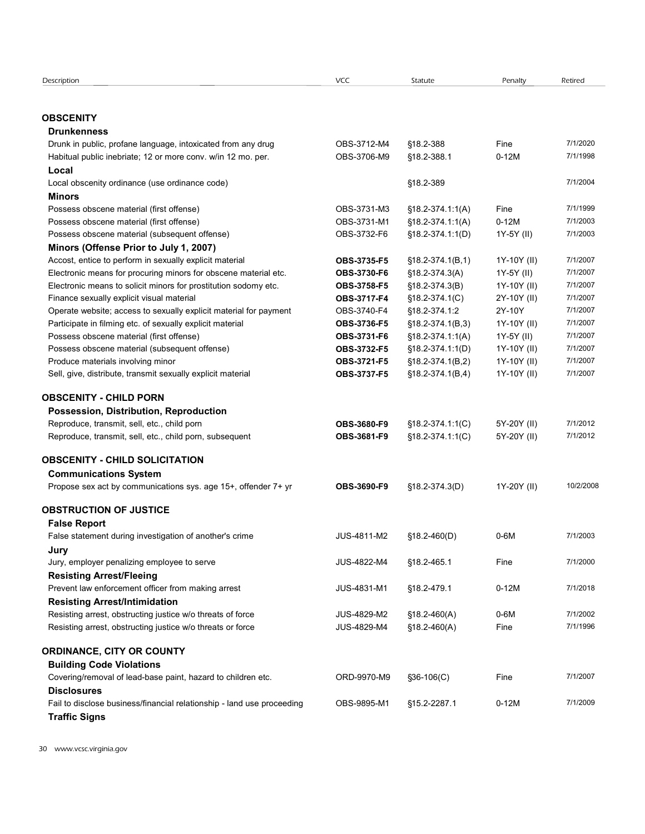| Description                                                                             | <b>VCC</b>                 | Statute                                | Penalty                    | Retired              |
|-----------------------------------------------------------------------------------------|----------------------------|----------------------------------------|----------------------------|----------------------|
|                                                                                         |                            |                                        |                            |                      |
| <b>OBSCENITY</b><br><b>Drunkenness</b>                                                  |                            |                                        |                            |                      |
| Drunk in public, profane language, intoxicated from any drug                            | OBS-3712-M4                | §18.2-388                              | Fine                       | 7/1/2020             |
| Habitual public inebriate; 12 or more conv. w/in 12 mo. per.<br>Local                   | OBS-3706-M9                | §18.2-388.1                            | $0-12M$                    | 7/1/1998             |
| Local obscenity ordinance (use ordinance code)                                          |                            | §18.2-389                              |                            | 7/1/2004             |
| Minors                                                                                  |                            |                                        |                            |                      |
| Possess obscene material (first offense)                                                | OBS-3731-M3                | $$18.2-374.1.1(A)$                     | Fine                       | 7/1/1999             |
| Possess obscene material (first offense)                                                | OBS-3731-M1                | $$18.2-374.1:1(A)$                     | $0-12M$                    | 7/1/2003             |
| Possess obscene material (subsequent offense)<br>Minors (Offense Prior to July 1, 2007) | OBS-3732-F6                | $$18.2-374.1:1(D)$                     | 1Y-5Y (II)                 | 7/1/2003             |
| Accost, entice to perform in sexually explicit material                                 | OBS-3735-F5                | $$18.2-374.1(B,1)$                     | 1Y-10Y (II)                | 7/1/2007             |
| Electronic means for procuring minors for obscene material etc.                         | OBS-3730-F6                | $$18.2 - 374.3(A)$                     | 1Y-5Y (II)                 | 7/1/2007             |
| Electronic means to solicit minors for prostitution sodomy etc.                         | OBS-3758-F5                | §18.2-374.3(B)                         | 1Y-10Y (II)                | 7/1/2007             |
| Finance sexually explicit visual material                                               | OBS-3717-F4                | $$18.2-374.1(C)$                       | 2Y-10Y (II)                | 7/1/2007             |
| Operate website; access to sexually explicit material for payment                       | OBS-3740-F4                | §18.2-374.1:2                          | 2Y-10Y                     | 7/1/2007             |
| Participate in filming etc. of sexually explicit material                               | OBS-3736-F5                | $§18.2-374.1(B,3)$                     | 1Y-10Y (II)                | 7/1/2007             |
| Possess obscene material (first offense)                                                | OBS-3731-F6                | $$18.2 - 374.1:1(A)$                   | 1Y-5Y (II)                 | 7/1/2007             |
| Possess obscene material (subsequent offense)<br>Produce materials involving minor      | OBS-3732-F5<br>OBS-3721-F5 | §18.2-374.1:1(D)<br>$$18.2-374.1(B,2)$ | 1Y-10Y (II)                | 7/1/2007<br>7/1/2007 |
| Sell, give, distribute, transmit sexually explicit material                             | OBS-3737-F5                | $$18.2-374.1(B,4)$                     | 1Y-10Y (II)<br>1Y-10Y (II) | 7/1/2007             |
| <b>OBSCENITY - CHILD PORN</b>                                                           |                            |                                        |                            |                      |
| Possession, Distribution, Reproduction                                                  |                            |                                        |                            |                      |
| Reproduce, transmit, sell, etc., child porn                                             | OBS-3680-F9                | §18.2-374.1:1(C)                       | 5Y-20Y (II)                | 7/1/2012             |
| Reproduce, transmit, sell, etc., child porn, subsequent                                 | OBS-3681-F9                | §18.2-374.1:1(C)                       | 5Y-20Y (II)                | 7/1/2012             |
| <b>OBSCENITY - CHILD SOLICITATION</b>                                                   |                            |                                        |                            |                      |
| <b>Communications System</b>                                                            |                            |                                        |                            |                      |
| Propose sex act by communications sys. age 15+, offender 7+ yr                          | OBS-3690-F9                | §18.2-374.3(D)                         | 1Y-20Y (II)                | 10/2/2008            |
| <b>OBSTRUCTION OF JUSTICE</b>                                                           |                            |                                        |                            |                      |
| <b>False Report</b>                                                                     |                            |                                        |                            |                      |
| False statement during investigation of another's crime                                 | JUS-4811-M2                | $$18.2-460(D)$                         | 0-6M                       | 7/1/2003             |
| Jury                                                                                    | JUS-4822-M4                |                                        | Fine                       | 7/1/2000             |
| Jury, employer penalizing employee to serve<br><b>Resisting Arrest/Fleeing</b>          |                            | §18.2-465.1                            |                            |                      |
| Prevent law enforcement officer from making arrest                                      | JUS-4831-M1                | §18.2-479.1                            | $0-12M$                    | 7/1/2018             |
| <b>Resisting Arrest/Intimidation</b>                                                    |                            |                                        |                            |                      |
| Resisting arrest, obstructing justice w/o threats of force                              | JUS-4829-M2                | $$18.2-460(A)$                         | $0-6M$                     | 7/1/2002             |
| Resisting arrest, obstructing justice w/o threats or force                              | JUS-4829-M4                | $$18.2-460(A)$                         | Fine                       | 7/1/1996             |
| <b>ORDINANCE, CITY OR COUNTY</b>                                                        |                            |                                        |                            |                      |
| <b>Building Code Violations</b>                                                         |                            |                                        |                            |                      |
| Covering/removal of lead-base paint, hazard to children etc.                            | ORD-9970-M9                | $$36-106(C)$                           | Fine                       | 7/1/2007             |
| <b>Disclosures</b>                                                                      |                            |                                        |                            |                      |
| Fail to disclose business/financial relationship - land use proceeding                  | OBS-9895-M1                | §15.2-2287.1                           | $0-12M$                    | 7/1/2009             |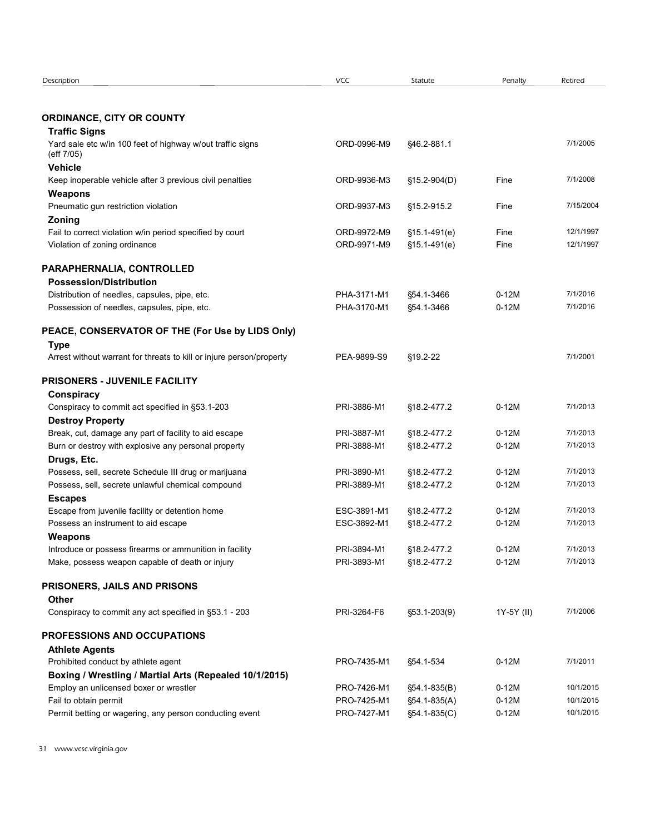| Description                                                                         | VCC         | Statute      | Penalty    | Retired   |
|-------------------------------------------------------------------------------------|-------------|--------------|------------|-----------|
|                                                                                     |             |              |            |           |
|                                                                                     |             |              |            |           |
| <b>ORDINANCE, CITY OR COUNTY</b>                                                    |             |              |            |           |
| <b>Traffic Signs</b>                                                                |             |              |            | 7/1/2005  |
| Yard sale etc w/in 100 feet of highway w/out traffic signs<br>(eff 7/05)            | ORD-0996-M9 | \$46.2-881.1 |            |           |
| <b>Vehicle</b>                                                                      |             |              |            |           |
| Keep inoperable vehicle after 3 previous civil penalties                            | ORD-9936-M3 | §15.2-904(D) | Fine       | 7/1/2008  |
| Weapons                                                                             |             |              |            |           |
| Pneumatic gun restriction violation                                                 | ORD-9937-M3 | §15.2-915.2  | Fine       | 7/15/2004 |
| Zoning                                                                              |             |              |            |           |
| Fail to correct violation w/in period specified by court                            | ORD-9972-M9 | §15.1-491(e) | Fine       | 12/1/1997 |
| Violation of zoning ordinance                                                       | ORD-9971-M9 | §15.1-491(e) | Fine       | 12/1/1997 |
|                                                                                     |             |              |            |           |
| PARAPHERNALIA, CONTROLLED                                                           |             |              |            |           |
| <b>Possession/Distribution</b>                                                      |             |              |            |           |
| Distribution of needles, capsules, pipe, etc.                                       | PHA-3171-M1 | §54.1-3466   | $0-12M$    | 7/1/2016  |
| Possession of needles, capsules, pipe, etc.                                         | PHA-3170-M1 | §54.1-3466   | $0-12M$    | 7/1/2016  |
| PEACE, CONSERVATOR OF THE (For Use by LIDS Only)                                    |             |              |            |           |
|                                                                                     |             |              |            |           |
| <b>Type</b><br>Arrest without warrant for threats to kill or injure person/property | PEA-9899-S9 | §19.2-22     |            | 7/1/2001  |
|                                                                                     |             |              |            |           |
| <b>PRISONERS - JUVENILE FACILITY</b>                                                |             |              |            |           |
| <b>Conspiracy</b>                                                                   |             |              |            |           |
| Conspiracy to commit act specified in §53.1-203                                     | PRI-3886-M1 | §18.2-477.2  | $0-12M$    | 7/1/2013  |
| <b>Destroy Property</b>                                                             |             |              |            |           |
| Break, cut, damage any part of facility to aid escape                               | PRI-3887-M1 | §18.2-477.2  | $0-12M$    | 7/1/2013  |
| Burn or destroy with explosive any personal property                                | PRI-3888-M1 | §18.2-477.2  | $0-12M$    | 7/1/2013  |
| Drugs, Etc.                                                                         |             |              |            |           |
| Possess, sell, secrete Schedule III drug or marijuana                               | PRI-3890-M1 | §18.2-477.2  | $0-12M$    | 7/1/2013  |
| Possess, sell, secrete unlawful chemical compound                                   | PRI-3889-M1 | §18.2-477.2  | $0-12M$    | 7/1/2013  |
| <b>Escapes</b>                                                                      |             |              |            |           |
| Escape from juvenile facility or detention home                                     | ESC-3891-M1 | §18.2-477.2  | $0-12M$    | 7/1/2013  |
| Possess an instrument to aid escape                                                 | ESC-3892-M1 | §18.2-477.2  | $0-12M$    | 7/1/2013  |
| Weapons                                                                             |             |              |            |           |
| Introduce or possess firearms or ammunition in facility                             | PRI-3894-M1 | §18.2-477.2  | $0-12M$    | 7/1/2013  |
| Make, possess weapon capable of death or injury                                     | PRI-3893-M1 | §18.2-477.2  | $0-12M$    | 7/1/2013  |
| PRISONERS, JAILS AND PRISONS                                                        |             |              |            |           |
|                                                                                     |             |              |            |           |
| Other<br>Conspiracy to commit any act specified in §53.1 - 203                      | PRI-3264-F6 |              | 1Y-5Y (II) | 7/1/2006  |
|                                                                                     |             | §53.1-203(9) |            |           |
| PROFESSIONS AND OCCUPATIONS                                                         |             |              |            |           |
| <b>Athlete Agents</b>                                                               |             |              |            |           |
| Prohibited conduct by athlete agent                                                 | PRO-7435-M1 | §54.1-534    | $0-12M$    | 7/1/2011  |
| Boxing / Wrestling / Martial Arts (Repealed 10/1/2015)                              |             |              |            |           |
| Employ an unlicensed boxer or wrestler                                              | PRO-7426-M1 | §54.1-835(B) | $0-12M$    | 10/1/2015 |
| Fail to obtain permit                                                               | PRO-7425-M1 | §54.1-835(A) | $0-12M$    | 10/1/2015 |
|                                                                                     |             |              |            |           |
| Permit betting or wagering, any person conducting event                             | PRO-7427-M1 | §54.1-835(C) | $0-12M$    | 10/1/2015 |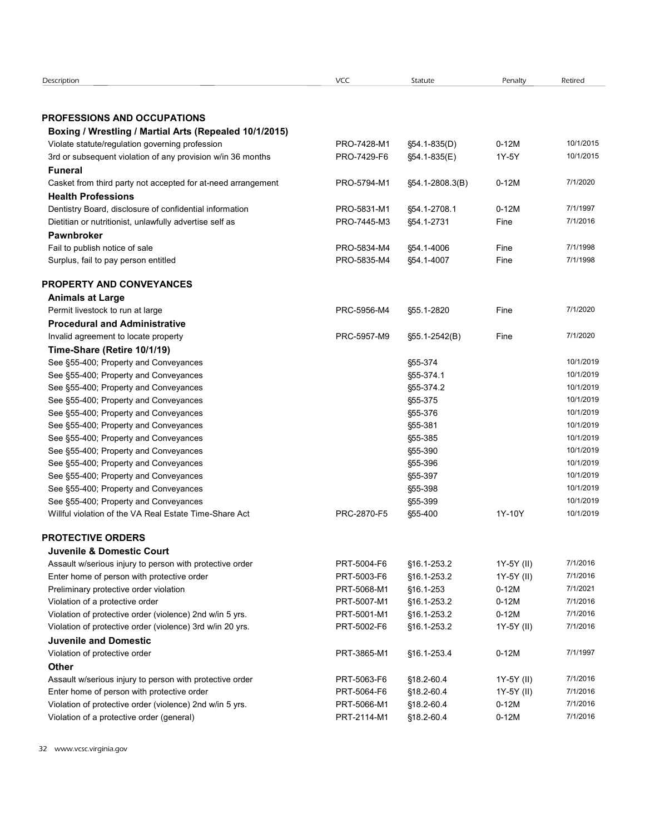| Description                                                                                           |             |                 |            |           |
|-------------------------------------------------------------------------------------------------------|-------------|-----------------|------------|-----------|
|                                                                                                       |             |                 |            |           |
|                                                                                                       |             |                 |            |           |
|                                                                                                       |             |                 |            |           |
|                                                                                                       |             |                 |            |           |
|                                                                                                       |             |                 |            |           |
|                                                                                                       |             |                 |            |           |
|                                                                                                       |             |                 |            |           |
|                                                                                                       | <b>VCC</b>  | Statute         | Penalty    | Retired   |
|                                                                                                       |             |                 |            |           |
|                                                                                                       |             |                 |            |           |
| <b>PROFESSIONS AND OCCUPATIONS</b>                                                                    |             |                 |            |           |
| Boxing / Wrestling / Martial Arts (Repealed 10/1/2015)                                                |             |                 |            |           |
| Violate statute/regulation governing profession                                                       | PRO-7428-M1 | §54.1-835(D)    | $0-12M$    | 10/1/2015 |
| 3rd or subsequent violation of any provision w/in 36 months                                           | PRO-7429-F6 | §54.1-835(E)    | 1Y-5Y      | 10/1/2015 |
| <b>Funeral</b>                                                                                        |             |                 |            |           |
| Casket from third party not accepted for at-need arrangement                                          | PRO-5794-M1 | §54.1-2808.3(B) | $0-12M$    | 7/1/2020  |
| <b>Health Professions</b>                                                                             |             |                 |            |           |
| Dentistry Board, disclosure of confidential information                                               | PRO-5831-M1 | §54.1-2708.1    | $0-12M$    | 7/1/1997  |
| Dietitian or nutritionist, unlawfully advertise self as                                               | PRO-7445-M3 | §54.1-2731      | Fine       | 7/1/2016  |
| <b>Pawnbroker</b>                                                                                     |             |                 |            |           |
| Fail to publish notice of sale                                                                        | PRO-5834-M4 | §54.1-4006      | Fine       | 7/1/1998  |
| Surplus, fail to pay person entitled                                                                  | PRO-5835-M4 | §54.1-4007      | Fine       | 7/1/1998  |
|                                                                                                       |             |                 |            |           |
| PROPERTY AND CONVEYANCES                                                                              |             |                 |            |           |
| <b>Animals at Large</b>                                                                               |             |                 |            |           |
| Permit livestock to run at large                                                                      | PRC-5956-M4 | \$55.1-2820     | Fine       | 7/1/2020  |
| <b>Procedural and Administrative</b>                                                                  |             |                 |            |           |
| Invalid agreement to locate property                                                                  | PRC-5957-M9 | §55.1-2542(B)   | Fine       | 7/1/2020  |
| Time-Share (Retire 10/1/19)                                                                           |             |                 |            |           |
| See §55-400; Property and Conveyances                                                                 |             | §55-374         |            | 10/1/2019 |
| See §55-400; Property and Conveyances                                                                 |             | §55-374.1       |            | 10/1/2019 |
| See §55-400; Property and Conveyances                                                                 |             | §55-374.2       |            | 10/1/2019 |
| See §55-400; Property and Conveyances                                                                 |             | §55-375         |            | 10/1/2019 |
| See §55-400; Property and Conveyances                                                                 |             | §55-376         |            | 10/1/2019 |
| See §55-400; Property and Conveyances                                                                 |             | §55-381         |            | 10/1/2019 |
| See §55-400; Property and Conveyances                                                                 |             | §55-385         |            | 10/1/2019 |
| See §55-400; Property and Conveyances                                                                 |             | §55-390         |            | 10/1/2019 |
| See §55-400; Property and Conveyances                                                                 |             | §55-396         |            | 10/1/2019 |
| See §55-400; Property and Conveyances                                                                 |             | §55-397         |            | 10/1/2019 |
| See §55-400; Property and Conveyances                                                                 |             | §55-398         |            | 10/1/2019 |
| See §55-400; Property and Conveyances                                                                 |             | §55-399         |            | 10/1/2019 |
| Willful violation of the VA Real Estate Time-Share Act                                                | PRC-2870-F5 | §55-400         | 1Y-10Y     | 10/1/2019 |
|                                                                                                       |             |                 |            |           |
| <b>PROTECTIVE ORDERS</b>                                                                              |             |                 |            |           |
| <b>Juvenile &amp; Domestic Court</b>                                                                  |             |                 |            |           |
| Assault w/serious injury to person with protective order                                              | PRT-5004-F6 | §16.1-253.2     | 1Y-5Y (II) | 7/1/2016  |
| Enter home of person with protective order                                                            | PRT-5003-F6 | §16.1-253.2     | 1Y-5Y (II) | 7/1/2016  |
| Preliminary protective order violation                                                                | PRT-5068-M1 | §16.1-253       | $0-12M$    | 7/1/2021  |
| Violation of a protective order                                                                       | PRT-5007-M1 | §16.1-253.2     | $0-12M$    | 7/1/2016  |
| Violation of protective order (violence) 2nd w/in 5 yrs.                                              | PRT-5001-M1 | §16.1-253.2     | $0-12M$    | 7/1/2016  |
| Violation of protective order (violence) 3rd w/in 20 yrs.                                             | PRT-5002-F6 | §16.1-253.2     | 1Y-5Y (II) | 7/1/2016  |
| <b>Juvenile and Domestic</b>                                                                          |             |                 |            |           |
| Violation of protective order                                                                         | PRT-3865-M1 | §16.1-253.4     | $0-12M$    | 7/1/1997  |
| Other                                                                                                 |             |                 |            |           |
| Assault w/serious injury to person with protective order                                              | PRT-5063-F6 | §18.2-60.4      | 1Y-5Y (II) | 7/1/2016  |
| Enter home of person with protective order                                                            | PRT-5064-F6 | §18.2-60.4      | 1Y-5Y (II) | 7/1/2016  |
| Violation of protective order (violence) 2nd w/in 5 yrs.<br>Violation of a protective order (general) | PRT-5066-M1 | §18.2-60.4      | $0-12M$    | 7/1/2016  |
|                                                                                                       | PRT-2114-M1 | §18.2-60.4      | $0-12M$    | 7/1/2016  |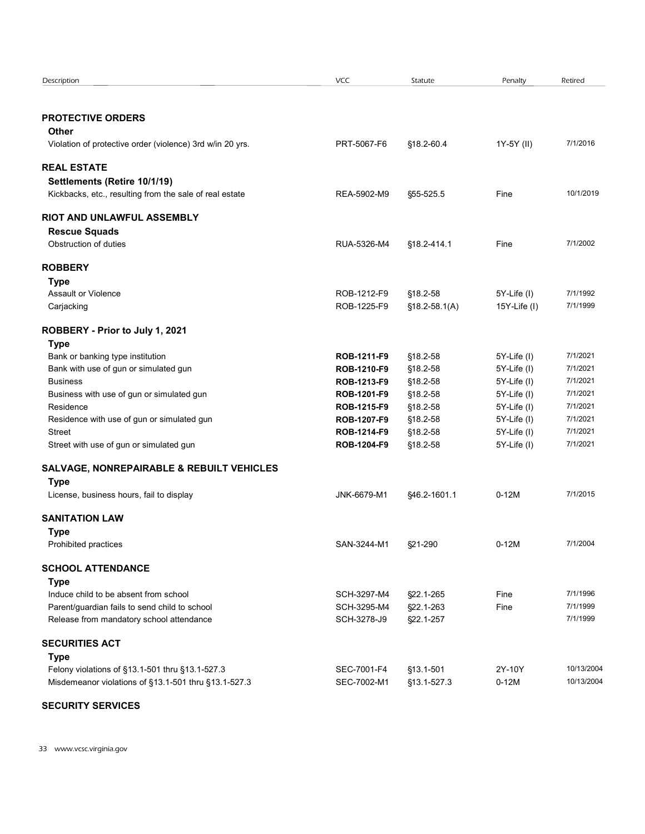| Description                                                                                             | <b>VCC</b>                 | Statute                  | Penalty           | Retired                  |  |
|---------------------------------------------------------------------------------------------------------|----------------------------|--------------------------|-------------------|--------------------------|--|
| <b>PROTECTIVE ORDERS</b>                                                                                |                            |                          |                   |                          |  |
| Other                                                                                                   |                            |                          |                   |                          |  |
| Violation of protective order (violence) 3rd w/in 20 yrs.                                               | PRT-5067-F6                | §18.2-60.4               | 1Y-5Y (II)        | 7/1/2016                 |  |
| <b>REAL ESTATE</b>                                                                                      |                            |                          |                   |                          |  |
| Settlements (Retire 10/1/19)                                                                            |                            |                          |                   |                          |  |
| Kickbacks, etc., resulting from the sale of real estate                                                 | REA-5902-M9                | §55-525.5                | Fine              | 10/1/2019                |  |
| RIOT AND UNLAWFUL ASSEMBLY                                                                              |                            |                          |                   |                          |  |
| <b>Rescue Squads</b>                                                                                    |                            |                          |                   |                          |  |
| Obstruction of duties                                                                                   | RUA-5326-M4                | §18.2-414.1              | Fine              | 7/1/2002                 |  |
| <b>ROBBERY</b>                                                                                          |                            |                          |                   |                          |  |
| <b>Type</b>                                                                                             |                            |                          |                   |                          |  |
| Assault or Violence                                                                                     | ROB-1212-F9                | §18.2-58                 | 5Y-Life (I)       | 7/1/1992<br>7/1/1999     |  |
| Carjacking                                                                                              | ROB-1225-F9                | $$18.2 - 58.1(A)$        | $15Y$ -Life $(1)$ |                          |  |
| ROBBERY - Prior to July 1, 2021                                                                         |                            |                          |                   |                          |  |
| <b>Type</b><br>Bank or banking type institution                                                         | ROB-1211-F9                | §18.2-58                 | 5Y-Life (I)       | 7/1/2021                 |  |
| Bank with use of gun or simulated gun                                                                   | ROB-1210-F9                | §18.2-58                 | 5Y-Life (I)       | 7/1/2021                 |  |
| <b>Business</b>                                                                                         | ROB-1213-F9                | §18.2-58                 | 5Y-Life (I)       | 7/1/2021                 |  |
| Business with use of gun or simulated gun                                                               | ROB-1201-F9                | §18.2-58                 | 5Y-Life (I)       | 7/1/2021                 |  |
| Residence                                                                                               | ROB-1215-F9                | §18.2-58                 | 5Y-Life (I)       | 7/1/2021                 |  |
| Residence with use of gun or simulated gun                                                              | ROB-1207-F9                | §18.2-58                 | 5Y-Life (I)       | 7/1/2021                 |  |
| <b>Street</b>                                                                                           | ROB-1214-F9                | §18.2-58                 | 5Y-Life (I)       | 7/1/2021                 |  |
| Street with use of gun or simulated gun                                                                 | ROB-1204-F9                | §18.2-58                 | 5Y-Life (I)       | 7/1/2021                 |  |
| SALVAGE, NONREPAIRABLE & REBUILT VEHICLES                                                               |                            |                          |                   |                          |  |
| <b>Type</b><br>License, business hours, fail to display                                                 | JNK-6679-M1                | §46.2-1601.1             | $0-12M$           | 7/1/2015                 |  |
|                                                                                                         |                            |                          |                   |                          |  |
| <b>SANITATION LAW</b>                                                                                   |                            |                          |                   |                          |  |
| <b>Type</b><br>Prohibited practices                                                                     | SAN-3244-M1                | §21-290                  | $0-12M$           | 7/1/2004                 |  |
|                                                                                                         |                            |                          |                   |                          |  |
| <b>SCHOOL ATTENDANCE</b><br><b>Type</b>                                                                 |                            |                          |                   |                          |  |
| Induce child to be absent from school                                                                   | SCH-3297-M4                | §22.1-265                | Fine              | 7/1/1996                 |  |
| Parent/guardian fails to send child to school                                                           | SCH-3295-M4                | §22.1-263                | Fine              | 7/1/1999                 |  |
| Release from mandatory school attendance                                                                | SCH-3278-J9                | §22.1-257                |                   | 7/1/1999                 |  |
| <b>SECURITIES ACT</b>                                                                                   |                            |                          |                   |                          |  |
| Type                                                                                                    |                            |                          |                   |                          |  |
| Felony violations of §13.1-501 thru §13.1-527.3<br>Misdemeanor violations of §13.1-501 thru §13.1-527.3 | SEC-7001-F4<br>SEC-7002-M1 | §13.1-501<br>§13.1-527.3 | 2Y-10Y<br>$0-12M$ | 10/13/2004<br>10/13/2004 |  |
|                                                                                                         |                            |                          |                   |                          |  |
| <b>SECURITY SERVICES</b>                                                                                |                            |                          |                   |                          |  |

# SECURITY SERVICES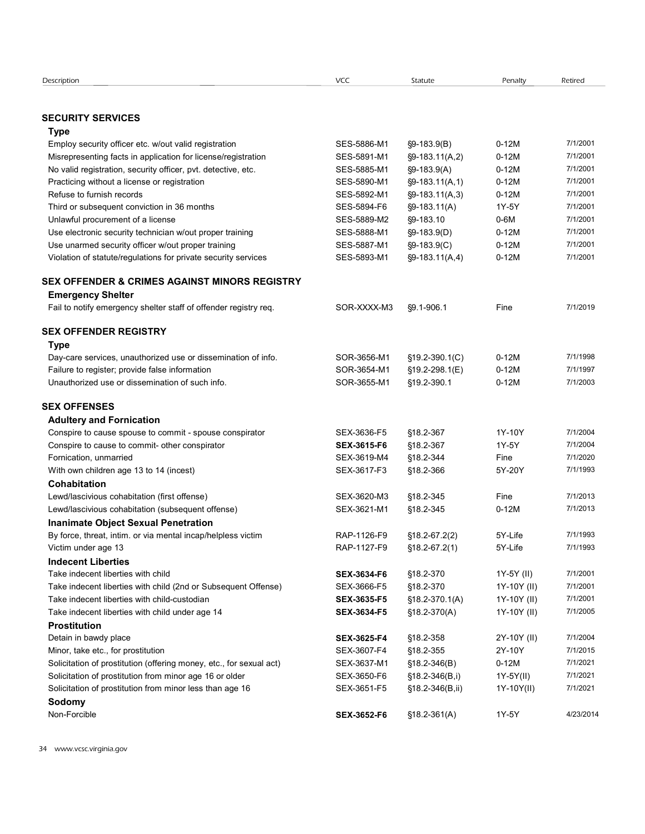| Description                                                         | <b>VCC</b>         | Statute              | Penalty     | Retired              |
|---------------------------------------------------------------------|--------------------|----------------------|-------------|----------------------|
|                                                                     |                    |                      |             |                      |
|                                                                     |                    |                      |             |                      |
| <b>SECURITY SERVICES</b><br>Type                                    |                    |                      |             |                      |
| Employ security officer etc. w/out valid registration               | SES-5886-M1        | §9-183.9(B)          | $0-12M$     | 7/1/2001             |
| Misrepresenting facts in application for license/registration       | SES-5891-M1        | §9-183.11(A,2)       | $0-12M$     | 7/1/2001             |
| No valid registration, security officer, pvt. detective, etc.       | SES-5885-M1        | $§9-183.9(A)$        | $0-12M$     | 7/1/2001             |
| Practicing without a license or registration                        | SES-5890-M1        | $\S9 - 183.11(A, 1)$ | $0-12M$     | 7/1/2001             |
| Refuse to furnish records                                           | SES-5892-M1        | $\S9 - 183.11(A,3)$  | $0-12M$     | 7/1/2001             |
| Third or subsequent conviction in 36 months                         | SES-5894-F6        | $§9-183.11(A)$       | 1Y-5Y       | 7/1/2001             |
| Unlawful procurement of a license                                   | SES-5889-M2        | §9-183.10            | $0-6M$      | 7/1/2001             |
| Use electronic security technician w/out proper training            | SES-5888-M1        | §9-183.9(D)          | $0-12M$     | 7/1/2001             |
| Use unarmed security officer w/out proper training                  | SES-5887-M1        | §9-183.9(C)          | $0-12M$     | 7/1/2001             |
| Violation of statute/regulations for private security services      | SES-5893-M1        | $\S9 - 183.11(A, 4)$ | $0-12M$     | 7/1/2001             |
| SEX OFFENDER & CRIMES AGAINST MINORS REGISTRY                       |                    |                      |             |                      |
| <b>Emergency Shelter</b>                                            |                    |                      |             |                      |
| Fail to notify emergency shelter staff of offender registry req.    | SOR-XXXX-M3        | $\S9.1 - 906.1$      | Fine        | 7/1/2019             |
|                                                                     |                    |                      |             |                      |
| SEX OFFENDER REGISTRY                                               |                    |                      |             |                      |
| <b>Type</b>                                                         |                    |                      |             |                      |
| Day-care services, unauthorized use or dissemination of info.       | SOR-3656-M1        | $\S$ 19.2-390.1(C)   | $0-12M$     | 7/1/1998             |
| Failure to register; provide false information                      | SOR-3654-M1        | §19.2-298.1(E)       | $0-12M$     | 7/1/1997             |
| Unauthorized use or dissemination of such info.                     | SOR-3655-M1        | §19.2-390.1          | $0-12M$     | 7/1/2003             |
| <b>SEX OFFENSES</b>                                                 |                    |                      |             |                      |
| <b>Adultery and Fornication</b>                                     |                    |                      |             |                      |
| Conspire to cause spouse to commit - spouse conspirator             | SEX-3636-F5        | §18.2-367            | 1Y-10Y      | 7/1/2004             |
| Conspire to cause to commit- other conspirator                      | SEX-3615-F6        | §18.2-367            | 1Y-5Y       | 7/1/2004             |
| Fornication, unmarried                                              | SEX-3619-M4        | §18.2-344            | Fine        | 7/1/2020             |
| With own children age 13 to 14 (incest)                             | SEX-3617-F3        | §18.2-366            | 5Y-20Y      | 7/1/1993             |
| <b>Cohabitation</b>                                                 |                    |                      |             |                      |
| Lewd/lascivious cohabitation (first offense)                        | SEX-3620-M3        | §18.2-345            | Fine        | 7/1/2013             |
| Lewd/lascivious cohabitation (subsequent offense)                   | SEX-3621-M1        | §18.2-345            | $0-12M$     | 7/1/2013             |
| <b>Inanimate Object Sexual Penetration</b>                          |                    |                      |             |                      |
| By force, threat, intim. or via mental incap/helpless victim        | RAP-1126-F9        | $$18.2-67.2(2)$      | 5Y-Life     | 7/1/1993             |
| Victim under age 13                                                 | RAP-1127-F9        | $$18.2-67.2(1)$      | 5Y-Life     | 7/1/1993             |
| <b>Indecent Liberties</b>                                           |                    |                      |             |                      |
| Take indecent liberties with child                                  | SEX-3634-F6        | §18.2-370            | 1Y-5Y (II)  | 7/1/2001             |
| Take indecent liberties with child (2nd or Subsequent Offense)      | SEX-3666-F5        | §18.2-370            | 1Y-10Y (II) | 7/1/2001             |
| Take indecent liberties with child-custodian                        | SEX-3635-F5        | $$18.2-370.1(A)$     | 1Y-10Y (II) | 7/1/2001<br>7/1/2005 |
| Take indecent liberties with child under age 14                     | SEX-3634-F5        | $$18.2-370(A)$       | 1Y-10Y (II) |                      |
| <b>Prostitution</b><br>Detain in bawdy place                        | SEX-3625-F4        | §18.2-358            | 2Y-10Y (II) | 7/1/2004             |
| Minor, take etc., for prostitution                                  | SEX-3607-F4        | §18.2-355            | 2Y-10Y      | 7/1/2015             |
| Solicitation of prostitution (offering money, etc., for sexual act) | SEX-3637-M1        | $$18.2-346(B)$       | $0-12M$     | 7/1/2021             |
| Solicitation of prostitution from minor age 16 or older             | SEX-3650-F6        | $$18.2-346(B,i)$     | 1Y-5Y(II)   | 7/1/2021             |
| Solicitation of prostitution from minor less than age 16            | SEX-3651-F5        | §18.2-346(B,ii)      | 1Y-10Y(II)  | 7/1/2021             |
| Sodomy                                                              |                    |                      |             |                      |
| Non-Forcible                                                        | <b>SEX-3652-F6</b> | $$18.2 - 361(A)$     | 1Y-5Y       | 4/23/2014            |
|                                                                     |                    |                      |             |                      |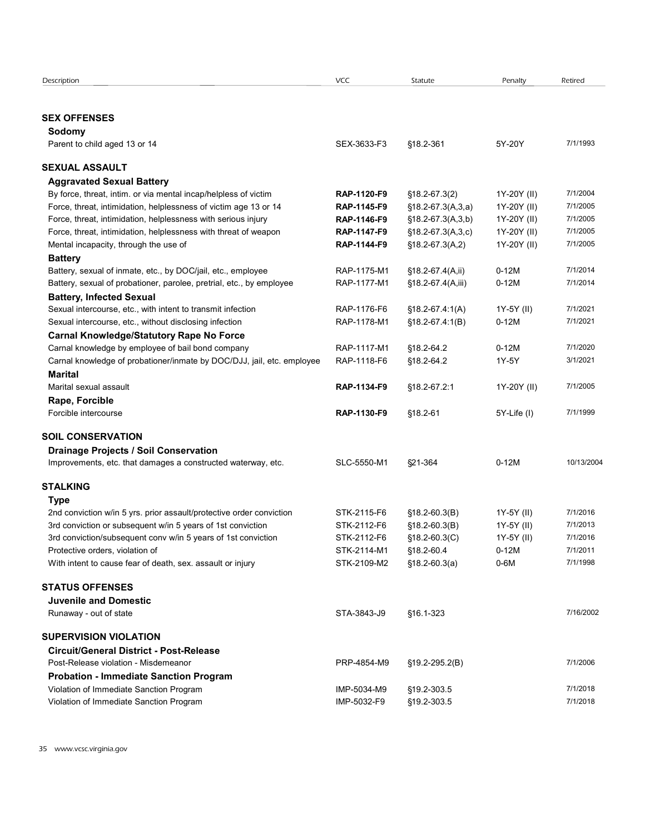| Description                                                                                                                         | VCC                        | Statute                                | Penalty                    | Retired              |
|-------------------------------------------------------------------------------------------------------------------------------------|----------------------------|----------------------------------------|----------------------------|----------------------|
|                                                                                                                                     |                            |                                        |                            |                      |
| <b>SEX OFFENSES</b><br>Sodomy                                                                                                       |                            |                                        |                            |                      |
| Parent to child aged 13 or 14                                                                                                       | SEX-3633-F3                | §18.2-361                              | 5Y-20Y                     | 7/1/1993             |
|                                                                                                                                     |                            |                                        |                            |                      |
| <b>SEXUAL ASSAULT</b>                                                                                                               |                            |                                        |                            |                      |
| <b>Aggravated Sexual Battery</b>                                                                                                    |                            |                                        |                            |                      |
| By force, threat, intim. or via mental incap/helpless of victim<br>Force, threat, intimidation, helplessness of victim age 13 or 14 | RAP-1120-F9<br>RAP-1145-F9 | $$18.2-67.3(2)$<br>$$18.2-67.3(A,3,a)$ | 1Y-20Y (II)<br>1Y-20Y (II) | 7/1/2004<br>7/1/2005 |
| Force, threat, intimidation, helplessness with serious injury                                                                       | RAP-1146-F9                | $$18.2-67.3(A,3,b)$                    | 1Y-20Y (II)                | 7/1/2005             |
| Force, threat, intimidation, helplessness with threat of weapon                                                                     | RAP-1147-F9                | $$18.2-67.3(A,3,c)$                    | 1Y-20Y (II)                | 7/1/2005             |
| Mental incapacity, through the use of                                                                                               | RAP-1144-F9                | $$18.2-67.3(A,2)$                      | 1Y-20Y (II)                | 7/1/2005             |
| <b>Battery</b>                                                                                                                      |                            |                                        |                            |                      |
| Battery, sexual of inmate, etc., by DOC/jail, etc., employee                                                                        | RAP-1175-M1                | §18.2-67.4(A,ii)                       | $0-12M$                    | 7/1/2014             |
| Battery, sexual of probationer, parolee, pretrial, etc., by employee                                                                | RAP-1177-M1                | §18.2-67.4(A,iii)                      | $0-12M$                    | 7/1/2014             |
| <b>Battery, Infected Sexual</b>                                                                                                     |                            |                                        |                            |                      |
| Sexual intercourse, etc., with intent to transmit infection                                                                         | RAP-1176-F6                | $$18.2-67.4:1(A)$                      | 1Y-5Y (II)                 | 7/1/2021             |
| Sexual intercourse, etc., without disclosing infection                                                                              | RAP-1178-M1                | $$18.2-67.4:1(B)$                      | $0-12M$                    | 7/1/2021             |
| <b>Carnal Knowledge/Statutory Rape No Force</b><br>Carnal knowledge by employee of bail bond company                                | RAP-1117-M1                | §18.2-64.2                             | $0-12M$                    | 7/1/2020             |
| Carnal knowledge of probationer/inmate by DOC/DJJ, jail, etc. employee                                                              | RAP-1118-F6                | §18.2-64.2                             | 1Y-5Y                      | 3/1/2021             |
| <b>Marital</b>                                                                                                                      |                            |                                        |                            |                      |
| Marital sexual assault                                                                                                              | RAP-1134-F9                | §18.2-67.2:1                           | 1Y-20Y (II)                | 7/1/2005             |
| Rape, Forcible                                                                                                                      |                            |                                        |                            |                      |
| Forcible intercourse                                                                                                                | RAP-1130-F9                | $$18.2 - 61$                           | 5Y-Life (I)                | 7/1/1999             |
|                                                                                                                                     |                            |                                        |                            |                      |
| <b>SOIL CONSERVATION</b><br><b>Drainage Projects / Soil Conservation</b>                                                            |                            |                                        |                            |                      |
| Improvements, etc. that damages a constructed waterway, etc.                                                                        | SLC-5550-M1                | §21-364                                | $0-12M$                    | 10/13/2004           |
|                                                                                                                                     |                            |                                        |                            |                      |
| <b>STALKING</b>                                                                                                                     |                            |                                        |                            |                      |
| <b>Type</b>                                                                                                                         |                            |                                        |                            |                      |
| 2nd conviction w/in 5 yrs. prior assault/protective order conviction                                                                | STK-2115-F6                | $$18.2-60.3(B)$                        | 1Y-5Y (II)                 | 7/1/2016             |
| 3rd conviction or subsequent w/in 5 years of 1st conviction                                                                         | STK-2112-F6                | $$18.2-60.3(B)$                        | 1Y-5Y (II)                 | 7/1/2013<br>7/1/2016 |
| 3rd conviction/subsequent conv w/in 5 years of 1st conviction<br>Protective orders, violation of                                    | STK-2112-F6<br>STK-2114-M1 | $$18.2-60.3(C)$<br>§18.2-60.4          | 1Y-5Y (II)<br>$0-12M$      | 7/1/2011             |
| With intent to cause fear of death, sex. assault or injury                                                                          | STK-2109-M2                | $$18.2-60.3(a)$                        | $0-6M$                     | 7/1/1998             |
|                                                                                                                                     |                            |                                        |                            |                      |
| <b>STATUS OFFENSES</b>                                                                                                              |                            |                                        |                            |                      |
| <b>Juvenile and Domestic</b>                                                                                                        |                            |                                        |                            |                      |
| Runaway - out of state                                                                                                              | STA-3843-J9                | §16.1-323                              |                            | 7/16/2002            |
| <b>SUPERVISION VIOLATION</b>                                                                                                        |                            |                                        |                            |                      |
| <b>Circuit/General District - Post-Release</b>                                                                                      |                            |                                        |                            |                      |
| Post-Release violation - Misdemeanor                                                                                                | PRP-4854-M9                | §19.2-295.2(B)                         |                            | 7/1/2006             |
| <b>Probation - Immediate Sanction Program</b>                                                                                       |                            |                                        |                            |                      |
|                                                                                                                                     | IMP-5034-M9                | §19.2-303.5                            |                            | 7/1/2018             |
|                                                                                                                                     |                            |                                        |                            |                      |
| Violation of Immediate Sanction Program<br>Violation of Immediate Sanction Program                                                  | IMP-5032-F9                | §19.2-303.5                            |                            | 7/1/2018             |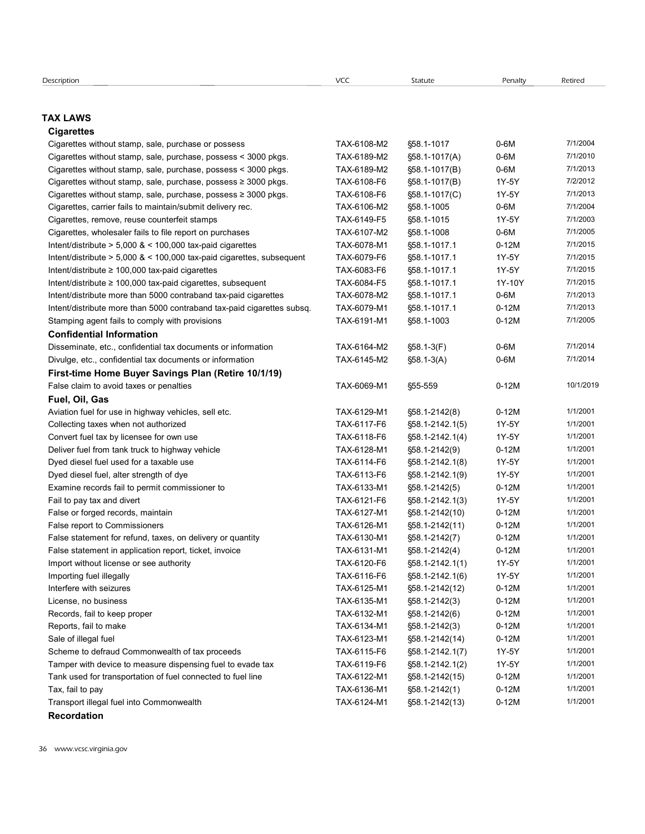### TAX LAWS

#### **Cigarettes**

| <b>Description</b>                                                                                                       | <b>VCC</b>                 | Statute                      | Penalty        | Retired              |
|--------------------------------------------------------------------------------------------------------------------------|----------------------------|------------------------------|----------------|----------------------|
|                                                                                                                          |                            |                              |                |                      |
| <b>TAX LAWS</b>                                                                                                          |                            |                              |                |                      |
| <b>Cigarettes</b>                                                                                                        |                            |                              |                |                      |
| Cigarettes without stamp, sale, purchase or possess                                                                      | TAX-6108-M2                | §58.1-1017                   | $0-6M$         | 7/1/2004             |
| Cigarettes without stamp, sale, purchase, possess < 3000 pkgs.                                                           | TAX-6189-M2                | $$58.1-1017(A)$              | $0-6M$         | 7/1/2010             |
| Cigarettes without stamp, sale, purchase, possess < 3000 pkgs.                                                           | TAX-6189-M2                | $$58.1-1017(B)$              | $0-6M$         | 7/1/2013             |
| Cigarettes without stamp, sale, purchase, possess ≥ 3000 pkgs.                                                           | TAX-6108-F6                | $$58.1-1017(B)$              | 1Y-5Y          | 7/2/2012             |
| Cigarettes without stamp, sale, purchase, possess $\geq$ 3000 pkgs.                                                      | TAX-6108-F6                | §58.1-1017(C)                | 1Y-5Y          | 7/1/2013             |
| Cigarettes, carrier fails to maintain/submit delivery rec.                                                               | TAX-6106-M2                | §58.1-1005                   | $0-6M$         | 7/1/2004             |
| Cigarettes, remove, reuse counterfeit stamps                                                                             | TAX-6149-F5                | §58.1-1015                   | 1Y-5Y          | 7/1/2003             |
| Cigarettes, wholesaler fails to file report on purchases                                                                 | TAX-6107-M2                | §58.1-1008                   | $0-6M$         | 7/1/2005             |
| Intent/distribute $> 5,000$ & $< 100,000$ tax-paid cigarettes                                                            | TAX-6078-M1                | §58.1-1017.1                 | $0-12M$        | 7/1/2015             |
| Intent/distribute > 5,000 & < 100,000 tax-paid cigarettes, subsequent<br>Intent/distribute ≥ 100,000 tax-paid cigarettes | TAX-6079-F6<br>TAX-6083-F6 | §58.1-1017.1<br>§58.1-1017.1 | 1Y-5Y<br>1Y-5Y | 7/1/2015<br>7/1/2015 |
| Intent/distribute ≥ 100,000 tax-paid cigarettes, subsequent                                                              | TAX-6084-F5                | §58.1-1017.1                 | 1Y-10Y         | 7/1/2015             |
| Intent/distribute more than 5000 contraband tax-paid cigarettes                                                          | TAX-6078-M2                | §58.1-1017.1                 | $0-6M$         | 7/1/2013             |
| Intent/distribute more than 5000 contraband tax-paid cigarettes subsq.                                                   | TAX-6079-M1                | \$58.1-1017.1                | $0-12M$        | 7/1/2013             |
| Stamping agent fails to comply with provisions                                                                           | TAX-6191-M1                | §58.1-1003                   | $0-12M$        | 7/1/2005             |
| <b>Confidential Information</b>                                                                                          |                            |                              |                |                      |
| Disseminate, etc., confidential tax documents or information                                                             | TAX-6164-M2                | §58.1-3(F)                   | $0-6M$         | 7/1/2014             |
| Divulge, etc., confidential tax documents or information                                                                 | TAX-6145-M2                | $$58.1-3(A)$                 | $0-6M$         | 7/1/2014             |
| First-time Home Buyer Savings Plan (Retire 10/1/19)                                                                      |                            |                              |                |                      |
| False claim to avoid taxes or penalties                                                                                  | TAX-6069-M1                | §55-559                      | $0-12M$        | 10/1/2019            |
| Fuel, Oil, Gas                                                                                                           |                            |                              |                |                      |
| Aviation fuel for use in highway vehicles, sell etc.                                                                     | TAX-6129-M1                | §58.1-2142(8)                | $0-12M$        | 1/1/2001             |
| Collecting taxes when not authorized                                                                                     | TAX-6117-F6                | §58.1-2142.1(5)              | 1Y-5Y          | 1/1/2001             |
| Convert fuel tax by licensee for own use                                                                                 | TAX-6118-F6                | §58.1-2142.1(4)              | 1Y-5Y          | 1/1/2001             |
| Deliver fuel from tank truck to highway vehicle                                                                          | TAX-6128-M1                | §58.1-2142(9)                | $0-12M$        | 1/1/2001             |
| Dyed diesel fuel used for a taxable use                                                                                  | TAX-6114-F6                | §58.1-2142.1(8)              | 1Y-5Y          | 1/1/2001             |
| Dyed diesel fuel, alter strength of dye                                                                                  | TAX-6113-F6                | §58.1-2142.1(9)              | 1Y-5Y          | 1/1/2001             |
| Examine records fail to permit commissioner to                                                                           | TAX-6133-M1                | §58.1-2142(5)                | $0-12M$        | 1/1/2001             |
| Fail to pay tax and divert                                                                                               | TAX-6121-F6                | §58.1-2142.1(3)              | 1Y-5Y          | 1/1/2001             |
| False or forged records, maintain                                                                                        | TAX-6127-M1                | §58.1-2142(10)               | $0-12M$        | 1/1/2001             |
| False report to Commissioners                                                                                            | TAX-6126-M1                | §58.1-2142(11)               | $0-12M$        | 1/1/2001             |
| False statement for refund, taxes, on delivery or quantity                                                               | TAX-6130-M1                | §58.1-2142(7)                | $0-12M$        | 1/1/2001             |
| False statement in application report, ticket, invoice                                                                   | TAX-6131-M1                | §58.1-2142(4)                | $0-12M$        | 1/1/2001             |
| Import without license or see authority                                                                                  | TAX-6120-F6                | §58.1-2142.1(1)              | 1Y-5Y          | 1/1/2001             |
| Importing fuel illegally                                                                                                 | TAX-6116-F6                | §58.1-2142.1(6)              | 1Y-5Y          | 1/1/2001             |
| Interfere with seizures                                                                                                  | TAX-6125-M1                | §58.1-2142(12)               | $0-12M$        | 1/1/2001             |
| License, no business                                                                                                     | TAX-6135-M1                | §58.1-2142(3)                | $0-12M$        | 1/1/2001             |
| Records, fail to keep proper                                                                                             | TAX-6132-M1                | §58.1-2142(6)                | $0-12M$        | 1/1/2001             |
| Reports, fail to make                                                                                                    | TAX-6134-M1                | §58.1-2142(3)                | $0-12M$        | 1/1/2001             |
| Sale of illegal fuel                                                                                                     | TAX-6123-M1                | §58.1-2142(14)               | $0-12M$        | 1/1/2001             |
| Scheme to defraud Commonwealth of tax proceeds                                                                           | TAX-6115-F6                | §58.1-2142.1(7)              | 1Y-5Y          | 1/1/2001             |
| Tamper with device to measure dispensing fuel to evade tax                                                               | TAX-6119-F6                | §58.1-2142.1(2)              | 1Y-5Y          | 1/1/2001             |
| Tank used for transportation of fuel connected to fuel line                                                              | TAX-6122-M1                | §58.1-2142(15)               | $0-12M$        | 1/1/2001             |
| Tax, fail to pay                                                                                                         | TAX-6136-M1                | §58.1-2142(1)                | $0-12M$        | 1/1/2001             |
|                                                                                                                          | TAX-6124-M1                | §58.1-2142(13)               | $0-12M$        | 1/1/2001             |
| Transport illegal fuel into Commonwealth                                                                                 |                            |                              |                |                      |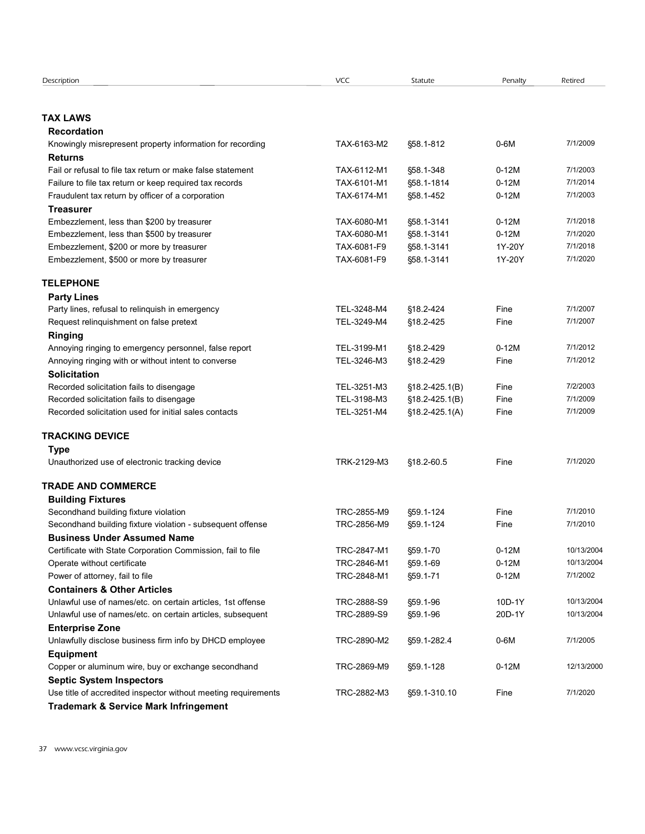| Description<br>VCC<br>Retired<br>Statute<br>Penalty<br><b>TAX LAWS</b><br><b>Recordation</b><br>7/1/2009<br>$0-6M$<br>Knowingly misrepresent property information for recording<br>TAX-6163-M2<br>§58.1-812<br><b>Returns</b><br>7/1/2003<br>Fail or refusal to file tax return or make false statement<br>TAX-6112-M1<br>§58.1-348<br>$0-12M$<br>7/1/2014<br>$0-12M$<br>Failure to file tax return or keep required tax records<br>TAX-6101-M1<br>§58.1-1814<br>$0-12M$<br>7/1/2003<br>Fraudulent tax return by officer of a corporation<br>TAX-6174-M1<br>§58.1-452<br><b>Treasurer</b><br>7/1/2018<br>Embezzlement, less than \$200 by treasurer<br>TAX-6080-M1<br>§58.1-3141<br>$0-12M$<br>Embezzlement, less than \$500 by treasurer<br>TAX-6080-M1<br>§58.1-3141<br>$0-12M$<br>7/1/2020<br>Embezzlement, \$200 or more by treasurer<br>TAX-6081-F9<br>§58.1-3141<br>1Y-20Y<br>7/1/2018<br>Embezzlement, \$500 or more by treasurer<br>TAX-6081-F9<br>§58.1-3141<br>1Y-20Y<br>7/1/2020<br><b>TELEPHONE</b><br><b>Party Lines</b><br>7/1/2007<br>Party lines, refusal to relinquish in emergency<br>TEL-3248-M4<br>§18.2-424<br>Fine<br>Request relinquishment on false pretext<br>TEL-3249-M4<br>§18.2-425<br>7/1/2007<br>Fine<br><b>Ringing</b><br>7/1/2012<br>TEL-3199-M1<br>$0-12M$<br>Annoying ringing to emergency personnel, false report<br>§18.2-429<br>TEL-3246-M3<br>7/1/2012<br>Annoying ringing with or without intent to converse<br>§18.2-429<br>Fine<br>Solicitation<br>TEL-3251-M3<br>7/2/2003<br>Recorded solicitation fails to disengage<br>$$18.2 - 425.1(B)$<br>Fine<br>Recorded solicitation fails to disengage<br>TEL-3198-M3<br>Fine<br>7/1/2009<br>$$18.2-425.1(B)$<br>Recorded solicitation used for initial sales contacts<br>TEL-3251-M4<br>Fine<br>7/1/2009<br>$$18.2 - 425.1(A)$<br><b>TRACKING DEVICE</b><br><b>Type</b><br>7/1/2020<br>Unauthorized use of electronic tracking device<br>TRK-2129-M3<br>§18.2-60.5<br>Fine<br><b>TRADE AND COMMERCE</b><br><b>Building Fixtures</b><br>7/1/2010<br>Secondhand building fixture violation<br>TRC-2855-M9<br>§59.1-124<br>Fine<br>Secondhand building fixture violation - subsequent offense<br>TRC-2856-M9<br>7/1/2010<br>§59.1-124<br>Fine<br><b>Business Under Assumed Name</b><br>$0-12M$<br>10/13/2004<br>Certificate with State Corporation Commission, fail to file<br>TRC-2847-M1<br>§59.1-70<br>TRC-2846-M1<br>§59.1-69<br>$0-12M$<br>10/13/2004<br>Operate without certificate<br>Power of attorney, fail to file<br>$0-12M$<br>TRC-2848-M1<br>§59.1-71<br>7/1/2002<br><b>Containers &amp; Other Articles</b><br>TRC-2888-S9<br>§59.1-96<br>10D-1Y<br>10/13/2004<br>Unlawful use of names/etc. on certain articles, 1st offense<br>TRC-2889-S9<br>§59.1-96<br>20D-1Y<br>10/13/2004<br>Unlawful use of names/etc. on certain articles, subsequent<br><b>Enterprise Zone</b><br>Unlawfully disclose business firm info by DHCD employee<br>TRC-2890-M2<br>§59.1-282.4<br>$0-6M$<br>7/1/2005<br><b>Equipment</b><br>$0-12M$<br>12/13/2000<br>Copper or aluminum wire, buy or exchange secondhand<br>TRC-2869-M9<br>§59.1-128<br><b>Septic System Inspectors</b><br>7/1/2020<br>Use title of accredited inspector without meeting requirements<br>TRC-2882-M3<br>§59.1-310.10<br>Fine<br><b>Trademark &amp; Service Mark Infringement</b> |  |  |  |
|-----------------------------------------------------------------------------------------------------------------------------------------------------------------------------------------------------------------------------------------------------------------------------------------------------------------------------------------------------------------------------------------------------------------------------------------------------------------------------------------------------------------------------------------------------------------------------------------------------------------------------------------------------------------------------------------------------------------------------------------------------------------------------------------------------------------------------------------------------------------------------------------------------------------------------------------------------------------------------------------------------------------------------------------------------------------------------------------------------------------------------------------------------------------------------------------------------------------------------------------------------------------------------------------------------------------------------------------------------------------------------------------------------------------------------------------------------------------------------------------------------------------------------------------------------------------------------------------------------------------------------------------------------------------------------------------------------------------------------------------------------------------------------------------------------------------------------------------------------------------------------------------------------------------------------------------------------------------------------------------------------------------------------------------------------------------------------------------------------------------------------------------------------------------------------------------------------------------------------------------------------------------------------------------------------------------------------------------------------------------------------------------------------------------------------------------------------------------------------------------------------------------------------------------------------------------------------------------------------------------------------------------------------------------------------------------------------------------------------------------------------------------------------------------------------------------------------------------------------------------------------------------------------------------------------------------------------------------------------------------------------------------------------------------------------------------------------------------------------------------------------------------------------------------------------------------------------------------------------------------------------------------------------------------------------------------------------------|--|--|--|
|                                                                                                                                                                                                                                                                                                                                                                                                                                                                                                                                                                                                                                                                                                                                                                                                                                                                                                                                                                                                                                                                                                                                                                                                                                                                                                                                                                                                                                                                                                                                                                                                                                                                                                                                                                                                                                                                                                                                                                                                                                                                                                                                                                                                                                                                                                                                                                                                                                                                                                                                                                                                                                                                                                                                                                                                                                                                                                                                                                                                                                                                                                                                                                                                                                                                                                                                   |  |  |  |
|                                                                                                                                                                                                                                                                                                                                                                                                                                                                                                                                                                                                                                                                                                                                                                                                                                                                                                                                                                                                                                                                                                                                                                                                                                                                                                                                                                                                                                                                                                                                                                                                                                                                                                                                                                                                                                                                                                                                                                                                                                                                                                                                                                                                                                                                                                                                                                                                                                                                                                                                                                                                                                                                                                                                                                                                                                                                                                                                                                                                                                                                                                                                                                                                                                                                                                                                   |  |  |  |
|                                                                                                                                                                                                                                                                                                                                                                                                                                                                                                                                                                                                                                                                                                                                                                                                                                                                                                                                                                                                                                                                                                                                                                                                                                                                                                                                                                                                                                                                                                                                                                                                                                                                                                                                                                                                                                                                                                                                                                                                                                                                                                                                                                                                                                                                                                                                                                                                                                                                                                                                                                                                                                                                                                                                                                                                                                                                                                                                                                                                                                                                                                                                                                                                                                                                                                                                   |  |  |  |
|                                                                                                                                                                                                                                                                                                                                                                                                                                                                                                                                                                                                                                                                                                                                                                                                                                                                                                                                                                                                                                                                                                                                                                                                                                                                                                                                                                                                                                                                                                                                                                                                                                                                                                                                                                                                                                                                                                                                                                                                                                                                                                                                                                                                                                                                                                                                                                                                                                                                                                                                                                                                                                                                                                                                                                                                                                                                                                                                                                                                                                                                                                                                                                                                                                                                                                                                   |  |  |  |
|                                                                                                                                                                                                                                                                                                                                                                                                                                                                                                                                                                                                                                                                                                                                                                                                                                                                                                                                                                                                                                                                                                                                                                                                                                                                                                                                                                                                                                                                                                                                                                                                                                                                                                                                                                                                                                                                                                                                                                                                                                                                                                                                                                                                                                                                                                                                                                                                                                                                                                                                                                                                                                                                                                                                                                                                                                                                                                                                                                                                                                                                                                                                                                                                                                                                                                                                   |  |  |  |
|                                                                                                                                                                                                                                                                                                                                                                                                                                                                                                                                                                                                                                                                                                                                                                                                                                                                                                                                                                                                                                                                                                                                                                                                                                                                                                                                                                                                                                                                                                                                                                                                                                                                                                                                                                                                                                                                                                                                                                                                                                                                                                                                                                                                                                                                                                                                                                                                                                                                                                                                                                                                                                                                                                                                                                                                                                                                                                                                                                                                                                                                                                                                                                                                                                                                                                                                   |  |  |  |
|                                                                                                                                                                                                                                                                                                                                                                                                                                                                                                                                                                                                                                                                                                                                                                                                                                                                                                                                                                                                                                                                                                                                                                                                                                                                                                                                                                                                                                                                                                                                                                                                                                                                                                                                                                                                                                                                                                                                                                                                                                                                                                                                                                                                                                                                                                                                                                                                                                                                                                                                                                                                                                                                                                                                                                                                                                                                                                                                                                                                                                                                                                                                                                                                                                                                                                                                   |  |  |  |
|                                                                                                                                                                                                                                                                                                                                                                                                                                                                                                                                                                                                                                                                                                                                                                                                                                                                                                                                                                                                                                                                                                                                                                                                                                                                                                                                                                                                                                                                                                                                                                                                                                                                                                                                                                                                                                                                                                                                                                                                                                                                                                                                                                                                                                                                                                                                                                                                                                                                                                                                                                                                                                                                                                                                                                                                                                                                                                                                                                                                                                                                                                                                                                                                                                                                                                                                   |  |  |  |
|                                                                                                                                                                                                                                                                                                                                                                                                                                                                                                                                                                                                                                                                                                                                                                                                                                                                                                                                                                                                                                                                                                                                                                                                                                                                                                                                                                                                                                                                                                                                                                                                                                                                                                                                                                                                                                                                                                                                                                                                                                                                                                                                                                                                                                                                                                                                                                                                                                                                                                                                                                                                                                                                                                                                                                                                                                                                                                                                                                                                                                                                                                                                                                                                                                                                                                                                   |  |  |  |
|                                                                                                                                                                                                                                                                                                                                                                                                                                                                                                                                                                                                                                                                                                                                                                                                                                                                                                                                                                                                                                                                                                                                                                                                                                                                                                                                                                                                                                                                                                                                                                                                                                                                                                                                                                                                                                                                                                                                                                                                                                                                                                                                                                                                                                                                                                                                                                                                                                                                                                                                                                                                                                                                                                                                                                                                                                                                                                                                                                                                                                                                                                                                                                                                                                                                                                                                   |  |  |  |
|                                                                                                                                                                                                                                                                                                                                                                                                                                                                                                                                                                                                                                                                                                                                                                                                                                                                                                                                                                                                                                                                                                                                                                                                                                                                                                                                                                                                                                                                                                                                                                                                                                                                                                                                                                                                                                                                                                                                                                                                                                                                                                                                                                                                                                                                                                                                                                                                                                                                                                                                                                                                                                                                                                                                                                                                                                                                                                                                                                                                                                                                                                                                                                                                                                                                                                                                   |  |  |  |
|                                                                                                                                                                                                                                                                                                                                                                                                                                                                                                                                                                                                                                                                                                                                                                                                                                                                                                                                                                                                                                                                                                                                                                                                                                                                                                                                                                                                                                                                                                                                                                                                                                                                                                                                                                                                                                                                                                                                                                                                                                                                                                                                                                                                                                                                                                                                                                                                                                                                                                                                                                                                                                                                                                                                                                                                                                                                                                                                                                                                                                                                                                                                                                                                                                                                                                                                   |  |  |  |
|                                                                                                                                                                                                                                                                                                                                                                                                                                                                                                                                                                                                                                                                                                                                                                                                                                                                                                                                                                                                                                                                                                                                                                                                                                                                                                                                                                                                                                                                                                                                                                                                                                                                                                                                                                                                                                                                                                                                                                                                                                                                                                                                                                                                                                                                                                                                                                                                                                                                                                                                                                                                                                                                                                                                                                                                                                                                                                                                                                                                                                                                                                                                                                                                                                                                                                                                   |  |  |  |
|                                                                                                                                                                                                                                                                                                                                                                                                                                                                                                                                                                                                                                                                                                                                                                                                                                                                                                                                                                                                                                                                                                                                                                                                                                                                                                                                                                                                                                                                                                                                                                                                                                                                                                                                                                                                                                                                                                                                                                                                                                                                                                                                                                                                                                                                                                                                                                                                                                                                                                                                                                                                                                                                                                                                                                                                                                                                                                                                                                                                                                                                                                                                                                                                                                                                                                                                   |  |  |  |
|                                                                                                                                                                                                                                                                                                                                                                                                                                                                                                                                                                                                                                                                                                                                                                                                                                                                                                                                                                                                                                                                                                                                                                                                                                                                                                                                                                                                                                                                                                                                                                                                                                                                                                                                                                                                                                                                                                                                                                                                                                                                                                                                                                                                                                                                                                                                                                                                                                                                                                                                                                                                                                                                                                                                                                                                                                                                                                                                                                                                                                                                                                                                                                                                                                                                                                                                   |  |  |  |
|                                                                                                                                                                                                                                                                                                                                                                                                                                                                                                                                                                                                                                                                                                                                                                                                                                                                                                                                                                                                                                                                                                                                                                                                                                                                                                                                                                                                                                                                                                                                                                                                                                                                                                                                                                                                                                                                                                                                                                                                                                                                                                                                                                                                                                                                                                                                                                                                                                                                                                                                                                                                                                                                                                                                                                                                                                                                                                                                                                                                                                                                                                                                                                                                                                                                                                                                   |  |  |  |
|                                                                                                                                                                                                                                                                                                                                                                                                                                                                                                                                                                                                                                                                                                                                                                                                                                                                                                                                                                                                                                                                                                                                                                                                                                                                                                                                                                                                                                                                                                                                                                                                                                                                                                                                                                                                                                                                                                                                                                                                                                                                                                                                                                                                                                                                                                                                                                                                                                                                                                                                                                                                                                                                                                                                                                                                                                                                                                                                                                                                                                                                                                                                                                                                                                                                                                                                   |  |  |  |
|                                                                                                                                                                                                                                                                                                                                                                                                                                                                                                                                                                                                                                                                                                                                                                                                                                                                                                                                                                                                                                                                                                                                                                                                                                                                                                                                                                                                                                                                                                                                                                                                                                                                                                                                                                                                                                                                                                                                                                                                                                                                                                                                                                                                                                                                                                                                                                                                                                                                                                                                                                                                                                                                                                                                                                                                                                                                                                                                                                                                                                                                                                                                                                                                                                                                                                                                   |  |  |  |
|                                                                                                                                                                                                                                                                                                                                                                                                                                                                                                                                                                                                                                                                                                                                                                                                                                                                                                                                                                                                                                                                                                                                                                                                                                                                                                                                                                                                                                                                                                                                                                                                                                                                                                                                                                                                                                                                                                                                                                                                                                                                                                                                                                                                                                                                                                                                                                                                                                                                                                                                                                                                                                                                                                                                                                                                                                                                                                                                                                                                                                                                                                                                                                                                                                                                                                                                   |  |  |  |
|                                                                                                                                                                                                                                                                                                                                                                                                                                                                                                                                                                                                                                                                                                                                                                                                                                                                                                                                                                                                                                                                                                                                                                                                                                                                                                                                                                                                                                                                                                                                                                                                                                                                                                                                                                                                                                                                                                                                                                                                                                                                                                                                                                                                                                                                                                                                                                                                                                                                                                                                                                                                                                                                                                                                                                                                                                                                                                                                                                                                                                                                                                                                                                                                                                                                                                                                   |  |  |  |
|                                                                                                                                                                                                                                                                                                                                                                                                                                                                                                                                                                                                                                                                                                                                                                                                                                                                                                                                                                                                                                                                                                                                                                                                                                                                                                                                                                                                                                                                                                                                                                                                                                                                                                                                                                                                                                                                                                                                                                                                                                                                                                                                                                                                                                                                                                                                                                                                                                                                                                                                                                                                                                                                                                                                                                                                                                                                                                                                                                                                                                                                                                                                                                                                                                                                                                                                   |  |  |  |
|                                                                                                                                                                                                                                                                                                                                                                                                                                                                                                                                                                                                                                                                                                                                                                                                                                                                                                                                                                                                                                                                                                                                                                                                                                                                                                                                                                                                                                                                                                                                                                                                                                                                                                                                                                                                                                                                                                                                                                                                                                                                                                                                                                                                                                                                                                                                                                                                                                                                                                                                                                                                                                                                                                                                                                                                                                                                                                                                                                                                                                                                                                                                                                                                                                                                                                                                   |  |  |  |
|                                                                                                                                                                                                                                                                                                                                                                                                                                                                                                                                                                                                                                                                                                                                                                                                                                                                                                                                                                                                                                                                                                                                                                                                                                                                                                                                                                                                                                                                                                                                                                                                                                                                                                                                                                                                                                                                                                                                                                                                                                                                                                                                                                                                                                                                                                                                                                                                                                                                                                                                                                                                                                                                                                                                                                                                                                                                                                                                                                                                                                                                                                                                                                                                                                                                                                                                   |  |  |  |
|                                                                                                                                                                                                                                                                                                                                                                                                                                                                                                                                                                                                                                                                                                                                                                                                                                                                                                                                                                                                                                                                                                                                                                                                                                                                                                                                                                                                                                                                                                                                                                                                                                                                                                                                                                                                                                                                                                                                                                                                                                                                                                                                                                                                                                                                                                                                                                                                                                                                                                                                                                                                                                                                                                                                                                                                                                                                                                                                                                                                                                                                                                                                                                                                                                                                                                                                   |  |  |  |
|                                                                                                                                                                                                                                                                                                                                                                                                                                                                                                                                                                                                                                                                                                                                                                                                                                                                                                                                                                                                                                                                                                                                                                                                                                                                                                                                                                                                                                                                                                                                                                                                                                                                                                                                                                                                                                                                                                                                                                                                                                                                                                                                                                                                                                                                                                                                                                                                                                                                                                                                                                                                                                                                                                                                                                                                                                                                                                                                                                                                                                                                                                                                                                                                                                                                                                                                   |  |  |  |
|                                                                                                                                                                                                                                                                                                                                                                                                                                                                                                                                                                                                                                                                                                                                                                                                                                                                                                                                                                                                                                                                                                                                                                                                                                                                                                                                                                                                                                                                                                                                                                                                                                                                                                                                                                                                                                                                                                                                                                                                                                                                                                                                                                                                                                                                                                                                                                                                                                                                                                                                                                                                                                                                                                                                                                                                                                                                                                                                                                                                                                                                                                                                                                                                                                                                                                                                   |  |  |  |
|                                                                                                                                                                                                                                                                                                                                                                                                                                                                                                                                                                                                                                                                                                                                                                                                                                                                                                                                                                                                                                                                                                                                                                                                                                                                                                                                                                                                                                                                                                                                                                                                                                                                                                                                                                                                                                                                                                                                                                                                                                                                                                                                                                                                                                                                                                                                                                                                                                                                                                                                                                                                                                                                                                                                                                                                                                                                                                                                                                                                                                                                                                                                                                                                                                                                                                                                   |  |  |  |
|                                                                                                                                                                                                                                                                                                                                                                                                                                                                                                                                                                                                                                                                                                                                                                                                                                                                                                                                                                                                                                                                                                                                                                                                                                                                                                                                                                                                                                                                                                                                                                                                                                                                                                                                                                                                                                                                                                                                                                                                                                                                                                                                                                                                                                                                                                                                                                                                                                                                                                                                                                                                                                                                                                                                                                                                                                                                                                                                                                                                                                                                                                                                                                                                                                                                                                                                   |  |  |  |
|                                                                                                                                                                                                                                                                                                                                                                                                                                                                                                                                                                                                                                                                                                                                                                                                                                                                                                                                                                                                                                                                                                                                                                                                                                                                                                                                                                                                                                                                                                                                                                                                                                                                                                                                                                                                                                                                                                                                                                                                                                                                                                                                                                                                                                                                                                                                                                                                                                                                                                                                                                                                                                                                                                                                                                                                                                                                                                                                                                                                                                                                                                                                                                                                                                                                                                                                   |  |  |  |
|                                                                                                                                                                                                                                                                                                                                                                                                                                                                                                                                                                                                                                                                                                                                                                                                                                                                                                                                                                                                                                                                                                                                                                                                                                                                                                                                                                                                                                                                                                                                                                                                                                                                                                                                                                                                                                                                                                                                                                                                                                                                                                                                                                                                                                                                                                                                                                                                                                                                                                                                                                                                                                                                                                                                                                                                                                                                                                                                                                                                                                                                                                                                                                                                                                                                                                                                   |  |  |  |
|                                                                                                                                                                                                                                                                                                                                                                                                                                                                                                                                                                                                                                                                                                                                                                                                                                                                                                                                                                                                                                                                                                                                                                                                                                                                                                                                                                                                                                                                                                                                                                                                                                                                                                                                                                                                                                                                                                                                                                                                                                                                                                                                                                                                                                                                                                                                                                                                                                                                                                                                                                                                                                                                                                                                                                                                                                                                                                                                                                                                                                                                                                                                                                                                                                                                                                                                   |  |  |  |
|                                                                                                                                                                                                                                                                                                                                                                                                                                                                                                                                                                                                                                                                                                                                                                                                                                                                                                                                                                                                                                                                                                                                                                                                                                                                                                                                                                                                                                                                                                                                                                                                                                                                                                                                                                                                                                                                                                                                                                                                                                                                                                                                                                                                                                                                                                                                                                                                                                                                                                                                                                                                                                                                                                                                                                                                                                                                                                                                                                                                                                                                                                                                                                                                                                                                                                                                   |  |  |  |
|                                                                                                                                                                                                                                                                                                                                                                                                                                                                                                                                                                                                                                                                                                                                                                                                                                                                                                                                                                                                                                                                                                                                                                                                                                                                                                                                                                                                                                                                                                                                                                                                                                                                                                                                                                                                                                                                                                                                                                                                                                                                                                                                                                                                                                                                                                                                                                                                                                                                                                                                                                                                                                                                                                                                                                                                                                                                                                                                                                                                                                                                                                                                                                                                                                                                                                                                   |  |  |  |
|                                                                                                                                                                                                                                                                                                                                                                                                                                                                                                                                                                                                                                                                                                                                                                                                                                                                                                                                                                                                                                                                                                                                                                                                                                                                                                                                                                                                                                                                                                                                                                                                                                                                                                                                                                                                                                                                                                                                                                                                                                                                                                                                                                                                                                                                                                                                                                                                                                                                                                                                                                                                                                                                                                                                                                                                                                                                                                                                                                                                                                                                                                                                                                                                                                                                                                                                   |  |  |  |
|                                                                                                                                                                                                                                                                                                                                                                                                                                                                                                                                                                                                                                                                                                                                                                                                                                                                                                                                                                                                                                                                                                                                                                                                                                                                                                                                                                                                                                                                                                                                                                                                                                                                                                                                                                                                                                                                                                                                                                                                                                                                                                                                                                                                                                                                                                                                                                                                                                                                                                                                                                                                                                                                                                                                                                                                                                                                                                                                                                                                                                                                                                                                                                                                                                                                                                                                   |  |  |  |
|                                                                                                                                                                                                                                                                                                                                                                                                                                                                                                                                                                                                                                                                                                                                                                                                                                                                                                                                                                                                                                                                                                                                                                                                                                                                                                                                                                                                                                                                                                                                                                                                                                                                                                                                                                                                                                                                                                                                                                                                                                                                                                                                                                                                                                                                                                                                                                                                                                                                                                                                                                                                                                                                                                                                                                                                                                                                                                                                                                                                                                                                                                                                                                                                                                                                                                                                   |  |  |  |
|                                                                                                                                                                                                                                                                                                                                                                                                                                                                                                                                                                                                                                                                                                                                                                                                                                                                                                                                                                                                                                                                                                                                                                                                                                                                                                                                                                                                                                                                                                                                                                                                                                                                                                                                                                                                                                                                                                                                                                                                                                                                                                                                                                                                                                                                                                                                                                                                                                                                                                                                                                                                                                                                                                                                                                                                                                                                                                                                                                                                                                                                                                                                                                                                                                                                                                                                   |  |  |  |
|                                                                                                                                                                                                                                                                                                                                                                                                                                                                                                                                                                                                                                                                                                                                                                                                                                                                                                                                                                                                                                                                                                                                                                                                                                                                                                                                                                                                                                                                                                                                                                                                                                                                                                                                                                                                                                                                                                                                                                                                                                                                                                                                                                                                                                                                                                                                                                                                                                                                                                                                                                                                                                                                                                                                                                                                                                                                                                                                                                                                                                                                                                                                                                                                                                                                                                                                   |  |  |  |
|                                                                                                                                                                                                                                                                                                                                                                                                                                                                                                                                                                                                                                                                                                                                                                                                                                                                                                                                                                                                                                                                                                                                                                                                                                                                                                                                                                                                                                                                                                                                                                                                                                                                                                                                                                                                                                                                                                                                                                                                                                                                                                                                                                                                                                                                                                                                                                                                                                                                                                                                                                                                                                                                                                                                                                                                                                                                                                                                                                                                                                                                                                                                                                                                                                                                                                                                   |  |  |  |
|                                                                                                                                                                                                                                                                                                                                                                                                                                                                                                                                                                                                                                                                                                                                                                                                                                                                                                                                                                                                                                                                                                                                                                                                                                                                                                                                                                                                                                                                                                                                                                                                                                                                                                                                                                                                                                                                                                                                                                                                                                                                                                                                                                                                                                                                                                                                                                                                                                                                                                                                                                                                                                                                                                                                                                                                                                                                                                                                                                                                                                                                                                                                                                                                                                                                                                                                   |  |  |  |
|                                                                                                                                                                                                                                                                                                                                                                                                                                                                                                                                                                                                                                                                                                                                                                                                                                                                                                                                                                                                                                                                                                                                                                                                                                                                                                                                                                                                                                                                                                                                                                                                                                                                                                                                                                                                                                                                                                                                                                                                                                                                                                                                                                                                                                                                                                                                                                                                                                                                                                                                                                                                                                                                                                                                                                                                                                                                                                                                                                                                                                                                                                                                                                                                                                                                                                                                   |  |  |  |
|                                                                                                                                                                                                                                                                                                                                                                                                                                                                                                                                                                                                                                                                                                                                                                                                                                                                                                                                                                                                                                                                                                                                                                                                                                                                                                                                                                                                                                                                                                                                                                                                                                                                                                                                                                                                                                                                                                                                                                                                                                                                                                                                                                                                                                                                                                                                                                                                                                                                                                                                                                                                                                                                                                                                                                                                                                                                                                                                                                                                                                                                                                                                                                                                                                                                                                                                   |  |  |  |
|                                                                                                                                                                                                                                                                                                                                                                                                                                                                                                                                                                                                                                                                                                                                                                                                                                                                                                                                                                                                                                                                                                                                                                                                                                                                                                                                                                                                                                                                                                                                                                                                                                                                                                                                                                                                                                                                                                                                                                                                                                                                                                                                                                                                                                                                                                                                                                                                                                                                                                                                                                                                                                                                                                                                                                                                                                                                                                                                                                                                                                                                                                                                                                                                                                                                                                                                   |  |  |  |
|                                                                                                                                                                                                                                                                                                                                                                                                                                                                                                                                                                                                                                                                                                                                                                                                                                                                                                                                                                                                                                                                                                                                                                                                                                                                                                                                                                                                                                                                                                                                                                                                                                                                                                                                                                                                                                                                                                                                                                                                                                                                                                                                                                                                                                                                                                                                                                                                                                                                                                                                                                                                                                                                                                                                                                                                                                                                                                                                                                                                                                                                                                                                                                                                                                                                                                                                   |  |  |  |
|                                                                                                                                                                                                                                                                                                                                                                                                                                                                                                                                                                                                                                                                                                                                                                                                                                                                                                                                                                                                                                                                                                                                                                                                                                                                                                                                                                                                                                                                                                                                                                                                                                                                                                                                                                                                                                                                                                                                                                                                                                                                                                                                                                                                                                                                                                                                                                                                                                                                                                                                                                                                                                                                                                                                                                                                                                                                                                                                                                                                                                                                                                                                                                                                                                                                                                                                   |  |  |  |
|                                                                                                                                                                                                                                                                                                                                                                                                                                                                                                                                                                                                                                                                                                                                                                                                                                                                                                                                                                                                                                                                                                                                                                                                                                                                                                                                                                                                                                                                                                                                                                                                                                                                                                                                                                                                                                                                                                                                                                                                                                                                                                                                                                                                                                                                                                                                                                                                                                                                                                                                                                                                                                                                                                                                                                                                                                                                                                                                                                                                                                                                                                                                                                                                                                                                                                                                   |  |  |  |
|                                                                                                                                                                                                                                                                                                                                                                                                                                                                                                                                                                                                                                                                                                                                                                                                                                                                                                                                                                                                                                                                                                                                                                                                                                                                                                                                                                                                                                                                                                                                                                                                                                                                                                                                                                                                                                                                                                                                                                                                                                                                                                                                                                                                                                                                                                                                                                                                                                                                                                                                                                                                                                                                                                                                                                                                                                                                                                                                                                                                                                                                                                                                                                                                                                                                                                                                   |  |  |  |
|                                                                                                                                                                                                                                                                                                                                                                                                                                                                                                                                                                                                                                                                                                                                                                                                                                                                                                                                                                                                                                                                                                                                                                                                                                                                                                                                                                                                                                                                                                                                                                                                                                                                                                                                                                                                                                                                                                                                                                                                                                                                                                                                                                                                                                                                                                                                                                                                                                                                                                                                                                                                                                                                                                                                                                                                                                                                                                                                                                                                                                                                                                                                                                                                                                                                                                                                   |  |  |  |
|                                                                                                                                                                                                                                                                                                                                                                                                                                                                                                                                                                                                                                                                                                                                                                                                                                                                                                                                                                                                                                                                                                                                                                                                                                                                                                                                                                                                                                                                                                                                                                                                                                                                                                                                                                                                                                                                                                                                                                                                                                                                                                                                                                                                                                                                                                                                                                                                                                                                                                                                                                                                                                                                                                                                                                                                                                                                                                                                                                                                                                                                                                                                                                                                                                                                                                                                   |  |  |  |
|                                                                                                                                                                                                                                                                                                                                                                                                                                                                                                                                                                                                                                                                                                                                                                                                                                                                                                                                                                                                                                                                                                                                                                                                                                                                                                                                                                                                                                                                                                                                                                                                                                                                                                                                                                                                                                                                                                                                                                                                                                                                                                                                                                                                                                                                                                                                                                                                                                                                                                                                                                                                                                                                                                                                                                                                                                                                                                                                                                                                                                                                                                                                                                                                                                                                                                                                   |  |  |  |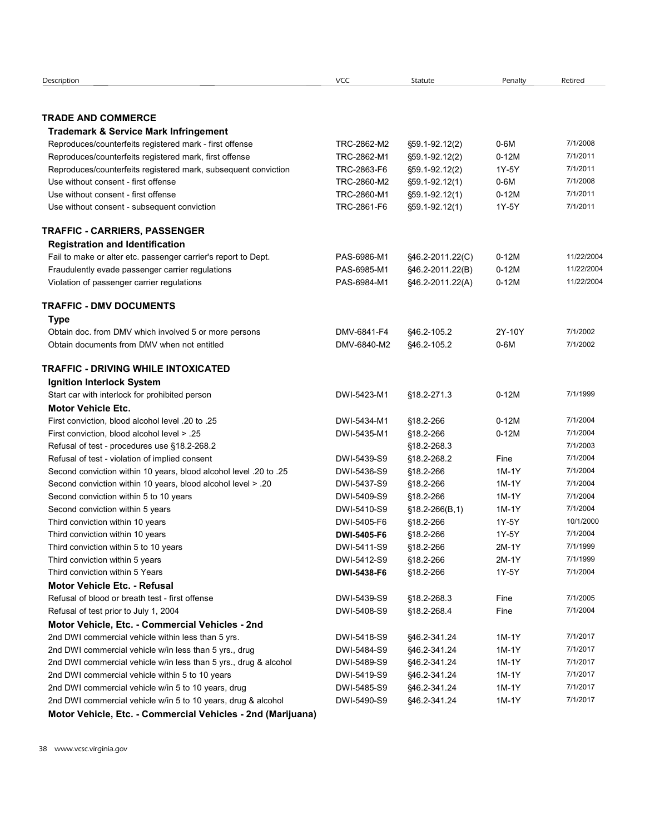| Description                                                                                           | <b>VCC</b>                 | Statute                          | Penalty         | Retired              |
|-------------------------------------------------------------------------------------------------------|----------------------------|----------------------------------|-----------------|----------------------|
|                                                                                                       |                            |                                  |                 |                      |
| <b>TRADE AND COMMERCE</b>                                                                             |                            |                                  |                 |                      |
| <b>Trademark &amp; Service Mark Infringement</b>                                                      |                            |                                  |                 |                      |
| Reproduces/counterfeits registered mark - first offense                                               | TRC-2862-M2                | §59.1-92.12(2)                   | 0-6M            | 7/1/2008             |
| Reproduces/counterfeits registered mark, first offense                                                | TRC-2862-M1                | §59.1-92.12(2)                   | $0-12M$         | 7/1/2011             |
| Reproduces/counterfeits registered mark, subsequent conviction<br>Use without consent - first offense | TRC-2863-F6<br>TRC-2860-M2 | §59.1-92.12(2)<br>§59.1-92.12(1) | 1Y-5Y<br>$0-6M$ | 7/1/2011<br>7/1/2008 |
| Use without consent - first offense                                                                   | TRC-2860-M1                | §59.1-92.12(1)                   | $0-12M$         | 7/1/2011             |
| Use without consent - subsequent conviction                                                           | TRC-2861-F6                | §59.1-92.12(1)                   | 1Y-5Y           | 7/1/2011             |
| <b>TRAFFIC - CARRIERS, PASSENGER</b>                                                                  |                            |                                  |                 |                      |
| <b>Registration and Identification</b>                                                                |                            |                                  |                 |                      |
| Fail to make or alter etc. passenger carrier's report to Dept.                                        | PAS-6986-M1                | §46.2-2011.22(C)                 | $0-12M$         | 11/22/2004           |
| Fraudulently evade passenger carrier regulations                                                      | PAS-6985-M1                | §46.2-2011.22(B)                 | $0-12M$         | 11/22/2004           |
| Violation of passenger carrier regulations                                                            | PAS-6984-M1                | §46.2-2011.22(A)                 | $0-12M$         | 11/22/2004           |
| <b>TRAFFIC - DMV DOCUMENTS</b>                                                                        |                            |                                  |                 |                      |
| <b>Type</b>                                                                                           |                            |                                  |                 |                      |
| Obtain doc. from DMV which involved 5 or more persons                                                 | DMV-6841-F4                | \$46.2-105.2                     | 2Y-10Y          | 7/1/2002             |
| Obtain documents from DMV when not entitled                                                           | DMV-6840-M2                | \$46.2-105.2                     | $0-6M$          | 7/1/2002             |
| TRAFFIC - DRIVING WHILE INTOXICATED                                                                   |                            |                                  |                 |                      |
| Ignition Interlock System                                                                             |                            |                                  |                 |                      |
| Start car with interlock for prohibited person                                                        | DWI-5423-M1                | §18.2-271.3                      | $0-12M$         | 7/1/1999             |
| <b>Motor Vehicle Etc.</b>                                                                             |                            |                                  |                 |                      |
| First conviction, blood alcohol level .20 to .25                                                      | DWI-5434-M1                | §18.2-266                        | $0-12M$         | 7/1/2004             |
| First conviction, blood alcohol level > .25                                                           | DWI-5435-M1                | §18.2-266                        | $0-12M$         | 7/1/2004             |
| Refusal of test - procedures use §18.2-268.2                                                          |                            | §18.2-268.3                      |                 | 7/1/2003             |
| Refusal of test - violation of implied consent                                                        | DWI-5439-S9                | §18.2-268.2                      | Fine            | 7/1/2004             |
| Second conviction within 10 years, blood alcohol level .20 to .25                                     | DWI-5436-S9                | §18.2-266                        | 1M-1Y           | 7/1/2004             |
| Second conviction within 10 years, blood alcohol level > .20                                          | DWI-5437-S9                | §18.2-266                        | 1M-1Y           | 7/1/2004<br>7/1/2004 |
| Second conviction within 5 to 10 years                                                                | DWI-5409-S9                | §18.2-266                        | 1M-1Y           | 7/1/2004             |
| Second conviction within 5 years<br>Third conviction within 10 years                                  | DWI-5410-S9<br>DWI-5405-F6 | $$18.2 - 266(B, 1)$<br>§18.2-266 | 1M-1Y<br>1Y-5Y  | 10/1/2000            |
| Third conviction within 10 years                                                                      | DWI-5405-F6                | §18.2-266                        | 1Y-5Y           | 7/1/2004             |
| Third conviction within 5 to 10 years                                                                 | DWI-5411-S9                | §18.2-266                        | 2M-1Y           | 7/1/1999             |
| Third conviction within 5 years                                                                       | DWI-5412-S9                | §18.2-266                        | 2M-1Y           | 7/1/1999             |
| Third conviction within 5 Years                                                                       | DWI-5438-F6                | §18.2-266                        | 1Y-5Y           | 7/1/2004             |
| <b>Motor Vehicle Etc. - Refusal</b>                                                                   |                            |                                  |                 |                      |
| Refusal of blood or breath test - first offense                                                       | DWI-5439-S9                | §18.2-268.3                      | Fine            | 7/1/2005             |
| Refusal of test prior to July 1, 2004                                                                 | DWI-5408-S9                | §18.2-268.4                      | Fine            | 7/1/2004             |
| Motor Vehicle, Etc. - Commercial Vehicles - 2nd                                                       |                            |                                  |                 |                      |
| 2nd DWI commercial vehicle within less than 5 yrs.                                                    | DWI-5418-S9                | §46.2-341.24                     | 1M-1Y           | 7/1/2017             |
| 2nd DWI commercial vehicle w/in less than 5 yrs., drug                                                | DWI-5484-S9                | §46.2-341.24                     | 1M-1Y           | 7/1/2017             |
| 2nd DWI commercial vehicle w/in less than 5 yrs., drug & alcohol                                      | DWI-5489-S9                | §46.2-341.24                     | 1M-1Y           | 7/1/2017             |
| 2nd DWI commercial vehicle within 5 to 10 years                                                       | DWI-5419-S9                | §46.2-341.24                     | 1M-1Y           | 7/1/2017             |
| 2nd DWI commercial vehicle w/in 5 to 10 years, drug                                                   | DWI-5485-S9                | §46.2-341.24                     | 1M-1Y           | 7/1/2017             |
| 2nd DWI commercial vehicle w/in 5 to 10 years, drug & alcohol                                         | DWI-5490-S9                | §46.2-341.24                     | 1M-1Y           | 7/1/2017             |
|                                                                                                       |                            |                                  |                 |                      |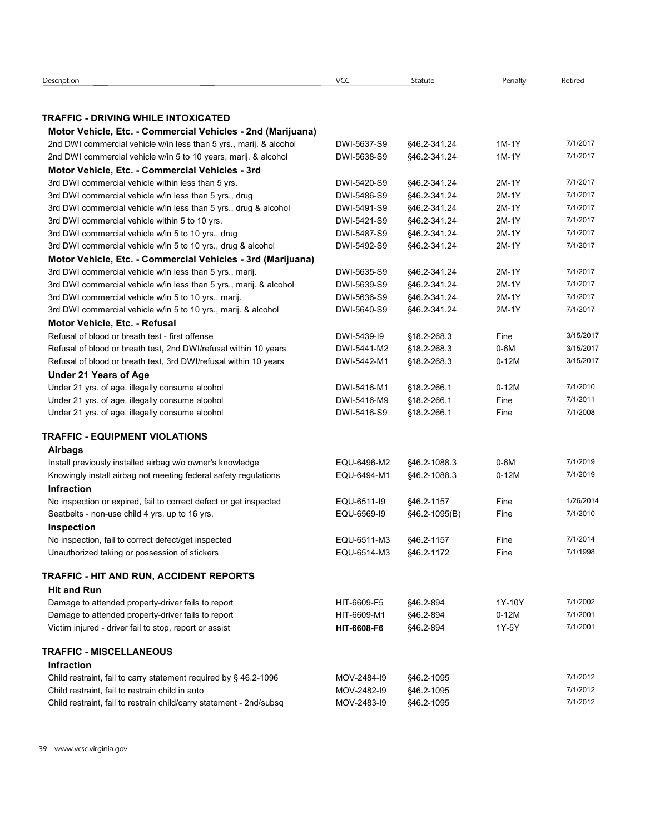| Description                                                                                                            | <b>VCC</b>                 | Statute                  | Penalty        | Retired              |  |  |
|------------------------------------------------------------------------------------------------------------------------|----------------------------|--------------------------|----------------|----------------------|--|--|
| TRAFFIC - DRIVING WHILE INTOXICATED                                                                                    |                            |                          |                |                      |  |  |
| Motor Vehicle, Etc. - Commercial Vehicles - 2nd (Marijuana)                                                            |                            |                          |                |                      |  |  |
| 2nd DWI commercial vehicle w/in less than 5 yrs., marij. & alcohol                                                     | DWI-5637-S9                | \$46.2-341.24            | 1M-1Y          | 7/1/2017             |  |  |
| 2nd DWI commercial vehicle w/in 5 to 10 years, marij. & alcohol<br>Motor Vehicle, Etc. - Commercial Vehicles - 3rd     | DWI-5638-S9                | \$46.2-341.24            | 1M-1Y          | 7/1/2017             |  |  |
| 3rd DWI commercial vehicle within less than 5 yrs.                                                                     | DWI-5420-S9                | §46.2-341.24             | 2M-1Y          | 7/1/2017             |  |  |
| 3rd DWI commercial vehicle w/in less than 5 yrs., drug                                                                 | DWI-5486-S9                | \$46.2-341.24            | 2M-1Y          | 7/1/2017             |  |  |
| 3rd DWI commercial vehicle w/in less than 5 yrs., drug & alcohol                                                       | DWI-5491-S9                | \$46.2-341.24            | 2M-1Y          | 7/1/2017             |  |  |
| 3rd DWI commercial vehicle within 5 to 10 yrs.                                                                         | DWI-5421-S9                | \$46.2-341.24            | 2M-1Y          | 7/1/2017             |  |  |
| 3rd DWI commercial vehicle w/in 5 to 10 yrs., drug                                                                     | DWI-5487-S9                | §46.2-341.24             | 2M-1Y          | 7/1/2017             |  |  |
| 3rd DWI commercial vehicle w/in 5 to 10 yrs., drug & alcohol                                                           | DWI-5492-S9                | \$46.2-341.24            | 2M-1Y          | 7/1/2017             |  |  |
| Motor Vehicle, Etc. - Commercial Vehicles - 3rd (Marijuana)                                                            |                            |                          |                |                      |  |  |
| 3rd DWI commercial vehicle w/in less than 5 yrs., marij.                                                               | DWI-5635-S9                | §46.2-341.24             | 2M-1Y          | 7/1/2017             |  |  |
| 3rd DWI commercial vehicle w/in less than 5 yrs., marij. & alcohol                                                     | DWI-5639-S9                | \$46.2-341.24            | 2M-1Y          | 7/1/2017<br>7/1/2017 |  |  |
| 3rd DWI commercial vehicle w/in 5 to 10 yrs., marij.<br>3rd DWI commercial vehicle w/in 5 to 10 yrs., marij. & alcohol | DWI-5636-S9                | \$46.2-341.24            | 2M-1Y<br>2M-1Y | 7/1/2017             |  |  |
|                                                                                                                        | DWI-5640-S9                | \$46.2-341.24            |                |                      |  |  |
| Motor Vehicle, Etc. - Refusal<br>Refusal of blood or breath test - first offense                                       | DWI-5439-19                | §18.2-268.3              | Fine           | 3/15/2017            |  |  |
| Refusal of blood or breath test, 2nd DWI/refusal within 10 years                                                       | DWI-5441-M2                | §18.2-268.3              | $0-6M$         | 3/15/2017            |  |  |
| Refusal of blood or breath test, 3rd DWI/refusal within 10 years                                                       | DWI-5442-M1                | §18.2-268.3              | $0-12M$        | 3/15/2017            |  |  |
| <b>Under 21 Years of Age</b>                                                                                           |                            |                          |                |                      |  |  |
| Under 21 yrs. of age, illegally consume alcohol                                                                        | DWI-5416-M1                | §18.2-266.1              | $0-12M$        | 7/1/2010             |  |  |
| Under 21 yrs. of age, illegally consume alcohol                                                                        | DWI-5416-M9                | §18.2-266.1              | Fine           | 7/1/2011             |  |  |
| Under 21 yrs. of age, illegally consume alcohol                                                                        | DWI-5416-S9                | §18.2-266.1              | Fine           | 7/1/2008             |  |  |
| TRAFFIC - EQUIPMENT VIOLATIONS                                                                                         |                            |                          |                |                      |  |  |
| <b>Airbags</b>                                                                                                         |                            |                          |                |                      |  |  |
| Install previously installed airbag w/o owner's knowledge                                                              | EQU-6496-M2                | §46.2-1088.3             | $0-6M$         | 7/1/2019             |  |  |
| Knowingly install airbag not meeting federal safety regulations                                                        | EQU-6494-M1                | \$46.2-1088.3            | $0-12M$        | 7/1/2019             |  |  |
| Infraction                                                                                                             |                            |                          |                |                      |  |  |
| No inspection or expired, fail to correct defect or get inspected                                                      | EQU-6511-I9                | §46.2-1157               | Fine           | 1/26/2014            |  |  |
| Seatbelts - non-use child 4 yrs. up to 16 yrs.                                                                         | EQU-6569-I9                | §46.2-1095(B)            | Fine           | 7/1/2010             |  |  |
| Inspection                                                                                                             |                            |                          |                |                      |  |  |
| No inspection, fail to correct defect/get inspected                                                                    | EQU-6511-M3                | §46.2-1157               | Fine           | 7/1/2014             |  |  |
| Unauthorized taking or possession of stickers                                                                          | EQU-6514-M3                | §46.2-1172               | Fine           | 7/1/1998             |  |  |
| TRAFFIC - HIT AND RUN, ACCIDENT REPORTS                                                                                |                            |                          |                |                      |  |  |
| <b>Hit and Run</b>                                                                                                     |                            |                          |                |                      |  |  |
| Damage to attended property-driver fails to report                                                                     | HIT-6609-F5                | §46.2-894                | 1Y-10Y         | 7/1/2002             |  |  |
| Damage to attended property-driver fails to report                                                                     | HIT-6609-M1                | §46.2-894                | $0-12M$        | 7/1/2001             |  |  |
| Victim injured - driver fail to stop, report or assist                                                                 | HIT-6608-F6                | §46.2-894                | 1Y-5Y          | 7/1/2001             |  |  |
| <b>TRAFFIC - MISCELLANEOUS</b>                                                                                         |                            |                          |                |                      |  |  |
| Infraction                                                                                                             |                            |                          |                |                      |  |  |
| Child restraint, fail to carry statement required by § 46.2-1096                                                       | MOV-2484-I9                | §46.2-1095               |                | 7/1/2012             |  |  |
|                                                                                                                        |                            |                          |                | 7/1/2012             |  |  |
| Child restraint, fail to restrain child in auto<br>Child restraint, fail to restrain child/carry statement - 2nd/subsq | MOV-2482-I9<br>MOV-2483-I9 | §46.2-1095<br>§46.2-1095 |                | 7/1/2012             |  |  |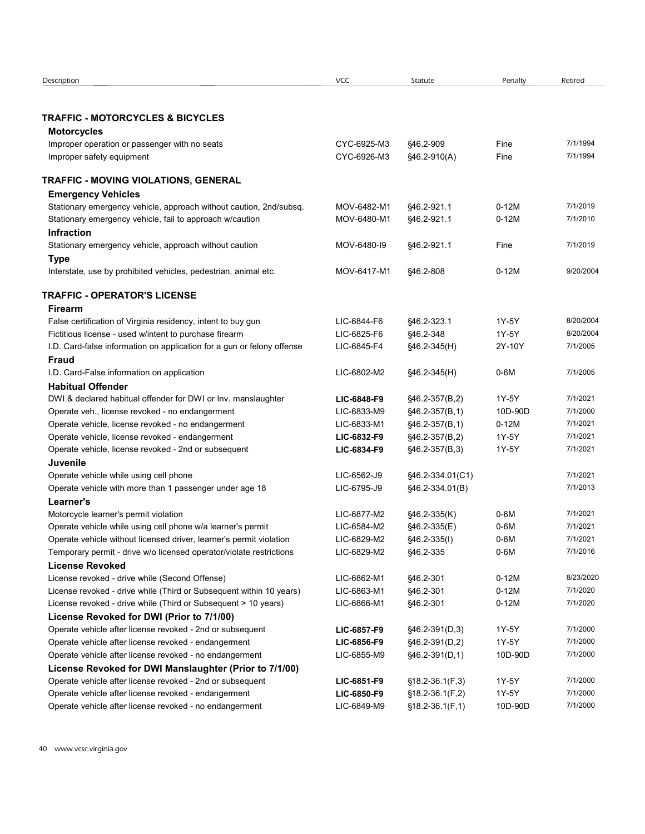| Description                                                            | <b>VCC</b>  | Statute           | Penalty | Retired   |  |
|------------------------------------------------------------------------|-------------|-------------------|---------|-----------|--|
|                                                                        |             |                   |         |           |  |
|                                                                        |             |                   |         |           |  |
| <b>TRAFFIC - MOTORCYCLES &amp; BICYCLES</b>                            |             |                   |         |           |  |
| <b>Motorcycles</b>                                                     |             |                   |         |           |  |
| Improper operation or passenger with no seats                          | CYC-6925-M3 | \$46.2-909        | Fine    | 7/1/1994  |  |
| Improper safety equipment                                              | CYC-6926-M3 | §46.2-910(A)      | Fine    | 7/1/1994  |  |
|                                                                        |             |                   |         |           |  |
| TRAFFIC - MOVING VIOLATIONS, GENERAL                                   |             |                   |         |           |  |
| <b>Emergency Vehicles</b>                                              |             |                   |         |           |  |
| Stationary emergency vehicle, approach without caution, 2nd/subsq.     | MOV-6482-M1 | \$46.2-921.1      | $0-12M$ | 7/1/2019  |  |
| Stationary emergency vehicle, fail to approach w/caution               | MOV-6480-M1 | \$46.2-921.1      | $0-12M$ | 7/1/2010  |  |
| <b>Infraction</b>                                                      |             |                   |         |           |  |
|                                                                        |             |                   |         | 7/1/2019  |  |
| Stationary emergency vehicle, approach without caution                 | MOV-6480-I9 | \$46.2-921.1      | Fine    |           |  |
| <b>Type</b>                                                            |             |                   |         |           |  |
| Interstate, use by prohibited vehicles, pedestrian, animal etc.        | MOV-6417-M1 | §46.2-808         | $0-12M$ | 9/20/2004 |  |
|                                                                        |             |                   |         |           |  |
| <b>TRAFFIC - OPERATOR'S LICENSE</b>                                    |             |                   |         |           |  |
| <b>Firearm</b>                                                         |             |                   |         |           |  |
| False certification of Virginia residency, intent to buy gun           | LIC-6844-F6 | \$46.2-323.1      | 1Y-5Y   | 8/20/2004 |  |
| Fictitious license - used w/intent to purchase firearm                 | LIC-6825-F6 | \$46.2-348        | 1Y-5Y   | 8/20/2004 |  |
| I.D. Card-false information on application for a gun or felony offense | LIC-6845-F4 | §46.2-345(H)      | 2Y-10Y  | 7/1/2005  |  |
| <b>Fraud</b>                                                           |             |                   |         |           |  |
| I.D. Card-False information on application                             | LIC-6802-M2 | §46.2-345(H)      | $0-6M$  | 7/1/2005  |  |
| <b>Habitual Offender</b>                                               |             |                   |         |           |  |
| DWI & declared habitual offender for DWI or Inv. manslaughter          | LIC-6848-F9 | §46.2-357(B,2)    | 1Y-5Y   | 7/1/2021  |  |
| Operate veh., license revoked - no endangerment                        | LIC-6833-M9 | §46.2-357(B,1)    | 10D-90D | 7/1/2000  |  |
| Operate vehicle, license revoked - no endangerment                     | LIC-6833-M1 | §46.2-357(B,1)    | $0-12M$ | 7/1/2021  |  |
| Operate vehicle, license revoked - endangerment                        | LIC-6832-F9 | §46.2-357(B,2)    | 1Y-5Y   | 7/1/2021  |  |
| Operate vehicle, license revoked - 2nd or subsequent                   | LIC-6834-F9 |                   | 1Y-5Y   | 7/1/2021  |  |
|                                                                        |             | §46.2-357(B,3)    |         |           |  |
| Juvenile                                                               |             |                   |         |           |  |
| Operate vehicle while using cell phone                                 | LIC-6562-J9 | §46.2-334.01(C1)  |         | 7/1/2021  |  |
| Operate vehicle with more than 1 passenger under age 18                | LIC-6795-J9 | §46.2-334.01(B)   |         | 7/1/2013  |  |
| Learner's                                                              |             |                   |         |           |  |
| Motorcycle learner's permit violation                                  | LIC-6877-M2 | §46.2-335(K)      | 0-6M    | 7/1/2021  |  |
| Operate vehicle while using cell phone w/a learner's permit            | LIC-6584-M2 | §46.2-335(E)      | $0-6M$  | 7/1/2021  |  |
| Operate vehicle without licensed driver, learner's permit violation    | LIC-6829-M2 | §46.2-335(I)      | 0-6M    | 7/1/2021  |  |
| Temporary permit - drive w/o licensed operator/violate restrictions    | LIC-6829-M2 | \$46.2-335        | $0-6M$  | 7/1/2016  |  |
| <b>License Revoked</b>                                                 |             |                   |         |           |  |
| License revoked - drive while (Second Offense)                         | LIC-6862-M1 | §46.2-301         | $0-12M$ | 8/23/2020 |  |
| License revoked - drive while (Third or Subsequent within 10 years)    | LIC-6863-M1 | §46.2-301         | $0-12M$ | 7/1/2020  |  |
|                                                                        |             |                   |         | 7/1/2020  |  |
| License revoked - drive while (Third or Subsequent > 10 years)         | LIC-6866-M1 | §46.2-301         | $0-12M$ |           |  |
| License Revoked for DWI (Prior to 7/1/00)                              |             |                   |         |           |  |
| Operate vehicle after license revoked - 2nd or subsequent              | LIC-6857-F9 | §46.2-391(D,3)    | 1Y-5Y   | 7/1/2000  |  |
| Operate vehicle after license revoked - endangerment                   | LIC-6856-F9 | §46.2-391(D,2)    | 1Y-5Y   | 7/1/2000  |  |
| Operate vehicle after license revoked - no endangerment                | LIC-6855-M9 | §46.2-391(D,1)    | 10D-90D | 7/1/2000  |  |
| License Revoked for DWI Manslaughter (Prior to 7/1/00)                 |             |                   |         |           |  |
| Operate vehicle after license revoked - 2nd or subsequent              | LIC-6851-F9 | $$18.2-36.1(F,3)$ | 1Y-5Y   | 7/1/2000  |  |
| Operate vehicle after license revoked - endangerment                   | LIC-6850-F9 | $$18.2-36.1(F,2)$ | 1Y-5Y   | 7/1/2000  |  |
| Operate vehicle after license revoked - no endangerment                | LIC-6849-M9 | $$18.2-36.1(F,1)$ | 10D-90D | 7/1/2000  |  |
|                                                                        |             |                   |         |           |  |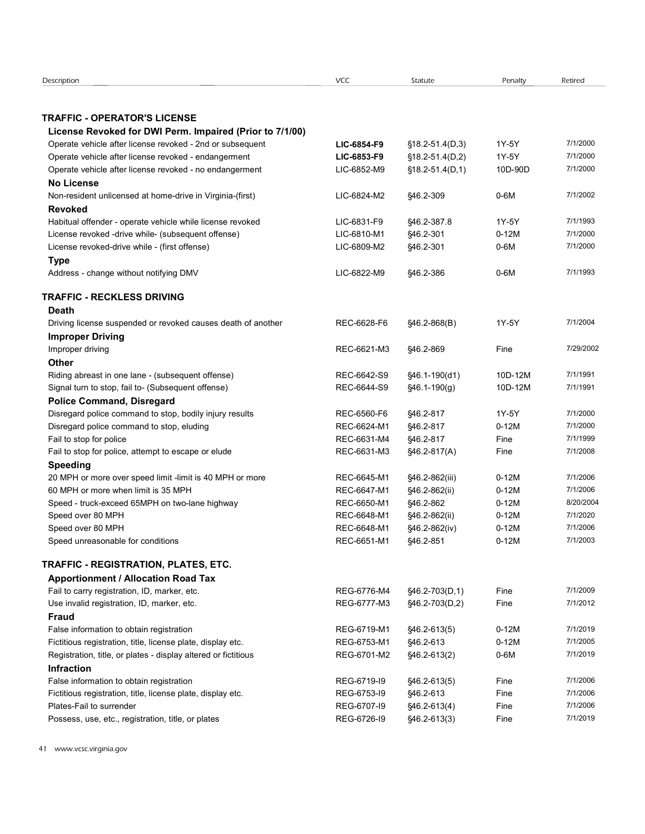| Description                                                                                             |                            |                                  |                    |                       |
|---------------------------------------------------------------------------------------------------------|----------------------------|----------------------------------|--------------------|-----------------------|
|                                                                                                         | <b>VCC</b>                 | Statute                          | Penalty            | Retired               |
|                                                                                                         |                            |                                  |                    |                       |
| <b>TRAFFIC - OPERATOR'S LICENSE</b><br>License Revoked for DWI Perm. Impaired (Prior to 7/1/00)         |                            |                                  |                    |                       |
| Operate vehicle after license revoked - 2nd or subsequent                                               | LIC-6854-F9                | $$18.2 - 51.4(D,3)$              | 1Y-5Y              | 7/1/2000              |
| Operate vehicle after license revoked - endangerment                                                    | LIC-6853-F9                | §18.2-51.4(D,2)                  | 1Y-5Y              | 7/1/2000              |
| Operate vehicle after license revoked - no endangerment                                                 | LIC-6852-M9                | $$18.2 - 51.4(D, 1)$             | 10D-90D            | 7/1/2000              |
| <b>No License</b>                                                                                       |                            |                                  |                    |                       |
| Non-resident unlicensed at home-drive in Virginia-(first)<br><b>Revoked</b>                             | LIC-6824-M2                | §46.2-309                        | 0-6M               | 7/1/2002              |
| Habitual offender - operate vehicle while license revoked                                               | LIC-6831-F9                | \$46.2-387.8                     | 1Y-5Y              | 7/1/1993              |
| License revoked -drive while- (subsequent offense)                                                      | LIC-6810-M1                | §46.2-301                        | $0-12M$            | 7/1/2000              |
| License revoked-drive while - (first offense)                                                           | LIC-6809-M2                | \$46.2-301                       | $0-6M$             | 7/1/2000              |
| <b>Type</b>                                                                                             |                            |                                  |                    |                       |
| Address - change without notifying DMV                                                                  | LIC-6822-M9                | \$46.2-386                       | 0-6M               | 7/1/1993              |
| <b>TRAFFIC - RECKLESS DRIVING</b>                                                                       |                            |                                  |                    |                       |
| Death                                                                                                   |                            |                                  |                    |                       |
| Driving license suspended or revoked causes death of another                                            | REC-6628-F6                | $$46.2-868(B)$                   | 1Y-5Y              | 7/1/2004              |
| <b>Improper Driving</b>                                                                                 |                            |                                  |                    |                       |
| Improper driving                                                                                        | REC-6621-M3                | §46.2-869                        | Fine               | 7/29/2002             |
| <b>Other</b>                                                                                            |                            |                                  |                    |                       |
| Riding abreast in one lane - (subsequent offense)<br>Signal turn to stop, fail to- (Subsequent offense) | REC-6642-S9<br>REC-6644-S9 | §46.1-190(d1)<br>$$46.1-190(g)$  | 10D-12M<br>10D-12M | 7/1/1991<br>7/1/1991  |
| <b>Police Command, Disregard</b>                                                                        |                            |                                  |                    |                       |
| Disregard police command to stop, bodily injury results                                                 | REC-6560-F6                | §46.2-817                        | 1Y-5Y              | 7/1/2000              |
| Disregard police command to stop, eluding                                                               | REC-6624-M1                | §46.2-817                        | $0-12M$            | 7/1/2000              |
| Fail to stop for police                                                                                 | REC-6631-M4                | §46.2-817                        | Fine               | 7/1/1999              |
| Fail to stop for police, attempt to escape or elude                                                     | REC-6631-M3                | §46.2-817(A)                     | Fine               | 7/1/2008              |
| <b>Speeding</b>                                                                                         |                            |                                  |                    |                       |
| 20 MPH or more over speed limit -limit is 40 MPH or more                                                | REC-6645-M1                | §46.2-862(iii)                   | $0-12M$            | 7/1/2006              |
| 60 MPH or more when limit is 35 MPH                                                                     | REC-6647-M1                | §46.2-862(ii)                    | $0-12M$            | 7/1/2006              |
| Speed - truck-exceed 65MPH on two-lane highway                                                          | REC-6650-M1                | §46.2-862                        | $0-12M$            | 8/20/2004<br>7/1/2020 |
| Speed over 80 MPH<br>Speed over 80 MPH                                                                  | REC-6648-M1<br>REC-6648-M1 | §46.2-862(ii)<br>§46.2-862(iv)   | $0-12M$<br>$0-12M$ | 7/1/2006              |
| Speed unreasonable for conditions                                                                       | REC-6651-M1                | §46.2-851                        | $0-12M$            | 7/1/2003              |
|                                                                                                         |                            |                                  |                    |                       |
| TRAFFIC - REGISTRATION, PLATES, ETC.                                                                    |                            |                                  |                    |                       |
| <b>Apportionment / Allocation Road Tax</b>                                                              |                            |                                  |                    |                       |
| Fail to carry registration, ID, marker, etc.<br>Use invalid registration, ID, marker, etc.              | REG-6776-M4<br>REG-6777-M3 | §46.2-703(D,1)<br>§46.2-703(D,2) | Fine<br>Fine       | 7/1/2009<br>7/1/2012  |
| <b>Fraud</b>                                                                                            |                            |                                  |                    |                       |
| False information to obtain registration                                                                | REG-6719-M1                | §46.2-613(5)                     | $0-12M$            | 7/1/2019              |
| Fictitious registration, title, license plate, display etc.                                             | REG-6753-M1                | §46.2-613                        | $0-12M$            | 7/1/2005              |
| Registration, title, or plates - display altered or fictitious                                          | REG-6701-M2                | §46.2-613(2)                     | $0-6M$             | 7/1/2019              |
| <b>Infraction</b>                                                                                       |                            |                                  |                    |                       |
| False information to obtain registration                                                                | REG-6719-I9                | §46.2-613(5)                     | Fine               | 7/1/2006              |
| Fictitious registration, title, license plate, display etc.                                             | REG-6753-I9                | \$46.2-613                       | Fine               | 7/1/2006              |
| Plates-Fail to surrender                                                                                | REG-6707-I9                | §46.2-613(4)                     | Fine               | 7/1/2006              |
| Possess, use, etc., registration, title, or plates                                                      | REG-6726-I9                | §46.2-613(3)                     | Fine               | 7/1/2019              |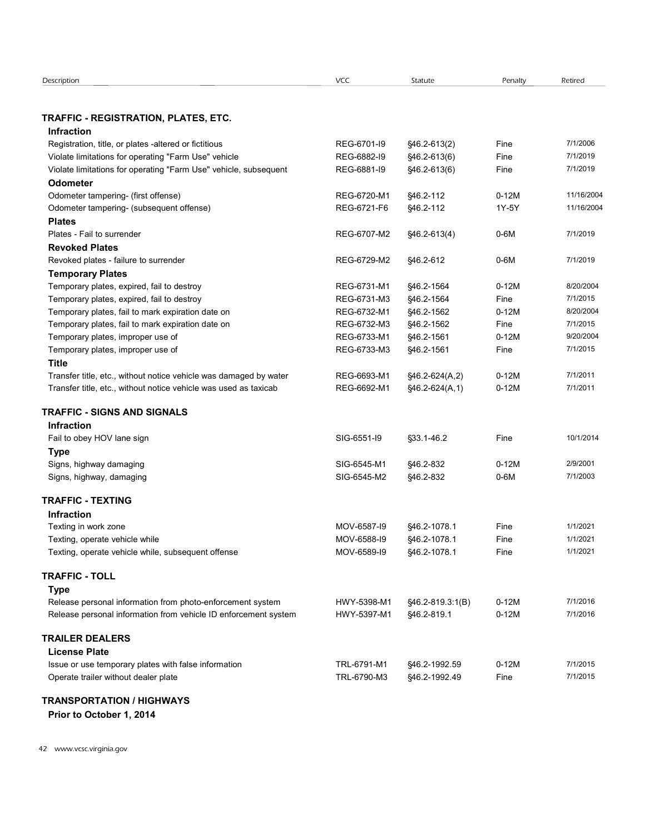| Description                                                                                     | VCC                        | Statute                  | Penalty         | Retired               |  |
|-------------------------------------------------------------------------------------------------|----------------------------|--------------------------|-----------------|-----------------------|--|
| TRAFFIC - REGISTRATION, PLATES, ETC.                                                            |                            |                          |                 |                       |  |
| <b>Infraction</b>                                                                               |                            |                          |                 |                       |  |
| Registration, title, or plates -altered or fictitious                                           | REG-6701-I9                | §46.2-613(2)             | Fine            | 7/1/2006              |  |
| Violate limitations for operating "Farm Use" vehicle                                            | REG-6882-I9                | §46.2-613(6)             | Fine            | 7/1/2019              |  |
| Violate limitations for operating "Farm Use" vehicle, subsequent                                | REG-6881-I9                | §46.2-613(6)             | Fine            | 7/1/2019              |  |
| <b>Odometer</b>                                                                                 | REG-6720-M1                |                          | $0-12M$         | 11/16/2004            |  |
| Odometer tampering- (first offense)<br>Odometer tampering- (subsequent offense)                 | REG-6721-F6                | §46.2-112<br>§46.2-112   | 1Y-5Y           | 11/16/2004            |  |
| <b>Plates</b>                                                                                   |                            |                          |                 |                       |  |
| Plates - Fail to surrender                                                                      | REG-6707-M2                | §46.2-613(4)             | $0-6M$          | 7/1/2019              |  |
| <b>Revoked Plates</b>                                                                           |                            |                          |                 |                       |  |
| Revoked plates - failure to surrender                                                           | REG-6729-M2                | §46.2-612                | $0-6M$          | 7/1/2019              |  |
| <b>Temporary Plates</b>                                                                         |                            |                          |                 |                       |  |
| Temporary plates, expired, fail to destroy                                                      | REG-6731-M1                | §46.2-1564               | $0-12M$         | 8/20/2004             |  |
| Temporary plates, expired, fail to destroy<br>Temporary plates, fail to mark expiration date on | REG-6731-M3<br>REG-6732-M1 | §46.2-1564<br>§46.2-1562 | Fine<br>$0-12M$ | 7/1/2015<br>8/20/2004 |  |
| Temporary plates, fail to mark expiration date on                                               | REG-6732-M3                | §46.2-1562               | Fine            | 7/1/2015              |  |
| Temporary plates, improper use of                                                               | REG-6733-M1                | §46.2-1561               | $0-12M$         | 9/20/2004             |  |
| Temporary plates, improper use of                                                               | REG-6733-M3                | §46.2-1561               | Fine            | 7/1/2015              |  |
| <b>Title</b>                                                                                    |                            |                          |                 |                       |  |
| Transfer title, etc., without notice vehicle was damaged by water                               | REG-6693-M1                | §46.2-624(A,2)           | $0-12M$         | 7/1/2011              |  |
| Transfer title, etc., without notice vehicle was used as taxicab                                | REG-6692-M1                | $§46.2-624(A,1)$         | $0-12M$         | 7/1/2011              |  |
| TRAFFIC - SIGNS AND SIGNALS                                                                     |                            |                          |                 |                       |  |
| <b>Infraction</b>                                                                               |                            |                          |                 |                       |  |
| Fail to obey HOV lane sign                                                                      | SIG-6551-I9                | §33.1-46.2               | Fine            | 10/1/2014             |  |
| <b>Type</b>                                                                                     |                            |                          |                 |                       |  |
| Signs, highway damaging                                                                         | SIG-6545-M1                | §46.2-832                | $0-12M$         | 2/9/2001              |  |
| Signs, highway, damaging                                                                        | SIG-6545-M2                | §46.2-832                | $0-6M$          | 7/1/2003              |  |
| <b>TRAFFIC - TEXTING</b>                                                                        |                            |                          |                 |                       |  |
| <b>Infraction</b>                                                                               |                            |                          |                 |                       |  |
| Texting in work zone                                                                            | MOV-6587-I9                | §46.2-1078.1             | Fine            | 1/1/2021              |  |
| Texting, operate vehicle while                                                                  | MOV-6588-I9                | §46.2-1078.1             | Fine            | 1/1/2021              |  |
| Texting, operate vehicle while, subsequent offense                                              | MOV-6589-I9                | §46.2-1078.1             | Fine            | 1/1/2021              |  |
| <b>TRAFFIC - TOLL</b>                                                                           |                            |                          |                 |                       |  |
| <b>Type</b>                                                                                     |                            |                          |                 |                       |  |
| Release personal information from photo-enforcement system                                      | HWY-5398-M1                | §46.2-819.3:1(B)         | $0-12M$         | 7/1/2016              |  |
| Release personal information from vehicle ID enforcement system                                 | HWY-5397-M1                | §46.2-819.1              | $0-12M$         | 7/1/2016              |  |
| <b>TRAILER DEALERS</b>                                                                          |                            |                          |                 |                       |  |
| <b>License Plate</b>                                                                            |                            |                          |                 |                       |  |
| Issue or use temporary plates with false information                                            | TRL-6791-M1                | §46.2-1992.59            | $0-12M$         | 7/1/2015              |  |
| Operate trailer without dealer plate                                                            | TRL-6790-M3                | §46.2-1992.49            | Fine            | 7/1/2015              |  |
|                                                                                                 |                            |                          |                 |                       |  |
| <b>TRANSPORTATION / HIGHWAYS</b>                                                                |                            |                          |                 |                       |  |

# TRANSPORTATION / HIGHWAYS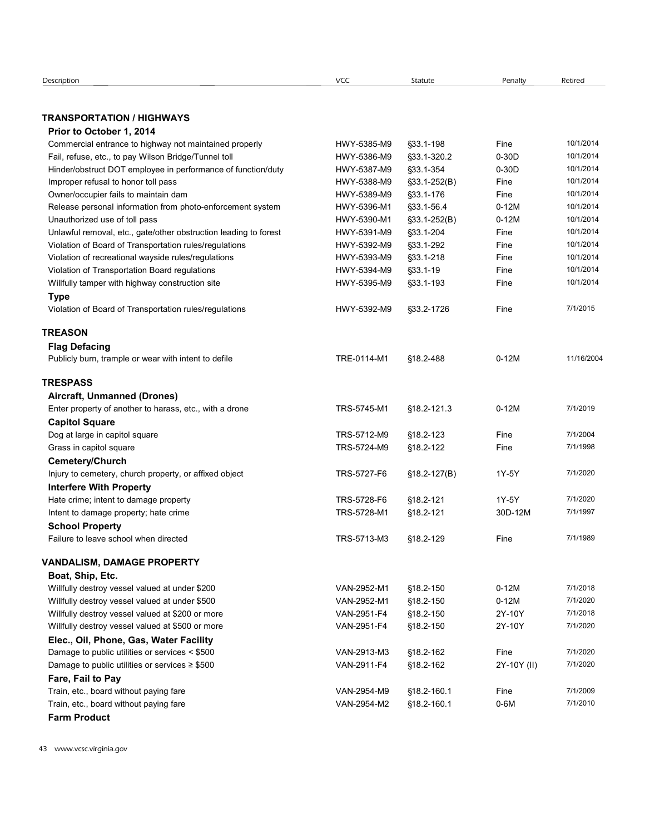|                                                                  | <b>VCC</b>  | Statute          | Penalty     | Retired    |
|------------------------------------------------------------------|-------------|------------------|-------------|------------|
|                                                                  |             |                  |             |            |
| <b>TRANSPORTATION / HIGHWAYS</b>                                 |             |                  |             |            |
| Prior to October 1, 2014                                         |             |                  |             |            |
| Commercial entrance to highway not maintained properly           | HWY-5385-M9 | §33.1-198        | Fine        | 10/1/2014  |
| Fail, refuse, etc., to pay Wilson Bridge/Tunnel toll             | HWY-5386-M9 | §33.1-320.2      | $0-30D$     | 10/1/2014  |
| Hinder/obstruct DOT employee in performance of function/duty     | HWY-5387-M9 | §33.1-354        | $0-30D$     | 10/1/2014  |
| Improper refusal to honor toll pass                              | HWY-5388-M9 | $$33.1-252(B)$   | Fine        | 10/1/2014  |
| Owner/occupier fails to maintain dam                             | HWY-5389-M9 | §33.1-176        | Fine        | 10/1/2014  |
| Release personal information from photo-enforcement system       | HWY-5396-M1 | §33.1-56.4       | $0-12M$     | 10/1/2014  |
| Unauthorized use of toll pass                                    | HWY-5390-M1 | $\S$ 33.1-252(B) | $0-12M$     | 10/1/2014  |
| Unlawful removal, etc., gate/other obstruction leading to forest | HWY-5391-M9 | §33.1-204        | Fine        | 10/1/2014  |
| Violation of Board of Transportation rules/regulations           | HWY-5392-M9 | §33.1-292        | Fine        | 10/1/2014  |
| Violation of recreational wayside rules/regulations              | HWY-5393-M9 | §33.1-218        | Fine        | 10/1/2014  |
| Violation of Transportation Board regulations                    | HWY-5394-M9 | §33.1-19         | Fine        | 10/1/2014  |
| Willfully tamper with highway construction site                  | HWY-5395-M9 | $$33.1 - 193$    | Fine        | 10/1/2014  |
| <b>Type</b>                                                      |             |                  |             |            |
| Violation of Board of Transportation rules/regulations           | HWY-5392-M9 | §33.2-1726       | Fine        | 7/1/2015   |
| <b>TREASON</b>                                                   |             |                  |             |            |
| <b>Flag Defacing</b>                                             |             |                  |             |            |
| Publicly burn, trample or wear with intent to defile             | TRE-0114-M1 | §18.2-488        | $0-12M$     | 11/16/2004 |
| <b>TRESPASS</b>                                                  |             |                  |             |            |
| Aircraft, Unmanned (Drones)                                      |             |                  |             |            |
| Enter property of another to harass, etc., with a drone          | TRS-5745-M1 | §18.2-121.3      | $0-12M$     | 7/1/2019   |
|                                                                  |             |                  |             |            |
| <b>Capitol Square</b>                                            |             |                  | Fine        | 7/1/2004   |
| Dog at large in capitol square                                   | TRS-5712-M9 | §18.2-123        |             | 7/1/1998   |
| Grass in capitol square                                          | TRS-5724-M9 | §18.2-122        | Fine        |            |
| Cemetery/Church                                                  |             |                  |             |            |
| Injury to cemetery, church property, or affixed object           | TRS-5727-F6 | $$18.2-127(B)$   | 1Y-5Y       | 7/1/2020   |
| <b>Interfere With Property</b>                                   |             |                  |             |            |
| Hate crime; intent to damage property                            | TRS-5728-F6 | §18.2-121        | 1Y-5Y       | 7/1/2020   |
| Intent to damage property; hate crime                            | TRS-5728-M1 | §18.2-121        | 30D-12M     | 7/1/1997   |
| <b>School Property</b>                                           |             |                  |             |            |
| Failure to leave school when directed                            | TRS-5713-M3 | §18.2-129        | Fine        | 7/1/1989   |
| <b>VANDALISM, DAMAGE PROPERTY</b>                                |             |                  |             |            |
| Boat, Ship, Etc.                                                 |             |                  |             |            |
| Willfully destroy vessel valued at under \$200                   | VAN-2952-M1 | §18.2-150        | $0-12M$     | 7/1/2018   |
| Willfully destroy vessel valued at under \$500                   | VAN-2952-M1 | §18.2-150        | $0-12M$     | 7/1/2020   |
| Willfully destroy vessel valued at \$200 or more                 | VAN-2951-F4 | §18.2-150        | 2Y-10Y      | 7/1/2018   |
| Willfully destroy vessel valued at \$500 or more                 | VAN-2951-F4 |                  | 2Y-10Y      | 7/1/2020   |
|                                                                  |             | §18.2-150        |             |            |
| Elec., Oil, Phone, Gas, Water Facility                           |             |                  |             |            |
| Damage to public utilities or services < \$500                   | VAN-2913-M3 | §18.2-162        | Fine        | 7/1/2020   |
| Damage to public utilities or services $\geq$ \$500              | VAN-2911-F4 | §18.2-162        | 2Y-10Y (II) | 7/1/2020   |
| Fare, Fail to Pay                                                |             |                  |             |            |
| Train, etc., board without paying fare                           | VAN-2954-M9 | §18.2-160.1      | Fine        | 7/1/2009   |
|                                                                  | VAN-2954-M2 | §18.2-160.1      | $0-6M$      | 7/1/2010   |
| Train, etc., board without paying fare                           |             |                  |             |            |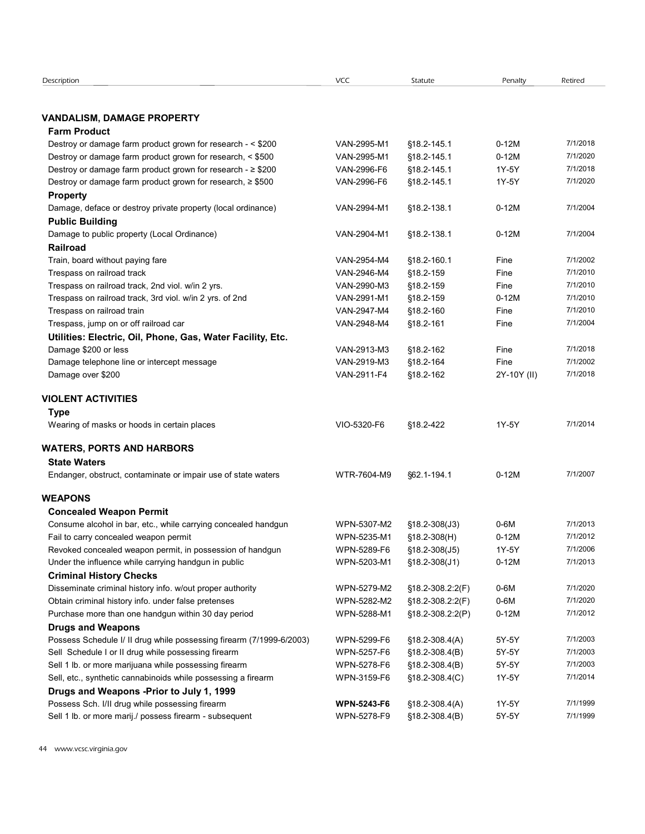| Description                                                          | VCC                | Statute                    | Penalty     | Retired  |
|----------------------------------------------------------------------|--------------------|----------------------------|-------------|----------|
|                                                                      |                    |                            |             |          |
|                                                                      |                    |                            |             |          |
| <b>VANDALISM, DAMAGE PROPERTY</b>                                    |                    |                            |             |          |
| <b>Farm Product</b>                                                  |                    |                            |             |          |
| Destroy or damage farm product grown for research - < \$200          | VAN-2995-M1        | §18.2-145.1                | $0-12M$     | 7/1/2018 |
| Destroy or damage farm product grown for research, < \$500           | VAN-2995-M1        | §18.2-145.1                | $0-12M$     | 7/1/2020 |
| Destroy or damage farm product grown for research - ≥ \$200          | VAN-2996-F6        | §18.2-145.1                | 1Y-5Y       | 7/1/2018 |
| Destroy or damage farm product grown for research, ≥ \$500           | VAN-2996-F6        | §18.2-145.1                | 1Y-5Y       | 7/1/2020 |
| <b>Property</b>                                                      |                    |                            |             |          |
| Damage, deface or destroy private property (local ordinance)         | VAN-2994-M1        | §18.2-138.1                | $0-12M$     | 7/1/2004 |
|                                                                      |                    |                            |             |          |
| <b>Public Building</b>                                               |                    |                            |             |          |
| Damage to public property (Local Ordinance)                          | VAN-2904-M1        | §18.2-138.1                | $0-12M$     | 7/1/2004 |
| <b>Railroad</b>                                                      |                    |                            |             |          |
| Train, board without paying fare                                     | VAN-2954-M4        | §18.2-160.1                | Fine        | 7/1/2002 |
| Trespass on railroad track                                           | VAN-2946-M4        | §18.2-159                  | Fine        | 7/1/2010 |
| Trespass on railroad track, 2nd viol. w/in 2 yrs.                    | VAN-2990-M3        | §18.2-159                  | Fine        | 7/1/2010 |
| Trespass on railroad track, 3rd viol. w/in 2 yrs. of 2nd             | VAN-2991-M1        | §18.2-159                  | $0-12M$     | 7/1/2010 |
| Trespass on railroad train                                           | VAN-2947-M4        | §18.2-160                  | Fine        | 7/1/2010 |
| Trespass, jump on or off railroad car                                | VAN-2948-M4        | §18.2-161                  | Fine        | 7/1/2004 |
| Utilities: Electric, Oil, Phone, Gas, Water Facility, Etc.           |                    |                            |             |          |
| Damage \$200 or less                                                 | VAN-2913-M3        | §18.2-162                  | Fine        | 7/1/2018 |
| Damage telephone line or intercept message                           | VAN-2919-M3        | §18.2-164                  | Fine        | 7/1/2002 |
| Damage over \$200                                                    | VAN-2911-F4        | §18.2-162                  | 2Y-10Y (II) | 7/1/2018 |
|                                                                      |                    |                            |             |          |
| <b>VIOLENT ACTIVITIES</b>                                            |                    |                            |             |          |
|                                                                      |                    |                            |             |          |
| <b>Type</b>                                                          |                    |                            |             |          |
| Wearing of masks or hoods in certain places                          | VIO-5320-F6        | §18.2-422                  | 1Y-5Y       | 7/1/2014 |
|                                                                      |                    |                            |             |          |
| <b>WATERS, PORTS AND HARBORS</b>                                     |                    |                            |             |          |
| <b>State Waters</b>                                                  |                    |                            |             |          |
| Endanger, obstruct, contaminate or impair use of state waters        | WTR-7604-M9        | §62.1-194.1                | $0-12M$     | 7/1/2007 |
|                                                                      |                    |                            |             |          |
| <b>WEAPONS</b>                                                       |                    |                            |             |          |
| <b>Concealed Weapon Permit</b>                                       |                    |                            |             |          |
| Consume alcohol in bar, etc., while carrying concealed handgun       | WPN-5307-M2        | $$18.2 - 308(J3)$          | $0-6M$      | 7/1/2013 |
| Fail to carry concealed weapon permit                                | WPN-5235-M1        | $$18.2-308(H)$             | $0-12M$     | 7/1/2012 |
| Revoked concealed weapon permit, in possession of handgun            | WPN-5289-F6        | $$18.2 - 308(J5)$          | 1Y-5Y       | 7/1/2006 |
| Under the influence while carrying handgun in public                 | WPN-5203-M1        | $$18.2 - 308(J1)$          | $0-12M$     | 7/1/2013 |
| <b>Criminal History Checks</b>                                       |                    |                            |             |          |
| Disseminate criminal history info. w/out proper authority            | WPN-5279-M2        | $$18.2 - 308.2.2(F)$       | $0-6M$      | 7/1/2020 |
|                                                                      |                    |                            |             | 7/1/2020 |
| Obtain criminal history info. under false pretenses                  | WPN-5282-M2        | §18.2-308.2:2(F)           | 0-6M        |          |
| Purchase more than one handgun within 30 day period                  | WPN-5288-M1        | $$18.2 - 308.2 \cdot 2(P)$ | $0-12M$     | 7/1/2012 |
| <b>Drugs and Weapons</b>                                             |                    |                            |             |          |
| Possess Schedule I/ II drug while possessing firearm (7/1999-6/2003) | WPN-5299-F6        | $$18.2-308.4(A)$           | 5Y-5Y       | 7/1/2003 |
| Sell Schedule I or II drug while possessing firearm                  | WPN-5257-F6        | $$18.2-308.4(B)$           | 5Y-5Y       | 7/1/2003 |
| Sell 1 lb. or more marijuana while possessing firearm                | WPN-5278-F6        | $$18.2-308.4(B)$           | 5Y-5Y       | 7/1/2003 |
| Sell, etc., synthetic cannabinoids while possessing a firearm        | WPN-3159-F6        | $$18.2 - 308.4(C)$         | 1Y-5Y       | 7/1/2014 |
| Drugs and Weapons -Prior to July 1, 1999                             |                    |                            |             |          |
| Possess Sch. I/II drug while possessing firearm                      | <b>WPN-5243-F6</b> | $$18.2-308.4(A)$           | 1Y-5Y       | 7/1/1999 |
| Sell 1 lb. or more marij./ possess firearm - subsequent              | WPN-5278-F9        | $$18.2 - 308.4(B)$         |             | 7/1/1999 |
|                                                                      |                    |                            | 5Y-5Y       |          |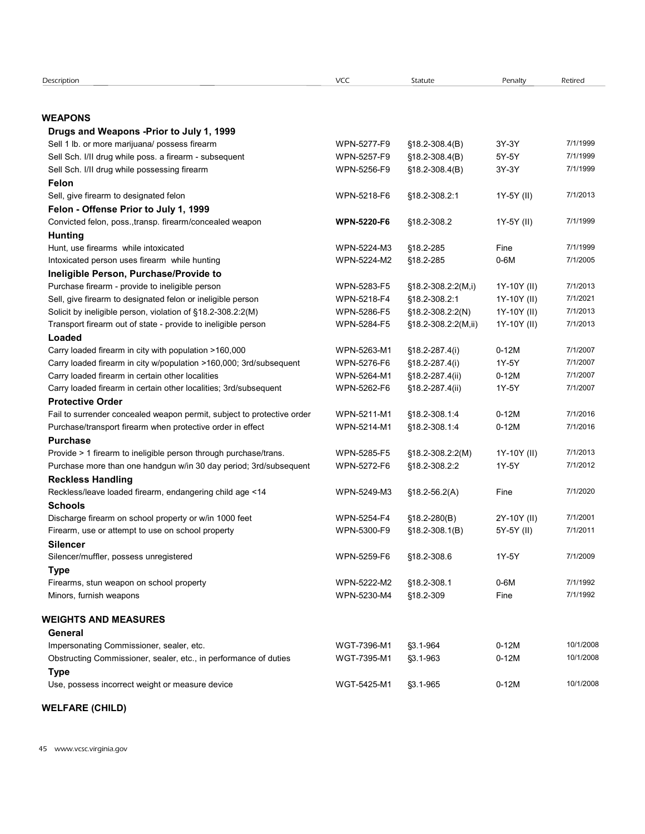| Description                                                                                                          | VCC                | Statute               | Penalty     | Retired              |
|----------------------------------------------------------------------------------------------------------------------|--------------------|-----------------------|-------------|----------------------|
|                                                                                                                      |                    |                       |             |                      |
| <b>WEAPONS</b>                                                                                                       |                    |                       |             |                      |
| Drugs and Weapons - Prior to July 1, 1999                                                                            |                    |                       |             |                      |
| Sell 1 lb. or more marijuana/ possess firearm                                                                        | WPN-5277-F9        | $$18.2 - 308.4(B)$    | 3Y-3Y       | 7/1/1999             |
| Sell Sch. I/II drug while poss. a firearm - subsequent                                                               | WPN-5257-F9        | $$18.2 - 308.4(B)$    | 5Y-5Y       | 7/1/1999             |
| Sell Sch. I/II drug while possessing firearm                                                                         | WPN-5256-F9        | $$18.2 - 308.4(B)$    | 3Y-3Y       | 7/1/1999             |
| Felon                                                                                                                |                    |                       |             |                      |
| Sell, give firearm to designated felon                                                                               | WPN-5218-F6        | §18.2-308.2:1         | 1Y-5Y (II)  | 7/1/2013             |
| Felon - Offense Prior to July 1, 1999<br>Convicted felon, poss., transp. firearm/concealed weapon                    | <b>WPN-5220-F6</b> | §18.2-308.2           | 1Y-5Y (II)  | 7/1/1999             |
| <b>Hunting</b>                                                                                                       |                    |                       |             |                      |
| Hunt, use firearms while intoxicated                                                                                 | WPN-5224-M3        | §18.2-285             | Fine        | 7/1/1999             |
| Intoxicated person uses firearm while hunting                                                                        | WPN-5224-M2        | §18.2-285             | $0-6M$      | 7/1/2005             |
| Ineligible Person, Purchase/Provide to                                                                               |                    |                       |             |                      |
| Purchase firearm - provide to ineligible person                                                                      | WPN-5283-F5        | §18.2-308.2:2(M,i)    | 1Y-10Y (II) | 7/1/2013             |
| Sell, give firearm to designated felon or ineligible person                                                          | WPN-5218-F4        | §18.2-308.2:1         | 1Y-10Y (II) | 7/1/2021             |
| Solicit by ineligible person, violation of §18.2-308.2:2(M)                                                          | WPN-5286-F5        | §18.2-308.2:2(N)      | 1Y-10Y (II) | 7/1/2013             |
| Transport firearm out of state - provide to ineligible person                                                        | WPN-5284-F5        | $§18.2-308.2:2(M,ii)$ | 1Y-10Y (II) | 7/1/2013             |
| Loaded                                                                                                               |                    |                       |             |                      |
| Carry loaded firearm in city with population >160,000                                                                | WPN-5263-M1        | $$18.2 - 287.4(i)$    | $0-12M$     | 7/1/2007             |
| Carry loaded firearm in city w/population >160,000; 3rd/subsequent                                                   | WPN-5276-F6        | $$18.2 - 287.4(i)$    | 1Y-5Y       | 7/1/2007             |
| Carry loaded firearm in certain other localities<br>Carry loaded firearm in certain other localities; 3rd/subsequent | WPN-5264-M1        | §18.2-287.4(ii)       | $0-12M$     | 7/1/2007<br>7/1/2007 |
| <b>Protective Order</b>                                                                                              | WPN-5262-F6        | §18.2-287.4(ii)       | 1Y-5Y       |                      |
| Fail to surrender concealed weapon permit, subject to protective order                                               | WPN-5211-M1        | §18.2-308.1:4         | $0-12M$     | 7/1/2016             |
| Purchase/transport firearm when protective order in effect                                                           | WPN-5214-M1        | §18.2-308.1:4         | $0-12M$     | 7/1/2016             |
| <b>Purchase</b>                                                                                                      |                    |                       |             |                      |
| Provide > 1 firearm to ineligible person through purchase/trans.                                                     | WPN-5285-F5        | §18.2-308.2:2(M)      | 1Y-10Y (II) | 7/1/2013             |
| Purchase more than one handgun w/in 30 day period; 3rd/subsequent                                                    | WPN-5272-F6        | §18.2-308.2:2         | 1Y-5Y       | 7/1/2012             |
| <b>Reckless Handling</b>                                                                                             |                    |                       |             |                      |
| Reckless/leave loaded firearm, endangering child age <14                                                             | WPN-5249-M3        | $$18.2-56.2(A)$       | Fine        | 7/1/2020             |
| <b>Schools</b>                                                                                                       |                    |                       |             |                      |
| Discharge firearm on school property or w/in 1000 feet                                                               | WPN-5254-F4        | $$18.2 - 280(B)$      | 2Y-10Y (II) | 7/1/2001             |
| Firearm, use or attempt to use on school property                                                                    | WPN-5300-F9        | $$18.2 - 308.1(B)$    | 5Y-5Y (II)  | 7/1/2011             |
| <b>Silencer</b>                                                                                                      |                    |                       |             |                      |
| Silencer/muffler, possess unregistered                                                                               | WPN-5259-F6        | §18.2-308.6           | 1Y-5Y       | 7/1/2009             |
| <b>Type</b>                                                                                                          |                    |                       |             |                      |
| Firearms, stun weapon on school property                                                                             | WPN-5222-M2        | §18.2-308.1           | $0-6M$      | 7/1/1992             |
| Minors, furnish weapons                                                                                              | WPN-5230-M4        | §18.2-309             | Fine        | 7/1/1992             |
| <b>WEIGHTS AND MEASURES</b>                                                                                          |                    |                       |             |                      |
| General                                                                                                              |                    |                       |             |                      |
| Impersonating Commissioner, sealer, etc.                                                                             | WGT-7396-M1        | §3.1-964              | $0-12M$     | 10/1/2008            |
| Obstructing Commissioner, sealer, etc., in performance of duties                                                     | WGT-7395-M1        | §3.1-963              | $0-12M$     | 10/1/2008            |
| <b>Type</b>                                                                                                          |                    |                       |             |                      |
| Use, possess incorrect weight or measure device                                                                      | WGT-5425-M1        | §3.1-965              | $0-12M$     | 10/1/2008            |
|                                                                                                                      |                    |                       |             |                      |